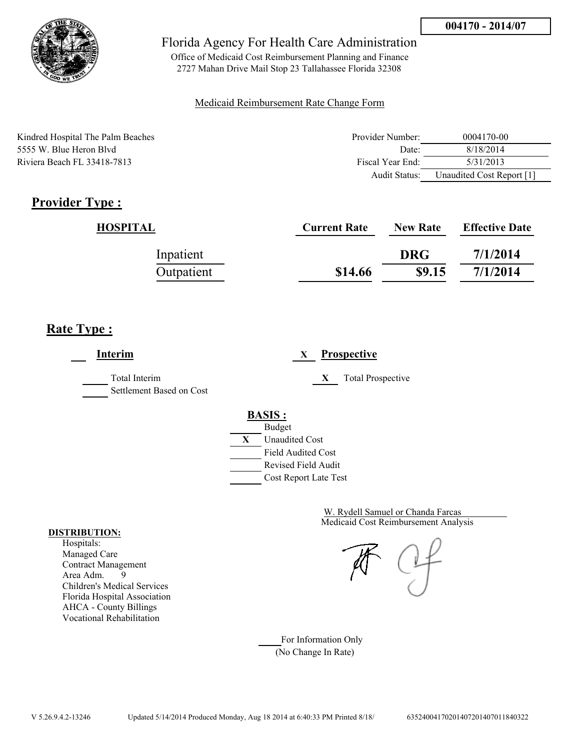

Office of Medicaid Cost Reimbursement Planning and Finance 2727 Mahan Drive Mail Stop 23 Tallahassee Florida 32308

### Medicaid Reimbursement Rate Change Form

| Kindred Hospital The Palm Beaches | Provider Number: | 0004170-00                |
|-----------------------------------|------------------|---------------------------|
| 5555 W. Blue Heron Blyd           | Date:            | 8/18/2014                 |
| Riviera Beach FL 33418-7813       | Fiscal Year End: | 5/31/2013                 |
|                                   | Audit Status:    | Unaudited Cost Report [1] |

# **Provider Type :**

| HOSPITAL   | <b>Current Rate</b> | <b>New Rate</b> | <b>Effective Date</b> |
|------------|---------------------|-----------------|-----------------------|
| Inpatient  |                     | <b>DRG</b>      | 7/1/2014              |
| Outpatient | \$14.66             | \$9.15          | 7/1/2014              |

## **Rate Type :**

**Interim X Prospective** Total Interim **X** Total Prospective Settlement Based on Cost **BASIS :** Budget **X** Unaudited Cost Field Audited Cost Revised Field Audit Cost Report Late Test

> Medicaid Cost Reimbursement Analysis W. Rydell Samuel or Chanda Farcas

For Information Only (No Change In Rate)

#### **DISTRIBUTION:**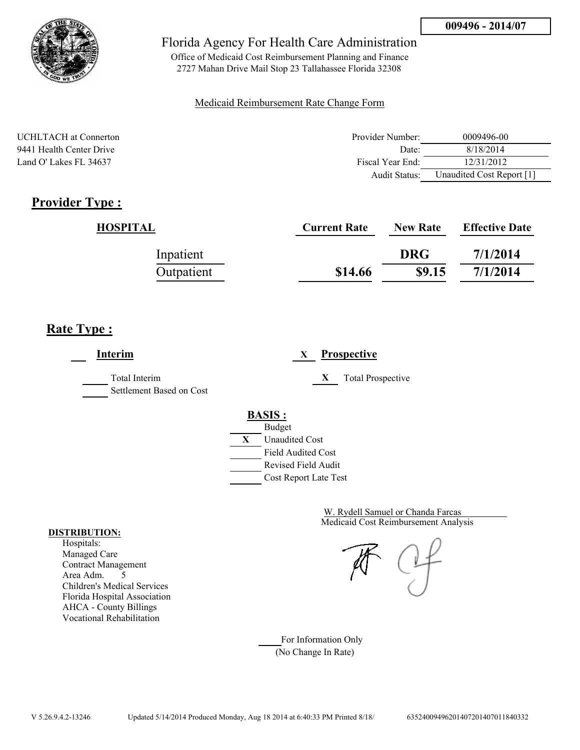

Office of Medicaid Cost Reimbursement Planning and Finance 2727 Mahan Drive Mail Stop 23 Tallahassee Florida 32308

### Medicaid Reimbursement Rate Change Form

| <b>UCHLTACH</b> at Connerton | Provider Number: | 0009496-00                |
|------------------------------|------------------|---------------------------|
| 9441 Health Center Drive     | Date:            | 8/18/2014                 |
| Land O' Lakes FL 34637       | Fiscal Year End: | 12/31/2012                |
|                              | Audit Status:    | Unaudited Cost Report [1] |

## **Provider Type :**

| <b>HOSPITAL</b> | <b>Current Rate</b> | <b>New Rate</b> | <b>Effective Date</b> |
|-----------------|---------------------|-----------------|-----------------------|
| Inpatient       |                     | <b>DRG</b>      | 7/1/2014              |
| Outpatient      | \$14.66             | \$9.15          | 7/1/2014              |

## **Rate Type :**

**Interim X Prospective** Total Interim **X** Total Prospective Settlement Based on Cost **BASIS :** Budget **X** Unaudited Cost Field Audited Cost Revised Field Audit Cost Report Late Test

> Medicaid Cost Reimbursement Analysis W. Rydell Samuel or Chanda Farcas

For Information Only (No Change In Rate)

#### **DISTRIBUTION:**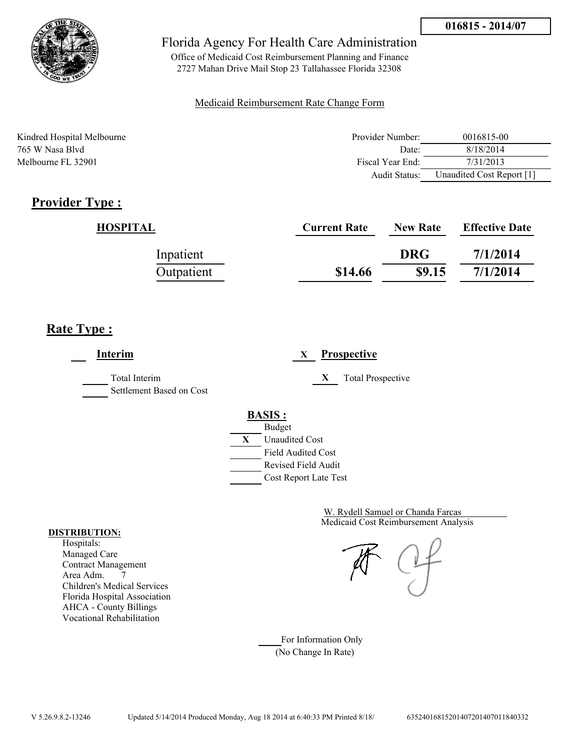

Office of Medicaid Cost Reimbursement Planning and Finance 2727 Mahan Drive Mail Stop 23 Tallahassee Florida 32308

### Medicaid Reimbursement Rate Change Form

| Kindred Hospital Melbourne | Provider Number: | 0016815-00                |
|----------------------------|------------------|---------------------------|
| 765 W Nasa Blyd            | Date:            | 8/18/2014                 |
| Melbourne FL 32901         | Fiscal Year End: | 7/31/2013                 |
|                            | Audit Status:    | Unaudited Cost Report [1] |

# **Provider Type :**

| HOSPITAL   | <b>Current Rate</b> | <b>New Rate</b> | <b>Effective Date</b> |
|------------|---------------------|-----------------|-----------------------|
| Inpatient  |                     | <b>DRG</b>      | 7/1/2014              |
| Outpatient | \$14.66             | \$9.15          | 7/1/2014              |

# **Rate Type :**

**Interim X Prospective** Total Interim **X** Total Prospective Settlement Based on Cost **BASIS :** Budget **X** Unaudited Cost Field Audited Cost Revised Field Audit Cost Report Late Test

> Medicaid Cost Reimbursement Analysis W. Rydell Samuel or Chanda Farcas

For Information Only (No Change In Rate)

#### **DISTRIBUTION:**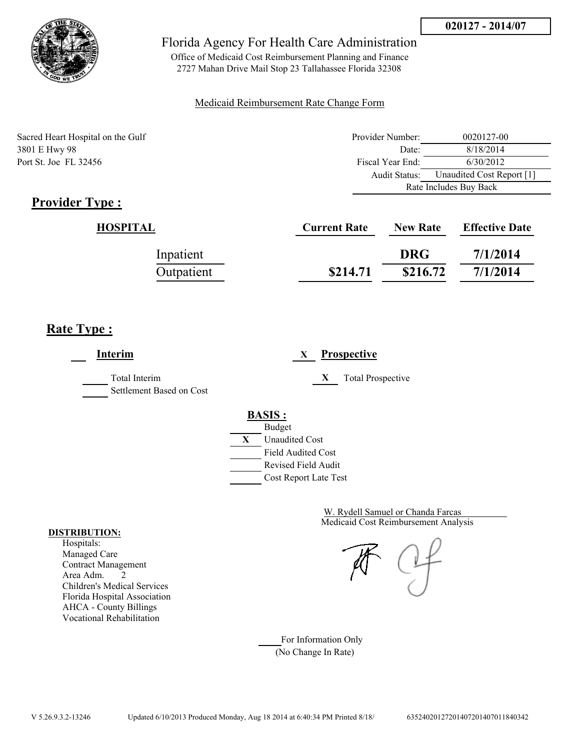

Office of Medicaid Cost Reimbursement Planning and Finance 2727 Mahan Drive Mail Stop 23 Tallahassee Florida 32308

### Medicaid Reimbursement Rate Change Form

Sacred Heart Hospital on the Gulf 3801 E Hwy 98 Port St. Joe FL 32456

| Provider Number:       | 0020127-00                |  |
|------------------------|---------------------------|--|
| Date:                  | 8/18/2014                 |  |
| Fiscal Year End:       | 6/30/2012                 |  |
| Audit Status:          | Unaudited Cost Report [1] |  |
| Rate Includes Buy Back |                           |  |

# **Provider Type :**

| HOSPITAL   | <b>Current Rate</b> | <b>New Rate</b> | <b>Effective Date</b> |
|------------|---------------------|-----------------|-----------------------|
| Inpatient  |                     | <b>DRG</b>      | 7/1/2014              |
| Outpatient | \$214.71            | \$216.72        | 7/1/2014              |

# **Rate Type :**

**Interim X Prospective** Total Interim **X** Total Prospective Settlement Based on Cost **BASIS :** Budget **X** Unaudited Cost Field Audited Cost Revised Field Audit Cost Report Late Test

> Medicaid Cost Reimbursement Analysis W. Rydell Samuel or Chanda Farcas

For Information Only (No Change In Rate)

#### **DISTRIBUTION:**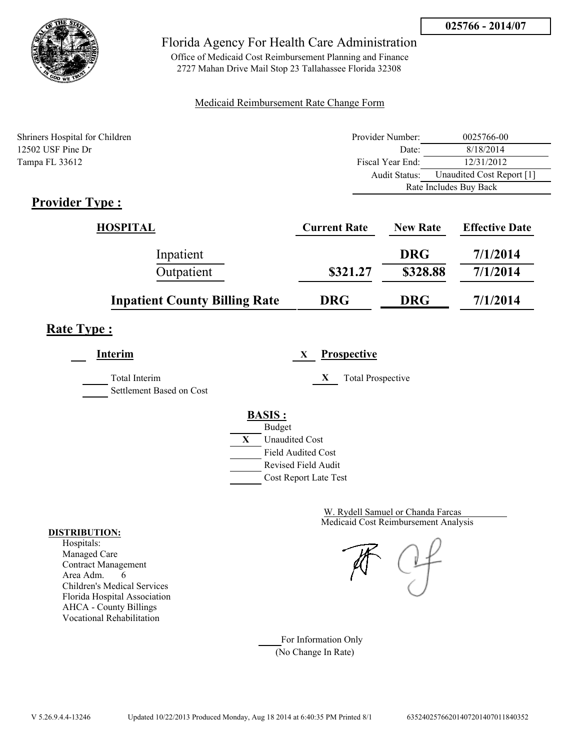

Office of Medicaid Cost Reimbursement Planning and Finance 2727 Mahan Drive Mail Stop 23 Tallahassee Florida 32308

### Medicaid Reimbursement Rate Change Form

| Shriners Hospital for Children | Provider Number: | 0025766-00                |  |
|--------------------------------|------------------|---------------------------|--|
| 12502 USF Pine Dr              | Date:            | 8/18/2014                 |  |
| Tampa FL 33612                 | Fiscal Year End: | 12/31/2012                |  |
|                                | Audit Status:    | Unaudited Cost Report [1] |  |
|                                |                  | Rate Includes Buy Back    |  |

# **Provider Type :**

| HOSPITAL                             | <b>Current Rate</b> | <b>New Rate</b> | <b>Effective Date</b> |
|--------------------------------------|---------------------|-----------------|-----------------------|
| Inpatient                            |                     | <b>DRG</b>      | 7/1/2014              |
| Outpatient                           | \$321.27            | \$328.88        | 7/1/2014              |
| <b>Inpatient County Billing Rate</b> | <b>DRG</b>          | <b>DRG</b>      | 7/1/2014              |

# **Rate Type :**

**Interim X Prospective** Total Interim **X** Total Prospective Settlement Based on Cost

# **BASIS :**



Medicaid Cost Reimbursement Analysis W. Rydell Samuel or Chanda Farcas

For Information Only (No Change In Rate)

#### **DISTRIBUTION:**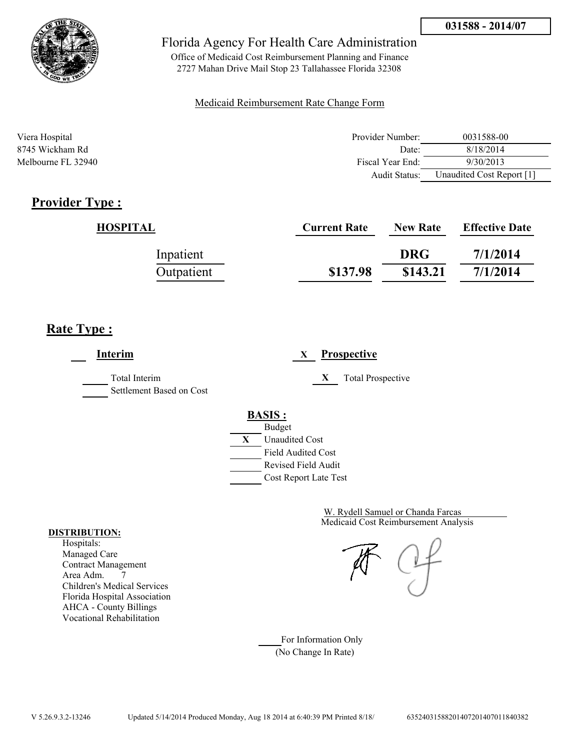

Office of Medicaid Cost Reimbursement Planning and Finance 2727 Mahan Drive Mail Stop 23 Tallahassee Florida 32308

### Medicaid Reimbursement Rate Change Form

| Viera Hospital     | Provider Number: | 0031588-00                |
|--------------------|------------------|---------------------------|
| 8745 Wickham Rd    | Date:            | 8/18/2014                 |
| Melbourne FL 32940 | Fiscal Year End: | 9/30/2013                 |
|                    | Audit Status:    | Unaudited Cost Report [1] |

# **Provider Type :**

| HOSPITAL   | <b>Current Rate</b> | <b>New Rate</b> | <b>Effective Date</b> |
|------------|---------------------|-----------------|-----------------------|
| Inpatient  |                     | <b>DRG</b>      | 7/1/2014              |
| Outpatient | \$137.98            | \$143.21        | 7/1/2014              |

# **Rate Type :**

**Interim X Prospective** Total Interim **X** Total Prospective Settlement Based on Cost **BASIS :** Budget **X** Unaudited Cost Field Audited Cost Revised Field Audit Cost Report Late Test

> Medicaid Cost Reimbursement Analysis W. Rydell Samuel or Chanda Farcas

For Information Only (No Change In Rate)

#### **DISTRIBUTION:**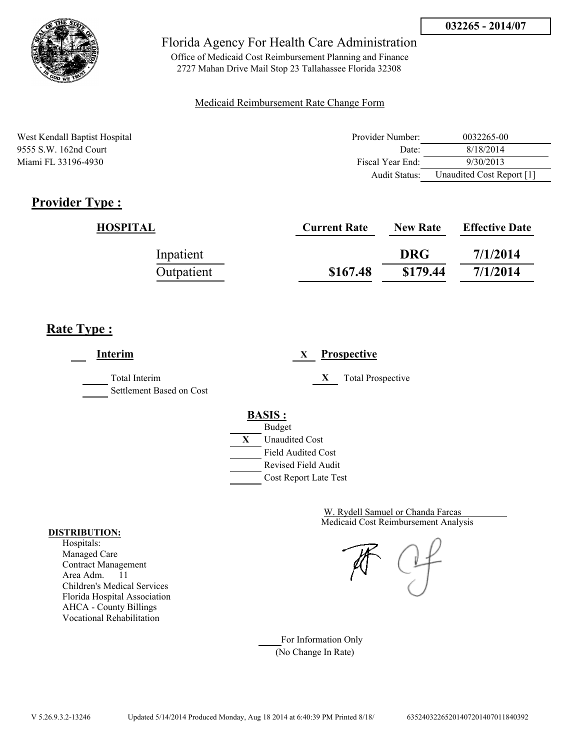

Office of Medicaid Cost Reimbursement Planning and Finance 2727 Mahan Drive Mail Stop 23 Tallahassee Florida 32308

### Medicaid Reimbursement Rate Change Form

West Kendall Baptist Hospital 9555 S.W. 162nd Court Miami FL 33196-4930

| Provider Number: | 0032265-00                |
|------------------|---------------------------|
| Date:            | 8/18/2014                 |
| Fiscal Year End: | 9/30/2013                 |
| Audit Status:    | Unaudited Cost Report [1] |

# **Provider Type :**

| HOSPITAL   | <b>Current Rate</b> | <b>New Rate</b> | <b>Effective Date</b> |
|------------|---------------------|-----------------|-----------------------|
| Inpatient  |                     | <b>DRG</b>      | 7/1/2014              |
| Outpatient | \$167.48            | \$179.44        | 7/1/2014              |

# **Rate Type :**

**Interim X Prospective** Total Interim **X** Total Prospective Settlement Based on Cost **BASIS :** Budget **X** Unaudited Cost Field Audited Cost Revised Field Audit Cost Report Late Test

> Medicaid Cost Reimbursement Analysis W. Rydell Samuel or Chanda Farcas

For Information Only (No Change In Rate)

#### **DISTRIBUTION:**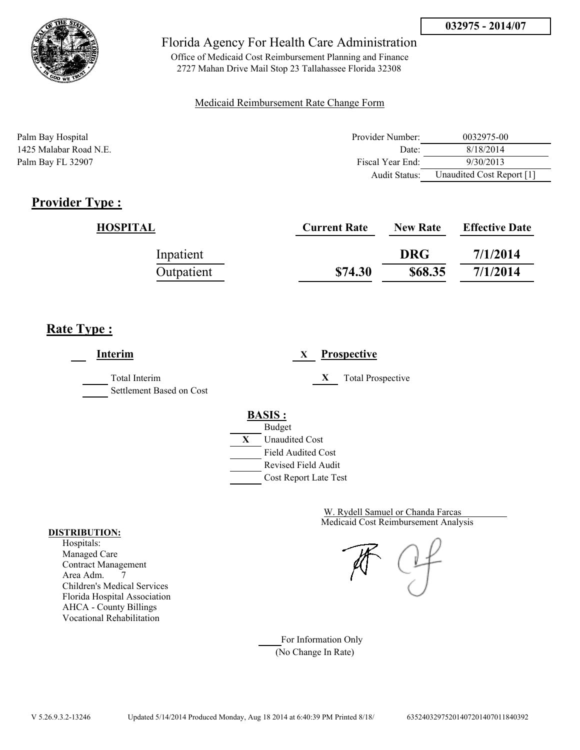

Office of Medicaid Cost Reimbursement Planning and Finance 2727 Mahan Drive Mail Stop 23 Tallahassee Florida 32308

### Medicaid Reimbursement Rate Change Form

| Palm Bay Hospital      | Provider Number: | 0032975-00                |
|------------------------|------------------|---------------------------|
| 1425 Malabar Road N.E. | Date:            | 8/18/2014                 |
| Palm Bay FL 32907      | Fiscal Year End: | 9/30/2013                 |
|                        | Audit Status:    | Unaudited Cost Report [1] |

# **Provider Type :**

| HOSPITAL   | <b>Current Rate</b> | <b>New Rate</b> | <b>Effective Date</b> |
|------------|---------------------|-----------------|-----------------------|
| Inpatient  |                     | <b>DRG</b>      | 7/1/2014              |
| Outpatient | \$74.30             | \$68.35         | 7/1/2014              |

# **Rate Type :**

**Interim X Prospective** Total Interim **X** Total Prospective Settlement Based on Cost **BASIS :** Budget **X** Unaudited Cost Field Audited Cost Revised Field Audit Cost Report Late Test

> Medicaid Cost Reimbursement Analysis W. Rydell Samuel or Chanda Farcas

For Information Only (No Change In Rate)

#### **DISTRIBUTION:**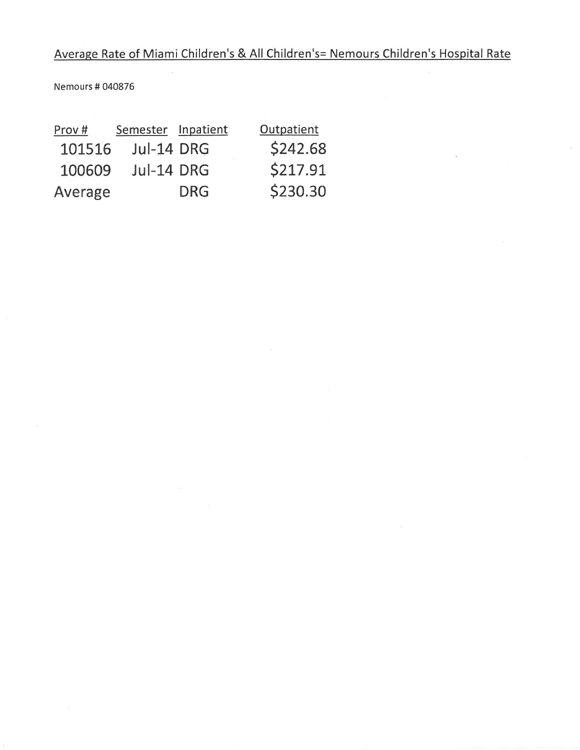Nemours # 040876

| Prov#   | Semester Inpatient |            | Outpatient |
|---------|--------------------|------------|------------|
| 101516  | Jul-14 DRG         |            | \$242.68   |
| 100609  | Jul-14 DRG         |            | \$217.91   |
| Average |                    | <b>DRG</b> | \$230.30   |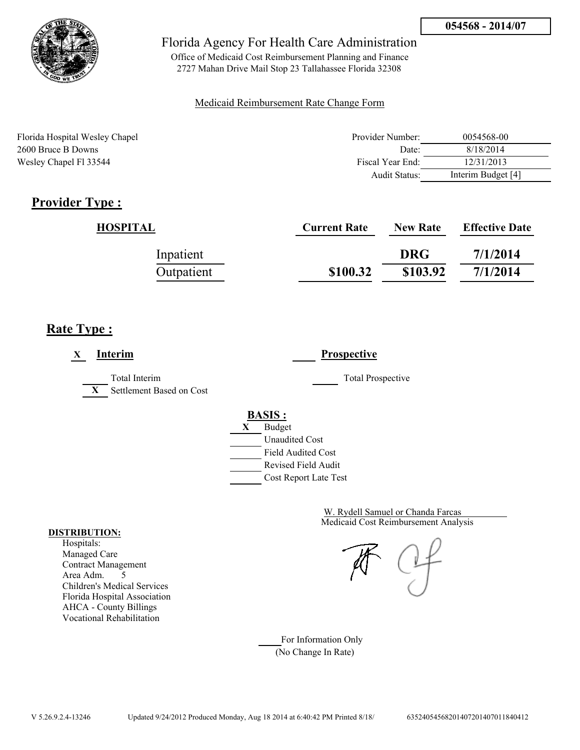

Office of Medicaid Cost Reimbursement Planning and Finance 2727 Mahan Drive Mail Stop 23 Tallahassee Florida 32308

### Medicaid Reimbursement Rate Change Form

| Florida Hospital Wesley Chapel | Provider Number: | 0054568-00         |
|--------------------------------|------------------|--------------------|
| 2600 Bruce B Downs             | Date:            | 8/18/2014          |
| Wesley Chapel Fl 33544         | Fiscal Year End: | 12/31/2013         |
|                                | Audit Status:    | Interim Budget [4] |

# **Provider Type :**

| HOSPITAL   | <b>Current Rate</b> | <b>New Rate</b> | <b>Effective Date</b> |
|------------|---------------------|-----------------|-----------------------|
| Inpatient  |                     | <b>DRG</b>      | 7/1/2014              |
| Outpatient | \$100.32            | \$103.92        | 7/1/2014              |

# **Rate Type :**

| <b>Interim</b><br>X                                       | <b>Prospective</b>                                                                                                                        |
|-----------------------------------------------------------|-------------------------------------------------------------------------------------------------------------------------------------------|
| Total Interim<br>Settlement Based on Cost<br>$\mathbf{X}$ | <b>Total Prospective</b>                                                                                                                  |
|                                                           | <b>BASIS:</b><br>X<br><b>Budget</b><br><b>Unaudited Cost</b><br><b>Field Audited Cost</b><br>Revised Field Audit<br>Cost Report Late Test |

Medicaid Cost Reimbursement Analysis W. Rydell Samuel or Chanda Farcas

For Information Only (No Change In Rate)

#### **DISTRIBUTION:**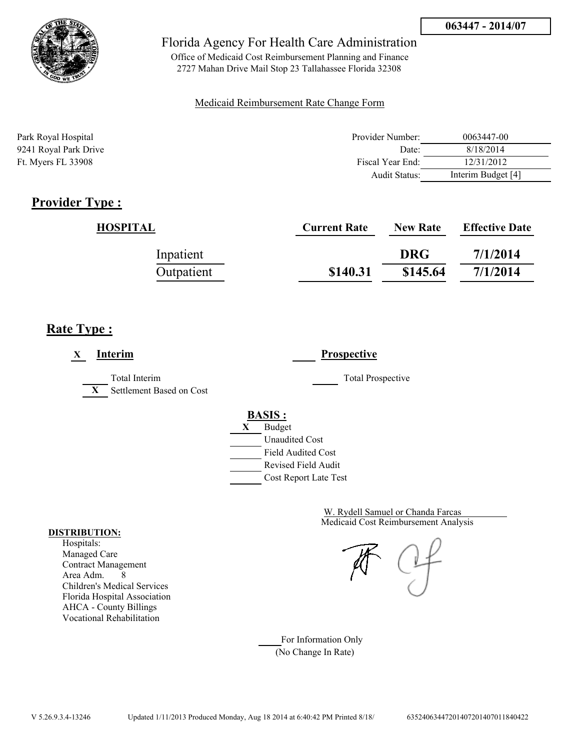

Office of Medicaid Cost Reimbursement Planning and Finance 2727 Mahan Drive Mail Stop 23 Tallahassee Florida 32308

### Medicaid Reimbursement Rate Change Form

| Park Royal Hospital   | Provider Number: | 0063447-00         |
|-----------------------|------------------|--------------------|
| 9241 Royal Park Drive | Date:            | 8/18/2014          |
| Ft. Myers FL 33908    | Fiscal Year End: | 12/31/2012         |
|                       | Audit Status:    | Interim Budget [4] |

## **Provider Type :**

| HOSPITAL   | <b>Current Rate</b> | <b>New Rate</b> | <b>Effective Date</b> |
|------------|---------------------|-----------------|-----------------------|
| Inpatient  |                     | <b>DRG</b>      | 7/1/2014              |
| Outpatient | \$140.31            | \$145.64        | 7/1/2014              |

## **Rate Type :**

| <b>Interim</b><br>$\mathbf X$                             | <b>Prospective</b>                                                                                                                               |
|-----------------------------------------------------------|--------------------------------------------------------------------------------------------------------------------------------------------------|
| Total Interim<br>Settlement Based on Cost<br>$\mathbf{X}$ | <b>Total Prospective</b>                                                                                                                         |
|                                                           | <b>BASIS:</b><br><b>Budget</b><br>X<br><b>Unaudited Cost</b><br><b>Field Audited Cost</b><br>Revised Field Audit<br><b>Cost Report Late Test</b> |

Medicaid Cost Reimbursement Analysis W. Rydell Samuel or Chanda Farcas

For Information Only (No Change In Rate)

#### **DISTRIBUTION:**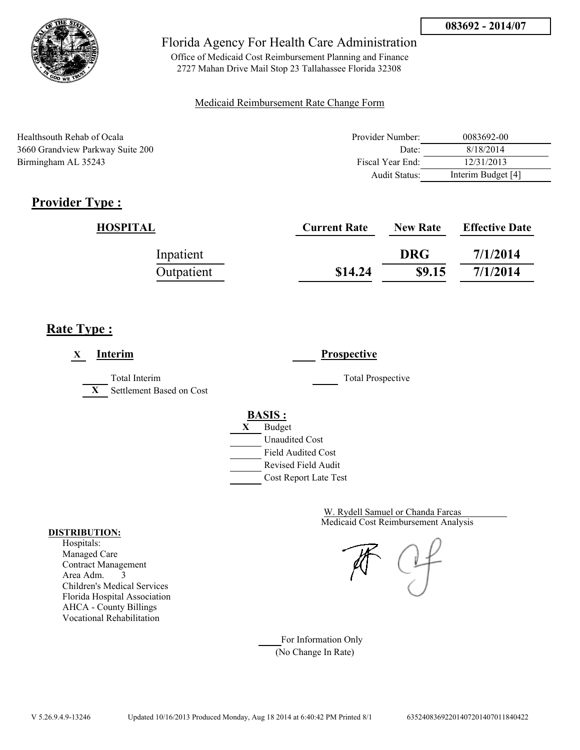

Office of Medicaid Cost Reimbursement Planning and Finance 2727 Mahan Drive Mail Stop 23 Tallahassee Florida 32308

### Medicaid Reimbursement Rate Change Form

| Healthsouth Rehab of Ocala       | Provider Number: | 0083692-00         |
|----------------------------------|------------------|--------------------|
| 3660 Grandview Parkway Suite 200 | Date:            | 8/18/2014          |
| Birmingham AL 35243              | Fiscal Year End: | 12/31/2013         |
|                                  | Audit Status:    | Interim Budget [4] |

# **Provider Type :**

| HOSPITAL   | <b>Current Rate</b> | <b>New Rate</b> | <b>Effective Date</b> |
|------------|---------------------|-----------------|-----------------------|
| Inpatient  |                     | <b>DRG</b>      | 7/1/2014              |
| Outpatient | \$14.24             | \$9.15          | 7/1/2014              |

# **Rate Type :**

| <b>Interim</b><br>X                                       | <b>Prospective</b>                                                                                                                        |  |
|-----------------------------------------------------------|-------------------------------------------------------------------------------------------------------------------------------------------|--|
| Total Interim<br>Settlement Based on Cost<br>$\mathbf{X}$ | <b>Total Prospective</b>                                                                                                                  |  |
|                                                           | <b>BASIS:</b><br><b>Budget</b><br>X<br><b>Unaudited Cost</b><br><b>Field Audited Cost</b><br>Revised Field Audit<br>Cost Report Late Test |  |

Medicaid Cost Reimbursement Analysis W. Rydell Samuel or Chanda Farcas

For Information Only (No Change In Rate)

#### **DISTRIBUTION:**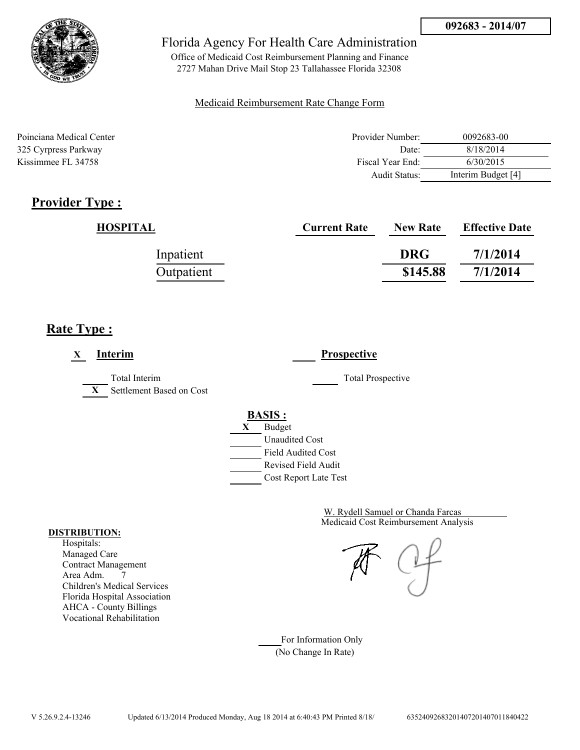

Office of Medicaid Cost Reimbursement Planning and Finance 2727 Mahan Drive Mail Stop 23 Tallahassee Florida 32308

### Medicaid Reimbursement Rate Change Form

| Poinciana Medical Center | Provider Number: | 0092683-00         |
|--------------------------|------------------|--------------------|
| 325 Cyrpress Parkway     | Date:            | 8/18/2014          |
| Kissimmee FL 34758       | Fiscal Year End: | 6/30/2015          |
|                          | Audit Status:    | Interim Budget [4] |

# **Provider Type :**

| <b>HOSPITAL</b> | <b>Current Rate</b> | <b>New Rate</b> | <b>Effective Date</b> |
|-----------------|---------------------|-----------------|-----------------------|
| Inpatient       |                     | <b>DRG</b>      | 7/1/2014              |
| Outpatient      |                     | \$145.88        | 7/1/2014              |

# **Rate Type :**

| Interim<br>X                                              | <b>Prospective</b>                                                                                                                        |
|-----------------------------------------------------------|-------------------------------------------------------------------------------------------------------------------------------------------|
| Total Interim<br>Settlement Based on Cost<br>$\mathbf{X}$ | <b>Total Prospective</b>                                                                                                                  |
|                                                           | <b>BASIS:</b><br><b>Budget</b><br>X<br><b>Unaudited Cost</b><br><b>Field Audited Cost</b><br>Revised Field Audit<br>Cost Report Late Test |

Medicaid Cost Reimbursement Analysis W. Rydell Samuel or Chanda Farcas

For Information Only (No Change In Rate)

#### **DISTRIBUTION:**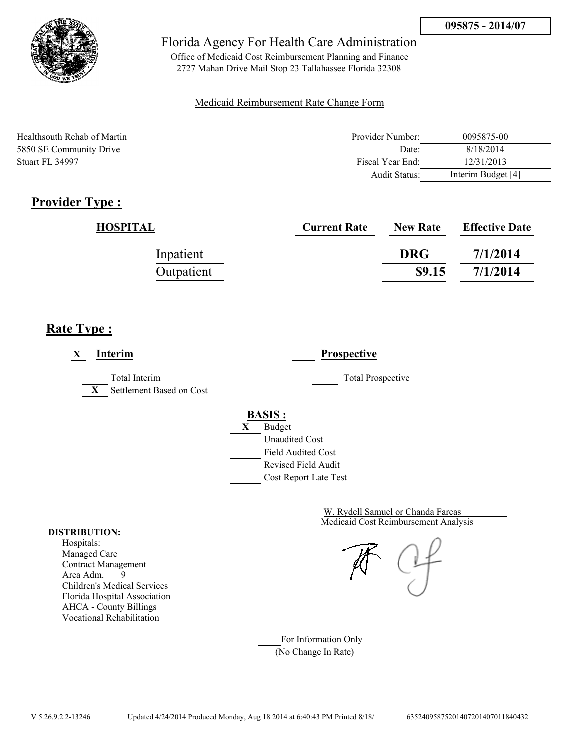

Office of Medicaid Cost Reimbursement Planning and Finance 2727 Mahan Drive Mail Stop 23 Tallahassee Florida 32308

### Medicaid Reimbursement Rate Change Form

| Healthsouth Rehab of Martin | Provider Number: | 0095875-00         |
|-----------------------------|------------------|--------------------|
| 5850 SE Community Drive     | Date:            | 8/18/2014          |
| Stuart FL 34997             | Fiscal Year End: | 12/31/2013         |
|                             | Audit Status:    | Interim Budget [4] |

# **Provider Type :**

| <b>HOSPITAL</b> | <b>Current Rate</b> | <b>New Rate</b> | <b>Effective Date</b> |
|-----------------|---------------------|-----------------|-----------------------|
| Inpatient       |                     | <b>DRG</b>      | 7/1/2014              |
| Outpatient      |                     | \$9.15          | 7/1/2014              |

# **Rate Type :**

| Interim<br>X                                              | <b>Prospective</b>                                                                                                                        |  |
|-----------------------------------------------------------|-------------------------------------------------------------------------------------------------------------------------------------------|--|
| Total Interim<br>Settlement Based on Cost<br>$\mathbf{X}$ | <b>Total Prospective</b>                                                                                                                  |  |
|                                                           | <b>BASIS:</b><br><b>Budget</b><br>X<br><b>Unaudited Cost</b><br><b>Field Audited Cost</b><br>Revised Field Audit<br>Cost Report Late Test |  |

Medicaid Cost Reimbursement Analysis W. Rydell Samuel or Chanda Farcas

For Information Only (No Change In Rate)

#### **DISTRIBUTION:**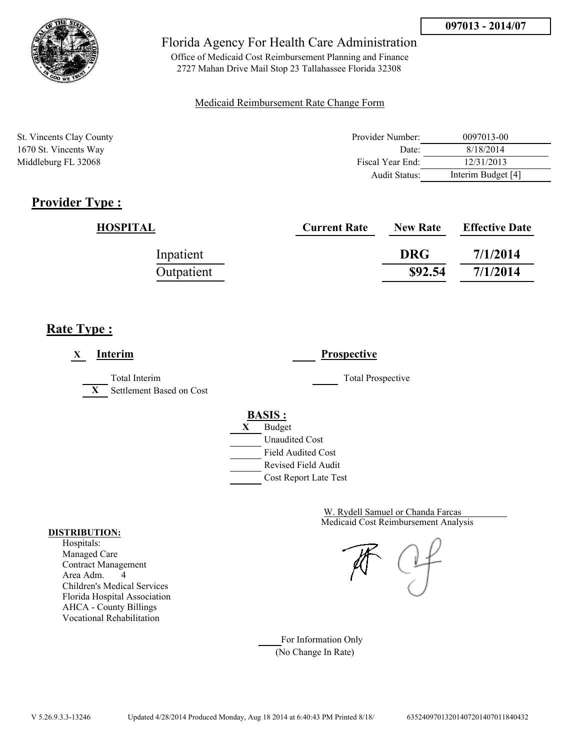

Office of Medicaid Cost Reimbursement Planning and Finance 2727 Mahan Drive Mail Stop 23 Tallahassee Florida 32308

### Medicaid Reimbursement Rate Change Form

| St. Vincents Clay County | Provider Number:     | 0097013-00         |
|--------------------------|----------------------|--------------------|
| 1670 St. Vincents Way    | Date:                | 8/18/2014          |
| Middleburg FL 32068      | Fiscal Year End:     | 12/31/2013         |
|                          | <b>Audit Status:</b> | Interim Budget [4] |

# **Provider Type :**

| HOSPITAL   | <b>Current Rate</b> | <b>New Rate</b> | <b>Effective Date</b> |
|------------|---------------------|-----------------|-----------------------|
| Inpatient  |                     | <b>DRG</b>      | 7/1/2014              |
| Outpatient |                     | \$92.54         | 7/1/2014              |

# **Rate Type :**

| Interim<br>X                                              | <b>Prospective</b>                                                                                                                        |  |
|-----------------------------------------------------------|-------------------------------------------------------------------------------------------------------------------------------------------|--|
| Total Interim<br>Settlement Based on Cost<br>$\mathbf{X}$ | <b>Total Prospective</b>                                                                                                                  |  |
|                                                           | <b>BASIS:</b><br><b>Budget</b><br>X<br><b>Unaudited Cost</b><br><b>Field Audited Cost</b><br>Revised Field Audit<br>Cost Report Late Test |  |

Medicaid Cost Reimbursement Analysis W. Rydell Samuel or Chanda Farcas

For Information Only (No Change In Rate)

#### **DISTRIBUTION:**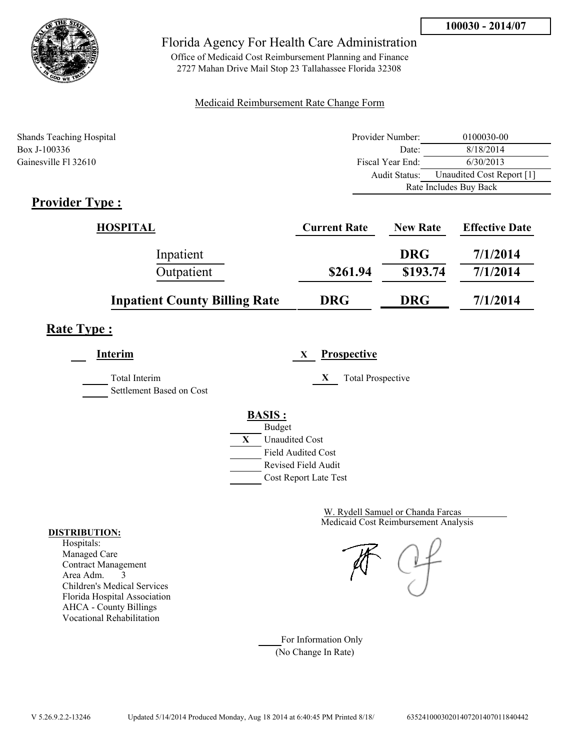

Office of Medicaid Cost Reimbursement Planning and Finance 2727 Mahan Drive Mail Stop 23 Tallahassee Florida 32308

### Medicaid Reimbursement Rate Change Form

| <b>Shands Teaching Hospital</b> | Provider Number: | 0100030-00                |  |
|---------------------------------|------------------|---------------------------|--|
| Box J-100336                    | Date:            | 8/18/2014                 |  |
| Gainesville Fl 32610            | Fiscal Year End: | 6/30/2013                 |  |
|                                 | Audit Status:    | Unaudited Cost Report [1] |  |
|                                 |                  | Rate Includes Buy Back    |  |

# **Provider Type :**

| <b>HOSPITAL</b>                      | <b>Current Rate</b> | <b>New Rate</b> | <b>Effective Date</b> |
|--------------------------------------|---------------------|-----------------|-----------------------|
| Inpatient                            |                     | <b>DRG</b>      | 7/1/2014              |
| Outpatient                           | \$261.94            | \$193.74        | 7/1/2014              |
| <b>Inpatient County Billing Rate</b> | <b>DRG</b>          | <b>DRG</b>      | 7/1/2014              |

# **Rate Type :**

| Interim                                   | <b>Prospective</b><br>X                                                                                                                   |
|-------------------------------------------|-------------------------------------------------------------------------------------------------------------------------------------------|
| Total Interim<br>Settlement Based on Cost | X<br><b>Total Prospective</b>                                                                                                             |
|                                           | <b>BASIS:</b><br><b>Budget</b><br>X<br><b>Unaudited Cost</b><br><b>Field Audited Cost</b><br>Revised Field Audit<br>Cost Report Late Test |

Medicaid Cost Reimbursement Analysis W. Rydell Samuel or Chanda Farcas

For Information Only (No Change In Rate)

#### **DISTRIBUTION:**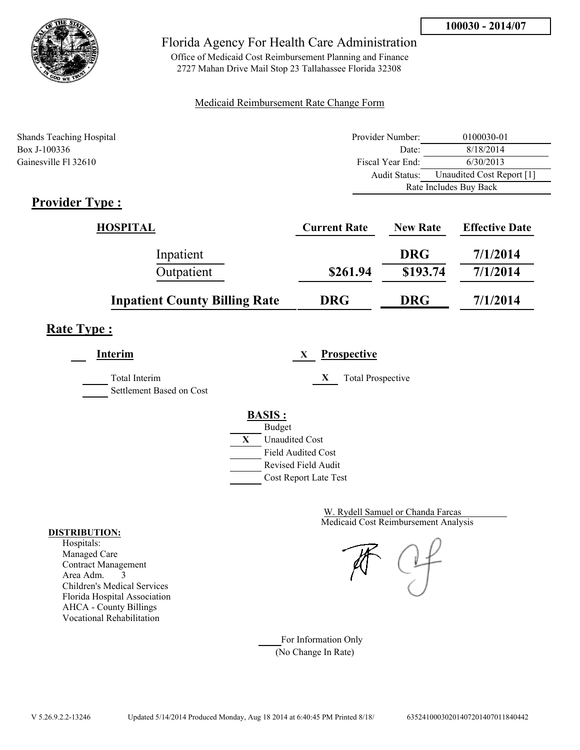

Office of Medicaid Cost Reimbursement Planning and Finance 2727 Mahan Drive Mail Stop 23 Tallahassee Florida 32308

### Medicaid Reimbursement Rate Change Form

| <b>Shands Teaching Hospital</b> | Provider Number: | 0100030-01                |  |
|---------------------------------|------------------|---------------------------|--|
| Box J-100336                    | Date:            | 8/18/2014                 |  |
| Gainesville Fl 32610            | Fiscal Year End: | 6/30/2013                 |  |
|                                 | Audit Status:    | Unaudited Cost Report [1] |  |
|                                 |                  | Rate Includes Buy Back    |  |

# **Provider Type :**

| <b>HOSPITAL</b>                      | <b>Current Rate</b> | <b>New Rate</b> | <b>Effective Date</b> |
|--------------------------------------|---------------------|-----------------|-----------------------|
| Inpatient                            |                     | <b>DRG</b>      | 7/1/2014              |
| Outpatient                           | \$261.94            | \$193.74        | 7/1/2014              |
| <b>Inpatient County Billing Rate</b> | <b>DRG</b>          | <b>DRG</b>      | 7/1/2014              |

# **Rate Type :**

| Interim                                   | <b>Prospective</b><br>X                                                                                                                   |
|-------------------------------------------|-------------------------------------------------------------------------------------------------------------------------------------------|
| Total Interim<br>Settlement Based on Cost | X<br><b>Total Prospective</b>                                                                                                             |
|                                           | <b>BASIS:</b><br><b>Budget</b><br>X<br><b>Unaudited Cost</b><br><b>Field Audited Cost</b><br>Revised Field Audit<br>Cost Report Late Test |

Medicaid Cost Reimbursement Analysis W. Rydell Samuel or Chanda Farcas

For Information Only (No Change In Rate)

#### **DISTRIBUTION:**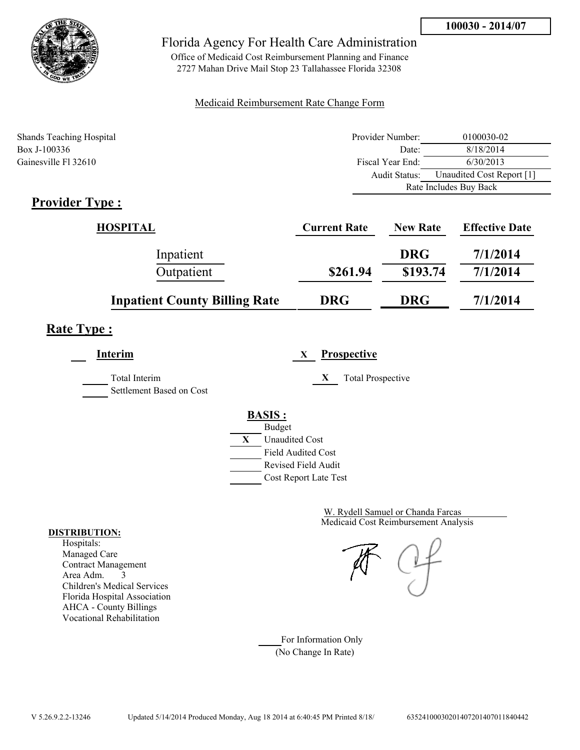

Office of Medicaid Cost Reimbursement Planning and Finance 2727 Mahan Drive Mail Stop 23 Tallahassee Florida 32308

### Medicaid Reimbursement Rate Change Form

| <b>Shands Teaching Hospital</b> | Provider Number:     | 0100030-02                |  |
|---------------------------------|----------------------|---------------------------|--|
| Box J-100336                    | Date:                | 8/18/2014                 |  |
| Gainesville Fl 32610            | Fiscal Year End:     | 6/30/2013                 |  |
|                                 | <b>Audit Status:</b> | Unaudited Cost Report [1] |  |
|                                 |                      | Rate Includes Buy Back    |  |

# **Provider Type :**

| HOSPITAL                             | <b>Current Rate</b> | <b>New Rate</b> | <b>Effective Date</b> |
|--------------------------------------|---------------------|-----------------|-----------------------|
| Inpatient                            |                     | <b>DRG</b>      | 7/1/2014              |
| Outpatient                           | \$261.94            | \$193.74        | 7/1/2014              |
| <b>Inpatient County Billing Rate</b> | <b>DRG</b>          | <b>DRG</b>      | 7/1/2014              |

# **Rate Type :**

L,

| Interim                                          | <b>Prospective</b><br>X                                                                                                                   |
|--------------------------------------------------|-------------------------------------------------------------------------------------------------------------------------------------------|
| <b>Total Interim</b><br>Settlement Based on Cost | $\mathbf{X}$<br><b>Total Prospective</b>                                                                                                  |
|                                                  | <b>BASIS:</b><br><b>Budget</b><br>X<br><b>Unaudited Cost</b><br><b>Field Audited Cost</b><br>Revised Field Audit<br>Cost Report Late Test |

Medicaid Cost Reimbursement Analysis W. Rydell Samuel or Chanda Farcas

For Information Only (No Change In Rate)

#### **DISTRIBUTION:**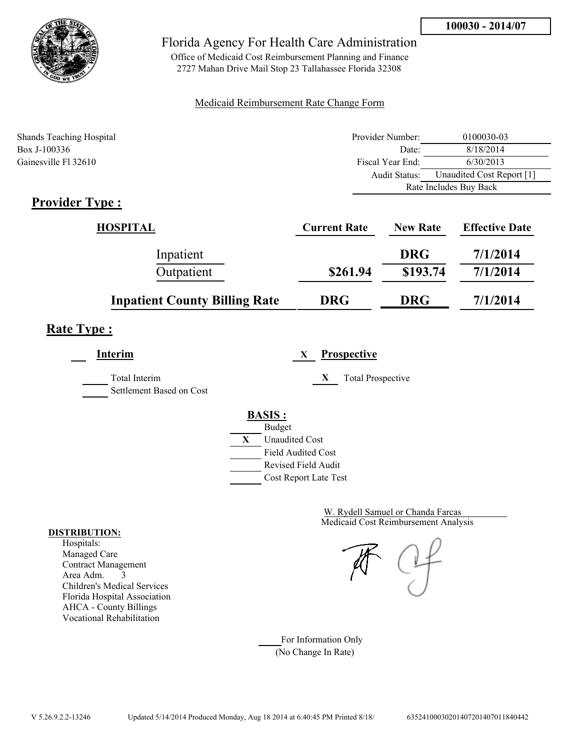

Office of Medicaid Cost Reimbursement Planning and Finance 2727 Mahan Drive Mail Stop 23 Tallahassee Florida 32308

### Medicaid Reimbursement Rate Change Form

| <b>Shands Teaching Hospital</b> | Provider Number: | 0100030-03                |  |
|---------------------------------|------------------|---------------------------|--|
| Box J-100336                    | Date:            | 8/18/2014                 |  |
| Gainesville Fl 32610            | Fiscal Year End: | 6/30/2013                 |  |
|                                 | Audit Status:    | Unaudited Cost Report [1] |  |
|                                 |                  | Rate Includes Buy Back    |  |

# **Provider Type :**

| <b>HOSPITAL</b>                      | <b>Current Rate</b> | <b>New Rate</b> | <b>Effective Date</b> |
|--------------------------------------|---------------------|-----------------|-----------------------|
| Inpatient                            |                     | <b>DRG</b>      | 7/1/2014              |
| Outpatient                           | \$261.94            | \$193.74        | 7/1/2014              |
| <b>Inpatient County Billing Rate</b> | <b>DRG</b>          | <b>DRG</b>      | 7/1/2014              |

# **Rate Type :**

| Interim                                   | <b>Prospective</b><br>X                                                                                                                   |
|-------------------------------------------|-------------------------------------------------------------------------------------------------------------------------------------------|
| Total Interim<br>Settlement Based on Cost | X<br><b>Total Prospective</b>                                                                                                             |
|                                           | <b>BASIS:</b><br><b>Budget</b><br>X<br><b>Unaudited Cost</b><br><b>Field Audited Cost</b><br>Revised Field Audit<br>Cost Report Late Test |

Medicaid Cost Reimbursement Analysis W. Rydell Samuel or Chanda Farcas

For Information Only (No Change In Rate)

#### **DISTRIBUTION:**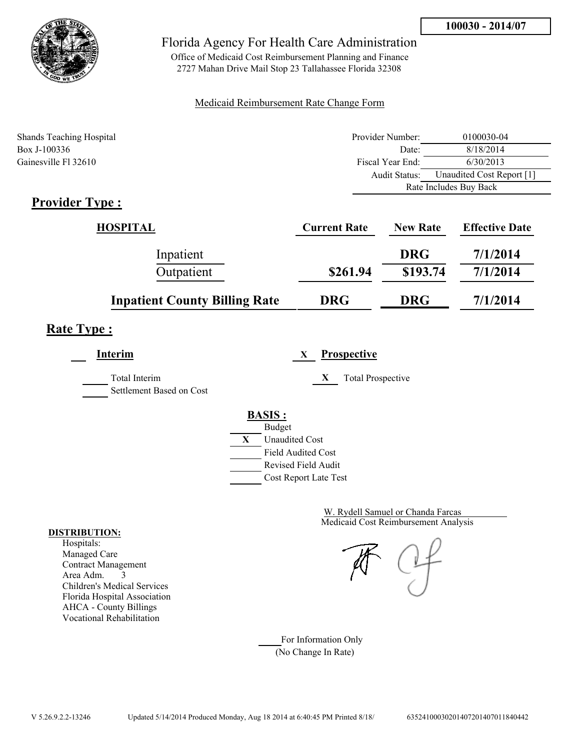

Office of Medicaid Cost Reimbursement Planning and Finance 2727 Mahan Drive Mail Stop 23 Tallahassee Florida 32308

### Medicaid Reimbursement Rate Change Form

| <b>Shands Teaching Hospital</b> | Provider Number: | 0100030-04                |  |
|---------------------------------|------------------|---------------------------|--|
| Box J-100336                    | Date:            | 8/18/2014                 |  |
| Gainesville Fl 32610            | Fiscal Year End: | 6/30/2013                 |  |
|                                 | Audit Status:    | Unaudited Cost Report [1] |  |
|                                 |                  | Rate Includes Buy Back    |  |

# **Provider Type :**

| <b>HOSPITAL</b>                      | <b>Current Rate</b> | <b>New Rate</b> | <b>Effective Date</b> |
|--------------------------------------|---------------------|-----------------|-----------------------|
| Inpatient                            |                     | <b>DRG</b>      | 7/1/2014              |
| Outpatient                           | \$261.94            | \$193.74        | 7/1/2014              |
| <b>Inpatient County Billing Rate</b> | <b>DRG</b>          | <b>DRG</b>      | 7/1/2014              |

# **Rate Type :**

| Interim                                          | <b>Prospective</b><br>X                                                                                                                   |
|--------------------------------------------------|-------------------------------------------------------------------------------------------------------------------------------------------|
| <b>Total Interim</b><br>Settlement Based on Cost | <b>Total Prospective</b><br>X                                                                                                             |
|                                                  | <b>BASIS:</b><br><b>Budget</b><br>X<br><b>Unaudited Cost</b><br><b>Field Audited Cost</b><br>Revised Field Audit<br>Cost Report Late Test |

Medicaid Cost Reimbursement Analysis W. Rydell Samuel or Chanda Farcas

For Information Only (No Change In Rate)

#### **DISTRIBUTION:**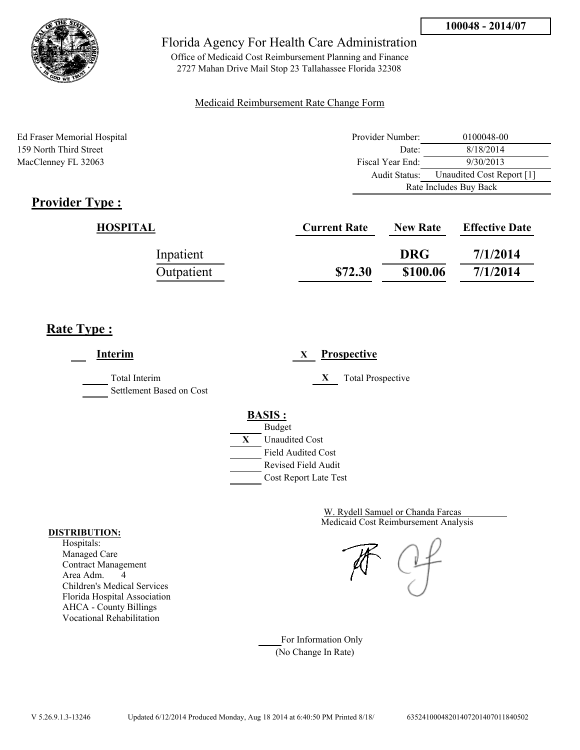

Office of Medicaid Cost Reimbursement Planning and Finance 2727 Mahan Drive Mail Stop 23 Tallahassee Florida 32308

### Medicaid Reimbursement Rate Change Form

Ed Fraser Memorial Hospital 159 North Third Street MacClenney FL 32063

| Provider Number:       | 0100048-00                |  |
|------------------------|---------------------------|--|
| Date:                  | 8/18/2014                 |  |
| Fiscal Year End:       | 9/30/2013                 |  |
| Audit Status:          | Unaudited Cost Report [1] |  |
| Rate Includes Buy Back |                           |  |

# **Provider Type :**

| HOSPITAL   | <b>Current Rate</b> | <b>New Rate</b> | <b>Effective Date</b> |
|------------|---------------------|-----------------|-----------------------|
| Inpatient  |                     | <b>DRG</b>      | 7/1/2014              |
| Outpatient | \$72.30             | \$100.06        | 7/1/2014              |

# **Rate Type :**

| Interim                                   | <b>Prospective</b><br>X                                                                                                                   |
|-------------------------------------------|-------------------------------------------------------------------------------------------------------------------------------------------|
| Total Interim<br>Settlement Based on Cost | X<br><b>Total Prospective</b>                                                                                                             |
|                                           | <b>BASIS:</b><br><b>Budget</b><br>X<br><b>Unaudited Cost</b><br><b>Field Audited Cost</b><br>Revised Field Audit<br>Cost Report Late Test |

Medicaid Cost Reimbursement Analysis W. Rydell Samuel or Chanda Farcas

For Information Only (No Change In Rate)

#### **DISTRIBUTION:**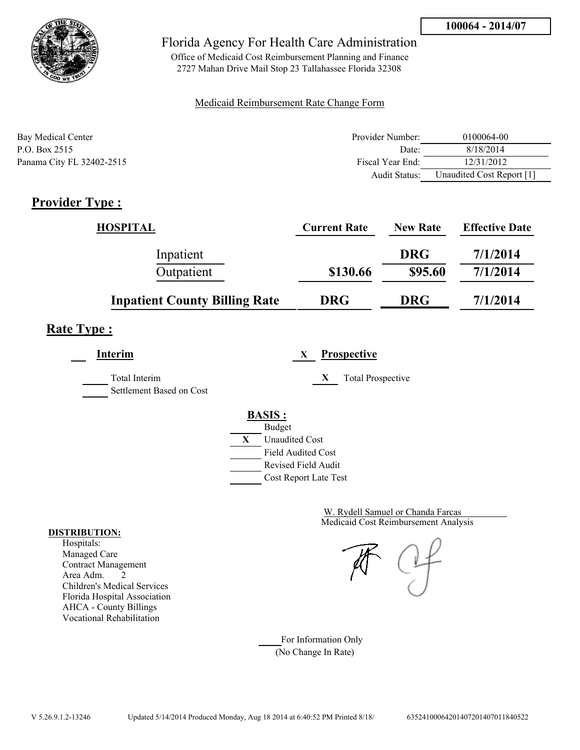

Office of Medicaid Cost Reimbursement Planning and Finance 2727 Mahan Drive Mail Stop 23 Tallahassee Florida 32308

### Medicaid Reimbursement Rate Change Form

| Bay Medical Center        | Provider Number: | 0100064-00                |
|---------------------------|------------------|---------------------------|
| P.O. Box 2515             | Date:            | 8/18/2014                 |
| Panama City FL 32402-2515 | Fiscal Year End: | 12/31/2012                |
|                           | Audit Status:    | Unaudited Cost Report [1] |

# **Provider Type :**

| <b>HOSPITAL</b>                      | <b>Current Rate</b> | <b>New Rate</b> | <b>Effective Date</b> |
|--------------------------------------|---------------------|-----------------|-----------------------|
| Inpatient                            |                     | <b>DRG</b>      | 7/1/2014              |
| Outpatient                           | \$130.66            | \$95.60         | 7/1/2014              |
| <b>Inpatient County Billing Rate</b> | <b>DRG</b>          | <b>DRG</b>      | 7/1/2014              |

# **Rate Type :**

**Interim X Prospective**

Total Interim **X** Total Prospective Settlement Based on Cost



Medicaid Cost Reimbursement Analysis W. Rydell Samuel or Chanda Farcas

For Information Only (No Change In Rate)

#### **DISTRIBUTION:**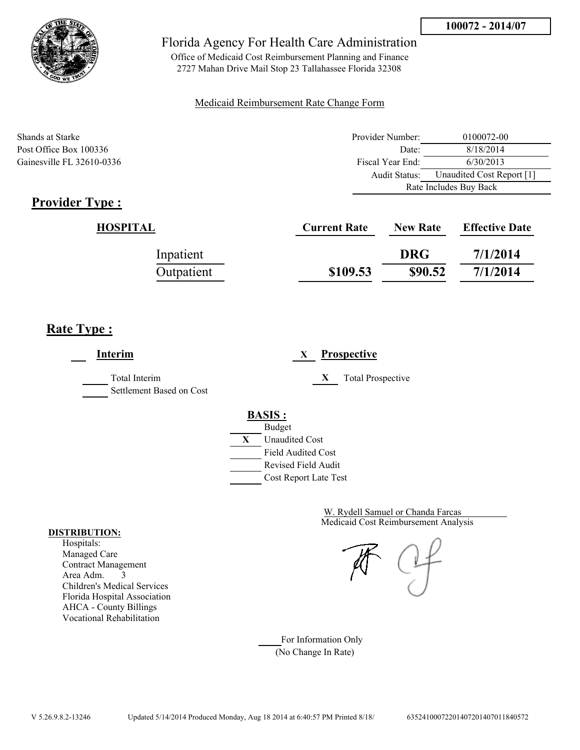

Office of Medicaid Cost Reimbursement Planning and Finance 2727 Mahan Drive Mail Stop 23 Tallahassee Florida 32308

### Medicaid Reimbursement Rate Change Form

| Shands at Starke          | Provider Number: | 0100072-00                |  |
|---------------------------|------------------|---------------------------|--|
| Post Office Box 100336    | Date:            | 8/18/2014                 |  |
| Gainesville FL 32610-0336 | Fiscal Year End: | 6/30/2013                 |  |
|                           | Audit Status:    | Unaudited Cost Report [1] |  |
|                           |                  | Rate Includes Buy Back    |  |

# **Provider Type :**

| HOSPITAL   | <b>Current Rate</b> | <b>New Rate</b> | <b>Effective Date</b> |
|------------|---------------------|-----------------|-----------------------|
| Inpatient  |                     | <b>DRG</b>      | 7/1/2014              |
| Outpatient | \$109.53            | \$90.52         | 7/1/2014              |

# **Rate Type :**

 $\overline{a}$ 

| Interim                                   | Prospective<br>X                                                                                                                          |
|-------------------------------------------|-------------------------------------------------------------------------------------------------------------------------------------------|
| Total Interim<br>Settlement Based on Cost | X<br><b>Total Prospective</b>                                                                                                             |
|                                           | <b>BASIS:</b><br><b>Budget</b><br>X<br><b>Unaudited Cost</b><br><b>Field Audited Cost</b><br>Revised Field Audit<br>Cost Report Late Test |

Medicaid Cost Reimbursement Analysis W. Rydell Samuel or Chanda Farcas

For Information Only (No Change In Rate)

#### **DISTRIBUTION:**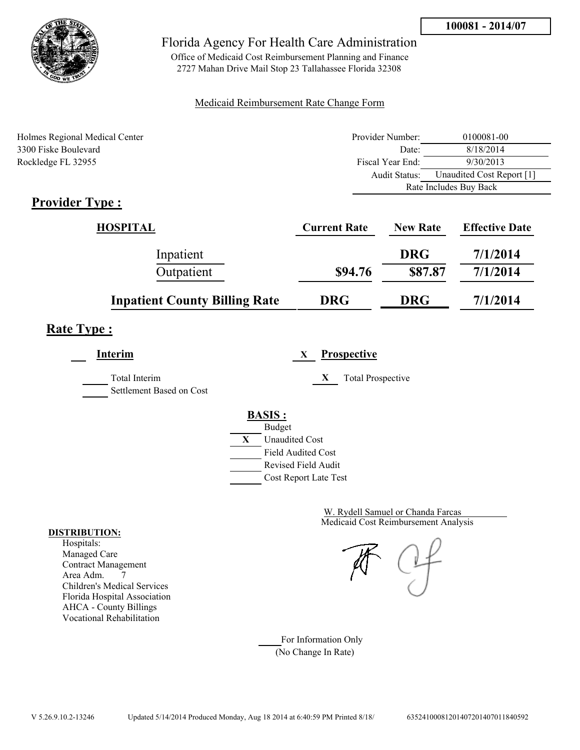

Office of Medicaid Cost Reimbursement Planning and Finance 2727 Mahan Drive Mail Stop 23 Tallahassee Florida 32308

### Medicaid Reimbursement Rate Change Form

| Holmes Regional Medical Center | Provider Number: | 0100081-00                |  |
|--------------------------------|------------------|---------------------------|--|
| 3300 Fiske Boulevard           | Date:            | 8/18/2014                 |  |
| Rockledge FL 32955             | Fiscal Year End: | 9/30/2013                 |  |
|                                | Audit Status:    | Unaudited Cost Report [1] |  |
|                                |                  | Rate Includes Buy Back    |  |

# **Provider Type :**

| HOSPITAL                             | <b>Current Rate</b> | <b>New Rate</b> | <b>Effective Date</b> |
|--------------------------------------|---------------------|-----------------|-----------------------|
| Inpatient                            |                     | <b>DRG</b>      | 7/1/2014              |
| Outpatient                           | \$94.76             | \$87.87         | 7/1/2014              |
| <b>Inpatient County Billing Rate</b> | <b>DRG</b>          | <b>DRG</b>      | 7/1/2014              |

# **Rate Type :**

| Interim                  | <b>Prospective</b><br>X       |
|--------------------------|-------------------------------|
| Total Interim            | X<br><b>Total Prospective</b> |
| Settlement Based on Cost |                               |
|                          | <b>BASIS:</b>                 |
|                          | <b>Budget</b>                 |
|                          | X<br><b>Unaudited Cost</b>    |
|                          | <b>Field Audited Cost</b>     |
|                          | Revised Field Audit           |
|                          | Cost Report Late Test         |

Medicaid Cost Reimbursement Analysis W. Rydell Samuel or Chanda Farcas

For Information Only (No Change In Rate)

#### **DISTRIBUTION:**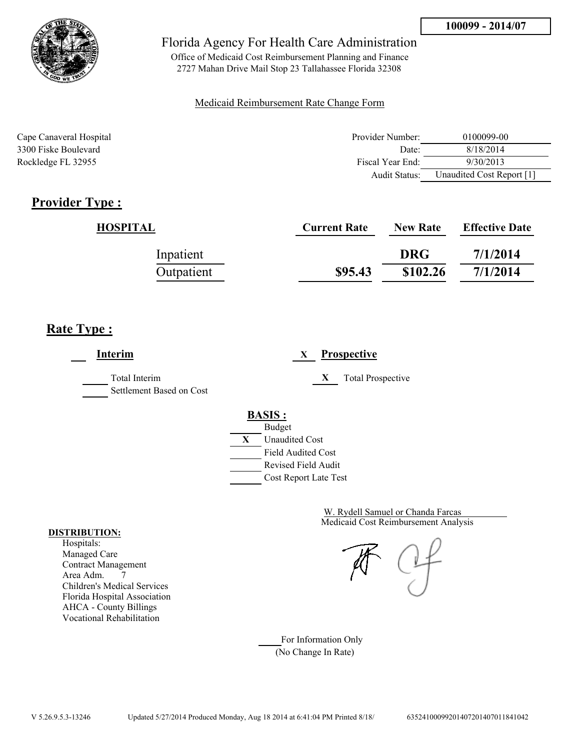

Office of Medicaid Cost Reimbursement Planning and Finance 2727 Mahan Drive Mail Stop 23 Tallahassee Florida 32308

### Medicaid Reimbursement Rate Change Form

| Cape Canaveral Hospital | Provider Number: | 0100099-00                |
|-------------------------|------------------|---------------------------|
| 3300 Fiske Boulevard    | Date:            | 8/18/2014                 |
| Rockledge FL 32955      | Fiscal Year End: | 9/30/2013                 |
|                         | Audit Status:    | Unaudited Cost Report [1] |

# **Provider Type :**

| <b>HOSPITAL</b> | <b>Current Rate</b> | <b>New Rate</b> | <b>Effective Date</b> |
|-----------------|---------------------|-----------------|-----------------------|
| Inpatient       |                     | <b>DRG</b>      | 7/1/2014              |
| Outpatient      | \$95.43             | \$102.26        | 7/1/2014              |

# **Rate Type :**

**Interim X Prospective** Total Interim **X** Total Prospective Settlement Based on Cost **BASIS :** Budget **X** Unaudited Cost Field Audited Cost Revised Field Audit Cost Report Late Test

> Medicaid Cost Reimbursement Analysis W. Rydell Samuel or Chanda Farcas

For Information Only (No Change In Rate)

#### **DISTRIBUTION:**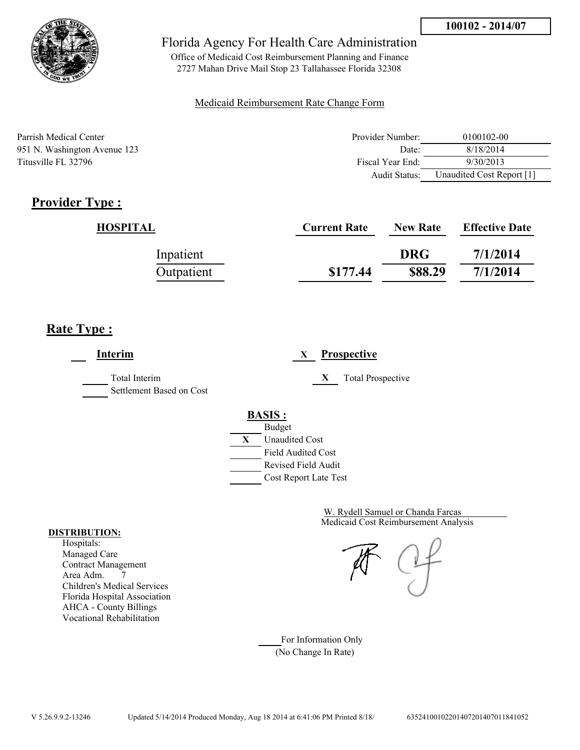

Office of Medicaid Cost Reimbursement Planning and Finance 2727 Mahan Drive Mail Stop 23 Tallahassee Florida 32308

### Medicaid Reimbursement Rate Change Form

Parrish Medical Center 951 N. Washington Avenue 123 Titusville FL 32796

| Provider Number: | 0100102-00                |
|------------------|---------------------------|
| Date:            | 8/18/2014                 |
| Fiscal Year End: | 9/30/2013                 |
| Audit Status:    | Unaudited Cost Report [1] |

# **Provider Type :**

| HOSPITAL   | <b>Current Rate</b> | <b>New Rate</b> | <b>Effective Date</b> |
|------------|---------------------|-----------------|-----------------------|
| Inpatient  |                     | <b>DRG</b>      | 7/1/2014              |
| Outpatient | \$177.44            | \$88.29         | 7/1/2014              |

# **Rate Type :**

**Interim X Prospective** Total Interim **X** Total Prospective Settlement Based on Cost **BASIS :** Budget **X** Unaudited Cost Field Audited Cost Revised Field Audit Cost Report Late Test

> Medicaid Cost Reimbursement Analysis W. Rydell Samuel or Chanda Farcas

For Information Only (No Change In Rate)

#### **DISTRIBUTION:**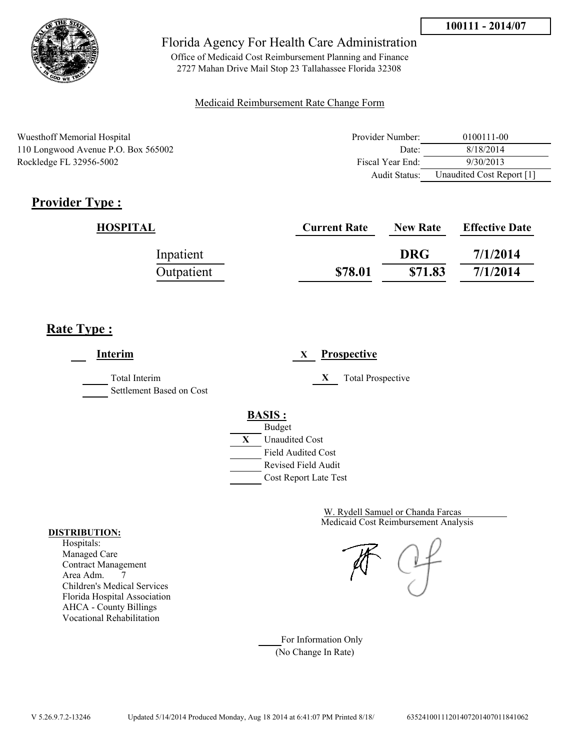

Office of Medicaid Cost Reimbursement Planning and Finance 2727 Mahan Drive Mail Stop 23 Tallahassee Florida 32308

### Medicaid Reimbursement Rate Change Form

| Wuesthoff Memorial Hospital         | Provider Number: | 0100111-00                |
|-------------------------------------|------------------|---------------------------|
| 110 Longwood Avenue P.O. Box 565002 | Date:            | 8/18/2014                 |
| Rockledge FL 32956-5002             | Fiscal Year End: | 9/30/2013                 |
|                                     | Audit Status:    | Unaudited Cost Report [1] |

# **Provider Type :**

| HOSPITAL   | <b>Current Rate</b> | <b>New Rate</b> | <b>Effective Date</b> |
|------------|---------------------|-----------------|-----------------------|
| Inpatient  |                     | <b>DRG</b>      | 7/1/2014              |
| Outpatient | \$78.01             | \$71.83         | 7/1/2014              |

# **Rate Type :**

**Interim X Prospective** Total Interim **X** Total Prospective Settlement Based on Cost **BASIS :** Budget **X** Unaudited Cost Field Audited Cost Revised Field Audit Cost Report Late Test

> Medicaid Cost Reimbursement Analysis W. Rydell Samuel or Chanda Farcas

For Information Only (No Change In Rate)

#### **DISTRIBUTION:**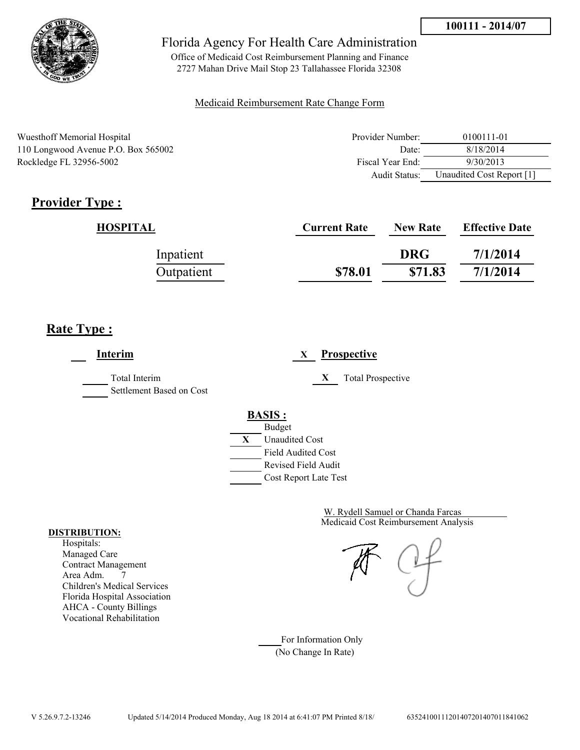

Office of Medicaid Cost Reimbursement Planning and Finance 2727 Mahan Drive Mail Stop 23 Tallahassee Florida 32308

### Medicaid Reimbursement Rate Change Form

| Wuesthoff Memorial Hospital         | Provider Number: | 0100111-01                |
|-------------------------------------|------------------|---------------------------|
| 110 Longwood Avenue P.O. Box 565002 | Date:            | 8/18/2014                 |
| Rockledge FL 32956-5002             | Fiscal Year End: | 9/30/2013                 |
|                                     | Audit Status:    | Unaudited Cost Report [1] |

# **Provider Type :**

| HOSPITAL   | <b>Current Rate</b> | <b>New Rate</b> | <b>Effective Date</b> |
|------------|---------------------|-----------------|-----------------------|
| Inpatient  |                     | <b>DRG</b>      | 7/1/2014              |
| Outpatient | \$78.01             | \$71.83         | 7/1/2014              |

# **Rate Type :**

**Interim X Prospective** Total Interim **X** Total Prospective Settlement Based on Cost **BASIS :** Budget **X** Unaudited Cost Field Audited Cost Revised Field Audit Cost Report Late Test

> Medicaid Cost Reimbursement Analysis W. Rydell Samuel or Chanda Farcas

For Information Only (No Change In Rate)

#### **DISTRIBUTION:**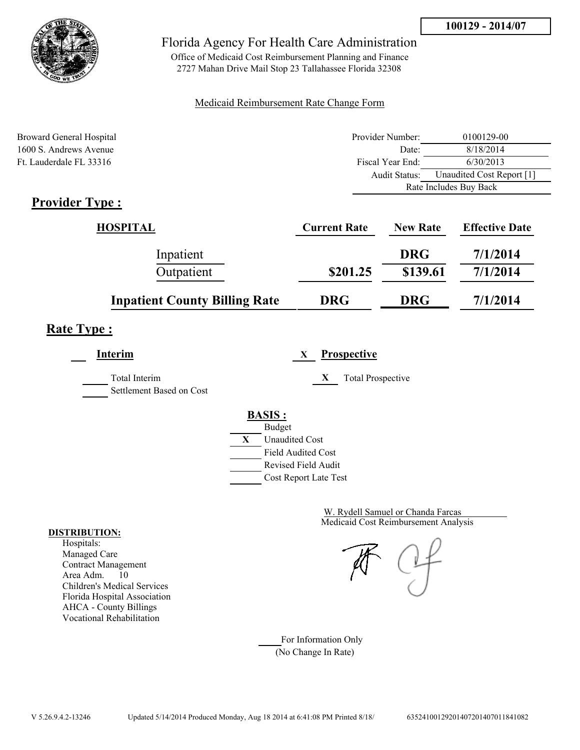

Office of Medicaid Cost Reimbursement Planning and Finance 2727 Mahan Drive Mail Stop 23 Tallahassee Florida 32308

### Medicaid Reimbursement Rate Change Form

| Broward General Hospital | Provider Number: | 0100129-00                |  |
|--------------------------|------------------|---------------------------|--|
| 1600 S. Andrews Avenue   | Date:            | 8/18/2014                 |  |
| Ft. Lauderdale FL 33316  | Fiscal Year End: | 6/30/2013                 |  |
|                          | Audit Status:    | Unaudited Cost Report [1] |  |
|                          |                  | Rate Includes Buy Back    |  |
| $Dnon$ dou $Tmax$        |                  |                           |  |

# **Provider Type :**

| HOSPITAL                             | <b>Current Rate</b> | <b>New Rate</b> | <b>Effective Date</b> |
|--------------------------------------|---------------------|-----------------|-----------------------|
| Inpatient                            |                     | <b>DRG</b>      | 7/1/2014              |
| Outpatient                           | \$201.25            | \$139.61        | 7/1/2014              |
| <b>Inpatient County Billing Rate</b> | <b>DRG</b>          | <b>DRG</b>      | 7/1/2014              |

# **Rate Type :**

**Interim X Prospective**

Total Interim **X** Total Prospective

Settlement Based on Cost



Medicaid Cost Reimbursement Analysis W. Rydell Samuel or Chanda Farcas

For Information Only (No Change In Rate)

#### **DISTRIBUTION:**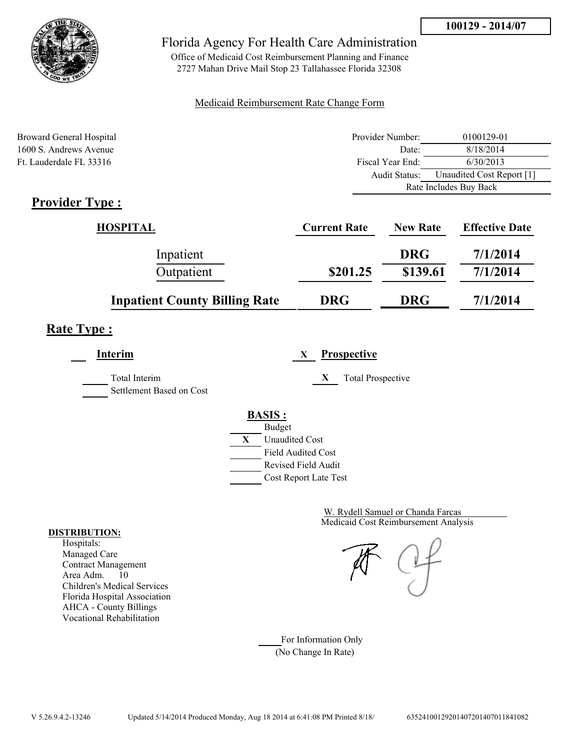

Office of Medicaid Cost Reimbursement Planning and Finance 2727 Mahan Drive Mail Stop 23 Tallahassee Florida 32308

### Medicaid Reimbursement Rate Change Form

| Broward General Hospital                 | Provider Number: | 0100129-01                |  |
|------------------------------------------|------------------|---------------------------|--|
| 1600 S. Andrews Avenue                   | Date:            | 8/18/2014                 |  |
| Ft. Lauderdale FL 33316                  | Fiscal Year End: | 6/30/2013                 |  |
|                                          | Audit Status:    | Unaudited Cost Report [1] |  |
|                                          |                  | Rate Includes Buy Back    |  |
| $D_{\text{nonideal}}$ $T_{\text{una}}$ . |                  |                           |  |

# **Provider Type :**

| HOSPITAL                             | <b>Current Rate</b> | <b>New Rate</b> | <b>Effective Date</b> |
|--------------------------------------|---------------------|-----------------|-----------------------|
| Inpatient                            |                     | <b>DRG</b>      | 7/1/2014              |
| Outpatient                           | \$201.25            | \$139.61        | 7/1/2014              |
| <b>Inpatient County Billing Rate</b> | <b>DRG</b>          | <b>DRG</b>      | 7/1/2014              |

# **Rate Type :**

**Interim X Prospective**

Settlement Based on Cost

Total Interim **X** Total Prospective

**BASIS :**



Medicaid Cost Reimbursement Analysis W. Rydell Samuel or Chanda Farcas

For Information Only (No Change In Rate)

#### **DISTRIBUTION:**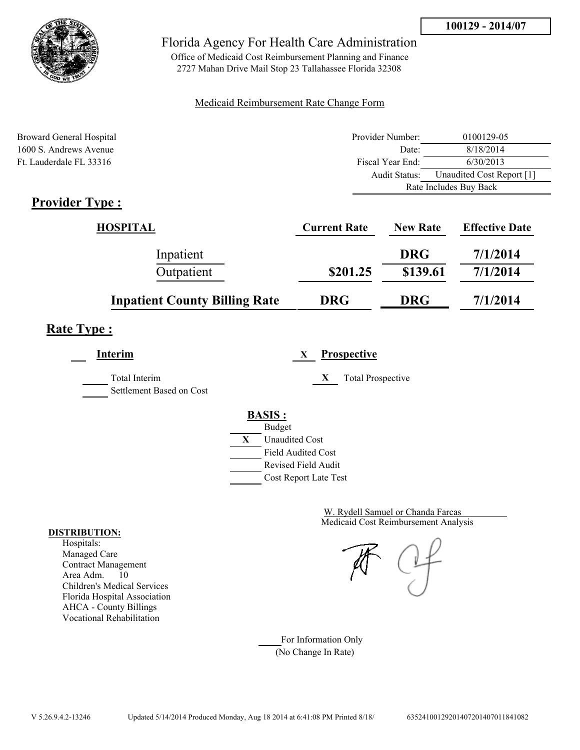

Office of Medicaid Cost Reimbursement Planning and Finance 2727 Mahan Drive Mail Stop 23 Tallahassee Florida 32308

### Medicaid Reimbursement Rate Change Form

| Broward General Hospital                 | Provider Number: | 0100129-05                |
|------------------------------------------|------------------|---------------------------|
| 1600 S. Andrews Avenue                   | Date:            | 8/18/2014                 |
| Ft. Lauderdale FL 33316                  | Fiscal Year End: | 6/30/2013                 |
|                                          | Audit Status:    | Unaudited Cost Report [1] |
|                                          |                  | Rate Includes Buy Back    |
| $D_{\text{nonideal}}$ $T_{\text{una}}$ . |                  |                           |

# **Provider Type :**

| HOSPITAL                             | <b>Current Rate</b> | <b>New Rate</b> | <b>Effective Date</b> |
|--------------------------------------|---------------------|-----------------|-----------------------|
| Inpatient                            |                     | <b>DRG</b>      | 7/1/2014              |
| Outpatient                           | \$201.25            | \$139.61        | 7/1/2014              |
| <b>Inpatient County Billing Rate</b> | <b>DRG</b>          | <b>DRG</b>      | 7/1/2014              |

# **Rate Type :**

**Interim X Prospective**

Total Interim **X** Total Prospective

Settlement Based on Cost

### **BASIS :**



Medicaid Cost Reimbursement Analysis W. Rydell Samuel or Chanda Farcas

For Information Only (No Change In Rate)

#### **DISTRIBUTION:**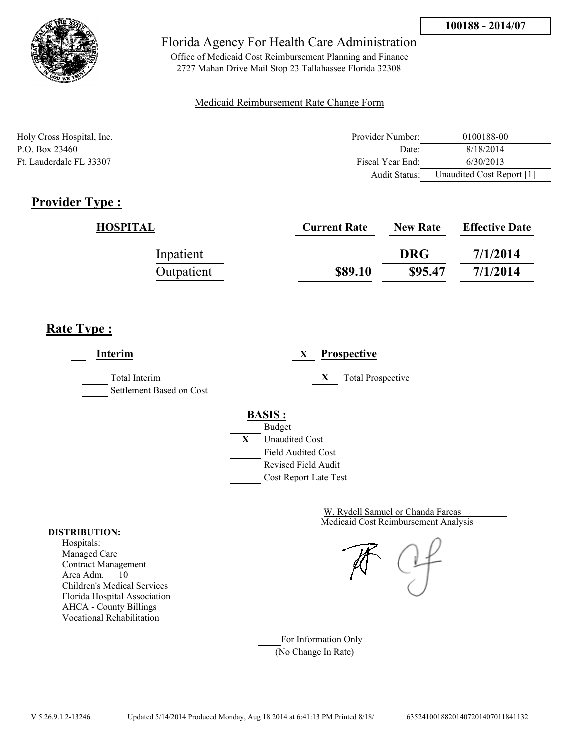

Office of Medicaid Cost Reimbursement Planning and Finance 2727 Mahan Drive Mail Stop 23 Tallahassee Florida 32308

### Medicaid Reimbursement Rate Change Form

| Holy Cross Hospital, Inc. | Provider Number: | 0100188-00                |
|---------------------------|------------------|---------------------------|
| P.O. Box 23460            | Date:            | 8/18/2014                 |
| Ft. Lauderdale FL 33307   | Fiscal Year End: | 6/30/2013                 |
|                           | Audit Status:    | Unaudited Cost Report [1] |

# **Provider Type :**

| HOSPITAL   | <b>Current Rate</b> | <b>New Rate</b> | <b>Effective Date</b> |
|------------|---------------------|-----------------|-----------------------|
| Inpatient  |                     | <b>DRG</b>      | 7/1/2014              |
| Outpatient | \$89.10             | \$95.47         | 7/1/2014              |

# **Rate Type :**

**Interim X Prospective** Total Interim **X** Total Prospective Settlement Based on Cost **BASIS :** Budget **X** Unaudited Cost Field Audited Cost Revised Field Audit Cost Report Late Test

> Medicaid Cost Reimbursement Analysis W. Rydell Samuel or Chanda Farcas

For Information Only (No Change In Rate)

#### **DISTRIBUTION:**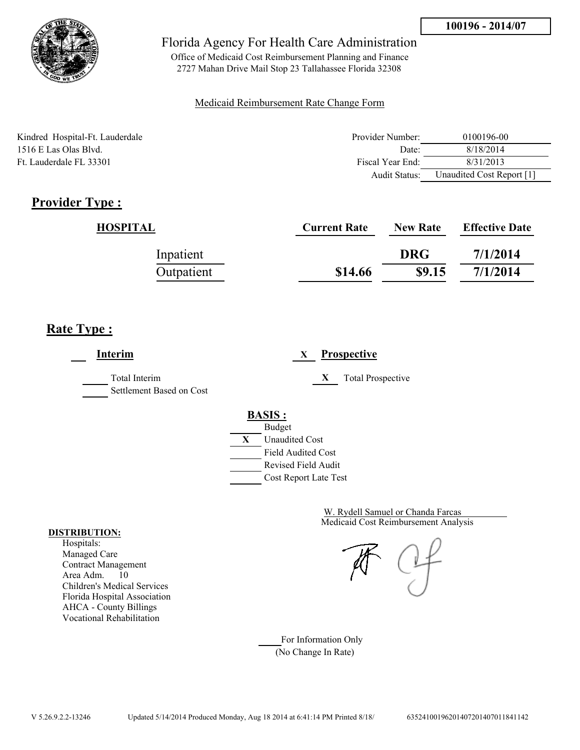

Office of Medicaid Cost Reimbursement Planning and Finance 2727 Mahan Drive Mail Stop 23 Tallahassee Florida 32308

### Medicaid Reimbursement Rate Change Form

| Kindred Hospital-Ft. Lauderdale | Provider Number: | 0100196-00                |
|---------------------------------|------------------|---------------------------|
| 1516 E Las Olas Blvd.           | Date:            | 8/18/2014                 |
| Ft. Lauderdale FL 33301         | Fiscal Year End: | 8/31/2013                 |
|                                 | Audit Status:    | Unaudited Cost Report [1] |

# **Provider Type :**

| HOSPITAL   | <b>Current Rate</b> | <b>New Rate</b> | <b>Effective Date</b> |
|------------|---------------------|-----------------|-----------------------|
| Inpatient  |                     | <b>DRG</b>      | 7/1/2014              |
| Outpatient | \$14.66             | \$9.15          | 7/1/2014              |

# **Rate Type :**

**Interim X Prospective** Total Interim **X** Total Prospective Settlement Based on Cost **BASIS :** Budget **X** Unaudited Cost Field Audited Cost Revised Field Audit Cost Report Late Test

> Medicaid Cost Reimbursement Analysis W. Rydell Samuel or Chanda Farcas

For Information Only (No Change In Rate)

#### **DISTRIBUTION:**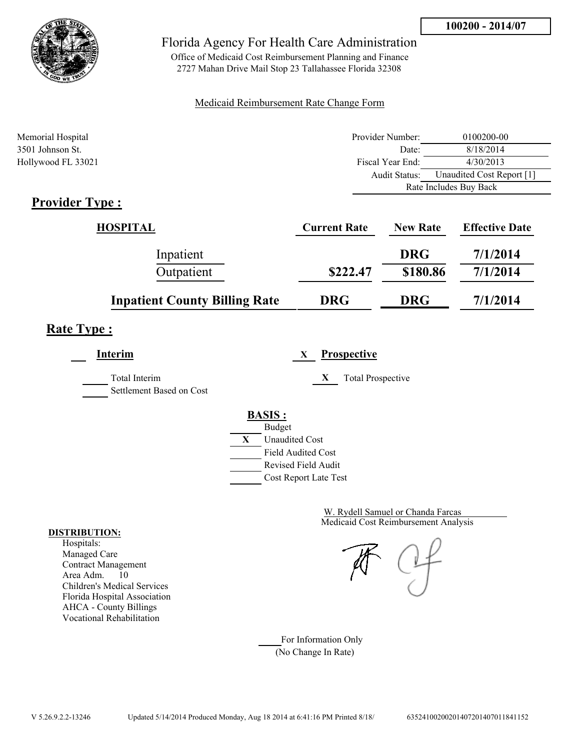

Office of Medicaid Cost Reimbursement Planning and Finance 2727 Mahan Drive Mail Stop 23 Tallahassee Florida 32308

### Medicaid Reimbursement Rate Change Form

| Memorial Hospital                         | Provider Number: | 0100200-00                |
|-------------------------------------------|------------------|---------------------------|
| 3501 Johnson St.                          | Date:            | 8/18/2014                 |
| Hollywood FL 33021                        | Fiscal Year End: | 4/30/2013                 |
|                                           | Audit Status:    | Unaudited Cost Report [1] |
|                                           |                  | Rate Includes Buy Back    |
| $\sim$ $\sim$<br>$\overline{\phantom{a}}$ |                  |                           |

# **Provider Type :**

| <b>HOSPITAL</b>                      | <b>Current Rate</b> | <b>New Rate</b> | <b>Effective Date</b> |
|--------------------------------------|---------------------|-----------------|-----------------------|
| Inpatient                            |                     | <b>DRG</b>      | 7/1/2014              |
| Outpatient                           | \$222.47            | \$180.86        | 7/1/2014              |
| <b>Inpatient County Billing Rate</b> | <b>DRG</b>          | <b>DRG</b>      | 7/1/2014              |

# **Rate Type :**

**Interim X Prospective** Total Interim **X** Total Prospective Settlement Based on Cost **BASIS :**



Medicaid Cost Reimbursement Analysis W. Rydell Samuel or Chanda Farcas

For Information Only (No Change In Rate)

#### **DISTRIBUTION:**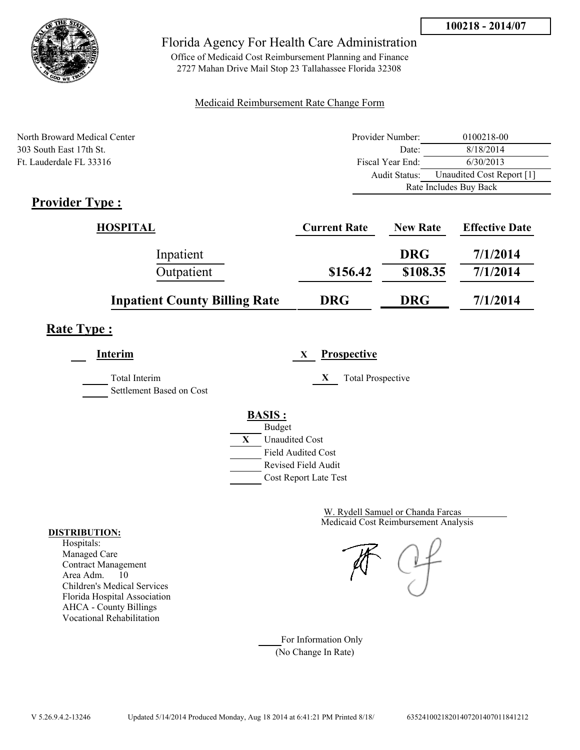

Office of Medicaid Cost Reimbursement Planning and Finance 2727 Mahan Drive Mail Stop 23 Tallahassee Florida 32308

### Medicaid Reimbursement Rate Change Form

| North Broward Medical Center | Provider Number: | 0100218-00                |
|------------------------------|------------------|---------------------------|
| 303 South East 17th St.      | Date:            | 8/18/2014                 |
| Ft. Lauderdale FL 33316      | Fiscal Year End: | 6/30/2013                 |
|                              | Audit Status:    | Unaudited Cost Report [1] |
|                              |                  | Rate Includes Buy Back    |

# **Provider Type :**

| <b>HOSPITAL</b>                      | <b>Current Rate</b> | <b>New Rate</b> | <b>Effective Date</b> |
|--------------------------------------|---------------------|-----------------|-----------------------|
| Inpatient                            |                     | <b>DRG</b>      | 7/1/2014              |
| Outpatient                           | \$156.42            | \$108.35        | 7/1/2014              |
| <b>Inpatient County Billing Rate</b> | <b>DRG</b>          | <b>DRG</b>      | 7/1/2014              |

# **Rate Type :**

| Interim                                   | <b>Prospective</b><br>X                     |
|-------------------------------------------|---------------------------------------------|
| Total Interim<br>Settlement Based on Cost | X<br><b>Total Prospective</b>               |
|                                           | <b>BASIS:</b>                               |
|                                           | <b>Budget</b><br>X<br><b>Unaudited Cost</b> |
|                                           | <b>Field Audited Cost</b>                   |
|                                           | Revised Field Audit                         |
|                                           | Cost Report Late Test                       |

Medicaid Cost Reimbursement Analysis W. Rydell Samuel or Chanda Farcas

#### **DISTRIBUTION:**

Hospitals: Managed Care Contract Management Area Adm. 10 Children's Medical Services Florida Hospital Association AHCA - County Billings Vocational Rehabilitation

For Information Only (No Change In Rate)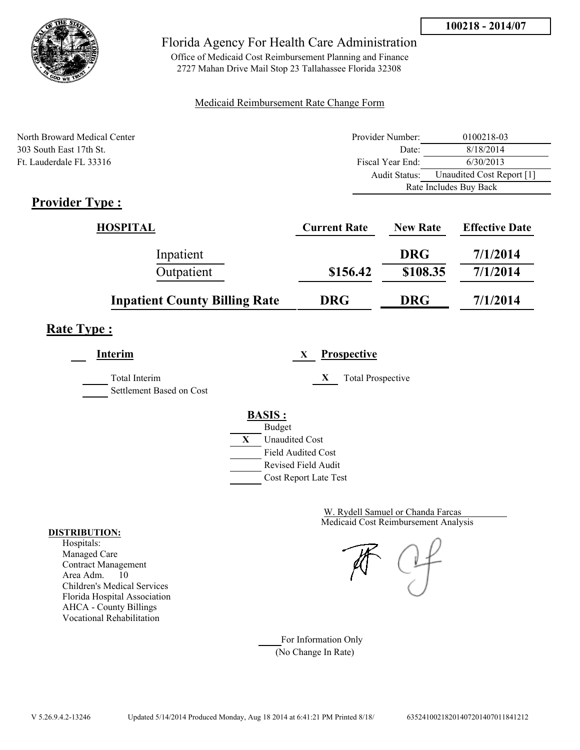

Office of Medicaid Cost Reimbursement Planning and Finance 2727 Mahan Drive Mail Stop 23 Tallahassee Florida 32308

### Medicaid Reimbursement Rate Change Form

| North Broward Medical Center | Provider Number: | 0100218-03                |  |
|------------------------------|------------------|---------------------------|--|
| 303 South East 17th St.      | Date:            | 8/18/2014                 |  |
| Ft. Lauderdale FL 33316      | Fiscal Year End: | 6/30/2013                 |  |
|                              | Audit Status:    | Unaudited Cost Report [1] |  |
|                              |                  | Rate Includes Buy Back    |  |

# **Provider Type :**

| <b>HOSPITAL</b>                      | <b>Current Rate</b> | <b>New Rate</b> | <b>Effective Date</b> |
|--------------------------------------|---------------------|-----------------|-----------------------|
| Inpatient                            |                     | <b>DRG</b>      | 7/1/2014              |
| Outpatient                           | \$156.42            | \$108.35        | 7/1/2014              |
| <b>Inpatient County Billing Rate</b> | <b>DRG</b>          | <b>DRG</b>      | 7/1/2014              |

# **Rate Type :**

| Interim                                   | <b>Prospective</b><br>X                                                                                                                   |
|-------------------------------------------|-------------------------------------------------------------------------------------------------------------------------------------------|
| Total Interim<br>Settlement Based on Cost | <b>Total Prospective</b><br>X                                                                                                             |
|                                           | <b>BASIS:</b><br><b>Budget</b><br>X<br><b>Unaudited Cost</b><br><b>Field Audited Cost</b><br>Revised Field Audit<br>Cost Report Late Test |

Medicaid Cost Reimbursement Analysis W. Rydell Samuel or Chanda Farcas

For Information Only (No Change In Rate)

#### **DISTRIBUTION:**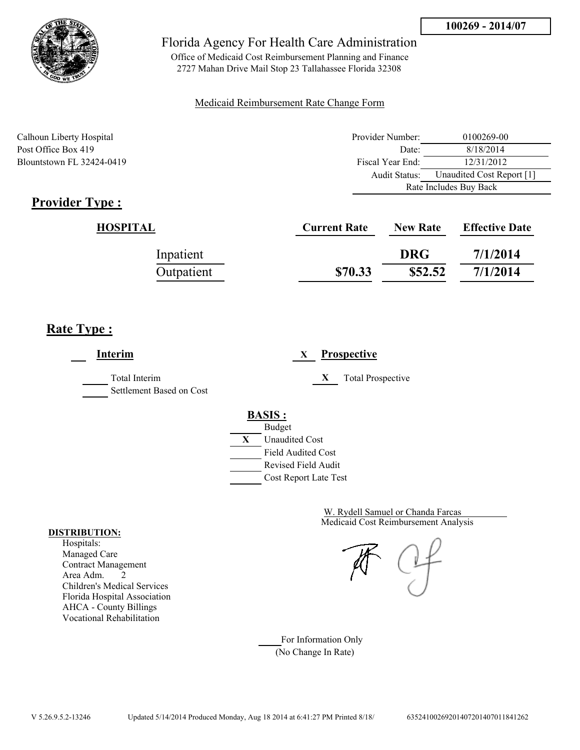

Office of Medicaid Cost Reimbursement Planning and Finance 2727 Mahan Drive Mail Stop 23 Tallahassee Florida 32308

#### Medicaid Reimbursement Rate Change Form

| Calhoun Liberty Hospital  | Provider Number: | 0100269-00                |  |
|---------------------------|------------------|---------------------------|--|
| Post Office Box 419       | Date:            | 8/18/2014                 |  |
| Blountstown FL 32424-0419 | Fiscal Year End: | 12/31/2012                |  |
|                           | Audit Status:    | Unaudited Cost Report [1] |  |
|                           |                  | Rate Includes Buy Back    |  |

# **Provider Type :**

| HOSPITAL   | <b>Current Rate</b> | <b>New Rate</b> | <b>Effective Date</b> |
|------------|---------------------|-----------------|-----------------------|
| Inpatient  |                     | <b>DRG</b>      | 7/1/2014              |
| Outpatient | \$70.33             | \$52.52         | 7/1/2014              |

## **Rate Type :**

 $\overline{a}$ 

| Interim                                   | <b>Prospective</b><br>X                                                   |
|-------------------------------------------|---------------------------------------------------------------------------|
| Total Interim<br>Settlement Based on Cost | <b>Total Prospective</b><br>X                                             |
|                                           | <b>BASIS:</b><br><b>Budget</b><br>X<br><b>Unaudited Cost</b>              |
|                                           | <b>Field Audited Cost</b><br>Revised Field Audit<br>Cost Report Late Test |

Medicaid Cost Reimbursement Analysis W. Rydell Samuel or Chanda Farcas

For Information Only (No Change In Rate)

#### **DISTRIBUTION:**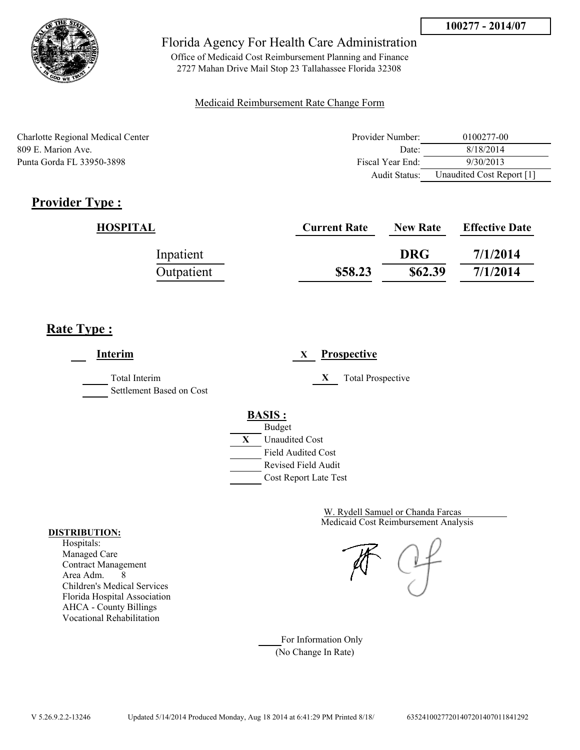

Office of Medicaid Cost Reimbursement Planning and Finance 2727 Mahan Drive Mail Stop 23 Tallahassee Florida 32308

#### Medicaid Reimbursement Rate Change Form

| Charlotte Regional Medical Center | Provider Number: | 0100277-00                |
|-----------------------------------|------------------|---------------------------|
| 809 E. Marion Ave.                | Date:            | 8/18/2014                 |
| Punta Gorda FL 33950-3898         | Fiscal Year End: | 9/30/2013                 |
|                                   | Audit Status:    | Unaudited Cost Report [1] |

# **Provider Type :**

| HOSPITAL   | <b>Current Rate</b> | <b>New Rate</b> | <b>Effective Date</b> |
|------------|---------------------|-----------------|-----------------------|
| Inpatient  |                     | <b>DRG</b>      | 7/1/2014              |
| Outpatient | \$58.23             | \$62.39         | 7/1/2014              |

## **Rate Type :**

**Interim X Prospective** Total Interim **X** Total Prospective Settlement Based on Cost **BASIS :** Budget **X** Unaudited Cost Field Audited Cost Revised Field Audit Cost Report Late Test

> Medicaid Cost Reimbursement Analysis W. Rydell Samuel or Chanda Farcas

For Information Only (No Change In Rate)

#### **DISTRIBUTION:**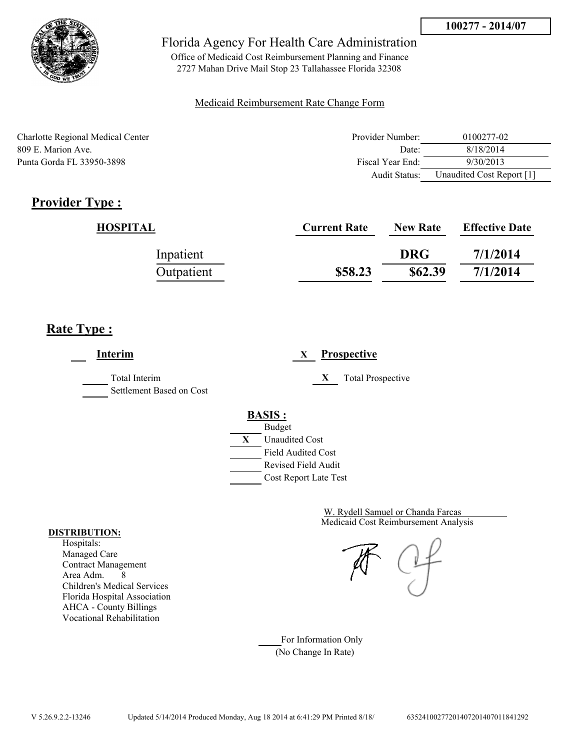

Office of Medicaid Cost Reimbursement Planning and Finance 2727 Mahan Drive Mail Stop 23 Tallahassee Florida 32308

#### Medicaid Reimbursement Rate Change Form

| Charlotte Regional Medical Center | Provider Number: | 0100277-02                |
|-----------------------------------|------------------|---------------------------|
| 809 E. Marion Ave.                | Date:            | 8/18/2014                 |
| Punta Gorda FL 33950-3898         | Fiscal Year End: | 9/30/2013                 |
|                                   | Audit Status:    | Unaudited Cost Report [1] |

# **Provider Type :**

| HOSPITAL   | <b>Current Rate</b> | <b>New Rate</b> | <b>Effective Date</b> |
|------------|---------------------|-----------------|-----------------------|
| Inpatient  |                     | <b>DRG</b>      | 7/1/2014              |
| Outpatient | \$58.23             | \$62.39         | 7/1/2014              |

## **Rate Type :**

**Interim X Prospective** Total Interim **X** Total Prospective Settlement Based on Cost **BASIS :** Budget **X** Unaudited Cost Field Audited Cost Revised Field Audit Cost Report Late Test

> Medicaid Cost Reimbursement Analysis W. Rydell Samuel or Chanda Farcas

For Information Only (No Change In Rate)

#### **DISTRIBUTION:**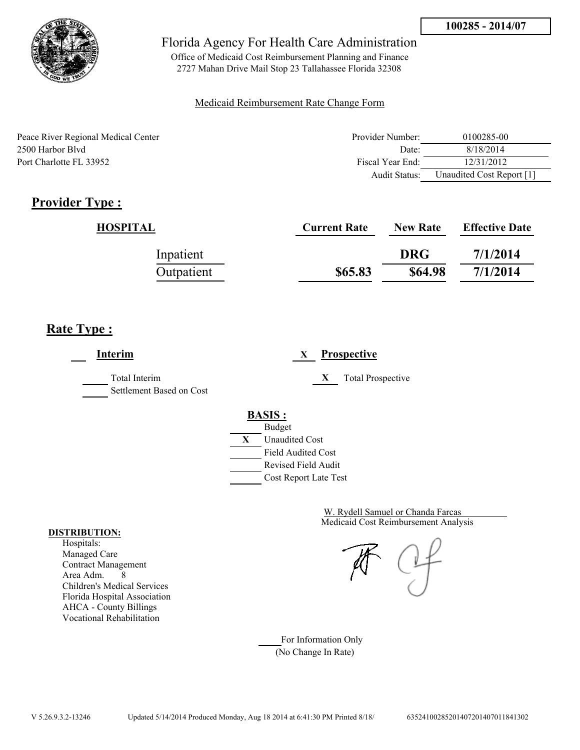

Office of Medicaid Cost Reimbursement Planning and Finance 2727 Mahan Drive Mail Stop 23 Tallahassee Florida 32308

#### Medicaid Reimbursement Rate Change Form

| Peace River Regional Medical Center | Provider Number:     | 0100285-00                |
|-------------------------------------|----------------------|---------------------------|
| 2500 Harbor Blyd                    | Date:                | 8/18/2014                 |
| Port Charlotte FL 33952             | Fiscal Year End:     | 12/31/2012                |
|                                     | <b>Audit Status:</b> | Unaudited Cost Report [1] |

# **Provider Type :**

| HOSPITAL   | <b>Current Rate</b> | <b>New Rate</b> | <b>Effective Date</b> |
|------------|---------------------|-----------------|-----------------------|
| Inpatient  |                     | <b>DRG</b>      | 7/1/2014              |
| Outpatient | \$65.83             | \$64.98         | 7/1/2014              |

## **Rate Type :**

**Interim X Prospective** Total Interim **X** Total Prospective Settlement Based on Cost **BASIS :** Budget **X** Unaudited Cost Field Audited Cost Revised Field Audit Cost Report Late Test

> Medicaid Cost Reimbursement Analysis W. Rydell Samuel or Chanda Farcas

For Information Only (No Change In Rate)

#### **DISTRIBUTION:**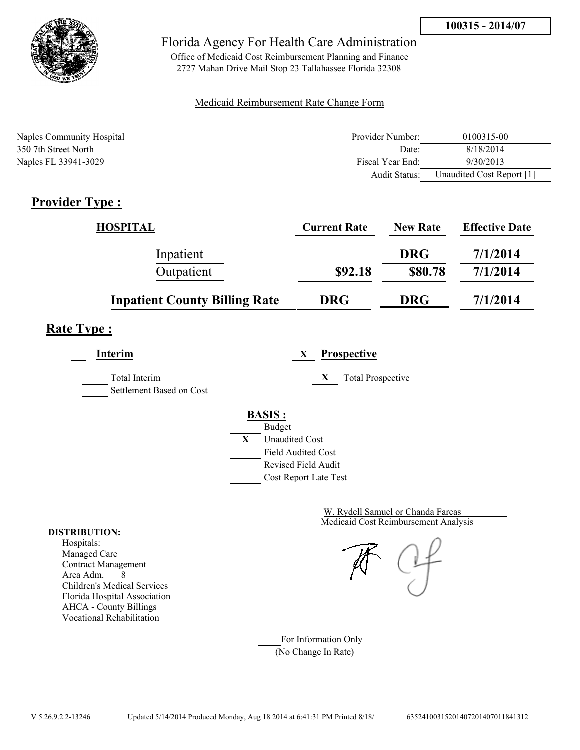

Office of Medicaid Cost Reimbursement Planning and Finance 2727 Mahan Drive Mail Stop 23 Tallahassee Florida 32308

#### Medicaid Reimbursement Rate Change Form

| Naples Community Hospital | Provider Number:  | 0100315-00                |
|---------------------------|-------------------|---------------------------|
| 350 7th Street North      | Date <sup>-</sup> | 8/18/2014                 |
| Naples FL 33941-3029      | Fiscal Year End:  | 9/30/2013                 |
|                           | Audit Status:     | Unaudited Cost Report [1] |

# **Provider Type :**

| <b>HOSPITAL</b>                      | <b>Current Rate</b> | <b>New Rate</b> | <b>Effective Date</b> |
|--------------------------------------|---------------------|-----------------|-----------------------|
| Inpatient                            |                     | <b>DRG</b>      | 7/1/2014              |
| Outpatient                           | \$92.18             | \$80.78         | 7/1/2014              |
| <b>Inpatient County Billing Rate</b> | <b>DRG</b>          | <b>DRG</b>      | 7/1/2014              |

# **Rate Type :**

**Interim X Prospective**

Total Interim **X** Total Prospective

Settlement Based on Cost

### **BASIS :**



Medicaid Cost Reimbursement Analysis W. Rydell Samuel or Chanda Farcas

For Information Only (No Change In Rate)

#### **DISTRIBUTION:**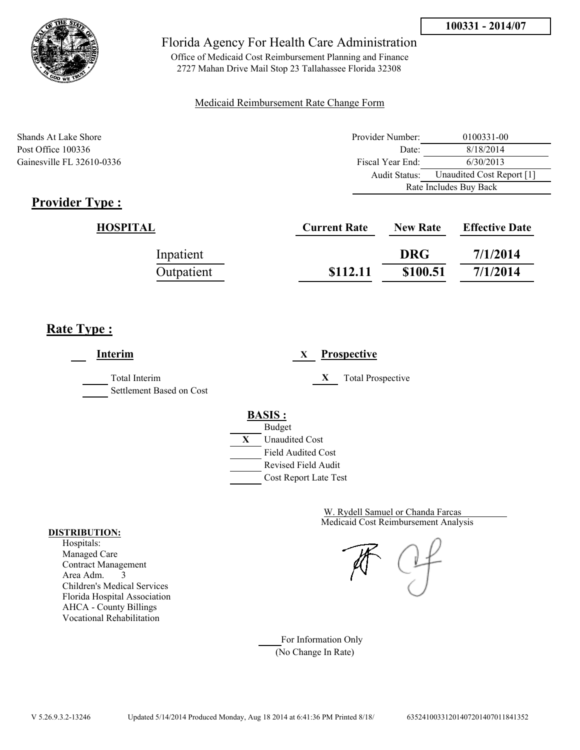

Office of Medicaid Cost Reimbursement Planning and Finance 2727 Mahan Drive Mail Stop 23 Tallahassee Florida 32308

#### Medicaid Reimbursement Rate Change Form

Shands At Lake Shore **Provider Number:** 0100331-00 Post Office 100336 Date: 8/18/2014 Gainesville FL 32610-0336 Fiscal Year End: 6/30/2013 Audit Status: Unaudited Cost Report [1] Rate Includes Buy Back

# **Provider Type :**

| HOSPITAL   | <b>Current Rate</b> | <b>New Rate</b> | <b>Effective Date</b> |
|------------|---------------------|-----------------|-----------------------|
| Inpatient  |                     | <b>DRG</b>      | 7/1/2014              |
| Outpatient | \$112.11            | \$100.51        | 7/1/2014              |

# **Rate Type :**

**Interim X Prospective** Total Interim **X** Total Prospective Settlement Based on Cost **BASIS :** Budget **X** Unaudited Cost Field Audited Cost Revised Field Audit Cost Report Late Test

> Medicaid Cost Reimbursement Analysis W. Rydell Samuel or Chanda Farcas

For Information Only (No Change In Rate)

#### **DISTRIBUTION:**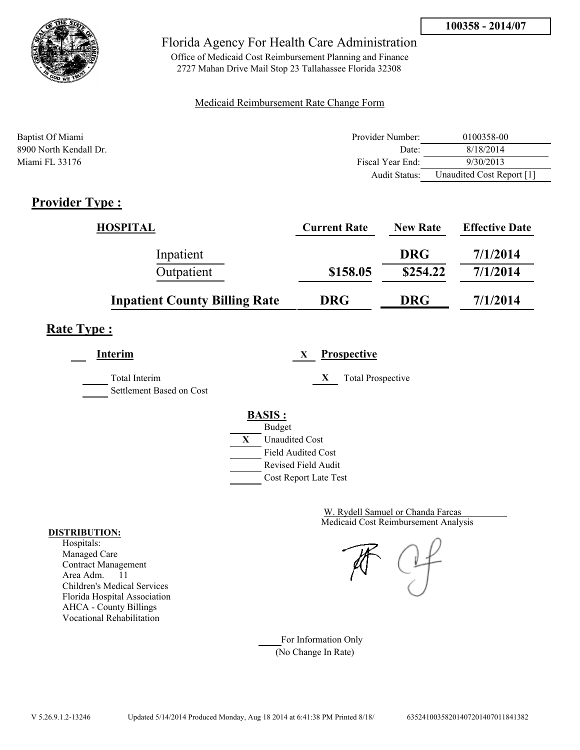

Office of Medicaid Cost Reimbursement Planning and Finance 2727 Mahan Drive Mail Stop 23 Tallahassee Florida 32308

#### Medicaid Reimbursement Rate Change Form

| Baptist Of Miami       | Provider Number:     | 0100358-00                |
|------------------------|----------------------|---------------------------|
| 8900 North Kendall Dr. | Date:                | 8/18/2014                 |
| Miami FL 33176         | Fiscal Year End:     | 9/30/2013                 |
|                        | <b>Audit Status:</b> | Unaudited Cost Report [1] |

## **Provider Type :**

| <b>HOSPITAL</b>                      | <b>Current Rate</b> | <b>New Rate</b> | <b>Effective Date</b> |
|--------------------------------------|---------------------|-----------------|-----------------------|
| Inpatient                            |                     | <b>DRG</b>      | 7/1/2014              |
| Outpatient                           | \$158.05            | \$254.22        | 7/1/2014              |
| <b>Inpatient County Billing Rate</b> | <b>DRG</b>          | <b>DRG</b>      | 7/1/2014              |

# **Rate Type :**

**Interim X Prospective** Total Interim **X** Total Prospective Settlement Based on Cost **BASIS :**



Cost Report Late Test

Medicaid Cost Reimbursement Analysis W. Rydell Samuel or Chanda Farcas

For Information Only (No Change In Rate)

#### **DISTRIBUTION:**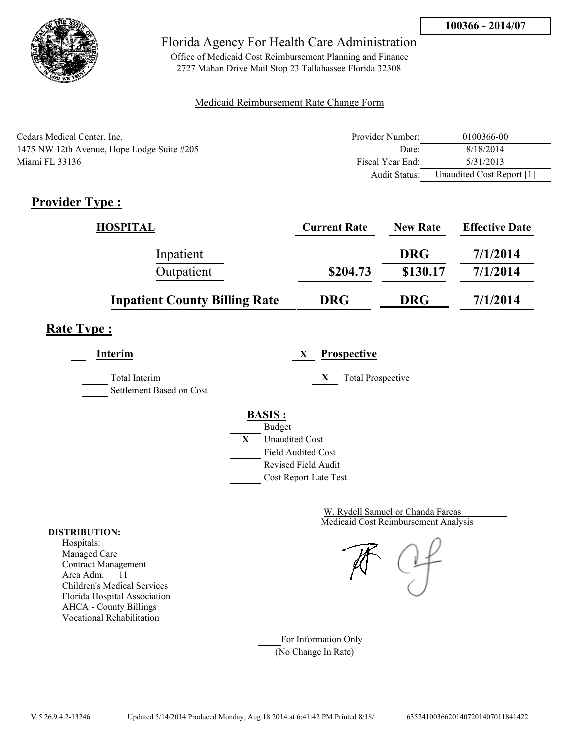

Office of Medicaid Cost Reimbursement Planning and Finance 2727 Mahan Drive Mail Stop 23 Tallahassee Florida 32308

#### Medicaid Reimbursement Rate Change Form

| Cedars Medical Center, Inc.                | Provider Number: | 0100366-00                |
|--------------------------------------------|------------------|---------------------------|
| 1475 NW 12th Avenue, Hope Lodge Suite #205 | Date:            | 8/18/2014                 |
| Miami FL 33136                             | Fiscal Year End: | 5/31/2013                 |
|                                            | Audit Status:    | Unaudited Cost Report [1] |

## **Provider Type :**

| <b>HOSPITAL</b>                      | <b>Current Rate</b> | <b>New Rate</b> | <b>Effective Date</b> |
|--------------------------------------|---------------------|-----------------|-----------------------|
| Inpatient                            |                     | <b>DRG</b>      | 7/1/2014              |
| Outpatient                           | \$204.73            | \$130.17        | 7/1/2014              |
| <b>Inpatient County Billing Rate</b> | <b>DRG</b>          | <b>DRG</b>      | 7/1/2014              |

# **Rate Type :**

**Interim X Prospective** Total Interim **X** Total Prospective Settlement Based on Cost

**BASIS :**



Medicaid Cost Reimbursement Analysis W. Rydell Samuel or Chanda Farcas

For Information Only (No Change In Rate)

#### **DISTRIBUTION:**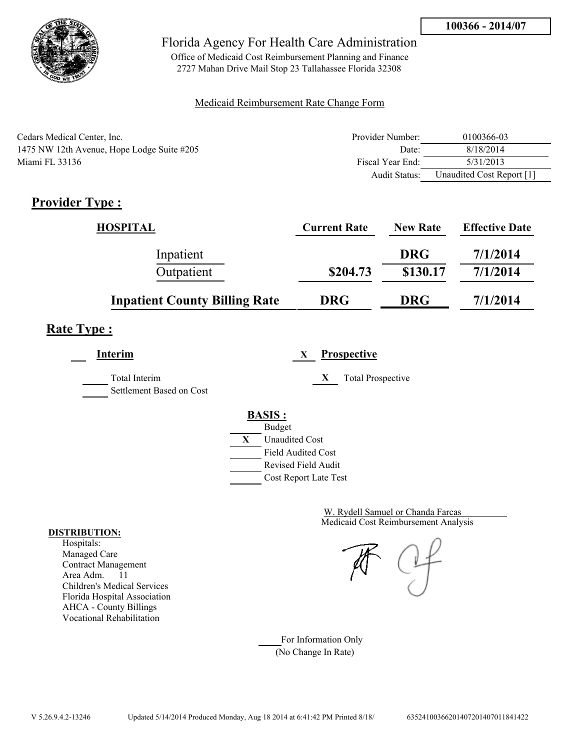

Office of Medicaid Cost Reimbursement Planning and Finance 2727 Mahan Drive Mail Stop 23 Tallahassee Florida 32308

#### Medicaid Reimbursement Rate Change Form

| Cedars Medical Center, Inc.                | Provider Number: | 0100366-03                |
|--------------------------------------------|------------------|---------------------------|
| 1475 NW 12th Avenue, Hope Lodge Suite #205 | Date:            | 8/18/2014                 |
| Miami FL 33136                             | Fiscal Year End: | 5/31/2013                 |
|                                            | Audit Status:    | Unaudited Cost Report [1] |

## **Provider Type :**

| <b>HOSPITAL</b>                      | <b>Current Rate</b> | <b>New Rate</b> | <b>Effective Date</b> |
|--------------------------------------|---------------------|-----------------|-----------------------|
| Inpatient                            |                     | <b>DRG</b>      | 7/1/2014              |
| Outpatient                           | \$204.73            | \$130.17        | 7/1/2014              |
| <b>Inpatient County Billing Rate</b> | <b>DRG</b>          | <b>DRG</b>      | 7/1/2014              |

# **Rate Type :**

**Interim X Prospective** Total Interim **X** Total Prospective Settlement Based on Cost

### **BASIS :**



Medicaid Cost Reimbursement Analysis W. Rydell Samuel or Chanda Farcas

For Information Only (No Change In Rate)

#### **DISTRIBUTION:**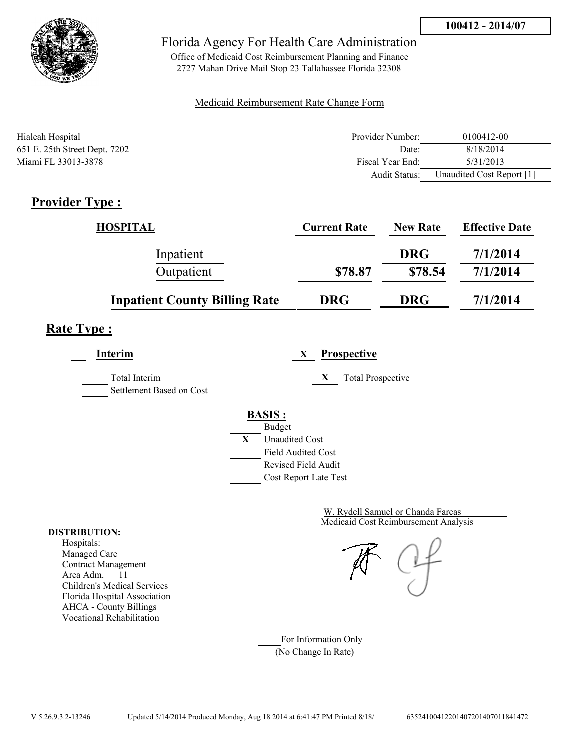

Office of Medicaid Cost Reimbursement Planning and Finance 2727 Mahan Drive Mail Stop 23 Tallahassee Florida 32308

#### Medicaid Reimbursement Rate Change Form

| Hialeah Hospital              | Provider Number:     | 0100412-00                |
|-------------------------------|----------------------|---------------------------|
| 651 E. 25th Street Dept. 7202 | Date:                | 8/18/2014                 |
| Miami FL 33013-3878           | Fiscal Year End:     | 5/31/2013                 |
|                               | <b>Audit Status:</b> | Unaudited Cost Report [1] |

## **Provider Type :**

| <b>HOSPITAL</b>                      | <b>Current Rate</b> | <b>New Rate</b> | <b>Effective Date</b> |
|--------------------------------------|---------------------|-----------------|-----------------------|
| Inpatient                            |                     | <b>DRG</b>      | 7/1/2014              |
| Outpatient                           | \$78.87             | \$78.54         | 7/1/2014              |
| <b>Inpatient County Billing Rate</b> | <b>DRG</b>          | <b>DRG</b>      | 7/1/2014              |

# **Rate Type :**

**Interim X Prospective**

Total Interim **X** Total Prospective

Settlement Based on Cost

#### **BASIS :** Budget



Medicaid Cost Reimbursement Analysis W. Rydell Samuel or Chanda Farcas

For Information Only (No Change In Rate)

#### **DISTRIBUTION:**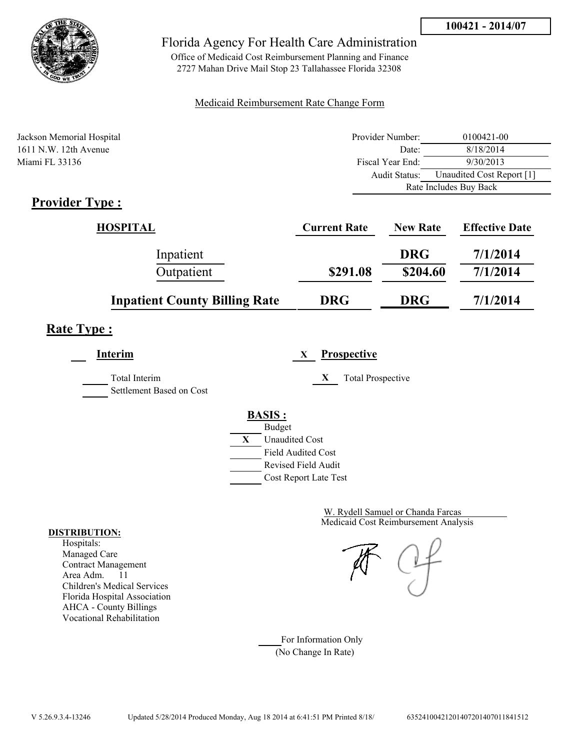



Office of Medicaid Cost Reimbursement Planning and Finance 2727 Mahan Drive Mail Stop 23 Tallahassee Florida 32308

#### Medicaid Reimbursement Rate Change Form

| Jackson Memorial Hospital    | Provider Number:     | 0100421-00                |
|------------------------------|----------------------|---------------------------|
| $1611$ N.W. 12th Avenue      | Date:                | 8/18/2014                 |
| Miami FL 33136               | Fiscal Year End:     | 9/30/2013                 |
|                              | <b>Audit Status:</b> | Unaudited Cost Report [1] |
|                              |                      | Rate Includes Buy Back    |
| $Dnon$ $Aon$ T <sub>rm</sub> |                      |                           |

## **Provider Type :**

| HOSPITAL                             | <b>Current Rate</b> | <b>New Rate</b> | <b>Effective Date</b> |
|--------------------------------------|---------------------|-----------------|-----------------------|
| Inpatient                            |                     | <b>DRG</b>      | 7/1/2014              |
| Outpatient                           | \$291.08            | \$204.60        | 7/1/2014              |
| <b>Inpatient County Billing Rate</b> | <b>DRG</b>          | <b>DRG</b>      | 7/1/2014              |

# **Rate Type :**

**Interim X Prospective**

Settlement Based on Cost

Total Interim **X** Total Prospective

**BASIS :**



Medicaid Cost Reimbursement Analysis W. Rydell Samuel or Chanda Farcas

For Information Only (No Change In Rate)

#### **DISTRIBUTION:**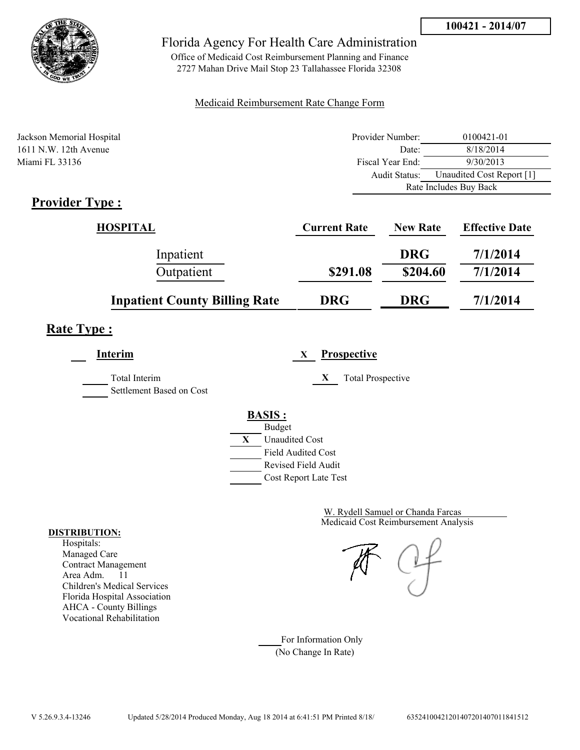

Office of Medicaid Cost Reimbursement Planning and Finance 2727 Mahan Drive Mail Stop 23 Tallahassee Florida 32308

#### Medicaid Reimbursement Rate Change Form

| Jackson Memorial Hospital | Provider Number: | 0100421-01                |
|---------------------------|------------------|---------------------------|
| $1611$ N.W. 12th Avenue   | Date:            | 8/18/2014                 |
| Miami FL 33136            | Fiscal Year End: | 9/30/2013                 |
|                           | Audit Status:    | Unaudited Cost Report [1] |
|                           |                  | Rate Includes Buy Back    |
| $\mathbf{D}$              |                  |                           |

## **Provider Type :**

| HOSPITAL                             | <b>Current Rate</b> | <b>New Rate</b> | <b>Effective Date</b> |
|--------------------------------------|---------------------|-----------------|-----------------------|
| Inpatient                            |                     | <b>DRG</b>      | 7/1/2014              |
| Outpatient                           | \$291.08            | \$204.60        | 7/1/2014              |
| <b>Inpatient County Billing Rate</b> | <b>DRG</b>          | <b>DRG</b>      | 7/1/2014              |

# **Rate Type :**

**Interim X Prospective**

Total Interim **X** Total Prospective Settlement Based on Cost



Medicaid Cost Reimbursement Analysis W. Rydell Samuel or Chanda Farcas

For Information Only (No Change In Rate)

#### **DISTRIBUTION:**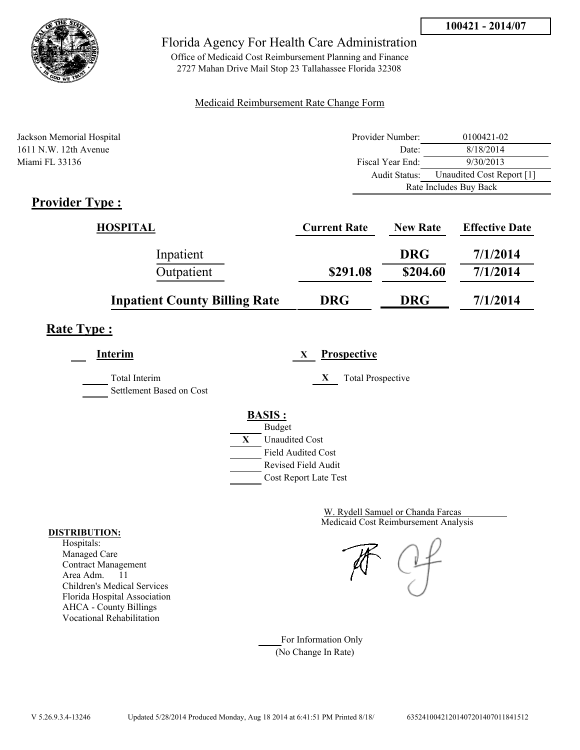

Office of Medicaid Cost Reimbursement Planning and Finance 2727 Mahan Drive Mail Stop 23 Tallahassee Florida 32308

#### Medicaid Reimbursement Rate Change Form

| Jackson Memorial Hospital                                       | Provider Number: | 0100421-02                |
|-----------------------------------------------------------------|------------------|---------------------------|
| $1611$ N.W. 12th Avenue                                         | Date:            | 8/18/2014                 |
| Miami FL 33136                                                  | Fiscal Year End: | 9/30/2013                 |
|                                                                 | Audit Status:    | Unaudited Cost Report [1] |
|                                                                 |                  | Rate Includes Buy Back    |
| $\mathbf{D}_{\text{max}}$ . The state $\mathbf{D}_{\text{max}}$ |                  |                           |

## **Provider Type :**

| HOSPITAL                             | <b>Current Rate</b> | <b>New Rate</b> | <b>Effective Date</b> |
|--------------------------------------|---------------------|-----------------|-----------------------|
| Inpatient                            |                     | <b>DRG</b>      | 7/1/2014              |
| Outpatient                           | \$291.08            | \$204.60        | 7/1/2014              |
| <b>Inpatient County Billing Rate</b> | <b>DRG</b>          | <b>DRG</b>      | 7/1/2014              |

# **Rate Type :**

**Interim X Prospective**

Total Interim **X** Total Prospective Settlement Based on Cost

**BASIS :**



Medicaid Cost Reimbursement Analysis W. Rydell Samuel or Chanda Farcas

For Information Only (No Change In Rate)

#### **DISTRIBUTION:**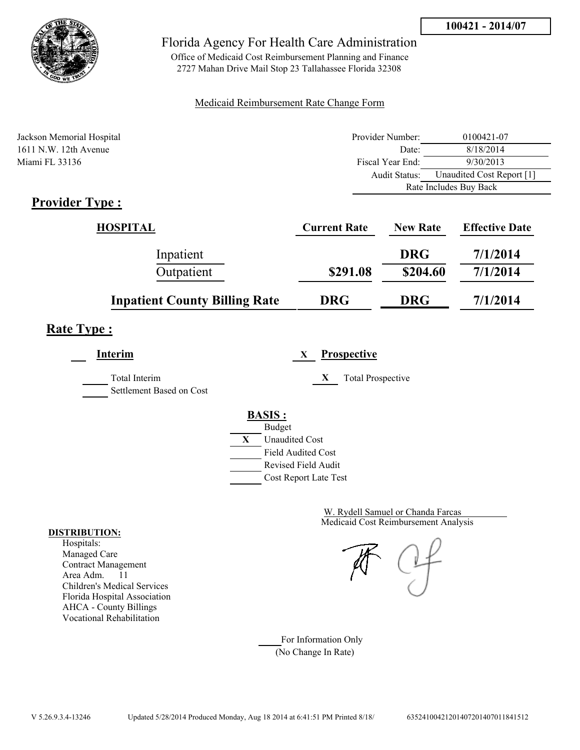

Office of Medicaid Cost Reimbursement Planning and Finance 2727 Mahan Drive Mail Stop 23 Tallahassee Florida 32308

#### Medicaid Reimbursement Rate Change Form

| Jackson Memorial Hospital                                       | Provider Number: | 0100421-07                |
|-----------------------------------------------------------------|------------------|---------------------------|
| $1611$ N.W. 12th Avenue                                         | Date:            | 8/18/2014                 |
| Miami FL 33136                                                  | Fiscal Year End: | 9/30/2013                 |
|                                                                 | Audit Status:    | Unaudited Cost Report [1] |
|                                                                 |                  | Rate Includes Buy Back    |
| $\mathbf{D}_{\text{max}}$ . The state $\mathbf{D}_{\text{max}}$ |                  |                           |

## **Provider Type :**

| HOSPITAL                             | <b>Current Rate</b> | <b>New Rate</b> | <b>Effective Date</b> |
|--------------------------------------|---------------------|-----------------|-----------------------|
| Inpatient                            |                     | <b>DRG</b>      | 7/1/2014              |
| Outpatient                           | \$291.08            | \$204.60        | 7/1/2014              |
| <b>Inpatient County Billing Rate</b> | <b>DRG</b>          | <b>DRG</b>      | 7/1/2014              |

# **Rate Type :**

**Interim X Prospective**

Total Interim **X** Total Prospective Settlement Based on Cost

# **BASIS :**



Medicaid Cost Reimbursement Analysis W. Rydell Samuel or Chanda Farcas

For Information Only (No Change In Rate)

#### **DISTRIBUTION:**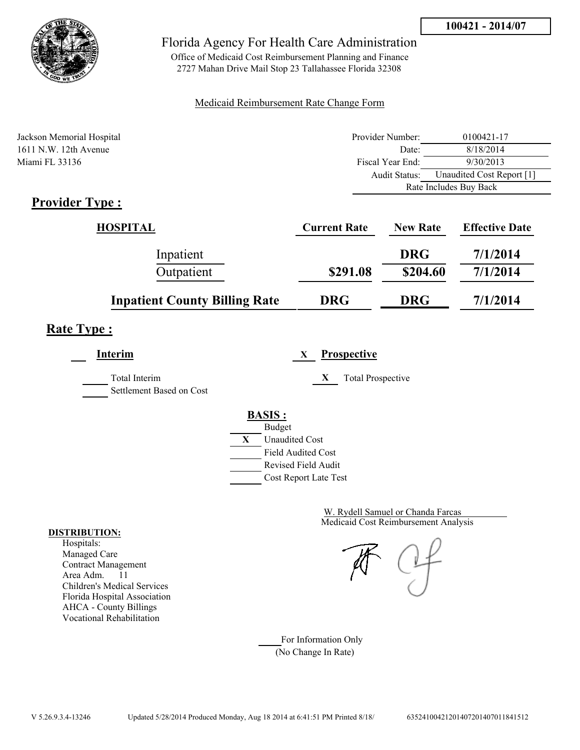



Office of Medicaid Cost Reimbursement Planning and Finance 2727 Mahan Drive Mail Stop 23 Tallahassee Florida 32308

#### Medicaid Reimbursement Rate Change Form

| Jackson Memorial Hospital                                       | Provider Number: | 0100421-17                |
|-----------------------------------------------------------------|------------------|---------------------------|
| $1611$ N.W. 12th Avenue                                         | Date:            | 8/18/2014                 |
| Miami FL 33136                                                  | Fiscal Year End: | 9/30/2013                 |
|                                                                 | Audit Status:    | Unaudited Cost Report [1] |
|                                                                 |                  | Rate Includes Buy Back    |
| $\mathbf{D}_{\text{max}}$ . The state $\mathbf{D}_{\text{max}}$ |                  |                           |

## **Provider Type :**

| HOSPITAL                             | <b>Current Rate</b> | <b>New Rate</b> | <b>Effective Date</b> |
|--------------------------------------|---------------------|-----------------|-----------------------|
| Inpatient                            |                     | <b>DRG</b>      | 7/1/2014              |
| Outpatient                           | \$291.08            | \$204.60        | 7/1/2014              |
| <b>Inpatient County Billing Rate</b> | <b>DRG</b>          | <b>DRG</b>      | 7/1/2014              |

# **Rate Type :**

**Interim X Prospective**

Total Interim **X** Total Prospective

Settlement Based on Cost

# **BASIS :**



Medicaid Cost Reimbursement Analysis W. Rydell Samuel or Chanda Farcas

For Information Only (No Change In Rate)

#### **DISTRIBUTION:**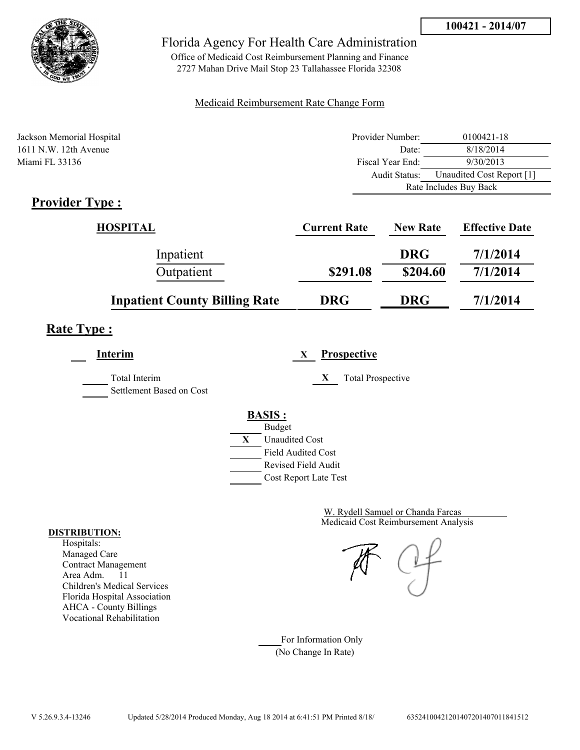



Office of Medicaid Cost Reimbursement Planning and Finance 2727 Mahan Drive Mail Stop 23 Tallahassee Florida 32308

#### Medicaid Reimbursement Rate Change Form

| Jackson Memorial Hospital | Provider Number:     | 0100421-18                |
|---------------------------|----------------------|---------------------------|
| $1611$ N.W. 12th Avenue   | Date:                | 8/18/2014                 |
| Miami FL 33136            | Fiscal Year End:     | 9/30/2013                 |
|                           | <b>Audit Status:</b> | Unaudited Cost Report [1] |
|                           |                      | Rate Includes Buy Back    |
| $Dnon$ dos Trues          |                      |                           |

## **Provider Type :**

| HOSPITAL                             | <b>Current Rate</b> | <b>New Rate</b> | <b>Effective Date</b> |
|--------------------------------------|---------------------|-----------------|-----------------------|
| Inpatient                            |                     | <b>DRG</b>      | 7/1/2014              |
| Outpatient                           | \$291.08            | \$204.60        | 7/1/2014              |
| <b>Inpatient County Billing Rate</b> | <b>DRG</b>          | <b>DRG</b>      | 7/1/2014              |

# **Rate Type :**

**Interim X Prospective**

Total Interim **X** Total Prospective Settlement Based on Cost



Medicaid Cost Reimbursement Analysis W. Rydell Samuel or Chanda Farcas

For Information Only (No Change In Rate)

#### **DISTRIBUTION:**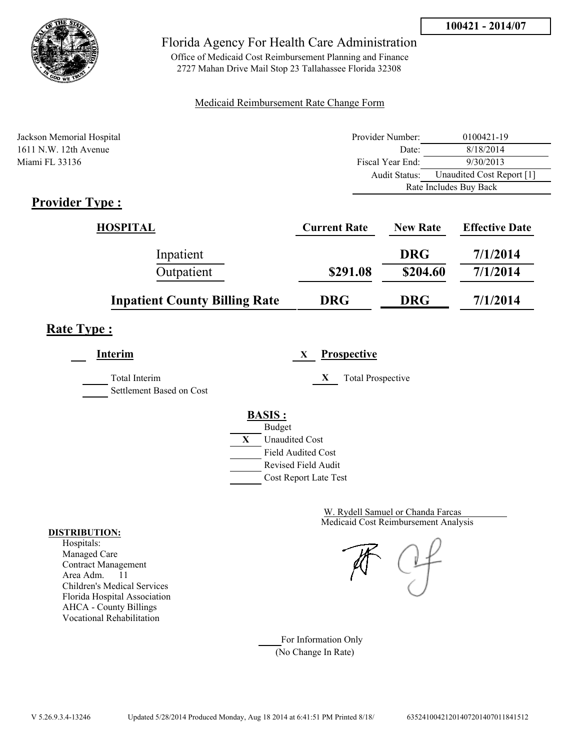



Office of Medicaid Cost Reimbursement Planning and Finance 2727 Mahan Drive Mail Stop 23 Tallahassee Florida 32308

#### Medicaid Reimbursement Rate Change Form

| Jackson Memorial Hospital | Provider Number: | 0100421-19                |
|---------------------------|------------------|---------------------------|
| $1611$ N.W. 12th Avenue   | Date:            | 8/18/2014                 |
| Miami FL 33136            | Fiscal Year End: | 9/30/2013                 |
|                           | Audit Status:    | Unaudited Cost Report [1] |
|                           |                  | Rate Includes Buy Back    |
| $\mathbf{D}$              |                  |                           |

## **Provider Type :**

| HOSPITAL                             | <b>Current Rate</b> | <b>New Rate</b> | <b>Effective Date</b> |
|--------------------------------------|---------------------|-----------------|-----------------------|
| Inpatient                            |                     | <b>DRG</b>      | 7/1/2014              |
| Outpatient                           | \$291.08            | \$204.60        | 7/1/2014              |
| <b>Inpatient County Billing Rate</b> | <b>DRG</b>          | <b>DRG</b>      | 7/1/2014              |

# **Rate Type :**

**Interim X Prospective**

Total Interim **X** Total Prospective Settlement Based on Cost

**BASIS :**



Medicaid Cost Reimbursement Analysis W. Rydell Samuel or Chanda Farcas

For Information Only (No Change In Rate)

#### **DISTRIBUTION:**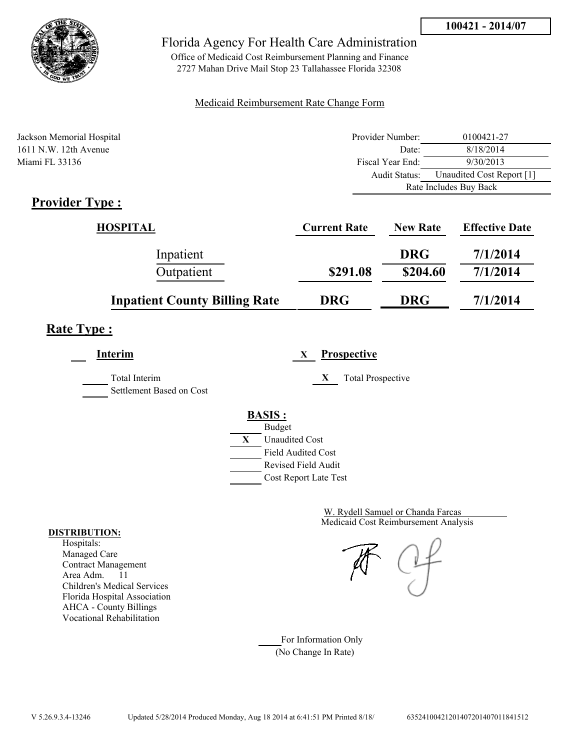



Office of Medicaid Cost Reimbursement Planning and Finance 2727 Mahan Drive Mail Stop 23 Tallahassee Florida 32308

#### Medicaid Reimbursement Rate Change Form

| Jackson Memorial Hospital | Provider Number:     | 0100421-27                |
|---------------------------|----------------------|---------------------------|
| $1611$ N.W. 12th Avenue   | Date:                | 8/18/2014                 |
| Miami FL 33136            | Fiscal Year End:     | 9/30/2013                 |
|                           | <b>Audit Status:</b> | Unaudited Cost Report [1] |
|                           |                      | Rate Includes Buy Back    |
| $Dnon$ dos Trues          |                      |                           |

## **Provider Type :**

| HOSPITAL                             | <b>Current Rate</b> | <b>New Rate</b> | <b>Effective Date</b> |
|--------------------------------------|---------------------|-----------------|-----------------------|
| Inpatient                            |                     | <b>DRG</b>      | 7/1/2014              |
| Outpatient                           | \$291.08            | \$204.60        | 7/1/2014              |
| <b>Inpatient County Billing Rate</b> | <b>DRG</b>          | <b>DRG</b>      | 7/1/2014              |

# **Rate Type :**

**Interim X Prospective**

Total Interim **X** Total Prospective Settlement Based on Cost

**BASIS :**



Medicaid Cost Reimbursement Analysis W. Rydell Samuel or Chanda Farcas

For Information Only (No Change In Rate)

#### **DISTRIBUTION:**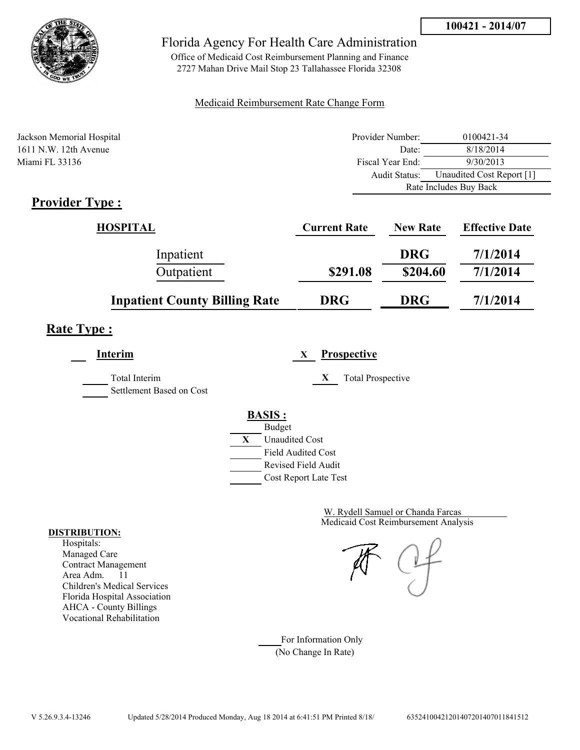



Office of Medicaid Cost Reimbursement Planning and Finance 2727 Mahan Drive Mail Stop 23 Tallahassee Florida 32308

#### Medicaid Reimbursement Rate Change Form

| Jackson Memorial Hospital | Provider Number: | 0100421-34                |
|---------------------------|------------------|---------------------------|
| $1611$ N.W. 12th Avenue   | Date:            | 8/18/2014                 |
| Miami FL 33136            | Fiscal Year End: | 9/30/2013                 |
|                           | Audit Status:    | Unaudited Cost Report [1] |
|                           |                  | Rate Includes Buy Back    |
| $Dnon$ dou Types          |                  |                           |

## **Provider Type :**

| HOSPITAL                             | <b>Current Rate</b> | <b>New Rate</b> | <b>Effective Date</b> |
|--------------------------------------|---------------------|-----------------|-----------------------|
| Inpatient                            |                     | <b>DRG</b>      | 7/1/2014              |
| Outpatient                           | \$291.08            | \$204.60        | 7/1/2014              |
| <b>Inpatient County Billing Rate</b> | <b>DRG</b>          | <b>DRG</b>      | 7/1/2014              |

# **Rate Type :**

**Interim X Prospective**

Total Interim **X** Total Prospective

Settlement Based on Cost

### **BASIS :**



Medicaid Cost Reimbursement Analysis W. Rydell Samuel or Chanda Farcas

For Information Only (No Change In Rate)

#### **DISTRIBUTION:**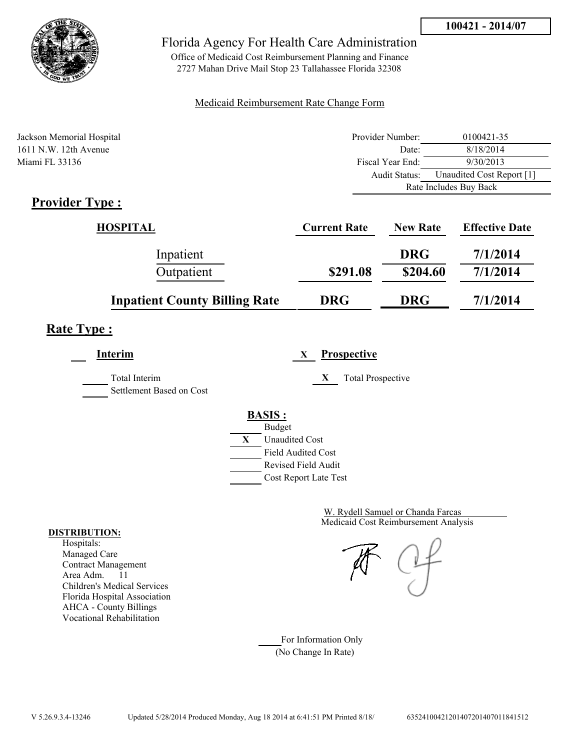



Office of Medicaid Cost Reimbursement Planning and Finance 2727 Mahan Drive Mail Stop 23 Tallahassee Florida 32308

#### Medicaid Reimbursement Rate Change Form

| Jackson Memorial Hospital | Provider Number: | 0100421-35                |
|---------------------------|------------------|---------------------------|
| $1611$ N.W. 12th Avenue   | Date:            | 8/18/2014                 |
| Miami FL 33136            | Fiscal Year End: | 9/30/2013                 |
|                           | Audit Status:    | Unaudited Cost Report [1] |
|                           |                  | Rate Includes Buy Back    |
| $Dnon$ dou $Tmax$         |                  |                           |

## **Provider Type :**

| HOSPITAL                             | <b>Current Rate</b> | <b>New Rate</b> | <b>Effective Date</b> |
|--------------------------------------|---------------------|-----------------|-----------------------|
| Inpatient                            |                     | <b>DRG</b>      | 7/1/2014              |
| Outpatient                           | \$291.08            | \$204.60        | 7/1/2014              |
| <b>Inpatient County Billing Rate</b> | <b>DRG</b>          | <b>DRG</b>      | 7/1/2014              |

# **Rate Type :**

**Interim X Prospective**

Total Interim **X** Total Prospective Settlement Based on Cost

#### **BASIS :**



Medicaid Cost Reimbursement Analysis W. Rydell Samuel or Chanda Farcas

For Information Only (No Change In Rate)

#### **DISTRIBUTION:**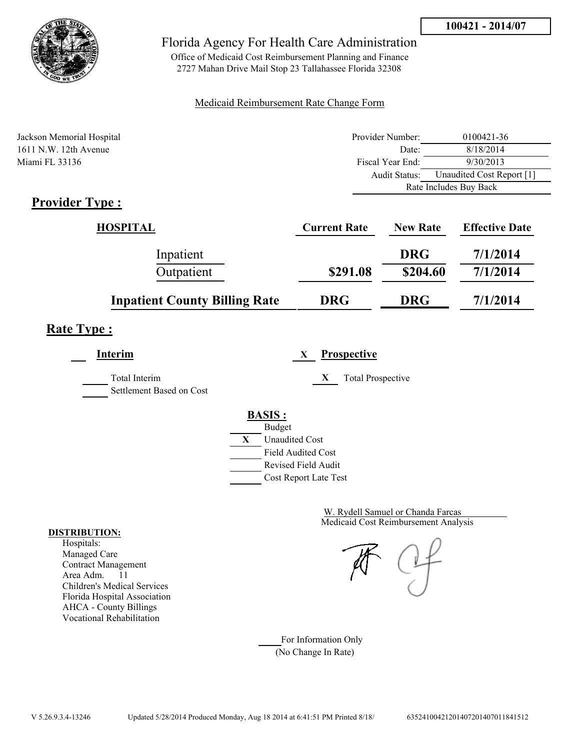



Office of Medicaid Cost Reimbursement Planning and Finance 2727 Mahan Drive Mail Stop 23 Tallahassee Florida 32308

#### Medicaid Reimbursement Rate Change Form

| Jackson Memorial Hospital | Provider Number: | 0100421-36                |
|---------------------------|------------------|---------------------------|
| $1611$ N.W. 12th Avenue   | Date:            | 8/18/2014                 |
| Miami FL 33136            | Fiscal Year End: | 9/30/2013                 |
|                           | Audit Status:    | Unaudited Cost Report [1] |
|                           |                  | Rate Includes Buy Back    |
| $Dnon$ dou $Tmax$         |                  |                           |

## **Provider Type :**

| HOSPITAL                             | <b>Current Rate</b> | <b>New Rate</b> | <b>Effective Date</b> |
|--------------------------------------|---------------------|-----------------|-----------------------|
| Inpatient                            |                     | <b>DRG</b>      | 7/1/2014              |
| Outpatient                           | \$291.08            | \$204.60        | 7/1/2014              |
| <b>Inpatient County Billing Rate</b> | <b>DRG</b>          | <b>DRG</b>      | 7/1/2014              |

# **Rate Type :**

**Interim X Prospective**

Total Interim **X** Total Prospective Settlement Based on Cost

**BASIS :**



Medicaid Cost Reimbursement Analysis W. Rydell Samuel or Chanda Farcas

For Information Only (No Change In Rate)

#### **DISTRIBUTION:**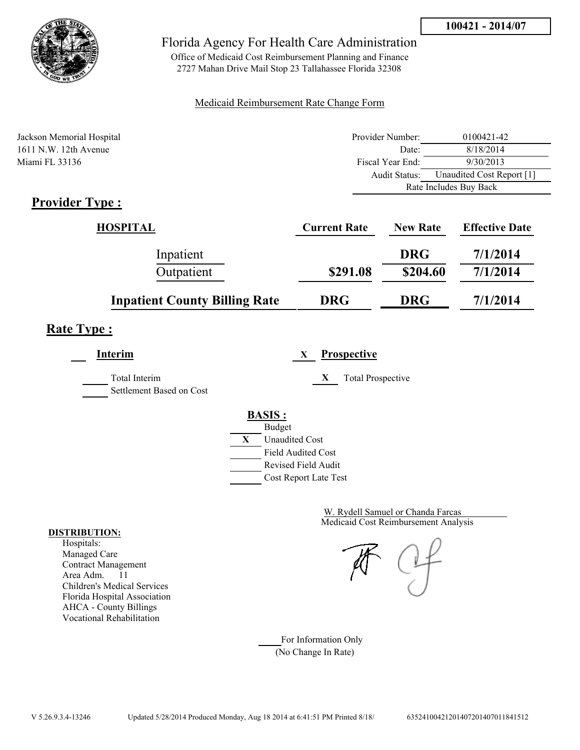



Office of Medicaid Cost Reimbursement Planning and Finance 2727 Mahan Drive Mail Stop 23 Tallahassee Florida 32308

#### Medicaid Reimbursement Rate Change Form

| Jackson Memorial Hospital | Provider Number:     | 0100421-42                |
|---------------------------|----------------------|---------------------------|
| $1611$ N.W. 12th Avenue   | Date:                | 8/18/2014                 |
| Miami FL 33136            | Fiscal Year End:     | 9/30/2013                 |
|                           | <b>Audit Status:</b> | Unaudited Cost Report [1] |
|                           |                      | Rate Includes Buy Back    |
| $Dnon$ dos Trues          |                      |                           |

## **Provider Type :**

| HOSPITAL                             | <b>Current Rate</b> | <b>New Rate</b> | <b>Effective Date</b> |
|--------------------------------------|---------------------|-----------------|-----------------------|
| Inpatient                            |                     | <b>DRG</b>      | 7/1/2014              |
| Outpatient                           | \$291.08            | \$204.60        | 7/1/2014              |
| <b>Inpatient County Billing Rate</b> | <b>DRG</b>          | <b>DRG</b>      | 7/1/2014              |

# **Rate Type :**

**Interim X Prospective**

Total Interim **X** Total Prospective Settlement Based on Cost

**BACIS** 

|   | <b>BASIS :</b>            |
|---|---------------------------|
|   | <b>Budget</b>             |
| X | <b>Unaudited Cost</b>     |
|   | <b>Field Audited Cost</b> |
|   | Revised Field Audit       |

Cost Report Late Test

Medicaid Cost Reimbursement Analysis W. Rydell Samuel or Chanda Farcas

For Information Only (No Change In Rate)

#### **DISTRIBUTION:**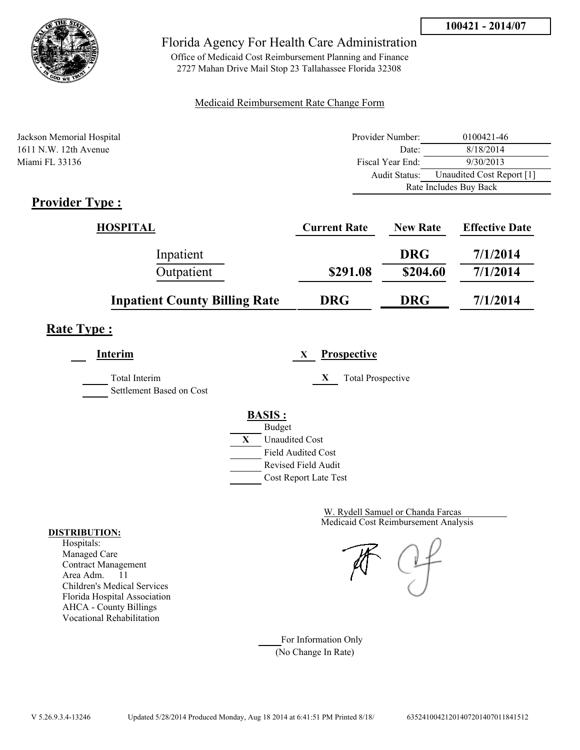



Office of Medicaid Cost Reimbursement Planning and Finance 2727 Mahan Drive Mail Stop 23 Tallahassee Florida 32308

#### Medicaid Reimbursement Rate Change Form

| Jackson Memorial Hospital | Provider Number:     | 0100421-46                |
|---------------------------|----------------------|---------------------------|
| $1611$ N.W. 12th Avenue   | Date:                | 8/18/2014                 |
| Miami FL 33136            | Fiscal Year End:     | 9/30/2013                 |
|                           | <b>Audit Status:</b> | Unaudited Cost Report [1] |
|                           |                      | Rate Includes Buy Back    |
| $Dnon$ dos Trues          |                      |                           |

## **Provider Type :**

| HOSPITAL                             | <b>Current Rate</b> | <b>New Rate</b> | <b>Effective Date</b> |
|--------------------------------------|---------------------|-----------------|-----------------------|
| Inpatient                            |                     | <b>DRG</b>      | 7/1/2014              |
| Outpatient                           | \$291.08            | \$204.60        | 7/1/2014              |
| <b>Inpatient County Billing Rate</b> | <b>DRG</b>          | <b>DRG</b>      | 7/1/2014              |

# **Rate Type :**

**Interim X Prospective**

Total Interim **X** Total Prospective Settlement Based on Cost

#### **BASIS :**



Medicaid Cost Reimbursement Analysis W. Rydell Samuel or Chanda Farcas

For Information Only (No Change In Rate)

#### **DISTRIBUTION:**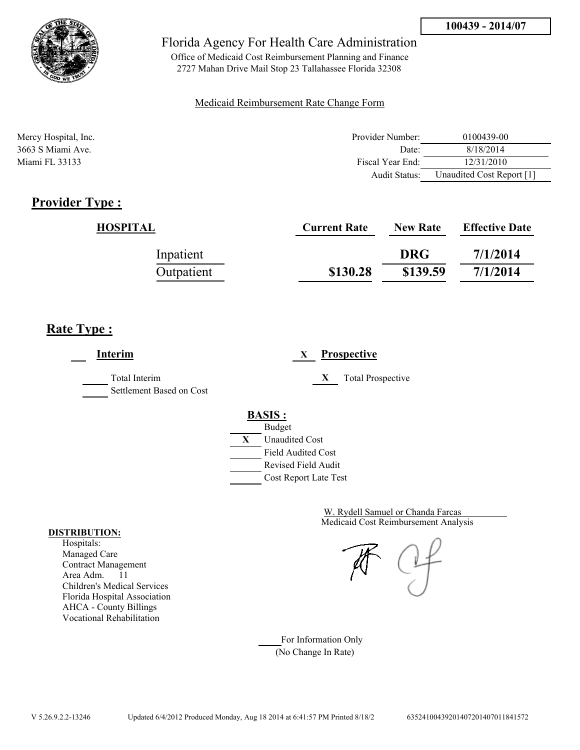

Office of Medicaid Cost Reimbursement Planning and Finance 2727 Mahan Drive Mail Stop 23 Tallahassee Florida 32308

#### Medicaid Reimbursement Rate Change Form

| Mercy Hospital, Inc. | Provider Number: | 0100439-00                |
|----------------------|------------------|---------------------------|
| 3663 S Miami Ave.    | Date:            | 8/18/2014                 |
| Miami FL 33133       | Fiscal Year End: | 12/31/2010                |
|                      | Audit Status:    | Unaudited Cost Report [1] |

## **Provider Type :**

| HOSPITAL   | <b>Current Rate</b> | <b>New Rate</b> | <b>Effective Date</b> |
|------------|---------------------|-----------------|-----------------------|
| Inpatient  |                     | <b>DRG</b>      | 7/1/2014              |
| Outpatient | \$130.28            | \$139.59        | 7/1/2014              |

## **Rate Type :**

**Interim X Prospective** Total Interim **X** Total Prospective Settlement Based on Cost **BASIS :** Budget **X** Unaudited Cost Field Audited Cost Revised Field Audit Cost Report Late Test

> Medicaid Cost Reimbursement Analysis W. Rydell Samuel or Chanda Farcas

For Information Only (No Change In Rate)

#### **DISTRIBUTION:**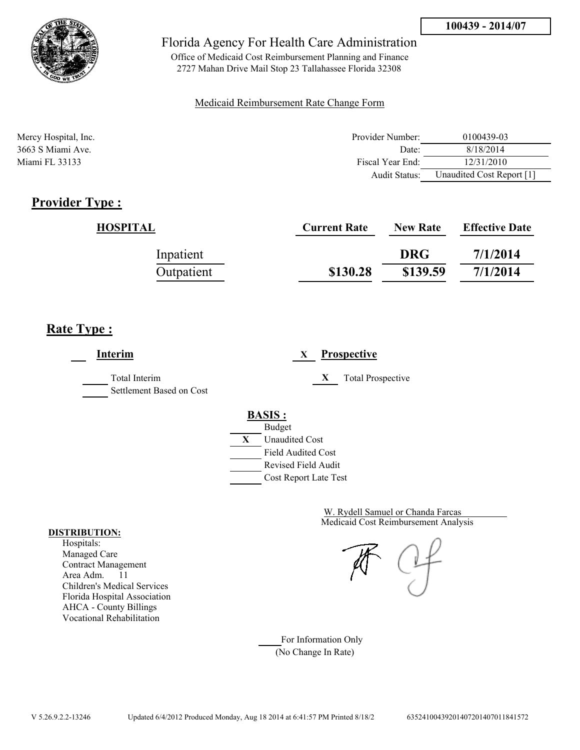

Office of Medicaid Cost Reimbursement Planning and Finance 2727 Mahan Drive Mail Stop 23 Tallahassee Florida 32308

#### Medicaid Reimbursement Rate Change Form

| Mercy Hospital, Inc. | Provider Number: | 0100439-03                |
|----------------------|------------------|---------------------------|
| 3663 S Miami Ave.    | Date:            | 8/18/2014                 |
| Miami FL 33133       | Fiscal Year End: | 12/31/2010                |
|                      | Audit Status:    | Unaudited Cost Report [1] |

## **Provider Type :**

| HOSPITAL   | <b>Current Rate</b> | <b>New Rate</b> | <b>Effective Date</b> |
|------------|---------------------|-----------------|-----------------------|
| Inpatient  |                     | <b>DRG</b>      | 7/1/2014              |
| Outpatient | \$130.28            | \$139.59        | 7/1/2014              |

## **Rate Type :**

**Interim X Prospective** Total Interim **X** Total Prospective Settlement Based on Cost **BASIS :** Budget **X** Unaudited Cost Field Audited Cost Revised Field Audit Cost Report Late Test

> Medicaid Cost Reimbursement Analysis W. Rydell Samuel or Chanda Farcas

For Information Only (No Change In Rate)

#### **DISTRIBUTION:**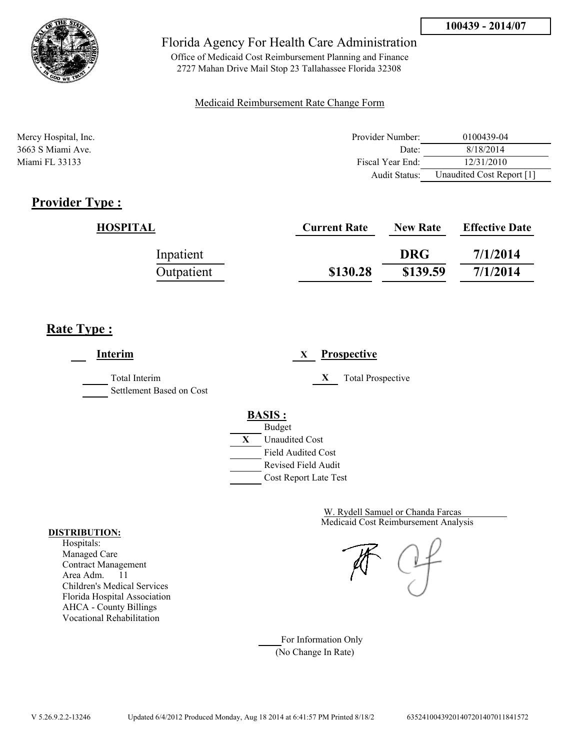

Office of Medicaid Cost Reimbursement Planning and Finance 2727 Mahan Drive Mail Stop 23 Tallahassee Florida 32308

#### Medicaid Reimbursement Rate Change Form

| Mercy Hospital, Inc. | Provider Number: | 0100439-04                |
|----------------------|------------------|---------------------------|
| 3663 S Miami Ave.    | Date:            | 8/18/2014                 |
| Miami FL 33133       | Fiscal Year End: | 12/31/2010                |
|                      | Audit Status:    | Unaudited Cost Report [1] |

## **Provider Type :**

| HOSPITAL   | <b>Current Rate</b> | <b>New Rate</b> | <b>Effective Date</b> |
|------------|---------------------|-----------------|-----------------------|
| Inpatient  |                     | <b>DRG</b>      | 7/1/2014              |
| Outpatient | \$130.28            | \$139.59        | 7/1/2014              |

# **Rate Type :**

**Interim X Prospective** Total Interim **X** Total Prospective Settlement Based on Cost **BASIS :** Budget **X** Unaudited Cost Field Audited Cost Revised Field Audit Cost Report Late Test

> Medicaid Cost Reimbursement Analysis W. Rydell Samuel or Chanda Farcas

For Information Only (No Change In Rate)

#### **DISTRIBUTION:**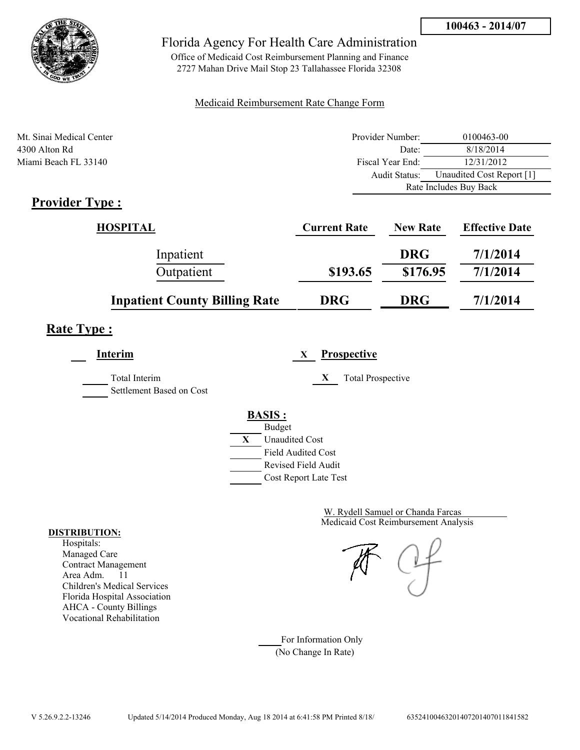

Office of Medicaid Cost Reimbursement Planning and Finance 2727 Mahan Drive Mail Stop 23 Tallahassee Florida 32308

#### Medicaid Reimbursement Rate Change Form

| Mt. Sinai Medical Center | Provider Number: | 0100463-00                |
|--------------------------|------------------|---------------------------|
| 4300 Alton Rd            | Date:            | 8/18/2014                 |
| Miami Beach FL 33140     | Fiscal Year End: | 12/31/2012                |
|                          | Audit Status:    | Unaudited Cost Report [1] |
|                          |                  | Rate Includes Buy Back    |

## **Provider Type :**

| HOSPITAL                             | <b>Current Rate</b> | <b>New Rate</b> | <b>Effective Date</b> |
|--------------------------------------|---------------------|-----------------|-----------------------|
| Inpatient                            |                     | <b>DRG</b>      | 7/1/2014              |
| Outpatient                           | \$193.65            | \$176.95        | 7/1/2014              |
| <b>Inpatient County Billing Rate</b> | <b>DRG</b>          | <b>DRG</b>      | 7/1/2014              |

## **Rate Type :**

**Interim X Prospective** Total Interim **X** Total Prospective Settlement Based on Cost **BASIS :** Budget **X** Unaudited Cost Field Audited Cost Revised Field Audit Cost Report Late Test

> Medicaid Cost Reimbursement Analysis W. Rydell Samuel or Chanda Farcas

For Information Only (No Change In Rate)

#### **DISTRIBUTION:**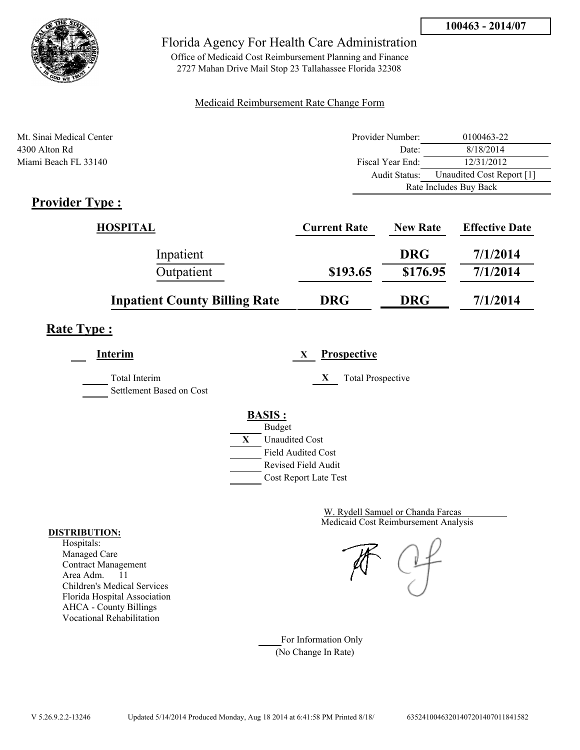

Office of Medicaid Cost Reimbursement Planning and Finance 2727 Mahan Drive Mail Stop 23 Tallahassee Florida 32308

#### Medicaid Reimbursement Rate Change Form

| Mt. Sinai Medical Center | Provider Number:     | 0100463-22                |
|--------------------------|----------------------|---------------------------|
| 4300 Alton Rd            | Date:                | 8/18/2014                 |
| Miami Beach FL 33140     | Fiscal Year End:     | 12/31/2012                |
|                          | <b>Audit Status:</b> | Unaudited Cost Report [1] |
|                          |                      | Rate Includes Buy Back    |

## **Provider Type :**

| HOSPITAL                             | <b>Current Rate</b> | <b>New Rate</b> | <b>Effective Date</b> |
|--------------------------------------|---------------------|-----------------|-----------------------|
| Inpatient                            |                     | <b>DRG</b>      | 7/1/2014              |
| Outpatient                           | \$193.65            | \$176.95        | 7/1/2014              |
| <b>Inpatient County Billing Rate</b> | <b>DRG</b>          | <b>DRG</b>      | 7/1/2014              |

## **Rate Type :**

**Interim X Prospective** Total Interim **X** Total Prospective Settlement Based on Cost **BASIS :** Budget **X** Unaudited Cost Field Audited Cost Revised Field Audit

Cost Report Late Test

Medicaid Cost Reimbursement Analysis W. Rydell Samuel or Chanda Farcas

For Information Only (No Change In Rate)

#### **DISTRIBUTION:**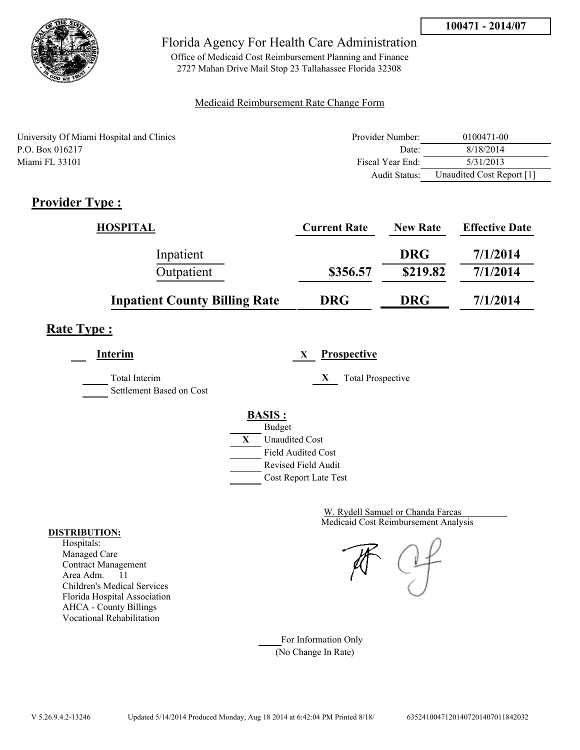

Office of Medicaid Cost Reimbursement Planning and Finance 2727 Mahan Drive Mail Stop 23 Tallahassee Florida 32308

#### Medicaid Reimbursement Rate Change Form

| University Of Miami Hospital and Clinics | Provider Number:     | 0100471-00                |
|------------------------------------------|----------------------|---------------------------|
| P.O. Box 016217                          | Date:                | 8/18/2014                 |
| Miami FL 33101                           | Fiscal Year End:     | 5/31/2013                 |
|                                          | <b>Audit Status:</b> | Unaudited Cost Report [1] |

## **Provider Type :**

| <b>HOSPITAL</b>                      | <b>Current Rate</b> | <b>New Rate</b> | <b>Effective Date</b> |
|--------------------------------------|---------------------|-----------------|-----------------------|
| Inpatient                            |                     | <b>DRG</b>      | 7/1/2014              |
| Outpatient                           | \$356.57            | \$219.82        | 7/1/2014              |
| <b>Inpatient County Billing Rate</b> | <b>DRG</b>          | <b>DRG</b>      | 7/1/2014              |

## **Rate Type :**

**Interim X Prospective**

Total Interim **X** Total Prospective

Settlement Based on Cost

# **BASIS :**



Medicaid Cost Reimbursement Analysis W. Rydell Samuel or Chanda Farcas

For Information Only (No Change In Rate)

#### **DISTRIBUTION:**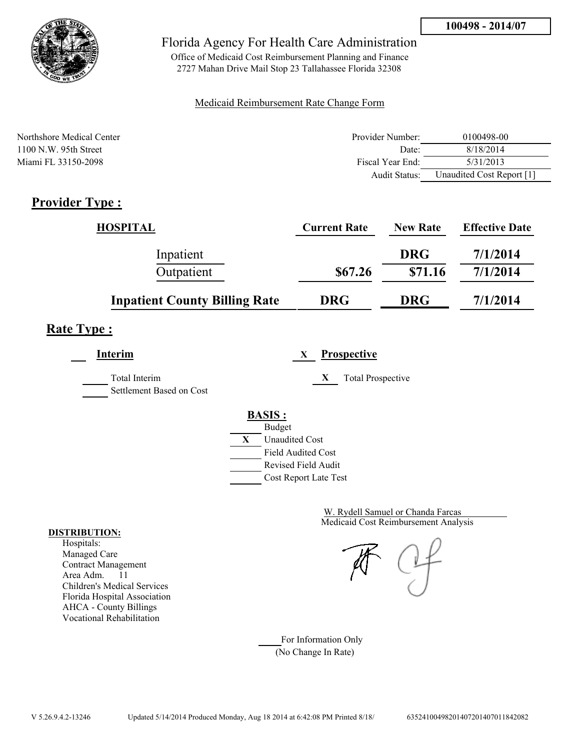

Office of Medicaid Cost Reimbursement Planning and Finance 2727 Mahan Drive Mail Stop 23 Tallahassee Florida 32308

#### Medicaid Reimbursement Rate Change Form

| Northshore Medical Center | Provider Number:  | 0100498-00                |
|---------------------------|-------------------|---------------------------|
| $1100$ N.W. 95th Street   | Date <sup>-</sup> | 8/18/2014                 |
| Miami FL 33150-2098       | Fiscal Year End:  | 5/31/2013                 |
|                           | Audit Status:     | Unaudited Cost Report [1] |

# **Provider Type :**

| <b>HOSPITAL</b>                      | <b>Current Rate</b> | <b>New Rate</b> | <b>Effective Date</b> |
|--------------------------------------|---------------------|-----------------|-----------------------|
| Inpatient                            |                     | <b>DRG</b>      | 7/1/2014              |
| Outpatient                           | \$67.26             | \$71.16         | 7/1/2014              |
| <b>Inpatient County Billing Rate</b> | <b>DRG</b>          | <b>DRG</b>      | 7/1/2014              |

# **Rate Type :**

**Interim X Prospective** Total Interim **X** Total Prospective Settlement Based on Cost **BASIS :** Budget **X** Unaudited Cost

Field Audited Cost Revised Field Audit Cost Report Late Test

> Medicaid Cost Reimbursement Analysis W. Rydell Samuel or Chanda Farcas

For Information Only (No Change In Rate)

#### **DISTRIBUTION:**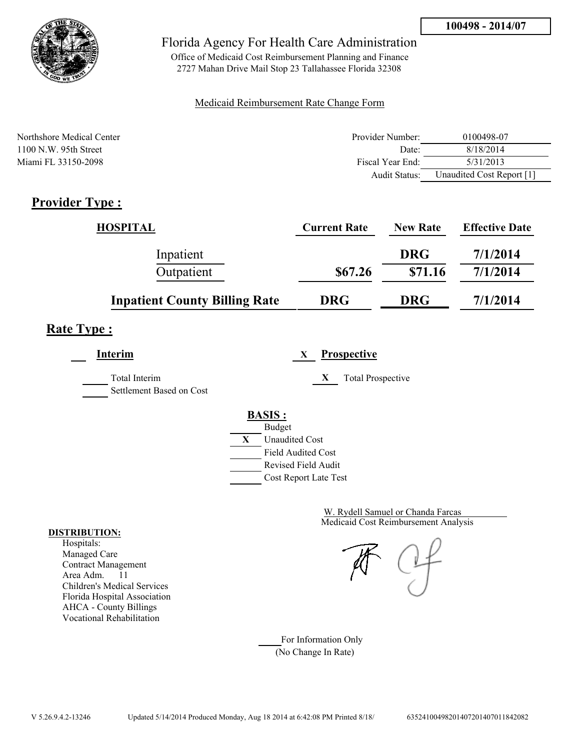

Office of Medicaid Cost Reimbursement Planning and Finance 2727 Mahan Drive Mail Stop 23 Tallahassee Florida 32308

#### Medicaid Reimbursement Rate Change Form

| Northshore Medical Center | Provider Number:  | 0100498-07                |
|---------------------------|-------------------|---------------------------|
| $1100$ N.W. 95th Street   | Date <sup>-</sup> | 8/18/2014                 |
| Miami FL 33150-2098       | Fiscal Year End:  | 5/31/2013                 |
|                           | Audit Status:     | Unaudited Cost Report [1] |

# **Provider Type :**

| <b>HOSPITAL</b>                      | <b>Current Rate</b> | <b>New Rate</b> | <b>Effective Date</b> |
|--------------------------------------|---------------------|-----------------|-----------------------|
| Inpatient                            |                     | <b>DRG</b>      | 7/1/2014              |
| Outpatient                           | \$67.26             | \$71.16         | 7/1/2014              |
| <b>Inpatient County Billing Rate</b> | <b>DRG</b>          | <b>DRG</b>      | 7/1/2014              |

# **Rate Type :**

**Interim X Prospective** Total Interim **X** Total Prospective Settlement Based on Cost **BASIS :** Budget **X** Unaudited Cost

Field Audited Cost Revised Field Audit Cost Report Late Test

> Medicaid Cost Reimbursement Analysis W. Rydell Samuel or Chanda Farcas

For Information Only (No Change In Rate)

#### **DISTRIBUTION:**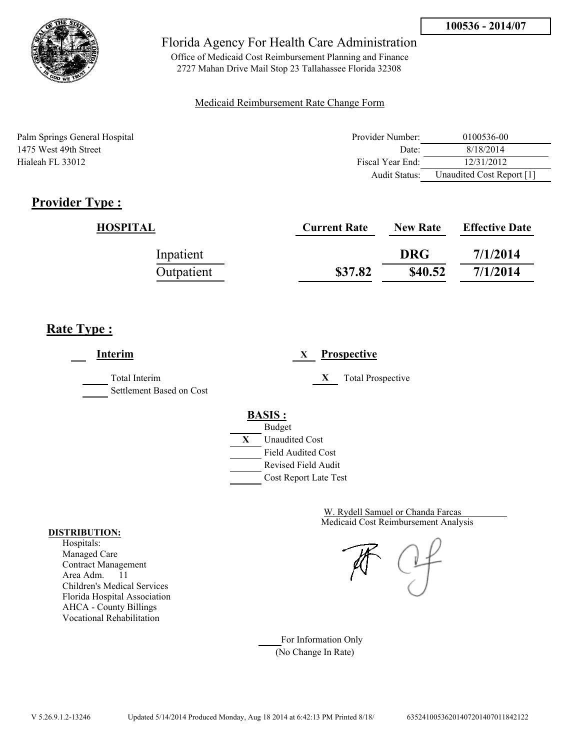

Office of Medicaid Cost Reimbursement Planning and Finance 2727 Mahan Drive Mail Stop 23 Tallahassee Florida 32308

#### Medicaid Reimbursement Rate Change Form

Palm Springs General Hospital 1475 West 49th Street Hialeah FL 33012

| Provider Number: | 0100536-00                |
|------------------|---------------------------|
| Date:            | 8/18/2014                 |
| Fiscal Year End: | 12/31/2012                |
| Audit Status:    | Unaudited Cost Report [1] |

# **Provider Type :**

| HOSPITAL   | <b>Current Rate</b> | <b>New Rate</b> | <b>Effective Date</b> |
|------------|---------------------|-----------------|-----------------------|
| Inpatient  |                     | <b>DRG</b>      | 7/1/2014              |
| Outpatient | \$37.82             | \$40.52         | 7/1/2014              |

# **Rate Type :**

**Interim X Prospective** Total Interim **X** Total Prospective Settlement Based on Cost **BASIS :** Budget **X** Unaudited Cost Field Audited Cost Revised Field Audit Cost Report Late Test

> Medicaid Cost Reimbursement Analysis W. Rydell Samuel or Chanda Farcas

For Information Only (No Change In Rate)

#### **DISTRIBUTION:**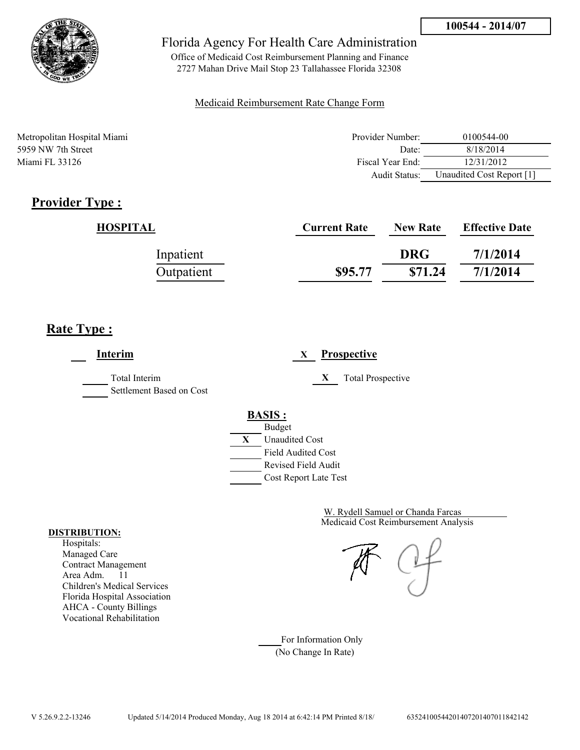

Office of Medicaid Cost Reimbursement Planning and Finance 2727 Mahan Drive Mail Stop 23 Tallahassee Florida 32308

#### Medicaid Reimbursement Rate Change Form

| Metropolitan Hospital Miami | Provider Number: | 0100544-00                |
|-----------------------------|------------------|---------------------------|
| 5959 NW 7th Street          | Date:            | 8/18/2014                 |
| Miami FL 33126              | Fiscal Year End: | 12/31/2012                |
|                             | Audit Status:    | Unaudited Cost Report [1] |

# **Provider Type :**

| HOSPITAL   | <b>Current Rate</b> | <b>New Rate</b> | <b>Effective Date</b> |
|------------|---------------------|-----------------|-----------------------|
| Inpatient  |                     | <b>DRG</b>      | 7/1/2014              |
| Outpatient | \$95.77             | \$71.24         | 7/1/2014              |

## **Rate Type :**

**Interim X Prospective** Total Interim **X** Total Prospective Settlement Based on Cost **BASIS :** Budget **X** Unaudited Cost Field Audited Cost Revised Field Audit Cost Report Late Test

> Medicaid Cost Reimbursement Analysis W. Rydell Samuel or Chanda Farcas

For Information Only (No Change In Rate)

#### **DISTRIBUTION:**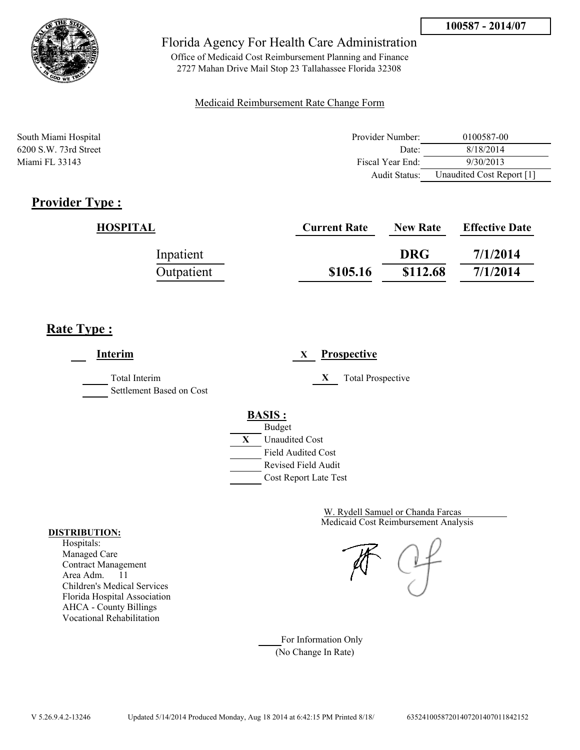

Office of Medicaid Cost Reimbursement Planning and Finance 2727 Mahan Drive Mail Stop 23 Tallahassee Florida 32308

#### Medicaid Reimbursement Rate Change Form

| South Miami Hospital    | Provider Number: | 0100587-00                |
|-------------------------|------------------|---------------------------|
| $6200$ S.W. 73rd Street | Date:            | 8/18/2014                 |
| Miami FL 33143          | Fiscal Year End: | 9/30/2013                 |
|                         | Audit Status:    | Unaudited Cost Report [1] |

### **Provider Type :**

| HOSPITAL   | <b>Current Rate</b> | <b>New Rate</b> | <b>Effective Date</b> |
|------------|---------------------|-----------------|-----------------------|
| Inpatient  |                     | <b>DRG</b>      | 7/1/2014              |
| Outpatient | \$105.16            | \$112.68        | 7/1/2014              |

## **Rate Type :**

**Interim X Prospective** Total Interim **X** Total Prospective Settlement Based on Cost **BASIS :** Budget **X** Unaudited Cost Field Audited Cost Revised Field Audit Cost Report Late Test

> Medicaid Cost Reimbursement Analysis W. Rydell Samuel or Chanda Farcas

For Information Only (No Change In Rate)

#### **DISTRIBUTION:**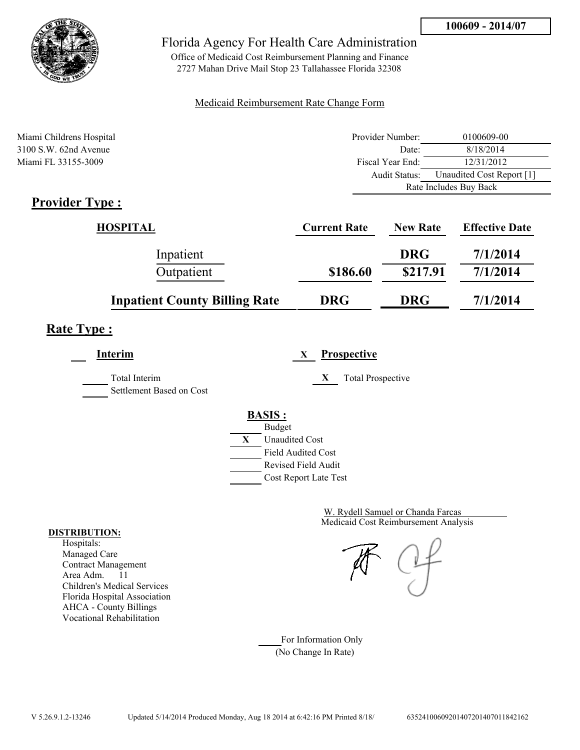

Office of Medicaid Cost Reimbursement Planning and Finance 2727 Mahan Drive Mail Stop 23 Tallahassee Florida 32308

#### Medicaid Reimbursement Rate Change Form

| Miami Childrens Hospital | Provider Number: | 0100609-00                |
|--------------------------|------------------|---------------------------|
| $3100$ S.W. 62nd Avenue  | Date:            | 8/18/2014                 |
| Miami FL 33155-3009      | Fiscal Year End: | 12/31/2012                |
|                          | Audit Status:    | Unaudited Cost Report [1] |
|                          |                  | Rate Includes Buy Back    |
| Provider Type .          |                  |                           |

## **Provider Type :**

| HOSPITAL                             | <b>Current Rate</b> | <b>New Rate</b> | <b>Effective Date</b> |
|--------------------------------------|---------------------|-----------------|-----------------------|
| Inpatient                            |                     | <b>DRG</b>      | 7/1/2014              |
| Outpatient                           | \$186.60            | \$217.91        | 7/1/2014              |
| <b>Inpatient County Billing Rate</b> | <b>DRG</b>          | <b>DRG</b>      | 7/1/2014              |

# **Rate Type :**

**Interim X Prospective**

Total Interim **X** Total Prospective

Settlement Based on Cost

# **BASIS :**



Medicaid Cost Reimbursement Analysis W. Rydell Samuel or Chanda Farcas

For Information Only (No Change In Rate)

#### **DISTRIBUTION:**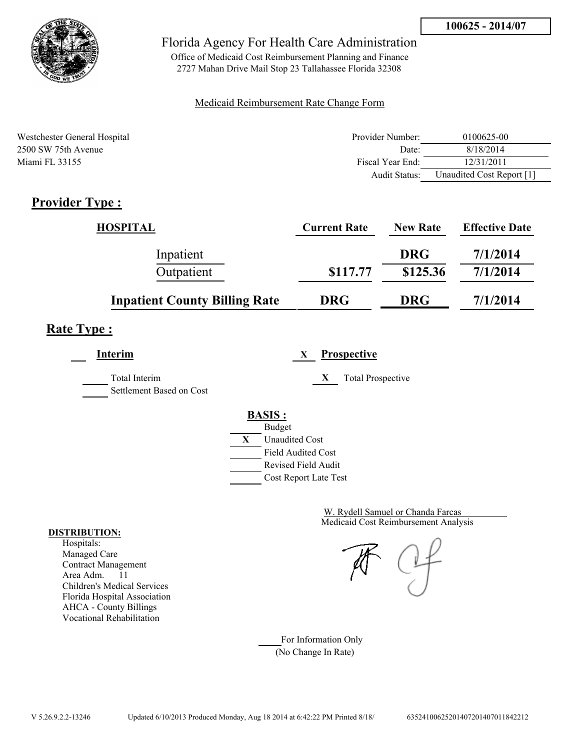

Office of Medicaid Cost Reimbursement Planning and Finance 2727 Mahan Drive Mail Stop 23 Tallahassee Florida 32308

#### Medicaid Reimbursement Rate Change Form

| Westchester General Hospital | Provider Number:  | 0100625-00                |
|------------------------------|-------------------|---------------------------|
| 2500 SW 75th Avenue          | Date <sup>-</sup> | 8/18/2014                 |
| Miami FL 33155               | Fiscal Year End:  | 12/31/2011                |
|                              | Audit Status:     | Unaudited Cost Report [1] |

# **Provider Type :**

| <b>HOSPITAL</b>                      | <b>Current Rate</b> | <b>New Rate</b> | <b>Effective Date</b> |
|--------------------------------------|---------------------|-----------------|-----------------------|
| Inpatient                            |                     | <b>DRG</b>      | 7/1/2014              |
| Outpatient                           | \$117.77            | \$125.36        | 7/1/2014              |
| <b>Inpatient County Billing Rate</b> | <b>DRG</b>          | <b>DRG</b>      | 7/1/2014              |

# **Rate Type :**

**Interim X Prospective**

Settlement Based on Cost

Total Interim **X** Total Prospective



Medicaid Cost Reimbursement Analysis W. Rydell Samuel or Chanda Farcas

For Information Only (No Change In Rate)

#### **DISTRIBUTION:**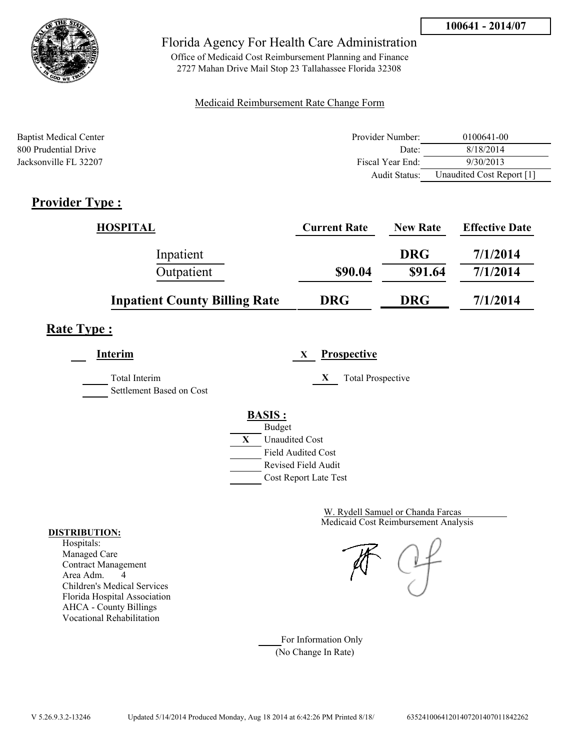

Office of Medicaid Cost Reimbursement Planning and Finance 2727 Mahan Drive Mail Stop 23 Tallahassee Florida 32308

### Medicaid Reimbursement Rate Change Form

| <b>Baptist Medical Center</b> | Provider Number: | 0100641-00                |
|-------------------------------|------------------|---------------------------|
| 800 Prudential Drive          | Date:            | 8/18/2014                 |
| Jacksonville FL 32207         | Fiscal Year End: | 9/30/2013                 |
|                               | Audit Status:    | Unaudited Cost Report [1] |

### **Provider Type :**

| <b>HOSPITAL</b>                      | <b>Current Rate</b> | <b>New Rate</b> | <b>Effective Date</b> |
|--------------------------------------|---------------------|-----------------|-----------------------|
| Inpatient                            |                     | <b>DRG</b>      | 7/1/2014              |
| Outpatient                           | \$90.04             | \$91.64         | 7/1/2014              |
| <b>Inpatient County Billing Rate</b> | <b>DRG</b>          | <b>DRG</b>      | 7/1/2014              |

## **Rate Type :**

**Interim X Prospective**

Total Interim **X** Total Prospective Settlement Based on Cost

**BASIS :**



**DISTRIBUTION:**

Hospitals: Managed Care Contract Management Area Adm. 4 Children's Medical Services Florida Hospital Association AHCA - County Billings Vocational Rehabilitation

Medicaid Cost Reimbursement Analysis W. Rydell Samuel or Chanda Farcas

For Information Only (No Change In Rate)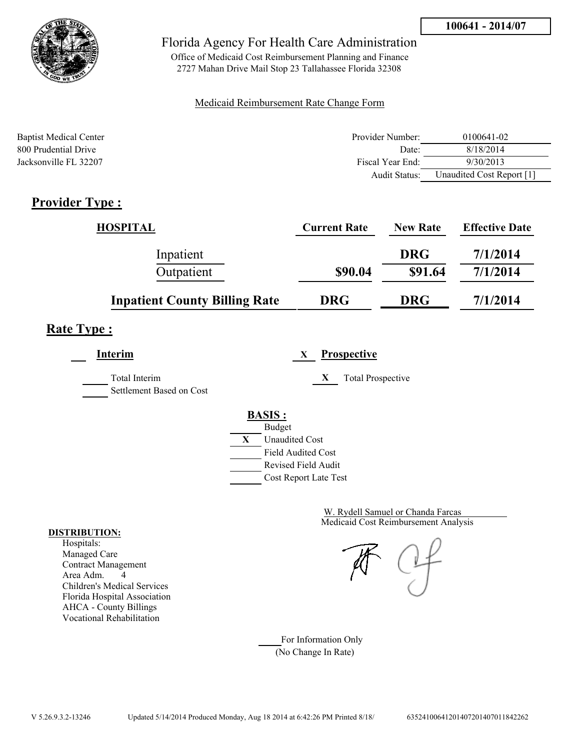

Office of Medicaid Cost Reimbursement Planning and Finance 2727 Mahan Drive Mail Stop 23 Tallahassee Florida 32308

### Medicaid Reimbursement Rate Change Form

| <b>Baptist Medical Center</b> | Provider Number: | 0100641-02                |
|-------------------------------|------------------|---------------------------|
| 800 Prudential Drive          | Date:            | 8/18/2014                 |
| Jacksonville FL 32207         | Fiscal Year End: | 9/30/2013                 |
|                               | Audit Status:    | Unaudited Cost Report [1] |

## **Provider Type :**

| <b>HOSPITAL</b>                      | <b>Current Rate</b> | <b>New Rate</b> | <b>Effective Date</b> |
|--------------------------------------|---------------------|-----------------|-----------------------|
| Inpatient                            |                     | <b>DRG</b>      | 7/1/2014              |
| Outpatient                           | \$90.04             | \$91.64         | 7/1/2014              |
| <b>Inpatient County Billing Rate</b> | <b>DRG</b>          | <b>DRG</b>      | 7/1/2014              |

## **Rate Type :**

**Interim X Prospective**

Total Interim **X** Total Prospective Settlement Based on Cost

**BASIS :**



Medicaid Cost Reimbursement Analysis W. Rydell Samuel or Chanda Farcas

For Information Only (No Change In Rate)

#### **DISTRIBUTION:**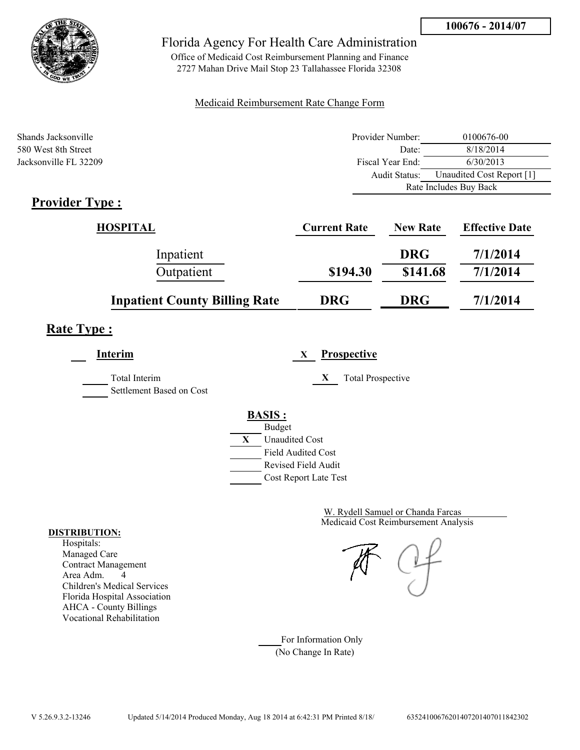

Office of Medicaid Cost Reimbursement Planning and Finance 2727 Mahan Drive Mail Stop 23 Tallahassee Florida 32308

### Medicaid Reimbursement Rate Change Form

| Shands Jacksonville   | Provider Number: | 0100676-00                |
|-----------------------|------------------|---------------------------|
| 580 West 8th Street   | Date:            | 8/18/2014                 |
| Jacksonville FL 32209 | Fiscal Year End: | 6/30/2013                 |
|                       | Audit Status:    | Unaudited Cost Report [1] |
|                       |                  | Rate Includes Buy Back    |
| <b>Provider Type:</b> |                  |                           |

## **Provider Type :**

| HOSPITAL                             | <b>Current Rate</b> | <b>New Rate</b> | <b>Effective Date</b> |
|--------------------------------------|---------------------|-----------------|-----------------------|
| Inpatient                            |                     | <b>DRG</b>      | 7/1/2014              |
| Outpatient                           | \$194.30            | \$141.68        | 7/1/2014              |
| <b>Inpatient County Billing Rate</b> | <b>DRG</b>          | <b>DRG</b>      | 7/1/2014              |

### **Rate Type :**

**Interim X Prospective**

Total Interim **X** Total Prospective

Settlement Based on Cost

# **BASIS :**



Medicaid Cost Reimbursement Analysis W. Rydell Samuel or Chanda Farcas

For Information Only (No Change In Rate)

#### **DISTRIBUTION:**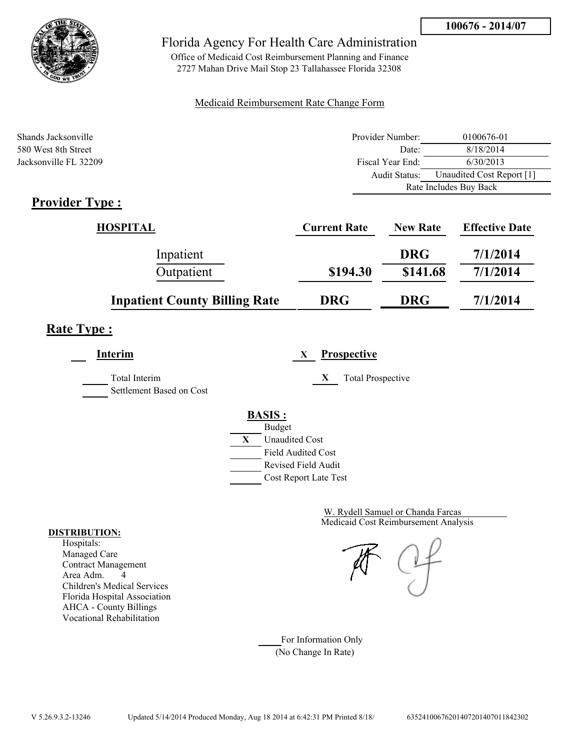

Office of Medicaid Cost Reimbursement Planning and Finance 2727 Mahan Drive Mail Stop 23 Tallahassee Florida 32308

### Medicaid Reimbursement Rate Change Form

| Shands Jacksonville   | Provider Number:     | 0100676-01                |
|-----------------------|----------------------|---------------------------|
| 580 West 8th Street   | Date:                | 8/18/2014                 |
| Jacksonville FL 32209 | Fiscal Year End:     | 6/30/2013                 |
|                       | <b>Audit Status:</b> | Unaudited Cost Report [1] |
|                       |                      | Rate Includes Buy Back    |
| Provider Type .       |                      |                           |

## **Provider Type :**

| <b>HOSPITAL</b>                      | <b>Current Rate</b> | <b>New Rate</b> | <b>Effective Date</b> |
|--------------------------------------|---------------------|-----------------|-----------------------|
| Inpatient                            |                     | <b>DRG</b>      | 7/1/2014              |
| Outpatient                           | \$194.30            | \$141.68        | 7/1/2014              |
| <b>Inpatient County Billing Rate</b> | <b>DRG</b>          | <b>DRG</b>      | 7/1/2014              |

### **Rate Type :**

**Interim X Prospective** Total Interim **X** Total Prospective

Settlement Based on Cost

### **BASIS :**



Medicaid Cost Reimbursement Analysis W. Rydell Samuel or Chanda Farcas

For Information Only (No Change In Rate)

#### **DISTRIBUTION:**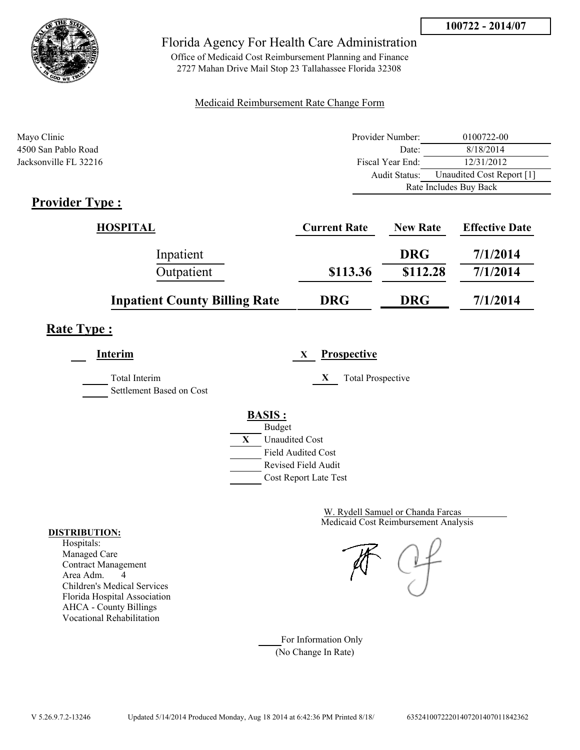

Office of Medicaid Cost Reimbursement Planning and Finance 2727 Mahan Drive Mail Stop 23 Tallahassee Florida 32308

### Medicaid Reimbursement Rate Change Form

| Mayo Clinic                  | Provider Number: | 0100722-00                |
|------------------------------|------------------|---------------------------|
| 4500 San Pablo Road          | Date:            | 8/18/2014                 |
| Jacksonville FL 32216        | Fiscal Year End: | 12/31/2012                |
|                              | Audit Status:    | Unaudited Cost Report [1] |
|                              |                  | Rate Includes Buy Back    |
| $Dnon$ $Aon$ T <sub>rm</sub> |                  |                           |

## **Provider Type :**

| HOSPITAL                             | <b>Current Rate</b> | <b>New Rate</b> | <b>Effective Date</b> |
|--------------------------------------|---------------------|-----------------|-----------------------|
| Inpatient                            |                     | <b>DRG</b>      | 7/1/2014              |
| Outpatient                           | \$113.36            | \$112.28        | 7/1/2014              |
| <b>Inpatient County Billing Rate</b> | <b>DRG</b>          | <b>DRG</b>      | 7/1/2014              |

## **Rate Type :**

**Interim X Prospective** Total Interim **X** Total Prospective Settlement Based on Cost **BASIS :** Budget **X** Unaudited Cost Field Audited Cost Revised Field Audit Cost Report Late Test

> Medicaid Cost Reimbursement Analysis W. Rydell Samuel or Chanda Farcas

For Information Only (No Change In Rate)

#### **DISTRIBUTION:**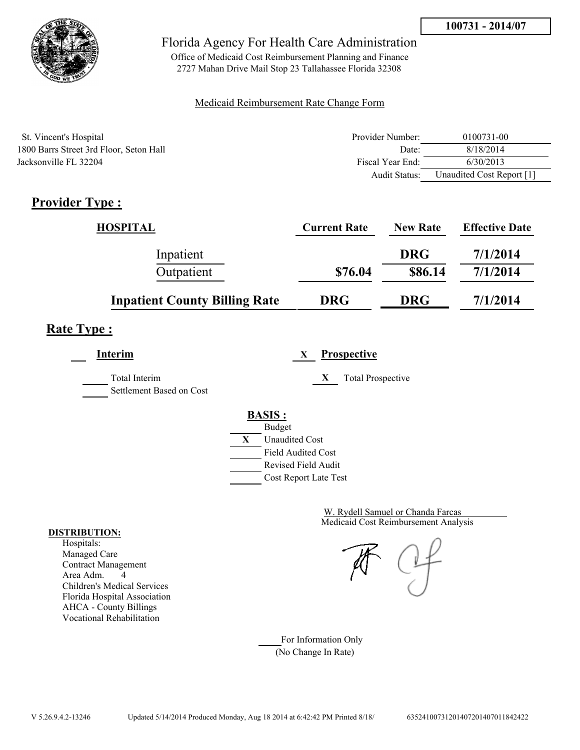

Office of Medicaid Cost Reimbursement Planning and Finance 2727 Mahan Drive Mail Stop 23 Tallahassee Florida 32308

### Medicaid Reimbursement Rate Change Form

| St. Vincent's Hospital                  | Provider Number: | 0100731-00                |
|-----------------------------------------|------------------|---------------------------|
| 1800 Barrs Street 3rd Floor, Seton Hall | Date:            | 8/18/2014                 |
| Jacksonville FL 32204                   | Fiscal Year End: | 6/30/2013                 |
|                                         | Audit Status:    | Unaudited Cost Report [1] |

## **Provider Type :**

| <b>HOSPITAL</b>                      | <b>Current Rate</b> | <b>New Rate</b> | <b>Effective Date</b> |
|--------------------------------------|---------------------|-----------------|-----------------------|
| Inpatient                            |                     | <b>DRG</b>      | 7/1/2014              |
| Outpatient                           | \$76.04             | \$86.14         | 7/1/2014              |
| <b>Inpatient County Billing Rate</b> | <b>DRG</b>          | <b>DRG</b>      | 7/1/2014              |

## **Rate Type :**

**Interim X Prospective** Total Interim **X** Total Prospective Settlement Based on Cost **BASIS :** Budget **X** Unaudited Cost Field Audited Cost Revised Field Audit

Cost Report Late Test

Medicaid Cost Reimbursement Analysis W. Rydell Samuel or Chanda Farcas

For Information Only (No Change In Rate)

#### **DISTRIBUTION:**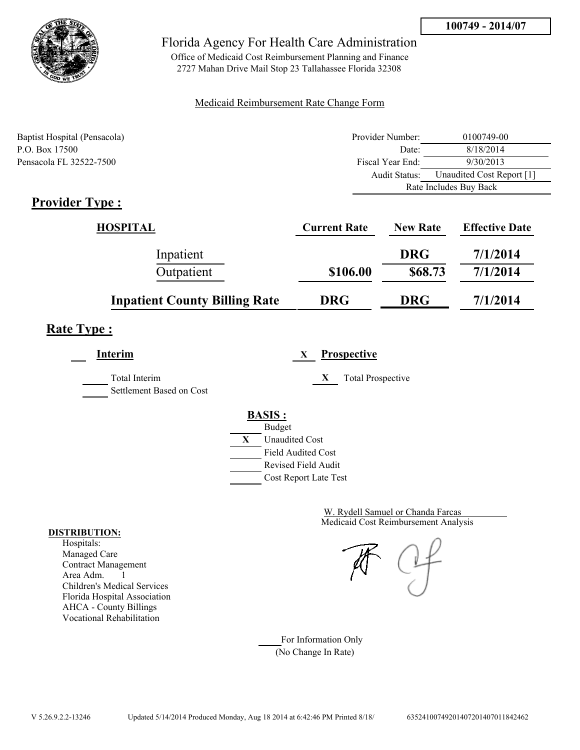

Office of Medicaid Cost Reimbursement Planning and Finance 2727 Mahan Drive Mail Stop 23 Tallahassee Florida 32308

### Medicaid Reimbursement Rate Change Form

| Baptist Hospital (Pensacola) | Provider Number: | 0100749-00                |  |
|------------------------------|------------------|---------------------------|--|
| P.O. Box 17500               | Date:            | 8/18/2014                 |  |
| Pensacola FL 32522-7500      | Fiscal Year End: | 9/30/2013                 |  |
|                              | Audit Status:    | Unaudited Cost Report [1] |  |
|                              |                  | Rate Includes Buy Back    |  |

### **Provider Type :**

| HOSPITAL                             | <b>Current Rate</b> | <b>New Rate</b> | <b>Effective Date</b> |
|--------------------------------------|---------------------|-----------------|-----------------------|
| Inpatient                            |                     | <b>DRG</b>      | 7/1/2014              |
| Outpatient                           | \$106.00            | \$68.73         | 7/1/2014              |
| <b>Inpatient County Billing Rate</b> | <b>DRG</b>          | <b>DRG</b>      | 7/1/2014              |

## **Rate Type :**

**Interim X Prospective**

Total Interim **X** Total Prospective

Settlement Based on Cost

**BASIS :**



Medicaid Cost Reimbursement Analysis W. Rydell Samuel or Chanda Farcas

For Information Only (No Change In Rate)

#### **DISTRIBUTION:**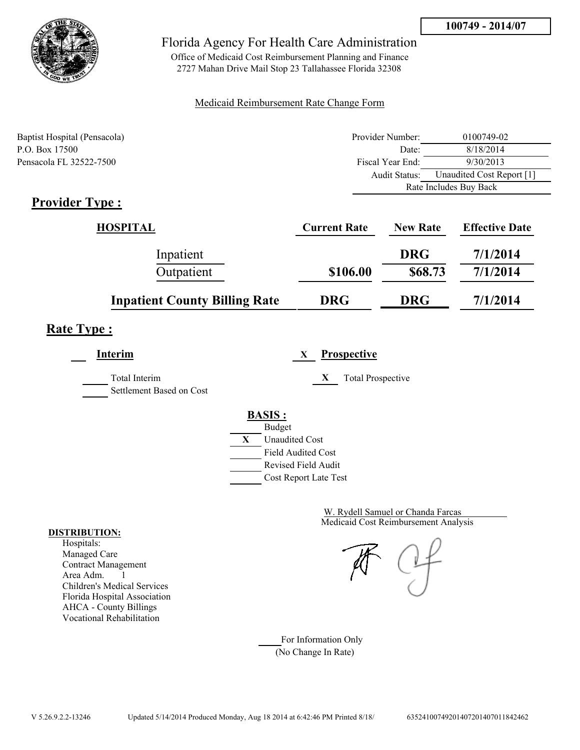

Office of Medicaid Cost Reimbursement Planning and Finance 2727 Mahan Drive Mail Stop 23 Tallahassee Florida 32308

### Medicaid Reimbursement Rate Change Form

| Baptist Hospital (Pensacola) | Provider Number: | 0100749-02                |  |
|------------------------------|------------------|---------------------------|--|
| P.O. Box 17500               | Date:            | 8/18/2014                 |  |
| Pensacola FL 32522-7500      | Fiscal Year End: | 9/30/2013                 |  |
|                              | Audit Status:    | Unaudited Cost Report [1] |  |
|                              |                  | Rate Includes Buy Back    |  |

### **Provider Type :**

| HOSPITAL                             | <b>Current Rate</b> | <b>New Rate</b> | <b>Effective Date</b> |
|--------------------------------------|---------------------|-----------------|-----------------------|
| Inpatient                            |                     | <b>DRG</b>      | 7/1/2014              |
| Outpatient                           | \$106.00            | \$68.73         | 7/1/2014              |
| <b>Inpatient County Billing Rate</b> | <b>DRG</b>          | <b>DRG</b>      | 7/1/2014              |

## **Rate Type :**

**Interim X Prospective**

Total Interim **X** Total Prospective Settlement Based on Cost

### **BASIS :**



Medicaid Cost Reimbursement Analysis W. Rydell Samuel or Chanda Farcas

For Information Only (No Change In Rate)

#### **DISTRIBUTION:**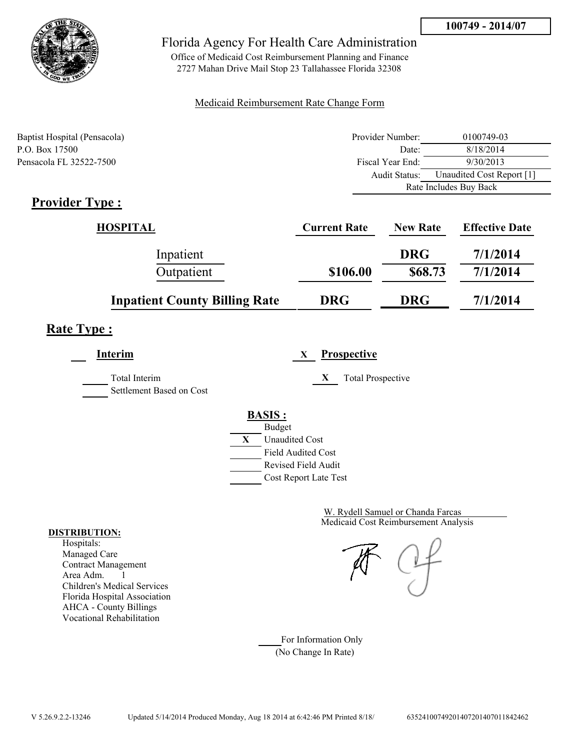

Office of Medicaid Cost Reimbursement Planning and Finance 2727 Mahan Drive Mail Stop 23 Tallahassee Florida 32308

### Medicaid Reimbursement Rate Change Form

| Baptist Hospital (Pensacola) | Provider Number: | 0100749-03                |  |
|------------------------------|------------------|---------------------------|--|
| P.O. Box 17500               | Date:            | 8/18/2014                 |  |
| Pensacola FL 32522-7500      | Fiscal Year End: | 9/30/2013                 |  |
|                              | Audit Status:    | Unaudited Cost Report [1] |  |
|                              |                  | Rate Includes Buy Back    |  |

### **Provider Type :**

| HOSPITAL                             | <b>Current Rate</b> | <b>New Rate</b> | <b>Effective Date</b> |
|--------------------------------------|---------------------|-----------------|-----------------------|
| Inpatient                            |                     | <b>DRG</b>      | 7/1/2014              |
| Outpatient                           | \$106.00            | \$68.73         | 7/1/2014              |
| <b>Inpatient County Billing Rate</b> | <b>DRG</b>          | <b>DRG</b>      | 7/1/2014              |

## **Rate Type :**

**Interim X Prospective**

Total Interim **X** Total Prospective

Settlement Based on Cost

## **BASIS :**



Medicaid Cost Reimbursement Analysis W. Rydell Samuel or Chanda Farcas

For Information Only (No Change In Rate)

#### **DISTRIBUTION:**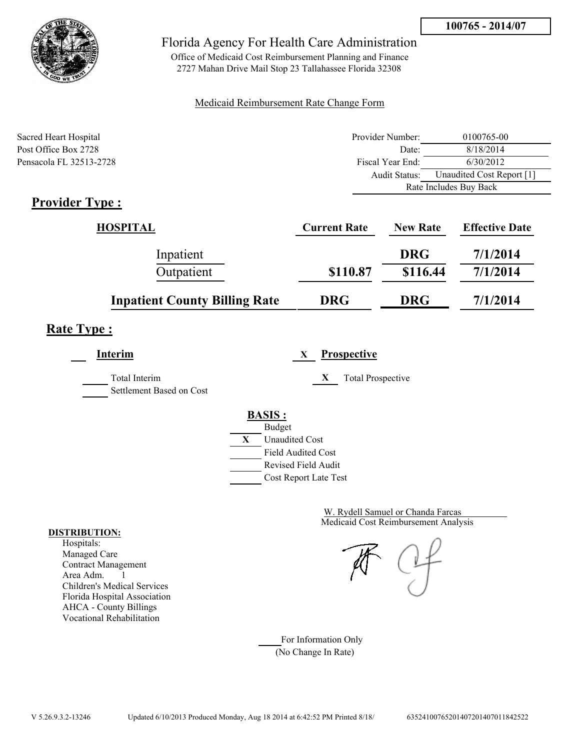

Office of Medicaid Cost Reimbursement Planning and Finance 2727 Mahan Drive Mail Stop 23 Tallahassee Florida 32308

### Medicaid Reimbursement Rate Change Form

| Sacred Heart Hospital         | Provider Number: | 0100765-00                |
|-------------------------------|------------------|---------------------------|
| Post Office Box 2728          | Date:            | 8/18/2014                 |
| Pensacola FL 32513-2728       | Fiscal Year End: | 6/30/2012                 |
|                               | Audit Status:    | Unaudited Cost Report [1] |
|                               |                  | Rate Includes Buy Back    |
| $Dnon$ $Aon$ T <sub>rma</sub> |                  |                           |

## **Provider Type :**

| HOSPITAL                             | <b>Current Rate</b> | <b>New Rate</b> | <b>Effective Date</b> |
|--------------------------------------|---------------------|-----------------|-----------------------|
| Inpatient                            |                     | <b>DRG</b>      | 7/1/2014              |
| Outpatient                           | \$110.87            | \$116.44        | 7/1/2014              |
| <b>Inpatient County Billing Rate</b> | <b>DRG</b>          | <b>DRG</b>      | 7/1/2014              |

## **Rate Type :**

**Interim X Prospective**

Total Interim **X** Total Prospective Settlement Based on Cost

**BASIS :**



Medicaid Cost Reimbursement Analysis W. Rydell Samuel or Chanda Farcas

For Information Only (No Change In Rate)

#### **DISTRIBUTION:**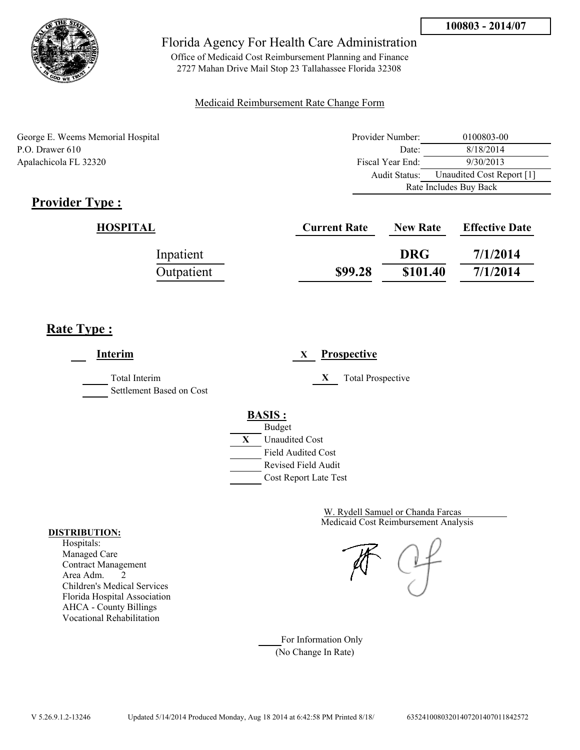

Office of Medicaid Cost Reimbursement Planning and Finance 2727 Mahan Drive Mail Stop 23 Tallahassee Florida 32308

### Medicaid Reimbursement Rate Change Form

George E. Weems Memorial Hospital P.O. Drawer 610 Apalachicola FL 32320

| Provider Number:       | 0100803-00                |  |
|------------------------|---------------------------|--|
| Date:                  | 8/18/2014                 |  |
| Fiscal Year End:       | 9/30/2013                 |  |
| Audit Status:          | Unaudited Cost Report [1] |  |
| Rate Includes Buy Back |                           |  |

## **Provider Type :**

| HOSPITAL   | <b>Current Rate</b> | <b>New Rate</b> | <b>Effective Date</b> |
|------------|---------------------|-----------------|-----------------------|
| Inpatient  |                     | <b>DRG</b>      | 7/1/2014              |
| Outpatient | \$99.28             | \$101.40        | 7/1/2014              |

## **Rate Type :**

**Interim X Prospective** Total Interim **X** Total Prospective Settlement Based on Cost **BASIS :** Budget **X** Unaudited Cost Field Audited Cost Revised Field Audit Cost Report Late Test

> Medicaid Cost Reimbursement Analysis W. Rydell Samuel or Chanda Farcas

For Information Only (No Change In Rate)

#### **DISTRIBUTION:**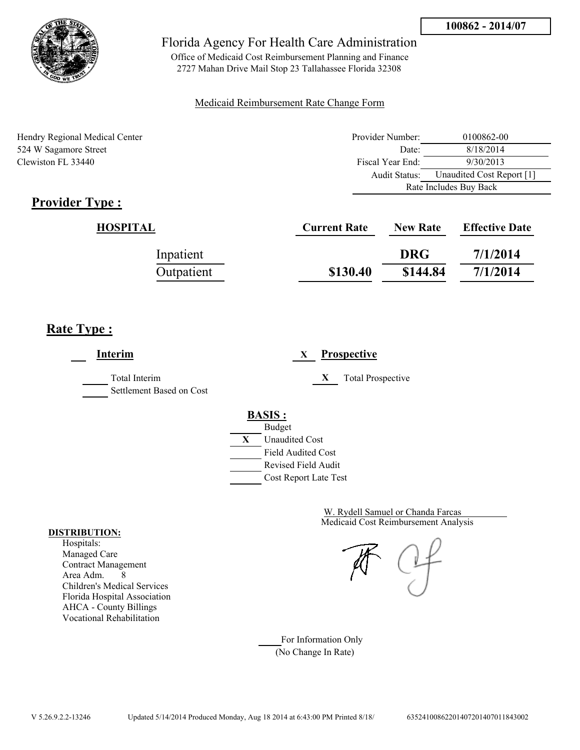

Office of Medicaid Cost Reimbursement Planning and Finance 2727 Mahan Drive Mail Stop 23 Tallahassee Florida 32308

### Medicaid Reimbursement Rate Change Form

Hendry Regional Medical Center 524 W Sagamore Street Clewiston FL 33440

| Provider Number:       | 0100862-00                |  |
|------------------------|---------------------------|--|
| Date:                  | 8/18/2014                 |  |
| Fiscal Year End:       | 9/30/2013                 |  |
| Audit Status:          | Unaudited Cost Report [1] |  |
| Rate Includes Buy Back |                           |  |

## **Provider Type :**

| HOSPITAL   | <b>Current Rate</b> | <b>New Rate</b> | <b>Effective Date</b> |
|------------|---------------------|-----------------|-----------------------|
| Inpatient  |                     | <b>DRG</b>      | 7/1/2014              |
| Outpatient | \$130.40            | \$144.84        | 7/1/2014              |

## **Rate Type :**

**Interim X Prospective** Total Interim **X** Total Prospective Settlement Based on Cost **BASIS :** Budget **X** Unaudited Cost Field Audited Cost Revised Field Audit Cost Report Late Test

> Medicaid Cost Reimbursement Analysis W. Rydell Samuel or Chanda Farcas

For Information Only (No Change In Rate)

#### **DISTRIBUTION:**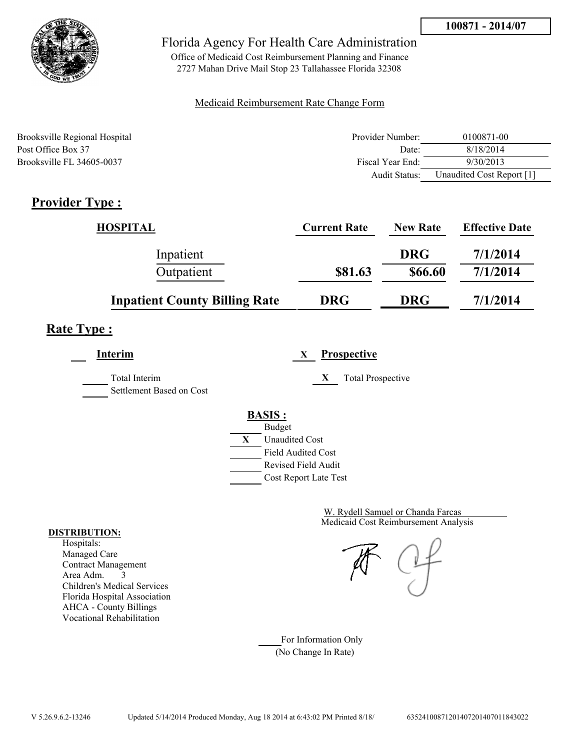

Office of Medicaid Cost Reimbursement Planning and Finance 2727 Mahan Drive Mail Stop 23 Tallahassee Florida 32308

### Medicaid Reimbursement Rate Change Form

| Brooksville Regional Hospital | Provider Number: | 0100871-00                |
|-------------------------------|------------------|---------------------------|
| Post Office Box 37            | Date:            | 8/18/2014                 |
| Brooksville FL 34605-0037     | Fiscal Year End: | 9/30/2013                 |
|                               | Audit Status:    | Unaudited Cost Report [1] |

## **Provider Type :**

| <b>HOSPITAL</b>                      | <b>Current Rate</b> | <b>New Rate</b> | <b>Effective Date</b> |
|--------------------------------------|---------------------|-----------------|-----------------------|
| Inpatient                            |                     | <b>DRG</b>      | 7/1/2014              |
| Outpatient                           | \$81.63             | \$66.60         | 7/1/2014              |
| <b>Inpatient County Billing Rate</b> | <b>DRG</b>          | <b>DRG</b>      | 7/1/2014              |

## **Rate Type :**

**Interim X Prospective**

Total Interim **X** Total Prospective Settlement Based on Cost

# **BASIS :**



Medicaid Cost Reimbursement Analysis W. Rydell Samuel or Chanda Farcas

For Information Only (No Change In Rate)

#### **DISTRIBUTION:**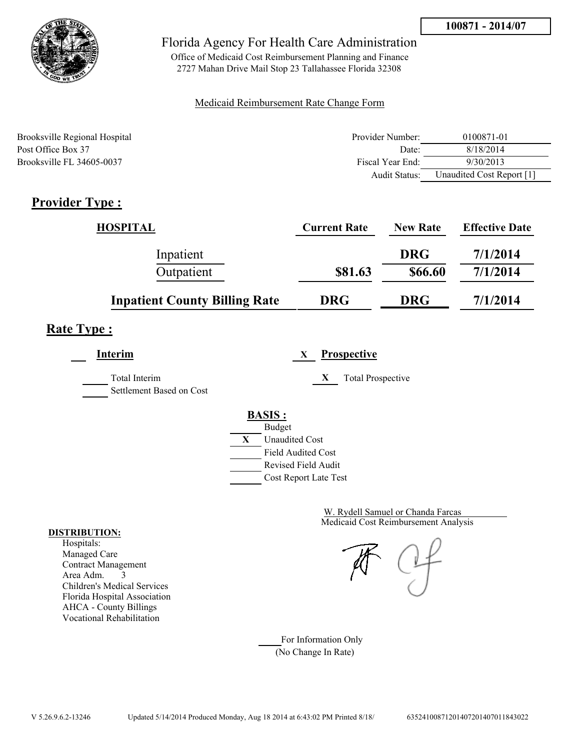

Office of Medicaid Cost Reimbursement Planning and Finance 2727 Mahan Drive Mail Stop 23 Tallahassee Florida 32308

### Medicaid Reimbursement Rate Change Form

| Brooksville Regional Hospital | Provider Number: | 0100871-01                |
|-------------------------------|------------------|---------------------------|
| Post Office Box 37            | Date:            | 8/18/2014                 |
| Brooksville FL 34605-0037     | Fiscal Year End: | 9/30/2013                 |
|                               | Audit Status:    | Unaudited Cost Report [1] |

## **Provider Type :**

| <b>HOSPITAL</b>                      | <b>Current Rate</b> | <b>New Rate</b> | <b>Effective Date</b> |
|--------------------------------------|---------------------|-----------------|-----------------------|
| Inpatient                            |                     | <b>DRG</b>      | 7/1/2014              |
| Outpatient                           | \$81.63             | \$66.60         | 7/1/2014              |
| <b>Inpatient County Billing Rate</b> | <b>DRG</b>          | <b>DRG</b>      | 7/1/2014              |

## **Rate Type :**

**Interim X Prospective**

Total Interim **X** Total Prospective Settlement Based on Cost

|   | <b>BASIS:</b>    |  |
|---|------------------|--|
|   | Budget           |  |
| X | <b>Unaudited</b> |  |
|   |                  |  |

Field Audited Cost Revised Field Audit

Cost Report Late Test

**Cost** 

Medicaid Cost Reimbursement Analysis W. Rydell Samuel or Chanda Farcas

For Information Only (No Change In Rate)

#### **DISTRIBUTION:**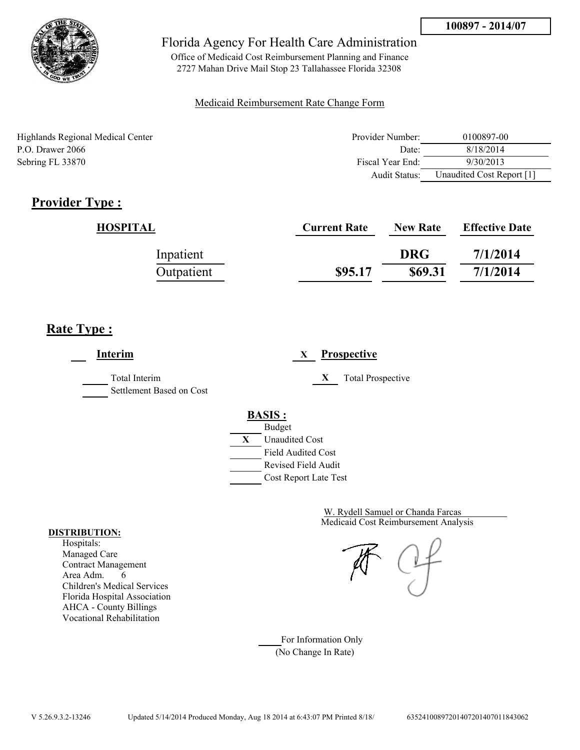

Office of Medicaid Cost Reimbursement Planning and Finance 2727 Mahan Drive Mail Stop 23 Tallahassee Florida 32308

### Medicaid Reimbursement Rate Change Form

Highlands Regional Medical Center P.O. Drawer 2066 Sebring FL 33870

| Provider Number: | 0100897-00                |
|------------------|---------------------------|
| Date:            | 8/18/2014                 |
| Fiscal Year End: | 9/30/2013                 |
| Audit Status:    | Unaudited Cost Report [1] |

## **Provider Type :**

| HOSPITAL   | <b>Current Rate</b> | <b>New Rate</b> | <b>Effective Date</b> |
|------------|---------------------|-----------------|-----------------------|
| Inpatient  |                     | <b>DRG</b>      | 7/1/2014              |
| Outpatient | \$95.17             | \$69.31         | 7/1/2014              |

## **Rate Type :**

**Interim X Prospective** Total Interim **X** Total Prospective Settlement Based on Cost **BASIS :** Budget **X** Unaudited Cost Field Audited Cost Revised Field Audit Cost Report Late Test

> Medicaid Cost Reimbursement Analysis W. Rydell Samuel or Chanda Farcas

For Information Only (No Change In Rate)

#### **DISTRIBUTION:**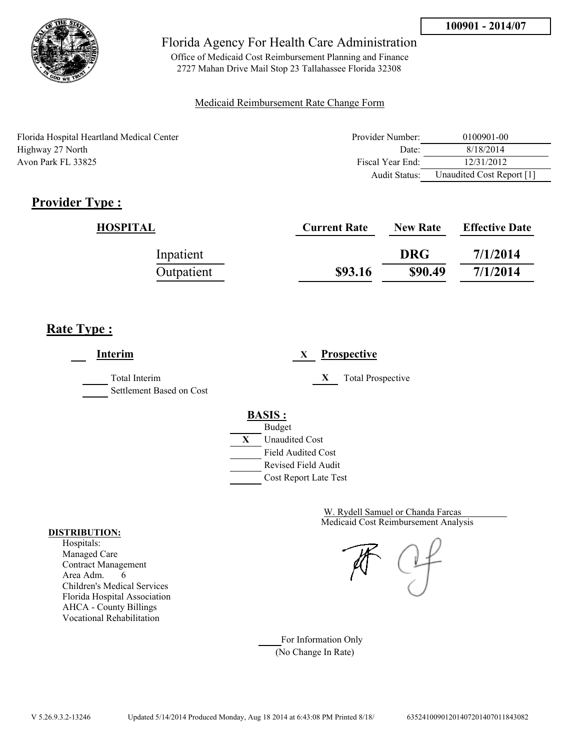

Office of Medicaid Cost Reimbursement Planning and Finance 2727 Mahan Drive Mail Stop 23 Tallahassee Florida 32308

### Medicaid Reimbursement Rate Change Form

| Florida Hospital Heartland Medical Center | Provider Number: | 0100901-00                |
|-------------------------------------------|------------------|---------------------------|
| Highway 27 North                          | Date:            | 8/18/2014                 |
| Avon Park FL 33825                        | Fiscal Year End: | 12/31/2012                |
|                                           | Audit Status:    | Unaudited Cost Report [1] |

## **Provider Type :**

| HOSPITAL   | <b>Current Rate</b> | <b>New Rate</b> | <b>Effective Date</b> |
|------------|---------------------|-----------------|-----------------------|
| Inpatient  |                     | <b>DRG</b>      | 7/1/2014              |
| Outpatient | \$93.16             | \$90.49         | 7/1/2014              |

## **Rate Type :**

**Interim X Prospective** Total Interim **X** Total Prospective Settlement Based on Cost **BASIS :** Budget **X** Unaudited Cost Field Audited Cost Revised Field Audit Cost Report Late Test

> Medicaid Cost Reimbursement Analysis W. Rydell Samuel or Chanda Farcas

For Information Only (No Change In Rate)

#### **DISTRIBUTION:**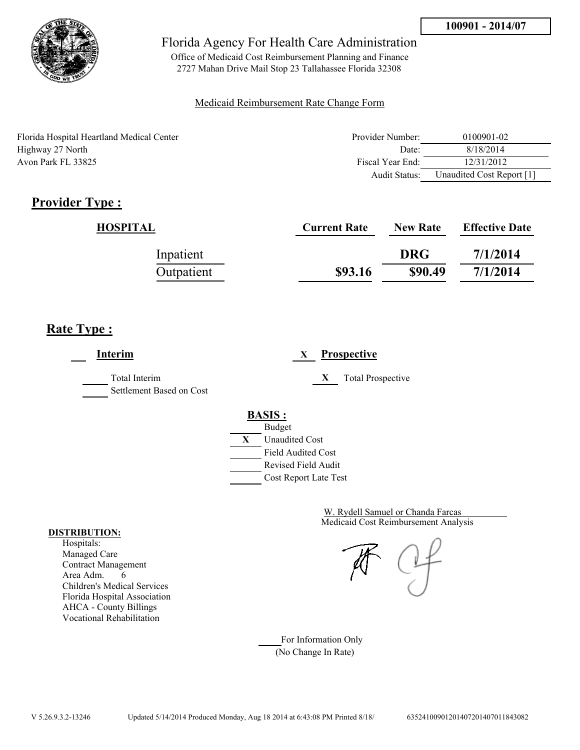

Office of Medicaid Cost Reimbursement Planning and Finance 2727 Mahan Drive Mail Stop 23 Tallahassee Florida 32308

### Medicaid Reimbursement Rate Change Form

| Florida Hospital Heartland Medical Center | Provider Number:     | 0100901-02                |
|-------------------------------------------|----------------------|---------------------------|
| Highway 27 North                          | Date:                | 8/18/2014                 |
| Avon Park FL 33825                        | Fiscal Year End:     | 12/31/2012                |
|                                           | <b>Audit Status:</b> | Unaudited Cost Report [1] |

## **Provider Type :**

| HOSPITAL   | <b>Current Rate</b> | <b>New Rate</b> | <b>Effective Date</b> |
|------------|---------------------|-----------------|-----------------------|
| Inpatient  |                     | <b>DRG</b>      | 7/1/2014              |
| Outpatient | \$93.16             | \$90.49         | 7/1/2014              |

### **Rate Type :**

L,

| <b>Interim</b>                            | <b>Prospective</b><br>X       |
|-------------------------------------------|-------------------------------|
| Total Interim<br>Settlement Based on Cost | X<br><b>Total Prospective</b> |
|                                           | <b>BASIS:</b>                 |
|                                           | <b>Budget</b>                 |
|                                           | X<br><b>Unaudited Cost</b>    |
|                                           | <b>Field Audited Cost</b>     |
|                                           | Revised Field Audit           |
|                                           | Cost Report Late Test         |

Medicaid Cost Reimbursement Analysis W. Rydell Samuel or Chanda Farcas

For Information Only (No Change In Rate)

#### **DISTRIBUTION:**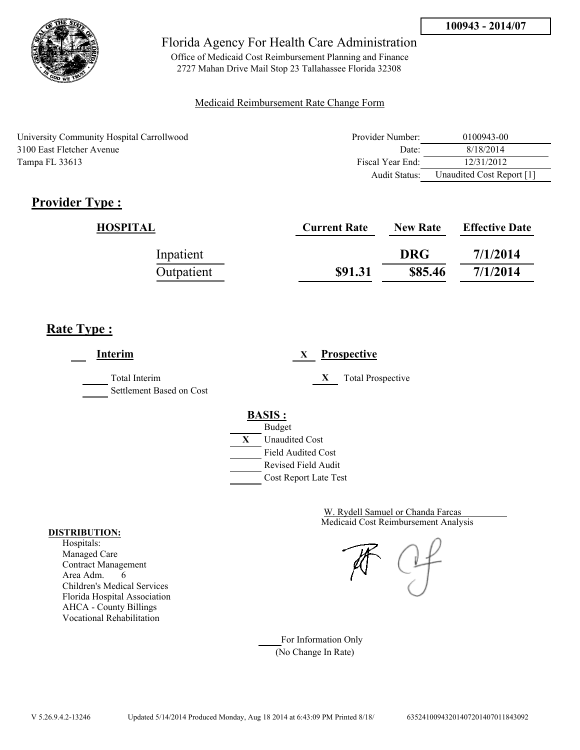

Office of Medicaid Cost Reimbursement Planning and Finance 2727 Mahan Drive Mail Stop 23 Tallahassee Florida 32308

### Medicaid Reimbursement Rate Change Form

University Community Hospital Carrollwood 3100 East Fletcher Avenue Tampa FL 33613

| Provider Number: | 0100943-00                |
|------------------|---------------------------|
| Date:            | 8/18/2014                 |
| Fiscal Year End: | 12/31/2012                |
| Audit Status:    | Unaudited Cost Report [1] |

## **Provider Type :**

| HOSPITAL   | <b>Current Rate</b> | <b>New Rate</b> | <b>Effective Date</b> |
|------------|---------------------|-----------------|-----------------------|
| Inpatient  |                     | <b>DRG</b>      | 7/1/2014              |
| Outpatient | \$91.31             | \$85.46         | 7/1/2014              |

### **Rate Type :**

**Interim X Prospective** Total Interim **X** Total Prospective Settlement Based on Cost **BASIS :** Budget **X** Unaudited Cost Field Audited Cost Revised Field Audit Cost Report Late Test

> Medicaid Cost Reimbursement Analysis W. Rydell Samuel or Chanda Farcas

For Information Only (No Change In Rate)

#### **DISTRIBUTION:**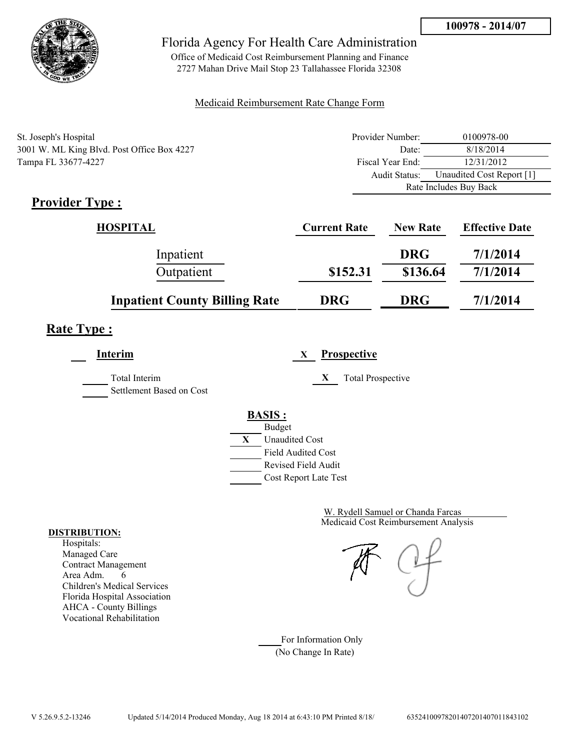

Office of Medicaid Cost Reimbursement Planning and Finance 2727 Mahan Drive Mail Stop 23 Tallahassee Florida 32308

### Medicaid Reimbursement Rate Change Form

| St. Joseph's Hospital                      | Provider Number: | 0100978-00                |
|--------------------------------------------|------------------|---------------------------|
| 3001 W. ML King Blvd. Post Office Box 4227 | Date:            | 8/18/2014                 |
| Tampa FL 33677-4227                        | Fiscal Year End: | 12/31/2012                |
|                                            | Audit Status:    | Unaudited Cost Report [1] |
|                                            |                  | Rate Includes Buy Back    |

## **Provider Type :**

| <b>HOSPITAL</b>                      | <b>Current Rate</b> | <b>New Rate</b> | <b>Effective Date</b> |
|--------------------------------------|---------------------|-----------------|-----------------------|
| Inpatient                            |                     | <b>DRG</b>      | 7/1/2014              |
| Outpatient                           | \$152.31            | \$136.64        | 7/1/2014              |
| <b>Inpatient County Billing Rate</b> | <b>DRG</b>          | <b>DRG</b>      | 7/1/2014              |

## **Rate Type :**

| Interim                                          | <b>Prospective</b><br>X                                                          |
|--------------------------------------------------|----------------------------------------------------------------------------------|
| <b>Total Interim</b><br>Settlement Based on Cost | X<br><b>Total Prospective</b>                                                    |
|                                                  | <b>BASIS:</b><br><b>Budget</b><br>X<br><b>Unaudited Cost</b>                     |
|                                                  | <b>Field Audited Cost</b><br><b>Revised Field Audit</b><br>Cost Report Late Test |

Medicaid Cost Reimbursement Analysis W. Rydell Samuel or Chanda Farcas

For Information Only (No Change In Rate)

#### **DISTRIBUTION:**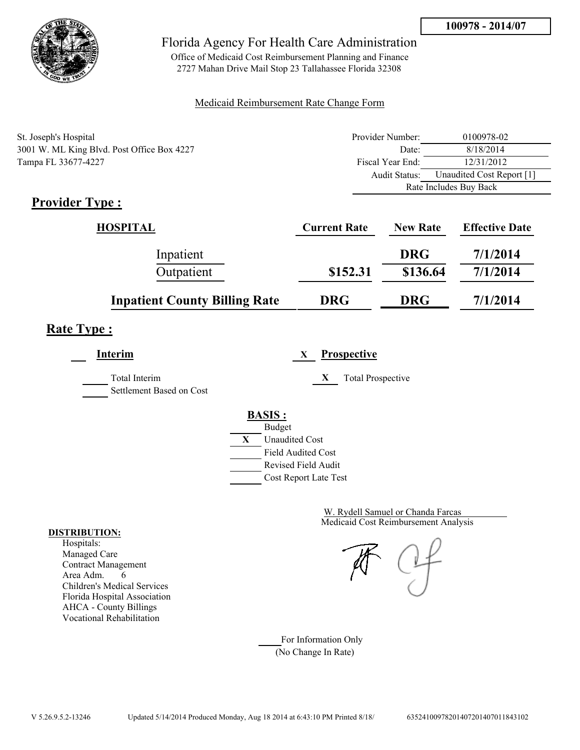

Office of Medicaid Cost Reimbursement Planning and Finance 2727 Mahan Drive Mail Stop 23 Tallahassee Florida 32308

### Medicaid Reimbursement Rate Change Form

| St. Joseph's Hospital                      | Provider Number: | 0100978-02                |
|--------------------------------------------|------------------|---------------------------|
| 3001 W. ML King Blvd. Post Office Box 4227 | Date:            | 8/18/2014                 |
| Tampa FL 33677-4227                        | Fiscal Year End: | 12/31/2012                |
|                                            | Audit Status:    | Unaudited Cost Report [1] |
|                                            |                  | Rate Includes Buy Back    |

## **Provider Type :**

| <b>HOSPITAL</b>                      | <b>Current Rate</b> | <b>New Rate</b> | <b>Effective Date</b> |
|--------------------------------------|---------------------|-----------------|-----------------------|
| Inpatient                            |                     | <b>DRG</b>      | 7/1/2014              |
| Outpatient                           | \$152.31            | \$136.64        | 7/1/2014              |
| <b>Inpatient County Billing Rate</b> | <b>DRG</b>          | <b>DRG</b>      | 7/1/2014              |

## **Rate Type :**

| <b>Interim</b>                            | <b>Prospective</b><br>X       |
|-------------------------------------------|-------------------------------|
| Total Interim<br>Settlement Based on Cost | X<br><b>Total Prospective</b> |
|                                           | <b>BASIS:</b>                 |
|                                           | <b>Budget</b>                 |
|                                           | X<br><b>Unaudited Cost</b>    |
|                                           | <b>Field Audited Cost</b>     |
|                                           | Revised Field Audit           |
|                                           | Cost Report Late Test         |
|                                           |                               |

Medicaid Cost Reimbursement Analysis W. Rydell Samuel or Chanda Farcas

For Information Only (No Change In Rate)

#### **DISTRIBUTION:**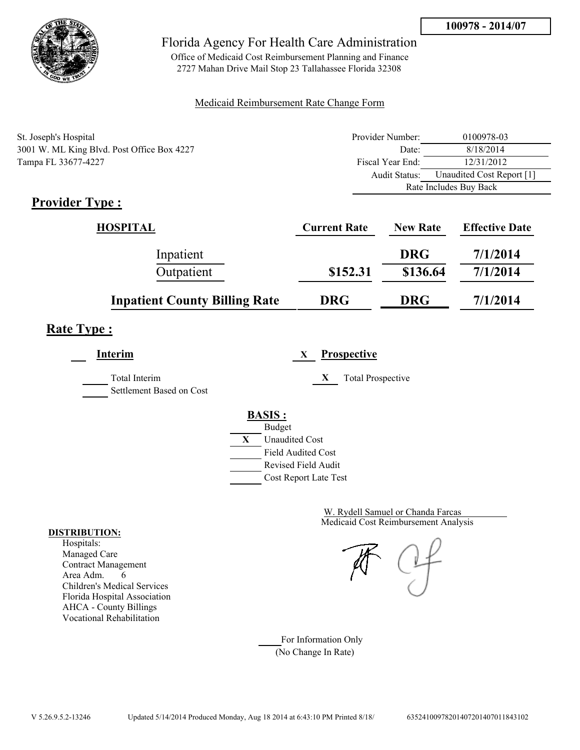

Office of Medicaid Cost Reimbursement Planning and Finance 2727 Mahan Drive Mail Stop 23 Tallahassee Florida 32308

### Medicaid Reimbursement Rate Change Form

| St. Joseph's Hospital                      | Provider Number: | 0100978-03                |
|--------------------------------------------|------------------|---------------------------|
| 3001 W. ML King Blvd. Post Office Box 4227 | Date:            | 8/18/2014                 |
| Tampa FL 33677-4227                        | Fiscal Year End: | 12/31/2012                |
|                                            | Audit Status:    | Unaudited Cost Report [1] |
|                                            |                  | Rate Includes Buy Back    |

## **Provider Type :**

| <b>HOSPITAL</b>                      | <b>Current Rate</b> | <b>New Rate</b> | <b>Effective Date</b> |
|--------------------------------------|---------------------|-----------------|-----------------------|
| Inpatient                            |                     | <b>DRG</b>      | 7/1/2014              |
| Outpatient                           | \$152.31            | \$136.64        | 7/1/2014              |
| <b>Inpatient County Billing Rate</b> | <b>DRG</b>          | <b>DRG</b>      | 7/1/2014              |

## **Rate Type :**

| Interim                                   | Prospective<br>X                                                          |
|-------------------------------------------|---------------------------------------------------------------------------|
| Total Interim<br>Settlement Based on Cost | X<br><b>Total Prospective</b>                                             |
|                                           | <b>BASIS:</b><br><b>Budget</b><br><b>Unaudited Cost</b><br>X              |
|                                           | <b>Field Audited Cost</b><br>Revised Field Audit<br>Cost Report Late Test |

Medicaid Cost Reimbursement Analysis W. Rydell Samuel or Chanda Farcas

For Information Only (No Change In Rate)

#### **DISTRIBUTION:**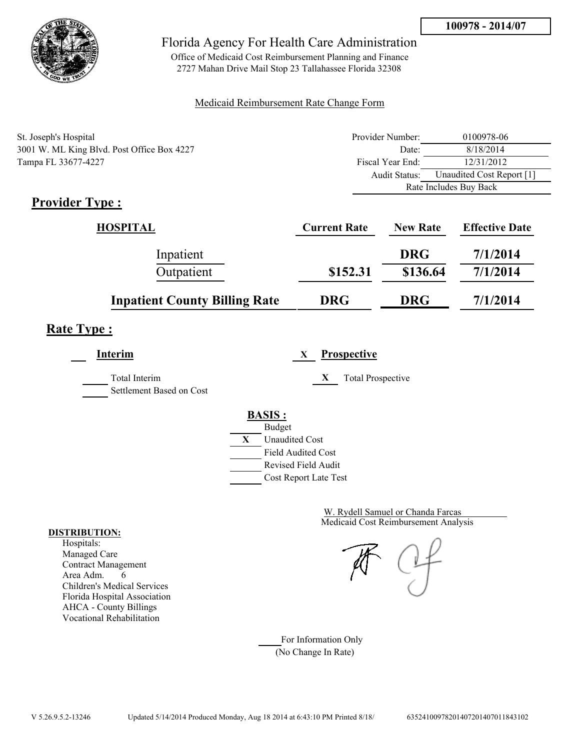

Office of Medicaid Cost Reimbursement Planning and Finance 2727 Mahan Drive Mail Stop 23 Tallahassee Florida 32308

### Medicaid Reimbursement Rate Change Form

| St. Joseph's Hospital                      | Provider Number: | 0100978-06                |
|--------------------------------------------|------------------|---------------------------|
| 3001 W. ML King Blvd. Post Office Box 4227 | Date:            | 8/18/2014                 |
| Tampa FL 33677-4227                        | Fiscal Year End: | 12/31/2012                |
|                                            | Audit Status:    | Unaudited Cost Report [1] |
|                                            |                  | Rate Includes Buy Back    |

## **Provider Type :**

| <b>HOSPITAL</b>                      | <b>Current Rate</b> | <b>New Rate</b> | <b>Effective Date</b> |
|--------------------------------------|---------------------|-----------------|-----------------------|
| Inpatient                            |                     | <b>DRG</b>      | 7/1/2014              |
| Outpatient                           | \$152.31            | \$136.64        | 7/1/2014              |
| <b>Inpatient County Billing Rate</b> | <b>DRG</b>          | <b>DRG</b>      | 7/1/2014              |

## **Rate Type :**

| Interim                                   |                                                              | X | <b>Prospective</b>            |
|-------------------------------------------|--------------------------------------------------------------|---|-------------------------------|
| Total Interim<br>Settlement Based on Cost |                                                              |   | X<br><b>Total Prospective</b> |
|                                           | <b>BASIS:</b><br><b>Budget</b><br>X<br><b>Unaudited Cost</b> |   |                               |
|                                           | <b>Field Audited Cost</b><br>Revised Field Audit             |   | Cost Report Late Test         |

Medicaid Cost Reimbursement Analysis W. Rydell Samuel or Chanda Farcas

For Information Only (No Change In Rate)

#### **DISTRIBUTION:**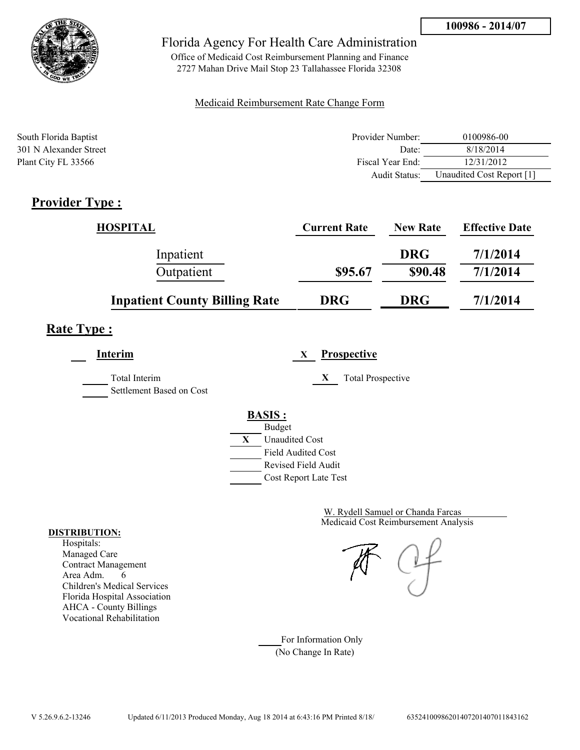

Office of Medicaid Cost Reimbursement Planning and Finance 2727 Mahan Drive Mail Stop 23 Tallahassee Florida 32308

### Medicaid Reimbursement Rate Change Form

| South Florida Baptist  | Provider Number: | 0100986-00                |
|------------------------|------------------|---------------------------|
| 301 N Alexander Street | Date:            | 8/18/2014                 |
| Plant City FL 33566    | Fiscal Year End: | 12/31/2012                |
|                        | Audit Status:    | Unaudited Cost Report [1] |

## **Provider Type :**

| <b>HOSPITAL</b>                      | <b>Current Rate</b> | <b>New Rate</b> | <b>Effective Date</b> |
|--------------------------------------|---------------------|-----------------|-----------------------|
| Inpatient                            |                     | <b>DRG</b>      | 7/1/2014              |
| Outpatient                           | \$95.67             | \$90.48         | 7/1/2014              |
| <b>Inpatient County Billing Rate</b> | <b>DRG</b>          | <b>DRG</b>      | 7/1/2014              |

### **Rate Type :**

**Interim X Prospective**

Total Interim **X** Total Prospective Settlement Based on Cost



Medicaid Cost Reimbursement Analysis W. Rydell Samuel or Chanda Farcas

For Information Only (No Change In Rate)

#### **DISTRIBUTION:**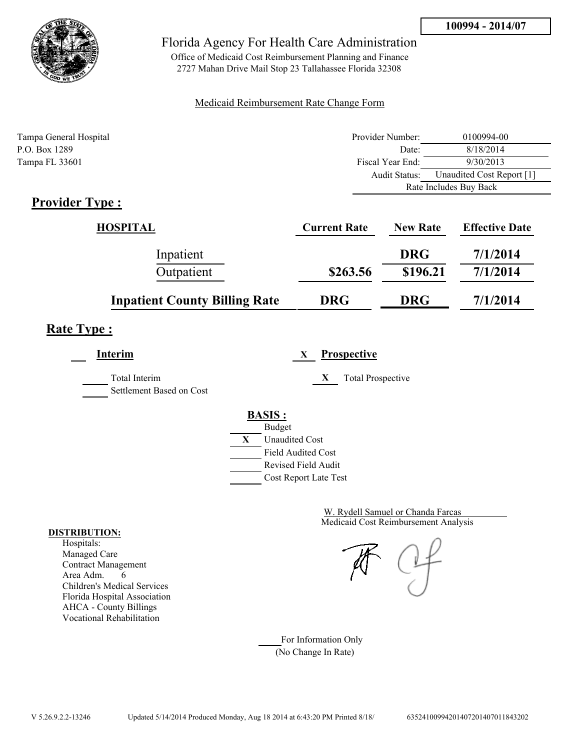

Office of Medicaid Cost Reimbursement Planning and Finance 2727 Mahan Drive Mail Stop 23 Tallahassee Florida 32308

### Medicaid Reimbursement Rate Change Form

| Tampa General Hospital | Provider Number: | 0100994-00                |  |
|------------------------|------------------|---------------------------|--|
| P.O. Box 1289          | Date:            | 8/18/2014                 |  |
| Tampa FL 33601         | Fiscal Year End: | 9/30/2013                 |  |
|                        | Audit Status:    | Unaudited Cost Report [1] |  |
|                        |                  | Rate Includes Buy Back    |  |

### **Provider Type :**

| HOSPITAL                             | <b>Current Rate</b> | <b>New Rate</b> | <b>Effective Date</b> |
|--------------------------------------|---------------------|-----------------|-----------------------|
| Inpatient                            |                     | <b>DRG</b>      | 7/1/2014              |
| Outpatient                           | \$263.56            | \$196.21        | 7/1/2014              |
| <b>Inpatient County Billing Rate</b> | <b>DRG</b>          | <b>DRG</b>      | 7/1/2014              |

## **Rate Type :**

**Interim X Prospective** Total Interim **X** Total Prospective Settlement Based on Cost **BASIS :**



Medicaid Cost Reimbursement Analysis W. Rydell Samuel or Chanda Farcas

For Information Only (No Change In Rate)

#### **DISTRIBUTION:**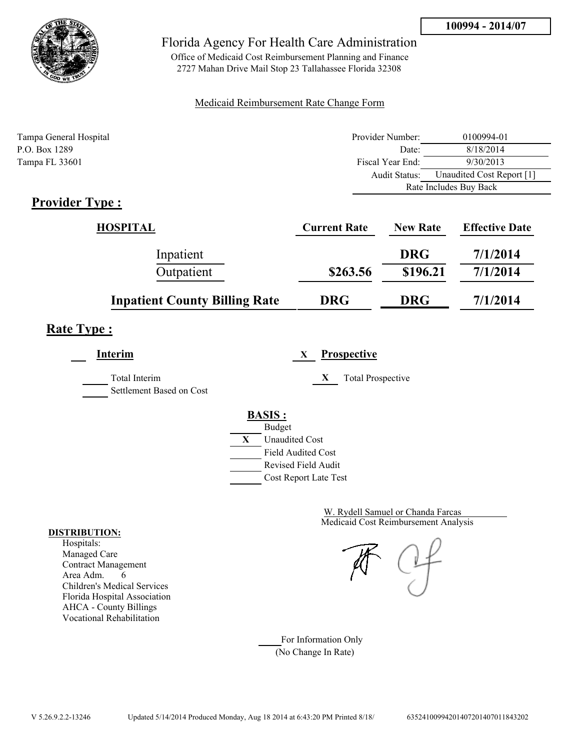

Office of Medicaid Cost Reimbursement Planning and Finance 2727 Mahan Drive Mail Stop 23 Tallahassee Florida 32308

### Medicaid Reimbursement Rate Change Form

| Tampa General Hospital | Provider Number: | 0100994-01                |  |
|------------------------|------------------|---------------------------|--|
| P.O. Box 1289          | Date:            | 8/18/2014                 |  |
| Tampa FL 33601         | Fiscal Year End: | 9/30/2013                 |  |
|                        | Audit Status:    | Unaudited Cost Report [1] |  |
|                        |                  | Rate Includes Buy Back    |  |

### **Provider Type :**

| HOSPITAL                             | <b>Current Rate</b> | <b>New Rate</b> | <b>Effective Date</b> |
|--------------------------------------|---------------------|-----------------|-----------------------|
| Inpatient                            |                     | <b>DRG</b>      | 7/1/2014              |
| Outpatient                           | \$263.56            | \$196.21        | 7/1/2014              |
| <b>Inpatient County Billing Rate</b> | <b>DRG</b>          | <b>DRG</b>      | 7/1/2014              |

## **Rate Type :**

**Interim X Prospective** Total Interim **X** Total Prospective

Settlement Based on Cost



Medicaid Cost Reimbursement Analysis W. Rydell Samuel or Chanda Farcas

For Information Only (No Change In Rate)

#### **DISTRIBUTION:**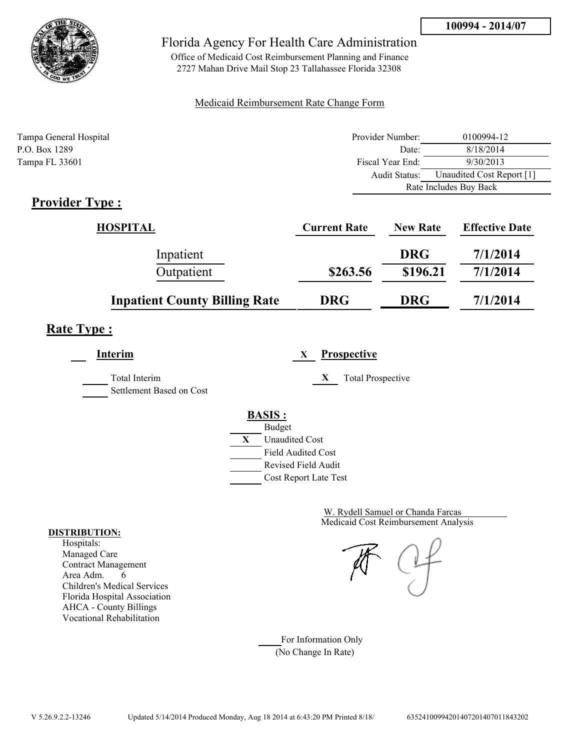

Office of Medicaid Cost Reimbursement Planning and Finance 2727 Mahan Drive Mail Stop 23 Tallahassee Florida 32308

### Medicaid Reimbursement Rate Change Form

| Tampa General Hospital | Provider Number: | 0100994-12                |  |
|------------------------|------------------|---------------------------|--|
| P.O. Box 1289          | Date:            | 8/18/2014                 |  |
| Tampa FL 33601         | Fiscal Year End: | 9/30/2013                 |  |
|                        | Audit Status:    | Unaudited Cost Report [1] |  |
|                        |                  | Rate Includes Buy Back    |  |

### **Provider Type :**

| HOSPITAL                             | <b>Current Rate</b> | <b>New Rate</b> | <b>Effective Date</b> |
|--------------------------------------|---------------------|-----------------|-----------------------|
| Inpatient                            |                     | <b>DRG</b>      | 7/1/2014              |
| Outpatient                           | \$263.56            | \$196.21        | 7/1/2014              |
| <b>Inpatient County Billing Rate</b> | <b>DRG</b>          | <b>DRG</b>      | 7/1/2014              |

## **Rate Type :**

**Interim X Prospective** Total Interim **X** Total Prospective Settlement Based on Cost **BASIS :** Budget **X** Unaudited Cost Field Audited Cost Revised Field Audit Cost Report Late Test

> Medicaid Cost Reimbursement Analysis W. Rydell Samuel or Chanda Farcas

For Information Only (No Change In Rate)

#### **DISTRIBUTION:**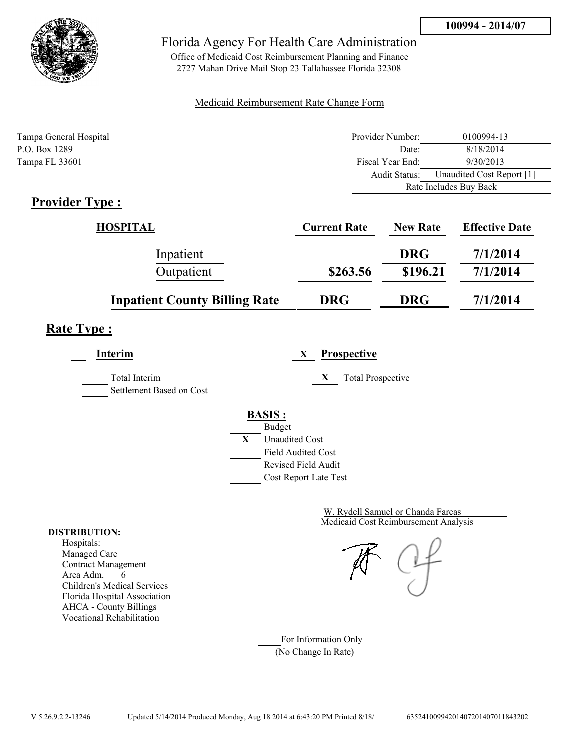

Office of Medicaid Cost Reimbursement Planning and Finance 2727 Mahan Drive Mail Stop 23 Tallahassee Florida 32308

### Medicaid Reimbursement Rate Change Form

| Tampa General Hospital | Provider Number: | 0100994-13                |  |
|------------------------|------------------|---------------------------|--|
| P.O. Box 1289          | Date:            | 8/18/2014                 |  |
| Tampa FL 33601         | Fiscal Year End: | 9/30/2013                 |  |
|                        | Audit Status:    | Unaudited Cost Report [1] |  |
|                        |                  | Rate Includes Buy Back    |  |

### **Provider Type :**

| HOSPITAL                             | <b>Current Rate</b> | <b>New Rate</b> | <b>Effective Date</b> |
|--------------------------------------|---------------------|-----------------|-----------------------|
| Inpatient                            |                     | <b>DRG</b>      | 7/1/2014              |
| Outpatient                           | \$263.56            | \$196.21        | 7/1/2014              |
| <b>Inpatient County Billing Rate</b> | <b>DRG</b>          | <b>DRG</b>      | 7/1/2014              |

## **Rate Type :**

**Interim X Prospective** Total Interim **X** Total Prospective Settlement Based on Cost **BASIS :** Budget **X** Unaudited Cost Field Audited Cost Revised Field Audit Cost Report Late Test

> Medicaid Cost Reimbursement Analysis W. Rydell Samuel or Chanda Farcas

For Information Only (No Change In Rate)

#### **DISTRIBUTION:**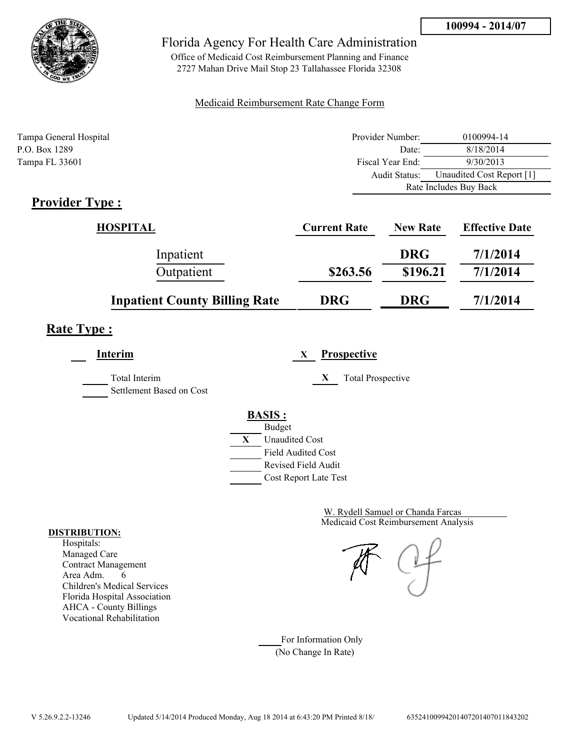

Office of Medicaid Cost Reimbursement Planning and Finance 2727 Mahan Drive Mail Stop 23 Tallahassee Florida 32308

### Medicaid Reimbursement Rate Change Form

| Tampa General Hospital | Provider Number: | 0100994-14                |  |
|------------------------|------------------|---------------------------|--|
| P.O. Box 1289          | Date:            | 8/18/2014                 |  |
| Tampa FL 33601         | Fiscal Year End: | 9/30/2013                 |  |
|                        | Audit Status:    | Unaudited Cost Report [1] |  |
|                        |                  | Rate Includes Buy Back    |  |

## **Provider Type :**

| HOSPITAL                             | <b>Current Rate</b> | <b>New Rate</b> | <b>Effective Date</b> |
|--------------------------------------|---------------------|-----------------|-----------------------|
| Inpatient                            |                     | <b>DRG</b>      | 7/1/2014              |
| Outpatient                           | \$263.56            | \$196.21        | 7/1/2014              |
| <b>Inpatient County Billing Rate</b> | <b>DRG</b>          | <b>DRG</b>      | 7/1/2014              |

### **Rate Type :**

| Interim                                   | <b>Prospective</b><br>X                                                                                                                   |
|-------------------------------------------|-------------------------------------------------------------------------------------------------------------------------------------------|
| Total Interim<br>Settlement Based on Cost | X<br><b>Total Prospective</b>                                                                                                             |
|                                           | <b>BASIS:</b><br><b>Budget</b><br>X<br><b>Unaudited Cost</b><br><b>Field Audited Cost</b><br>Revised Field Audit<br>Cost Report Late Test |

Medicaid Cost Reimbursement Analysis W. Rydell Samuel or Chanda Farcas

For Information Only (No Change In Rate)

#### **DISTRIBUTION:**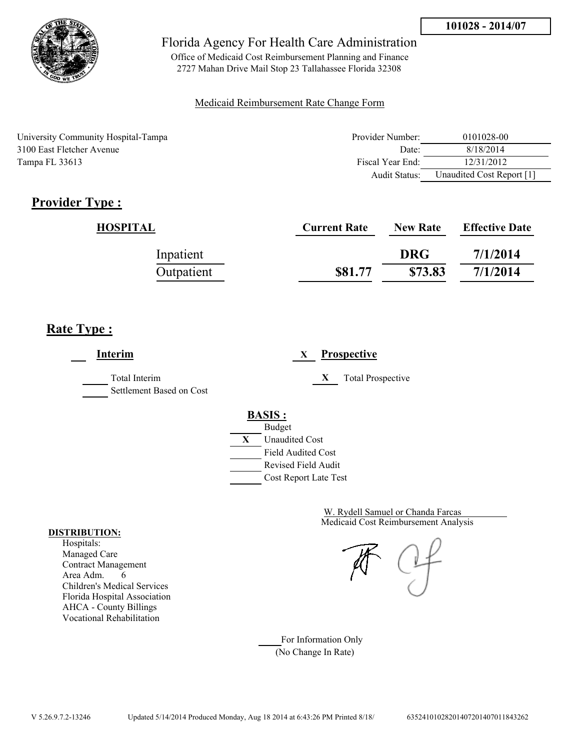

Office of Medicaid Cost Reimbursement Planning and Finance 2727 Mahan Drive Mail Stop 23 Tallahassee Florida 32308

### Medicaid Reimbursement Rate Change Form

University Community Hospital-Tampa 3100 East Fletcher Avenue Tampa FL 33613

| Provider Number: | 0101028-00                |
|------------------|---------------------------|
| Date             | 8/18/2014                 |
| Fiscal Year End: | 12/31/2012                |
| Audit Status:    | Unaudited Cost Report [1] |

## **Provider Type :**

| HOSPITAL   | <b>Current Rate</b> | <b>New Rate</b> | <b>Effective Date</b> |
|------------|---------------------|-----------------|-----------------------|
| Inpatient  |                     | <b>DRG</b>      | 7/1/2014              |
| Outpatient | \$81.77             | \$73.83         | 7/1/2014              |

### **Rate Type :**

**Interim X Prospective** Total Interim **X** Total Prospective Settlement Based on Cost **BASIS :** Budget **X** Unaudited Cost Field Audited Cost Revised Field Audit Cost Report Late Test

> Medicaid Cost Reimbursement Analysis W. Rydell Samuel or Chanda Farcas

For Information Only (No Change In Rate)

#### **DISTRIBUTION:**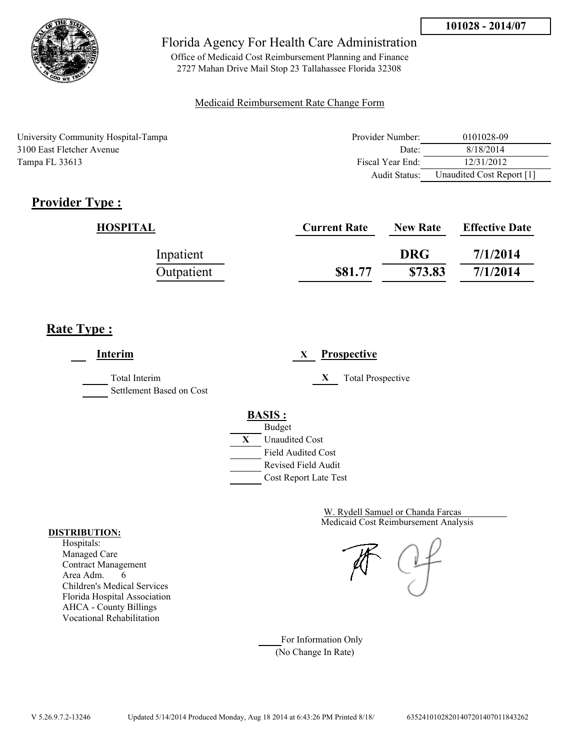

Office of Medicaid Cost Reimbursement Planning and Finance 2727 Mahan Drive Mail Stop 23 Tallahassee Florida 32308

### Medicaid Reimbursement Rate Change Form

University Community Hospital-Tampa 3100 East Fletcher Avenue Tampa FL 33613

| Provider Number: | 0101028-09                |
|------------------|---------------------------|
| Date             | 8/18/2014                 |
| Fiscal Year End: | 12/31/2012                |
| Audit Status:    | Unaudited Cost Report [1] |

## **Provider Type :**

| HOSPITAL   | <b>Current Rate</b> | <b>New Rate</b> | <b>Effective Date</b> |
|------------|---------------------|-----------------|-----------------------|
| Inpatient  |                     | <b>DRG</b>      | 7/1/2014              |
| Outpatient | \$81.77             | \$73.83         | 7/1/2014              |

## **Rate Type :**

**Interim X Prospective** Total Interim **X** Total Prospective Settlement Based on Cost **BASIS :** Budget **X** Unaudited Cost Field Audited Cost Revised Field Audit Cost Report Late Test

> Medicaid Cost Reimbursement Analysis W. Rydell Samuel or Chanda Farcas

For Information Only (No Change In Rate)

#### **DISTRIBUTION:**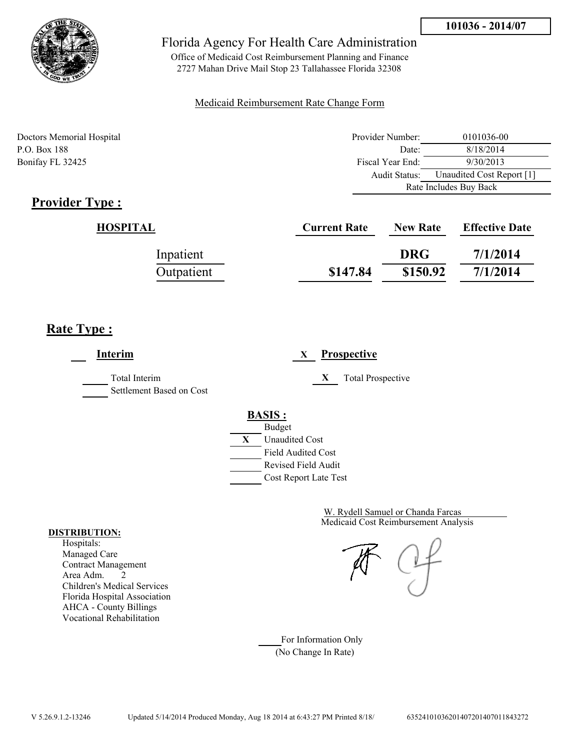Rate Includes Buy Back



### Florida Agency For Health Care Administration

Office of Medicaid Cost Reimbursement Planning and Finance 2727 Mahan Drive Mail Stop 23 Tallahassee Florida 32308

### Medicaid Reimbursement Rate Change Form

Doctors Memorial Hospital Provider Number: 0101036-00 P.O. Box 188 8/18/2014 Bonifay FL 32425 **Fiscal Year End:** 9/30/2013 Audit Status: Unaudited Cost Report [1]

## **Provider Type :**

| <b>Current Rate</b> | <b>New Rate</b> | <b>Effective Date</b> |
|---------------------|-----------------|-----------------------|
|                     | <b>DRG</b>      | 7/1/2014              |
| \$147.84            | \$150.92        | 7/1/2014              |
|                     |                 |                       |

## **Rate Type :**

**Interim X Prospective** Total Interim **X** Total Prospective Settlement Based on Cost **BASIS :** Budget **X** Unaudited Cost Field Audited Cost Revised Field Audit Cost Report Late Test

> Medicaid Cost Reimbursement Analysis W. Rydell Samuel or Chanda Farcas

For Information Only (No Change In Rate)

#### **DISTRIBUTION:**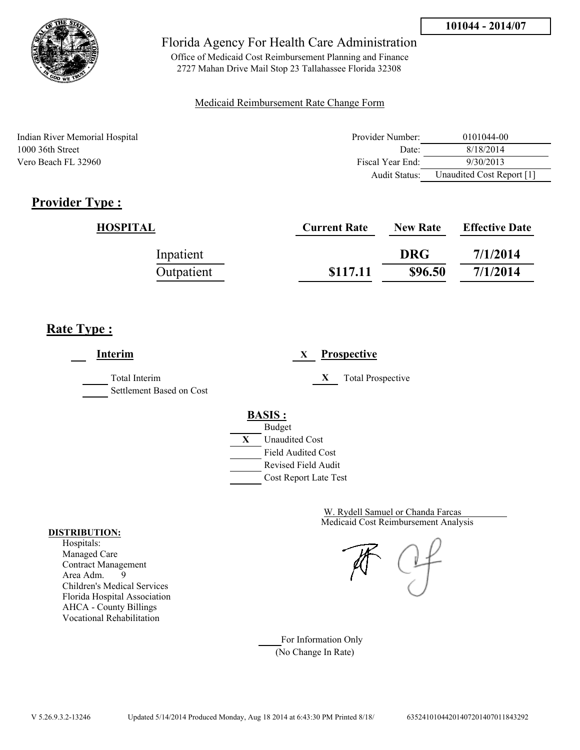

Office of Medicaid Cost Reimbursement Planning and Finance 2727 Mahan Drive Mail Stop 23 Tallahassee Florida 32308

### Medicaid Reimbursement Rate Change Form

Indian River Memorial Hospital 1000 36th Street Vero Beach FL 32960

| Provider Number: | 0101044-00                |
|------------------|---------------------------|
| Date             | 8/18/2014                 |
| Fiscal Year End: | 9/30/2013                 |
| Audit Status:    | Unaudited Cost Report [1] |

## **Provider Type :**

| HOSPITAL   | <b>Current Rate</b> | <b>New Rate</b> | <b>Effective Date</b> |
|------------|---------------------|-----------------|-----------------------|
| Inpatient  |                     | <b>DRG</b>      | 7/1/2014              |
| Outpatient | \$117.11            | \$96.50         | 7/1/2014              |

### **Rate Type :**

**Interim X Prospective** Total Interim **X** Total Prospective Settlement Based on Cost **BASIS :** Budget **X** Unaudited Cost Field Audited Cost Revised Field Audit Cost Report Late Test

> Medicaid Cost Reimbursement Analysis W. Rydell Samuel or Chanda Farcas

For Information Only (No Change In Rate)

#### **DISTRIBUTION:**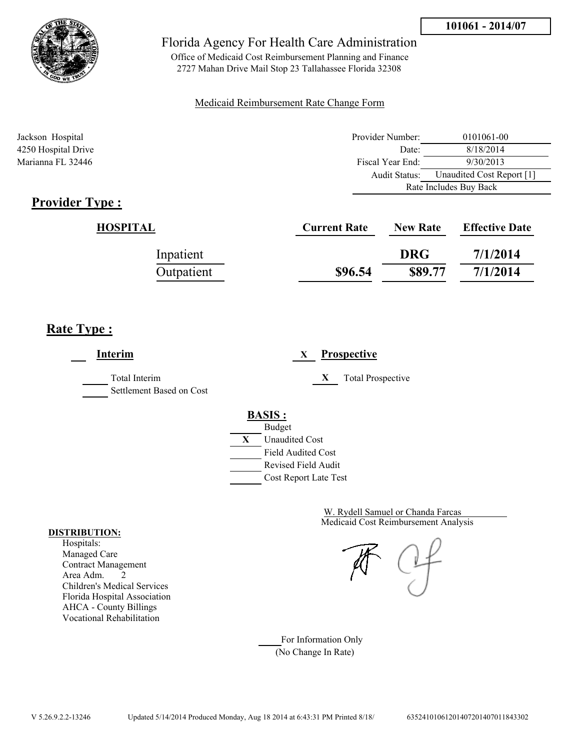

Office of Medicaid Cost Reimbursement Planning and Finance 2727 Mahan Drive Mail Stop 23 Tallahassee Florida 32308

### Medicaid Reimbursement Rate Change Form

| Jackson Hospital    | Provider Number:     | 0101061-00                |  |
|---------------------|----------------------|---------------------------|--|
| 4250 Hospital Drive | Date:                | 8/18/2014                 |  |
| Marianna FL 32446   | Fiscal Year End:     | 9/30/2013                 |  |
|                     | <b>Audit Status:</b> | Unaudited Cost Report [1] |  |
|                     |                      | Rate Includes Buy Back    |  |

### **Provider Type :**

| HOSPITAL   | <b>Current Rate</b> | <b>New Rate</b> | <b>Effective Date</b> |
|------------|---------------------|-----------------|-----------------------|
| Inpatient  |                     | <b>DRG</b>      | 7/1/2014              |
| Outpatient | \$96.54             | \$89.77         | 7/1/2014              |

### **Rate Type :**

j.

| Interim                                          | <b>Prospective</b><br>X                                 |
|--------------------------------------------------|---------------------------------------------------------|
| <b>Total Interim</b><br>Settlement Based on Cost | X<br><b>Total Prospective</b>                           |
|                                                  | <b>BASIS:</b>                                           |
|                                                  | <b>Budget</b><br>X<br><b>Unaudited Cost</b>             |
|                                                  | <b>Field Audited Cost</b><br><b>Revised Field Audit</b> |
|                                                  | Cost Report Late Test                                   |

Medicaid Cost Reimbursement Analysis W. Rydell Samuel or Chanda Farcas

For Information Only (No Change In Rate)

#### **DISTRIBUTION:**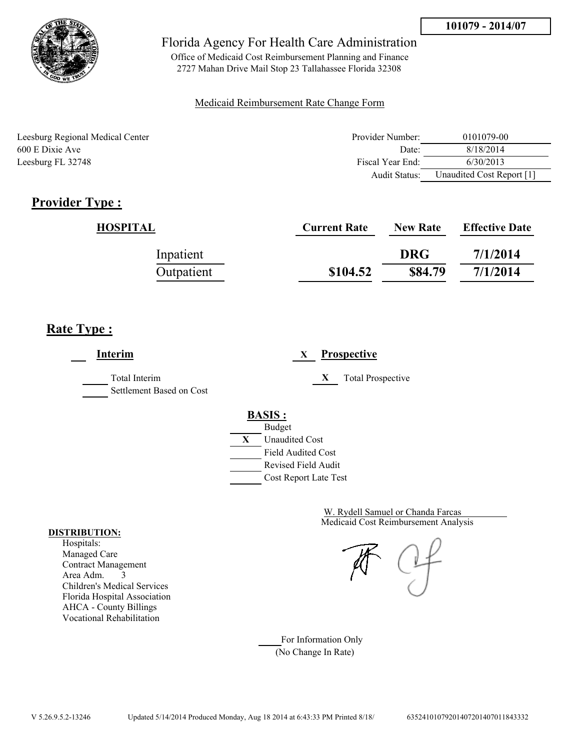

Office of Medicaid Cost Reimbursement Planning and Finance 2727 Mahan Drive Mail Stop 23 Tallahassee Florida 32308

### Medicaid Reimbursement Rate Change Form

Leesburg Regional Medical Center 600 E Dixie Ave Leesburg FL 32748

| Provider Number: | 0101079-00                |
|------------------|---------------------------|
| Date:            | 8/18/2014                 |
| Fiscal Year End: | 6/30/2013                 |
| Audit Status:    | Unaudited Cost Report [1] |

## **Provider Type :**

| HOSPITAL   | <b>Current Rate</b> | <b>New Rate</b> | <b>Effective Date</b> |
|------------|---------------------|-----------------|-----------------------|
| Inpatient  |                     | <b>DRG</b>      | 7/1/2014              |
| Outpatient | \$104.52            | \$84.79         | 7/1/2014              |

### **Rate Type :**

**Interim X Prospective** Total Interim **X** Total Prospective Settlement Based on Cost **BASIS :** Budget **X** Unaudited Cost Field Audited Cost Revised Field Audit Cost Report Late Test

> Medicaid Cost Reimbursement Analysis W. Rydell Samuel or Chanda Farcas

For Information Only (No Change In Rate)

#### **DISTRIBUTION:**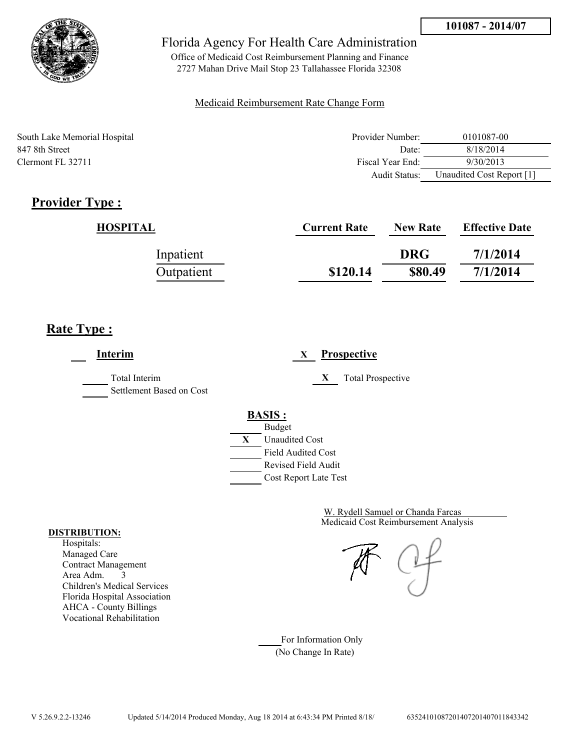

Office of Medicaid Cost Reimbursement Planning and Finance 2727 Mahan Drive Mail Stop 23 Tallahassee Florida 32308

### Medicaid Reimbursement Rate Change Form

| South Lake Memorial Hospital | Provider Number: | 0101087-00                |
|------------------------------|------------------|---------------------------|
| 847 8th Street               | Date:            | 8/18/2014                 |
| Clermont FL 32711            | Fiscal Year End: | 9/30/2013                 |
|                              | Audit Status:    | Unaudited Cost Report [1] |

## **Provider Type :**

| HOSPITAL   | <b>Current Rate</b> | <b>New Rate</b> | <b>Effective Date</b> |
|------------|---------------------|-----------------|-----------------------|
| Inpatient  |                     | <b>DRG</b>      | 7/1/2014              |
| Outpatient | \$120.14            | \$80.49         | 7/1/2014              |

### **Rate Type :**

**Interim X Prospective** Total Interim **X** Total Prospective Settlement Based on Cost **BASIS :** Budget **X** Unaudited Cost Field Audited Cost Revised Field Audit Cost Report Late Test

> Medicaid Cost Reimbursement Analysis W. Rydell Samuel or Chanda Farcas

For Information Only (No Change In Rate)

#### **DISTRIBUTION:**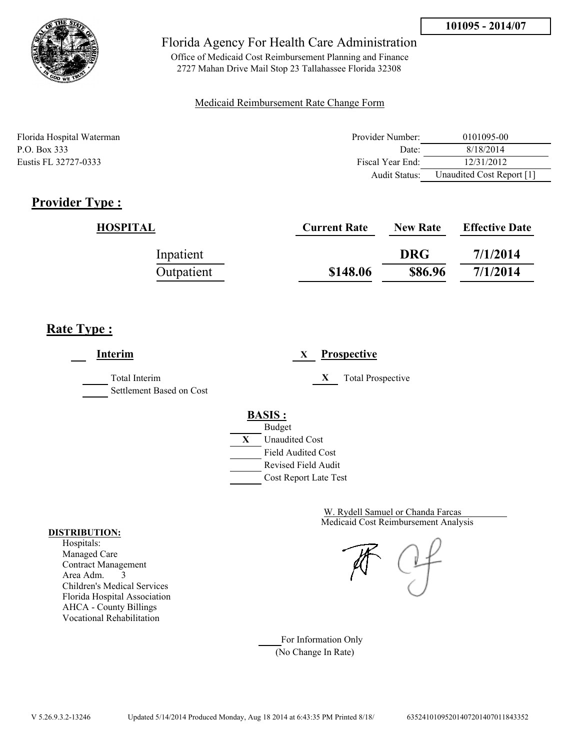

Office of Medicaid Cost Reimbursement Planning and Finance 2727 Mahan Drive Mail Stop 23 Tallahassee Florida 32308

### Medicaid Reimbursement Rate Change Form

| Florida Hospital Waterman | Provider Number: | 0101095-00                |
|---------------------------|------------------|---------------------------|
| P.O. Box 333              | Date:            | 8/18/2014                 |
| Eustis FL 32727-0333      | Fiscal Year End: | 12/31/2012                |
|                           | Audit Status:    | Unaudited Cost Report [1] |

### **Provider Type :**

| HOSPITAL   | <b>Current Rate</b> | <b>New Rate</b> | <b>Effective Date</b> |
|------------|---------------------|-----------------|-----------------------|
| Inpatient  |                     | <b>DRG</b>      | 7/1/2014              |
| Outpatient | \$148.06            | \$86.96         | 7/1/2014              |

## **Rate Type :**

**Interim X Prospective** Total Interim **X** Total Prospective Settlement Based on Cost **BASIS :** Budget **X** Unaudited Cost Field Audited Cost Revised Field Audit Cost Report Late Test

> Medicaid Cost Reimbursement Analysis W. Rydell Samuel or Chanda Farcas

For Information Only (No Change In Rate)

#### **DISTRIBUTION:**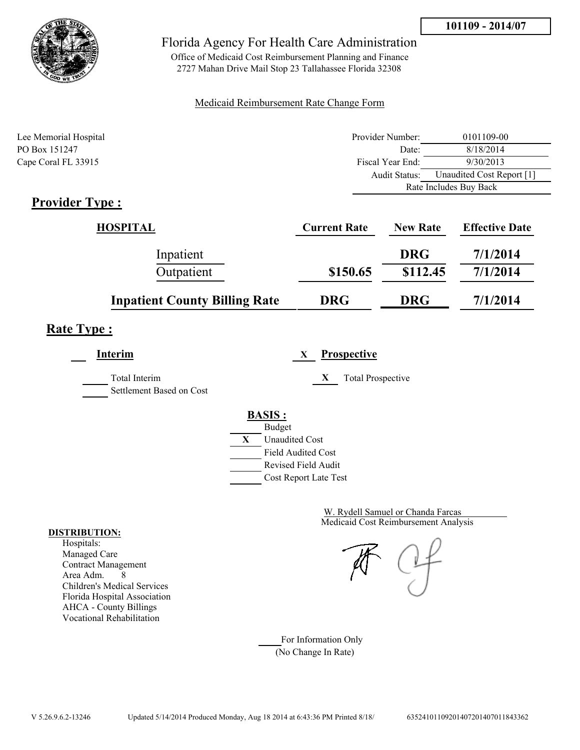



Office of Medicaid Cost Reimbursement Planning and Finance 2727 Mahan Drive Mail Stop 23 Tallahassee Florida 32308

#### Medicaid Reimbursement Rate Change Form

| Lee Memorial Hospital | Provider Number: | 0101109-00                |
|-----------------------|------------------|---------------------------|
| PO Box 151247         | Date:            | 8/18/2014                 |
| Cape Coral FL 33915   | Fiscal Year End: | 9/30/2013                 |
|                       | Audit Status:    | Unaudited Cost Report [1] |
|                       |                  | Rate Includes Buy Back    |
| $Dnon$ : $Aon Tmax$   |                  |                           |

## **Provider Type :**

| <b>HOSPITAL</b>                      | <b>Current Rate</b> | <b>New Rate</b> | <b>Effective Date</b> |
|--------------------------------------|---------------------|-----------------|-----------------------|
| Inpatient                            |                     | <b>DRG</b>      | 7/1/2014              |
| Outpatient                           | \$150.65            | \$112.45        | 7/1/2014              |
| <b>Inpatient County Billing Rate</b> | <b>DRG</b>          | <b>DRG</b>      | 7/1/2014              |

# **Rate Type :**

**Interim X Prospective** Total Interim **X** Total Prospective Settlement Based on Cost **BASIS :** Budget **X** Unaudited Cost Field Audited Cost Revised Field Audit Cost Report Late Test

> Medicaid Cost Reimbursement Analysis W. Rydell Samuel or Chanda Farcas

For Information Only (No Change In Rate)

#### **DISTRIBUTION:**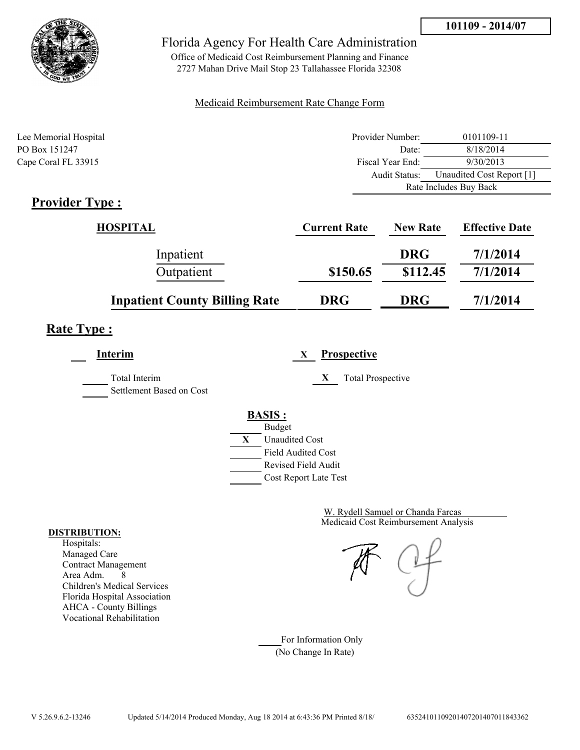



Office of Medicaid Cost Reimbursement Planning and Finance 2727 Mahan Drive Mail Stop 23 Tallahassee Florida 32308

#### Medicaid Reimbursement Rate Change Form

| Lee Memorial Hospital       | Provider Number: | 0101109-11                |
|-----------------------------|------------------|---------------------------|
| PO Box 151247               | Date:            | 8/18/2014                 |
| Cape Coral FL 33915         | Fiscal Year End: | 9/30/2013                 |
|                             | Audit Status:    | Unaudited Cost Report [1] |
|                             |                  | Rate Includes Buy Back    |
| $\mathbf{D}_{\text{model}}$ |                  |                           |

## **Provider Type :**

| <b>HOSPITAL</b>                      | <b>Current Rate</b> | <b>New Rate</b> | <b>Effective Date</b> |
|--------------------------------------|---------------------|-----------------|-----------------------|
| Inpatient                            |                     | <b>DRG</b>      | 7/1/2014              |
| Outpatient                           | \$150.65            | \$112.45        | 7/1/2014              |
| <b>Inpatient County Billing Rate</b> | <b>DRG</b>          | <b>DRG</b>      | 7/1/2014              |

# **Rate Type :**

**Interim X Prospective** Total Interim **X** Total Prospective Settlement Based on Cost **BASIS :** Budget **X** Unaudited Cost Field Audited Cost Revised Field Audit Cost Report Late Test

> Medicaid Cost Reimbursement Analysis W. Rydell Samuel or Chanda Farcas

For Information Only (No Change In Rate)

#### **DISTRIBUTION:**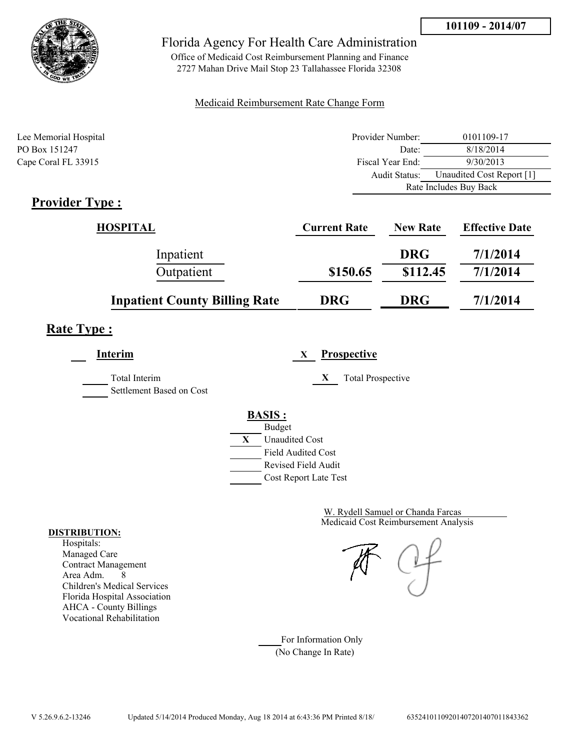



Office of Medicaid Cost Reimbursement Planning and Finance 2727 Mahan Drive Mail Stop 23 Tallahassee Florida 32308

#### Medicaid Reimbursement Rate Change Form

| Lee Memorial Hospital       | Provider Number: | 0101109-17                |
|-----------------------------|------------------|---------------------------|
| PO Box 151247               | Date:            | 8/18/2014                 |
| Cape Coral FL 33915         | Fiscal Year End: | 9/30/2013                 |
|                             | Audit Status:    | Unaudited Cost Report [1] |
|                             |                  | Rate Includes Buy Back    |
| $\mathbf{D}_{\text{model}}$ |                  |                           |

## **Provider Type :**

| <b>HOSPITAL</b>                      | <b>Current Rate</b> | <b>New Rate</b> | <b>Effective Date</b> |
|--------------------------------------|---------------------|-----------------|-----------------------|
| Inpatient                            |                     | <b>DRG</b>      | 7/1/2014              |
| Outpatient                           | \$150.65            | \$112.45        | 7/1/2014              |
| <b>Inpatient County Billing Rate</b> | <b>DRG</b>          | <b>DRG</b>      | 7/1/2014              |

# **Rate Type :**

**Interim X Prospective** Total Interim **X** Total Prospective Settlement Based on Cost **BASIS :** Budget **X** Unaudited Cost Field Audited Cost Revised Field Audit Cost Report Late Test

> Medicaid Cost Reimbursement Analysis W. Rydell Samuel or Chanda Farcas

For Information Only (No Change In Rate)

#### **DISTRIBUTION:**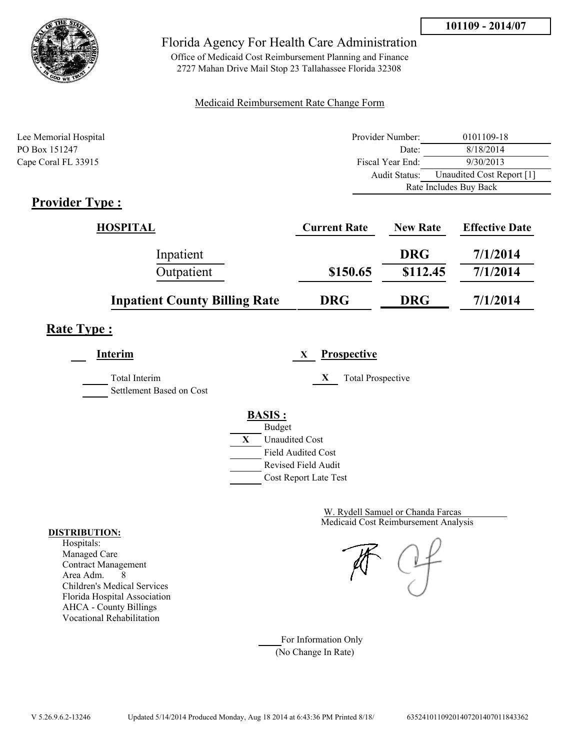



Office of Medicaid Cost Reimbursement Planning and Finance 2727 Mahan Drive Mail Stop 23 Tallahassee Florida 32308

#### Medicaid Reimbursement Rate Change Form

| Lee Memorial Hospital       | Provider Number: | 0101109-18                |
|-----------------------------|------------------|---------------------------|
| PO Box 151247               | Date:            | 8/18/2014                 |
| Cape Coral FL 33915         | Fiscal Year End: | 9/30/2013                 |
|                             | Audit Status:    | Unaudited Cost Report [1] |
|                             |                  | Rate Includes Buy Back    |
| $\mathbf{D}_{\text{model}}$ |                  |                           |

## **Provider Type :**

| <b>HOSPITAL</b>                      | <b>Current Rate</b> | <b>New Rate</b> | <b>Effective Date</b> |
|--------------------------------------|---------------------|-----------------|-----------------------|
| Inpatient                            |                     | <b>DRG</b>      | 7/1/2014              |
| Outpatient                           | \$150.65            | \$112.45        | 7/1/2014              |
| <b>Inpatient County Billing Rate</b> | <b>DRG</b>          | <b>DRG</b>      | 7/1/2014              |

# **Rate Type :**

**Interim X Prospective** Total Interim **X** Total Prospective Settlement Based on Cost **BASIS :** Budget **X** Unaudited Cost Field Audited Cost Revised Field Audit Cost Report Late Test

> Medicaid Cost Reimbursement Analysis W. Rydell Samuel or Chanda Farcas

For Information Only (No Change In Rate)

#### **DISTRIBUTION:**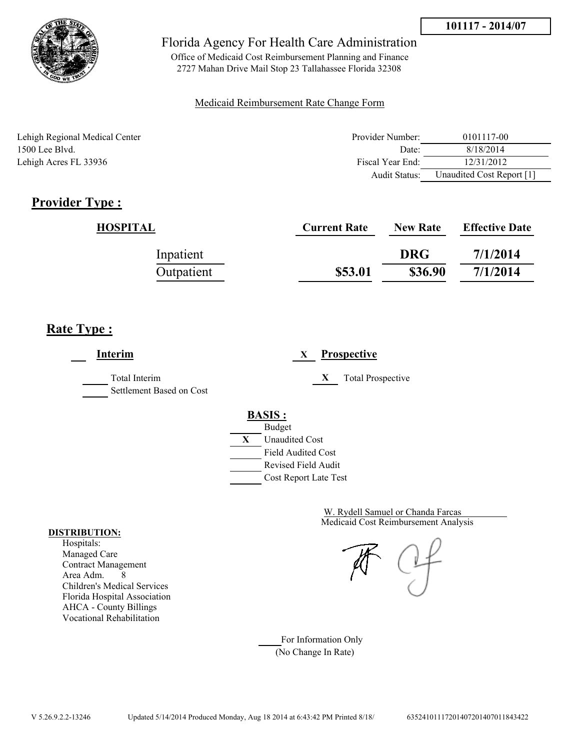

Office of Medicaid Cost Reimbursement Planning and Finance 2727 Mahan Drive Mail Stop 23 Tallahassee Florida 32308

### Medicaid Reimbursement Rate Change Form

| Lehigh Regional Medical Center | Provider Number:     | 0101117-00                |
|--------------------------------|----------------------|---------------------------|
| 1500 Lee Blvd.                 | Date:                | 8/18/2014                 |
| Lehigh Acres FL 33936          | Fiscal Year End:     | 12/31/2012                |
|                                | <b>Audit Status:</b> | Unaudited Cost Report [1] |

# **Provider Type :**

| HOSPITAL   | <b>Current Rate</b> | <b>New Rate</b> | <b>Effective Date</b> |
|------------|---------------------|-----------------|-----------------------|
| Inpatient  |                     | <b>DRG</b>      | 7/1/2014              |
| Outpatient | \$53.01             | \$36.90         | 7/1/2014              |

# **Rate Type :**

**Interim X Prospective** Total Interim **X** Total Prospective Settlement Based on Cost **BASIS :** Budget **X** Unaudited Cost Field Audited Cost Revised Field Audit Cost Report Late Test

> Medicaid Cost Reimbursement Analysis W. Rydell Samuel or Chanda Farcas

For Information Only (No Change In Rate)

#### **DISTRIBUTION:**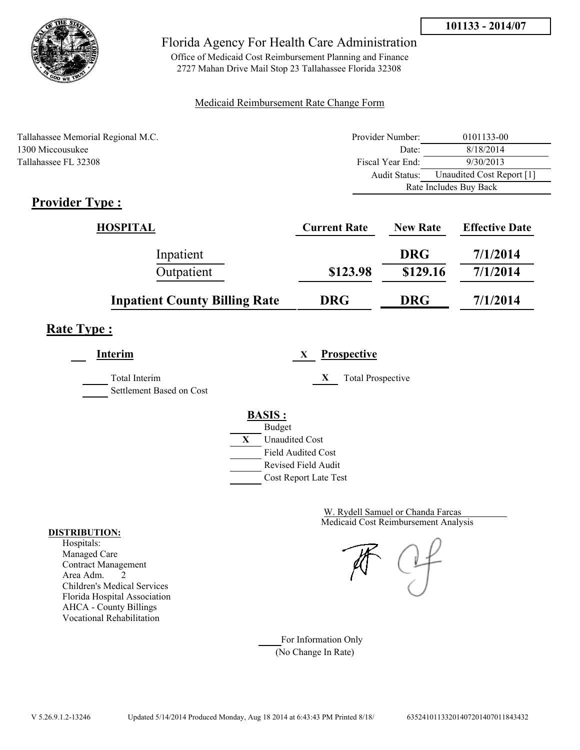

Office of Medicaid Cost Reimbursement Planning and Finance 2727 Mahan Drive Mail Stop 23 Tallahassee Florida 32308

### Medicaid Reimbursement Rate Change Form

|                                    |                  | Rate Includes Buy Back    |  |
|------------------------------------|------------------|---------------------------|--|
|                                    | Audit Status:    | Unaudited Cost Report [1] |  |
| Tallahassee FL 32308               | Fiscal Year End: | 9/30/2013                 |  |
| 1300 Miccousukee                   | Date:            | 8/18/2014                 |  |
| Tallahassee Memorial Regional M.C. | Provider Number: | 0101133-00                |  |

# **Provider Type :**

| <b>HOSPITAL</b>                      | <b>Current Rate</b> | <b>New Rate</b> | <b>Effective Date</b> |
|--------------------------------------|---------------------|-----------------|-----------------------|
| Inpatient                            |                     | <b>DRG</b>      | 7/1/2014              |
| Outpatient                           | \$123.98            | \$129.16        | 7/1/2014              |
| <b>Inpatient County Billing Rate</b> | <b>DRG</b>          | <b>DRG</b>      | 7/1/2014              |

## **Rate Type :**

| <b>Interim</b>           | X                          | <b>Prospective</b>       |
|--------------------------|----------------------------|--------------------------|
| <b>Total Interim</b>     | X                          | <b>Total Prospective</b> |
| Settlement Based on Cost |                            |                          |
|                          | <b>BASIS:</b>              |                          |
|                          | <b>Budget</b>              |                          |
|                          | X<br><b>Unaudited Cost</b> |                          |
|                          | <b>Field Audited Cost</b>  |                          |
|                          | Revised Field Audit        |                          |
|                          | Cost Report Late Test      |                          |

Medicaid Cost Reimbursement Analysis W. Rydell Samuel or Chanda Farcas

For Information Only (No Change In Rate)

#### **DISTRIBUTION:**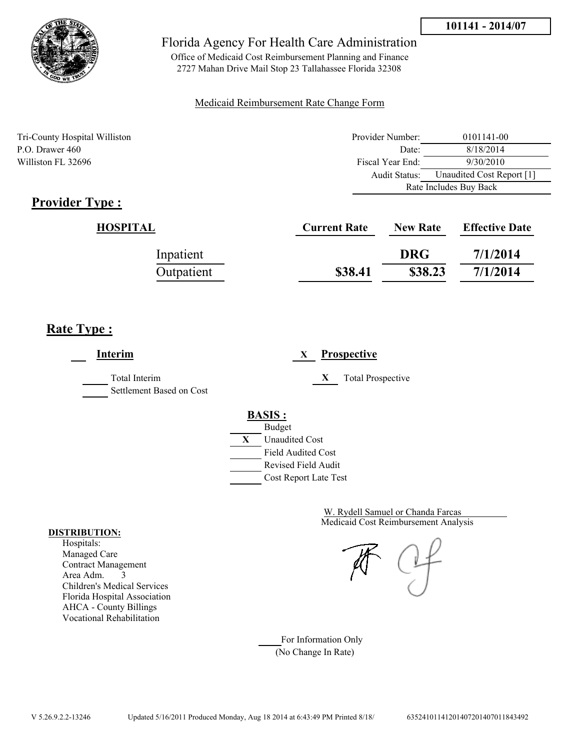



Office of Medicaid Cost Reimbursement Planning and Finance 2727 Mahan Drive Mail Stop 23 Tallahassee Florida 32308

#### Medicaid Reimbursement Rate Change Form

| Tri-County Hospital Williston | Provider Number: | 0101141-00                |  |
|-------------------------------|------------------|---------------------------|--|
| P.O. Drawer 460               | Date:            | 8/18/2014                 |  |
| Williston FL 32696            | Fiscal Year End: | 9/30/2010                 |  |
|                               | Audit Status:    | Unaudited Cost Report [1] |  |
|                               |                  | Rate Includes Buy Back    |  |

## **Provider Type :**

| HOSPITAL   | <b>Current Rate</b> | <b>New Rate</b> | <b>Effective Date</b> |
|------------|---------------------|-----------------|-----------------------|
| Inpatient  |                     | <b>DRG</b>      | 7/1/2014              |
| Outpatient | \$38.41             | \$38.23         | 7/1/2014              |

# **Rate Type :**

 $\overline{a}$ 

| Interim                                   | <b>Prospective</b><br>X                                 |
|-------------------------------------------|---------------------------------------------------------|
| Total Interim<br>Settlement Based on Cost | <b>Total Prospective</b><br>X                           |
|                                           | <b>BASIS:</b><br><b>Budget</b>                          |
|                                           | X<br><b>Unaudited Cost</b>                              |
|                                           | <b>Field Audited Cost</b><br><b>Revised Field Audit</b> |
|                                           | Cost Report Late Test                                   |

Medicaid Cost Reimbursement Analysis W. Rydell Samuel or Chanda Farcas

For Information Only (No Change In Rate)

#### **DISTRIBUTION:**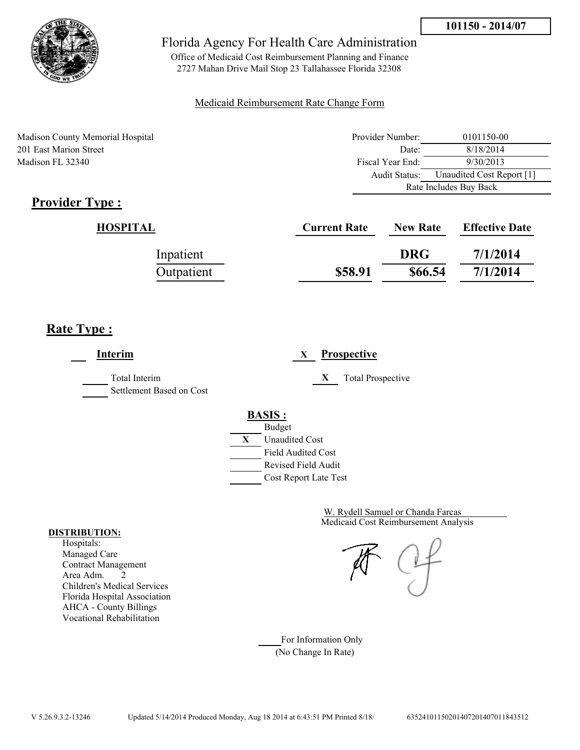

Office of Medicaid Cost Reimbursement Planning and Finance 2727 Mahan Drive Mail Stop 23 Tallahassee Florida 32308

### Medicaid Reimbursement Rate Change Form

Madison County Memorial Hospital 201 East Marion Street Madison FL 32340

| Provider Number:       | 0101150-00                |  |
|------------------------|---------------------------|--|
| Date:                  | 8/18/2014                 |  |
| Fiscal Year End:       | 9/30/2013                 |  |
| Audit Status:          | Unaudited Cost Report [1] |  |
| Rate Includes Buy Back |                           |  |

# **Provider Type :**

| HOSPITAL   | <b>Current Rate</b> | <b>New Rate</b> | <b>Effective Date</b> |
|------------|---------------------|-----------------|-----------------------|
| Inpatient  |                     | <b>DRG</b>      | 7/1/2014              |
| Outpatient | \$58.91             | \$66.54         | 7/1/2014              |

# **Rate Type :**

| Interim                                   | Prospective<br>X                                                                                                                          |
|-------------------------------------------|-------------------------------------------------------------------------------------------------------------------------------------------|
| Total Interim<br>Settlement Based on Cost | X<br><b>Total Prospective</b>                                                                                                             |
|                                           | <b>BASIS:</b><br><b>Budget</b><br>X<br><b>Unaudited Cost</b><br><b>Field Audited Cost</b><br>Revised Field Audit<br>Cost Report Late Test |

Medicaid Cost Reimbursement Analysis W. Rydell Samuel or Chanda Farcas

For Information Only (No Change In Rate)

#### **DISTRIBUTION:**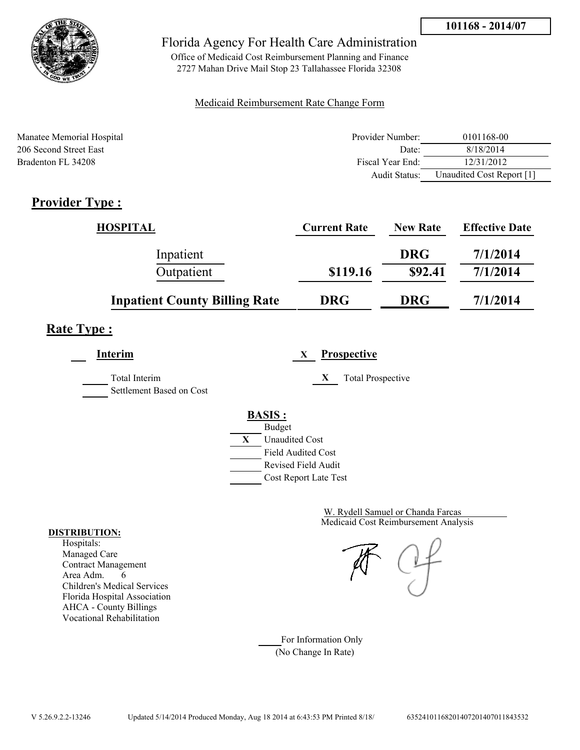

Office of Medicaid Cost Reimbursement Planning and Finance 2727 Mahan Drive Mail Stop 23 Tallahassee Florida 32308

### Medicaid Reimbursement Rate Change Form

| Manatee Memorial Hospital | Provider Number: | 0101168-00                |
|---------------------------|------------------|---------------------------|
| 206 Second Street East    | Date:            | 8/18/2014                 |
| Bradenton FL 34208        | Fiscal Year End: | 12/31/2012                |
|                           | Audit Status:    | Unaudited Cost Report [1] |

# **Provider Type :**

| <b>HOSPITAL</b>                      | <b>Current Rate</b> | <b>New Rate</b> | <b>Effective Date</b> |
|--------------------------------------|---------------------|-----------------|-----------------------|
| Inpatient                            |                     | <b>DRG</b>      | 7/1/2014              |
| Outpatient                           | \$119.16            | \$92.41         | 7/1/2014              |
| <b>Inpatient County Billing Rate</b> | <b>DRG</b>          | <b>DRG</b>      | 7/1/2014              |

# **Rate Type :**

**Interim X Prospective**

Total Interim **X** Total Prospective Settlement Based on Cost

**BASIS :**



Medicaid Cost Reimbursement Analysis W. Rydell Samuel or Chanda Farcas

For Information Only (No Change In Rate)

#### **DISTRIBUTION:**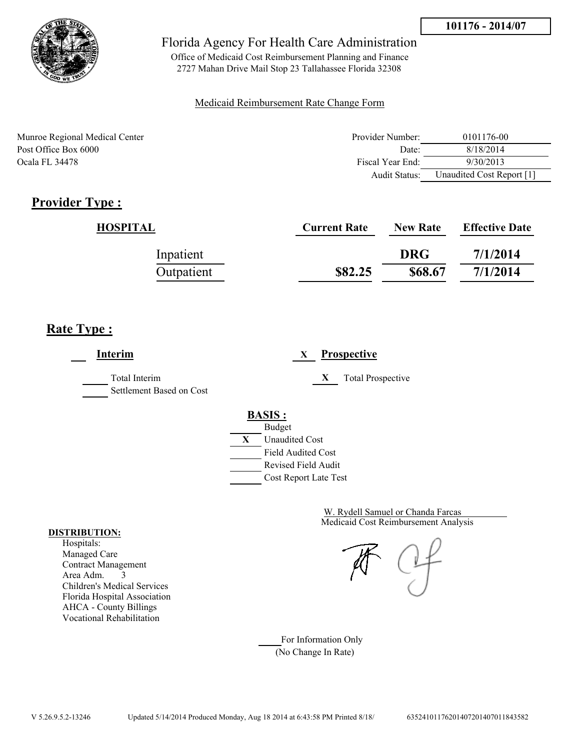

Office of Medicaid Cost Reimbursement Planning and Finance 2727 Mahan Drive Mail Stop 23 Tallahassee Florida 32308

#### Medicaid Reimbursement Rate Change Form

| Munroe Regional Medical Center | Provider Number:     | 0101176-00                |
|--------------------------------|----------------------|---------------------------|
| Post Office Box 6000           | Date:                | 8/18/2014                 |
| Ocala FL 34478                 | Fiscal Year End:     | 9/30/2013                 |
|                                | <b>Audit Status:</b> | Unaudited Cost Report [1] |

## **Provider Type :**

| HOSPITAL   | <b>Current Rate</b> | <b>New Rate</b> | <b>Effective Date</b> |
|------------|---------------------|-----------------|-----------------------|
| Inpatient  |                     | <b>DRG</b>      | 7/1/2014              |
| Outpatient | \$82.25             | \$68.67         | 7/1/2014              |

## **Rate Type :**

**Interim X Prospective** Total Interim **X** Total Prospective Settlement Based on Cost **BASIS :** Budget **X** Unaudited Cost Field Audited Cost Revised Field Audit Cost Report Late Test

> Medicaid Cost Reimbursement Analysis W. Rydell Samuel or Chanda Farcas

For Information Only (No Change In Rate)

#### **DISTRIBUTION:**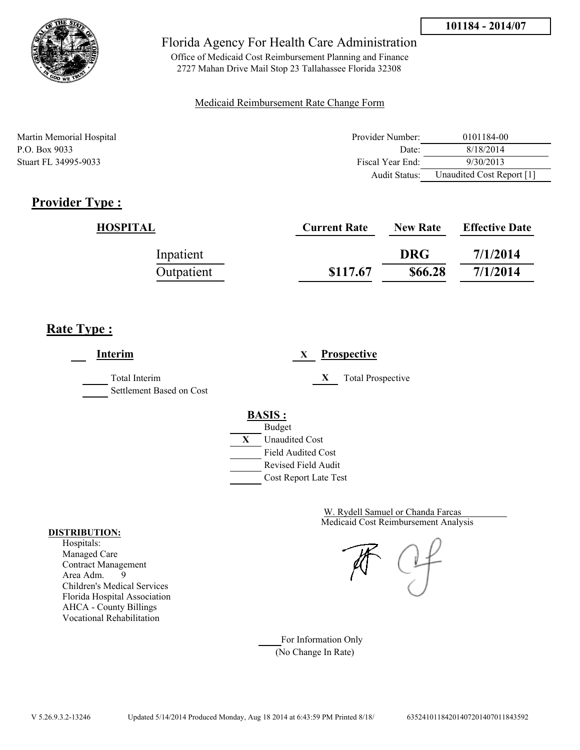

Office of Medicaid Cost Reimbursement Planning and Finance 2727 Mahan Drive Mail Stop 23 Tallahassee Florida 32308

#### Medicaid Reimbursement Rate Change Form

| Martin Memorial Hospital    | Provider Number: | 0101184-00                |
|-----------------------------|------------------|---------------------------|
| P.O. Box 9033               | Date:            | 8/18/2014                 |
| <b>Stuart FL 34995-9033</b> | Fiscal Year End: | 9/30/2013                 |
|                             | Audit Status:    | Unaudited Cost Report [1] |

## **Provider Type :**

| <b>HOSPITAL</b> | <b>Current Rate</b> | <b>New Rate</b> | <b>Effective Date</b> |
|-----------------|---------------------|-----------------|-----------------------|
| Inpatient       |                     | <b>DRG</b>      | 7/1/2014              |
| Outpatient      | \$117.67            | \$66.28         | 7/1/2014              |

## **Rate Type :**

**Interim X Prospective** Total Interim **X** Total Prospective Settlement Based on Cost **BASIS :** Budget **X** Unaudited Cost Field Audited Cost Revised Field Audit Cost Report Late Test

> Medicaid Cost Reimbursement Analysis W. Rydell Samuel or Chanda Farcas

For Information Only (No Change In Rate)

#### **DISTRIBUTION:**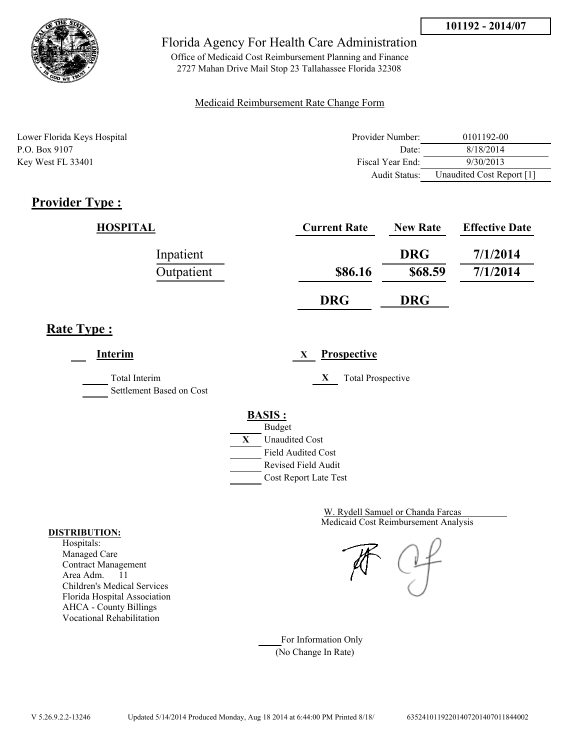

Office of Medicaid Cost Reimbursement Planning and Finance 2727 Mahan Drive Mail Stop 23 Tallahassee Florida 32308

### Medicaid Reimbursement Rate Change Form

| Lower Florida Keys Hospital | Provider Number:  | 0101192-00                |
|-----------------------------|-------------------|---------------------------|
| P.O. Box 9107               | Date <sup>-</sup> | 8/18/2014                 |
| Key West FL 33401           | Fiscal Year End:  | 9/30/2013                 |
|                             | Audit Status:     | Unaudited Cost Report [1] |

# **Provider Type :**

| HOSPITAL   | <b>Current Rate</b> | <b>New Rate</b> | <b>Effective Date</b> |
|------------|---------------------|-----------------|-----------------------|
| Inpatient  |                     | <b>DRG</b>      | 7/1/2014              |
| Outpatient | \$86.16             | \$68.59         | 7/1/2014              |
|            | <b>DRG</b>          | <b>DRG</b>      |                       |

## **Rate Type :**

**Interim X Prospective**

Total Interim **X** Total Prospective

Settlement Based on Cost

**BASIS :**



Medicaid Cost Reimbursement Analysis W. Rydell Samuel or Chanda Farcas

For Information Only (No Change In Rate)

#### **DISTRIBUTION:**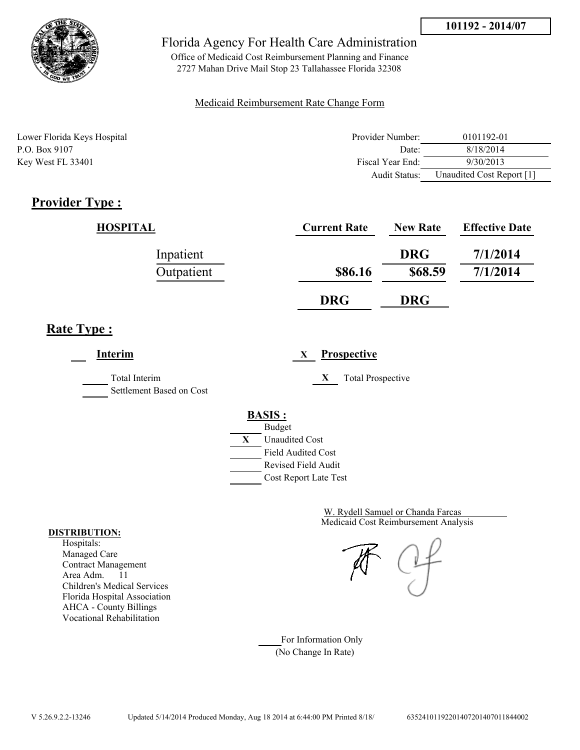

Office of Medicaid Cost Reimbursement Planning and Finance 2727 Mahan Drive Mail Stop 23 Tallahassee Florida 32308

### Medicaid Reimbursement Rate Change Form

| Lower Florida Keys Hospital | Provider Number: | 0101192-01                |
|-----------------------------|------------------|---------------------------|
| P.O. Box 9107               | Date:            | 8/18/2014                 |
| Key West FL 33401           | Fiscal Year End: | 9/30/2013                 |
|                             | Audit Status:    | Unaudited Cost Report [1] |

# **Provider Type :**

| HOSPITAL   | <b>Current Rate</b> | <b>New Rate</b> | <b>Effective Date</b> |
|------------|---------------------|-----------------|-----------------------|
| Inpatient  |                     | <b>DRG</b>      | 7/1/2014              |
| Outpatient | \$86.16             | \$68.59         | 7/1/2014              |
|            | <b>DRG</b>          | <b>DRG</b>      |                       |

## **Rate Type :**

**Interim X Prospective**

Total Interim **X** Total Prospective

Settlement Based on Cost

**BASIS :**



Medicaid Cost Reimbursement Analysis W. Rydell Samuel or Chanda Farcas

For Information Only (No Change In Rate)

#### **DISTRIBUTION:**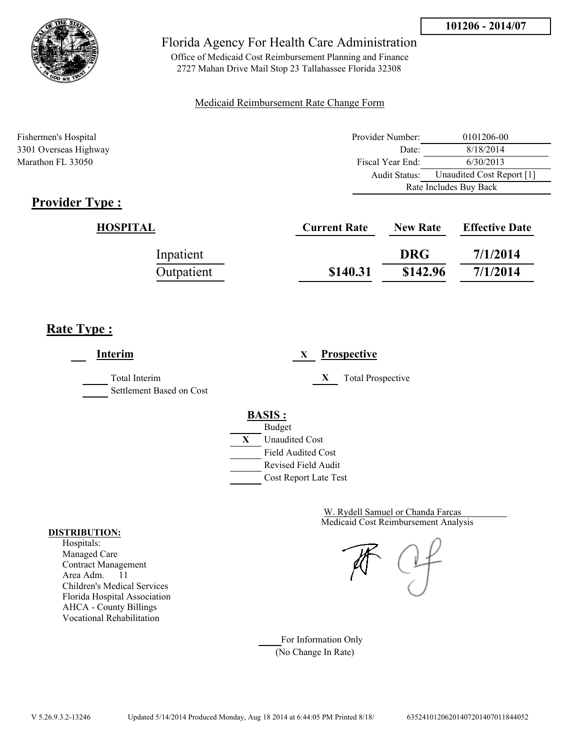



Office of Medicaid Cost Reimbursement Planning and Finance 2727 Mahan Drive Mail Stop 23 Tallahassee Florida 32308

#### Medicaid Reimbursement Rate Change Form

| Fishermen's Hospital  | Provider Number: | 0101206-00                |  |
|-----------------------|------------------|---------------------------|--|
| 3301 Overseas Highway | Date:            | 8/18/2014                 |  |
| Marathon FL 33050     | Fiscal Year End: | 6/30/2013                 |  |
|                       | Audit Status:    | Unaudited Cost Report [1] |  |
|                       |                  | Rate Includes Buy Back    |  |

# **Provider Type :**

| HOSPITAL   | <b>Current Rate</b> | <b>New Rate</b> | <b>Effective Date</b> |
|------------|---------------------|-----------------|-----------------------|
| Inpatient  |                     | <b>DRG</b>      | 7/1/2014              |
| Outpatient | \$140.31            | \$142.96        | 7/1/2014              |

## **Rate Type :**

**Interim X Prospective** Total Interim **X** Total Prospective Settlement Based on Cost **BASIS :** Budget **X** Unaudited Cost Field Audited Cost Revised Field Audit Cost Report Late Test

> Medicaid Cost Reimbursement Analysis W. Rydell Samuel or Chanda Farcas

For Information Only (No Change In Rate)

#### **DISTRIBUTION:**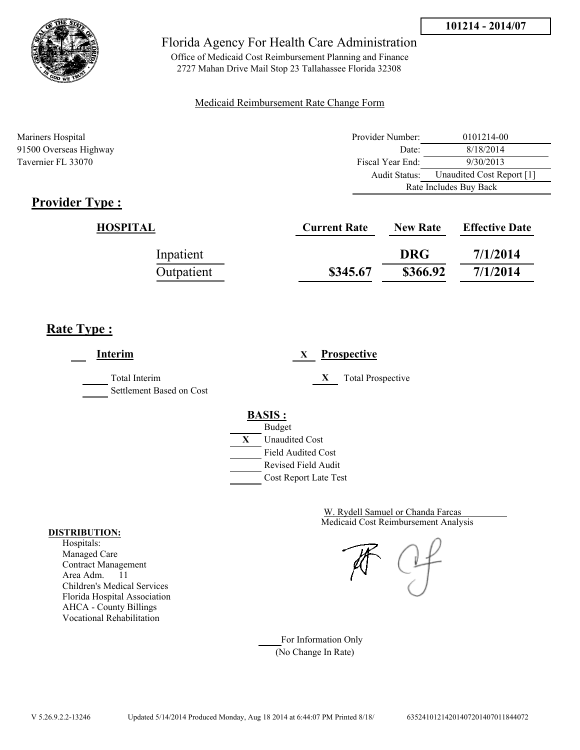



Office of Medicaid Cost Reimbursement Planning and Finance 2727 Mahan Drive Mail Stop 23 Tallahassee Florida 32308

#### Medicaid Reimbursement Rate Change Form

| Mariners Hospital      | Provider Number:     | 0101214-00                |  |
|------------------------|----------------------|---------------------------|--|
| 91500 Overseas Highway | Date:                | 8/18/2014                 |  |
| Tavernier FL 33070     | Fiscal Year End:     | 9/30/2013                 |  |
|                        | <b>Audit Status:</b> | Unaudited Cost Report [1] |  |
|                        |                      | Rate Includes Buy Back    |  |

# **Provider Type :**

| HOSPITAL   | <b>Current Rate</b> | <b>New Rate</b> | <b>Effective Date</b> |
|------------|---------------------|-----------------|-----------------------|
| Inpatient  |                     | <b>DRG</b>      | 7/1/2014              |
| Outpatient | \$345.67            | \$366.92        | 7/1/2014              |

# **Rate Type :**

| <b>Interim</b>                            | <b>Prospective</b><br>X        |
|-------------------------------------------|--------------------------------|
| Total Interim<br>Settlement Based on Cost | <b>Total Prospective</b><br>X  |
|                                           | <b>BASIS:</b><br><b>Budget</b> |
|                                           | X<br><b>Unaudited Cost</b>     |
|                                           | <b>Field Audited Cost</b>      |
|                                           | Revised Field Audit            |
|                                           | Cost Report Late Test          |

Medicaid Cost Reimbursement Analysis W. Rydell Samuel or Chanda Farcas

For Information Only (No Change In Rate)

#### **DISTRIBUTION:**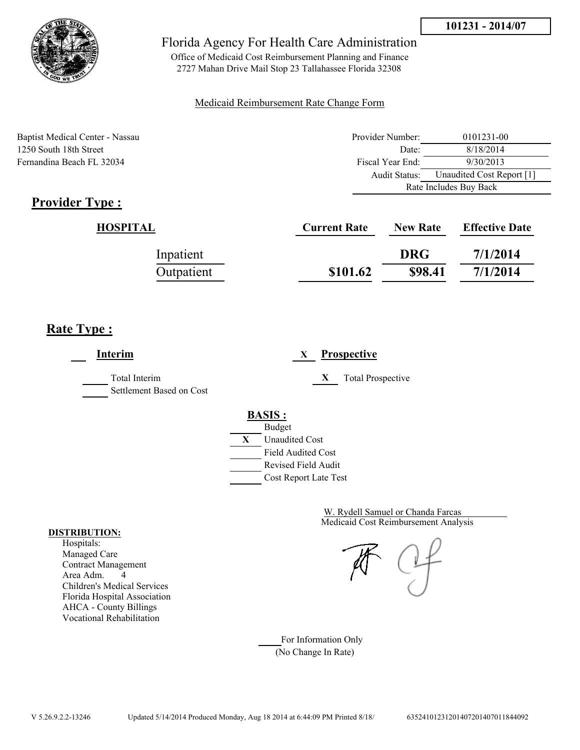

Office of Medicaid Cost Reimbursement Planning and Finance 2727 Mahan Drive Mail Stop 23 Tallahassee Florida 32308

### Medicaid Reimbursement Rate Change Form

Baptist Medical Center - Nassau 1250 South 18th Street Fernandina Beach FL 32034

| Provider Number:       | 0101231-00                |  |
|------------------------|---------------------------|--|
| Date:                  | 8/18/2014                 |  |
| Fiscal Year End:       | 9/30/2013                 |  |
| Audit Status:          | Unaudited Cost Report [1] |  |
| Rate Includes Buy Back |                           |  |

# **Provider Type :**

| <b>HOSPITAL</b> | <b>Current Rate</b> | <b>New Rate</b> | <b>Effective Date</b> |
|-----------------|---------------------|-----------------|-----------------------|
| Inpatient       |                     | <b>DRG</b>      | 7/1/2014              |
| Outpatient      | \$101.62            | \$98.41         | 7/1/2014              |

# **Rate Type :**

| Interim                                          | <b>Prospective</b><br>X                                                                                                                   |
|--------------------------------------------------|-------------------------------------------------------------------------------------------------------------------------------------------|
| <b>Total Interim</b><br>Settlement Based on Cost | X<br><b>Total Prospective</b>                                                                                                             |
|                                                  | <b>BASIS:</b><br><b>Budget</b><br>X<br><b>Unaudited Cost</b><br><b>Field Audited Cost</b><br>Revised Field Audit<br>Cost Report Late Test |

Medicaid Cost Reimbursement Analysis W. Rydell Samuel or Chanda Farcas

For Information Only (No Change In Rate)

#### **DISTRIBUTION:**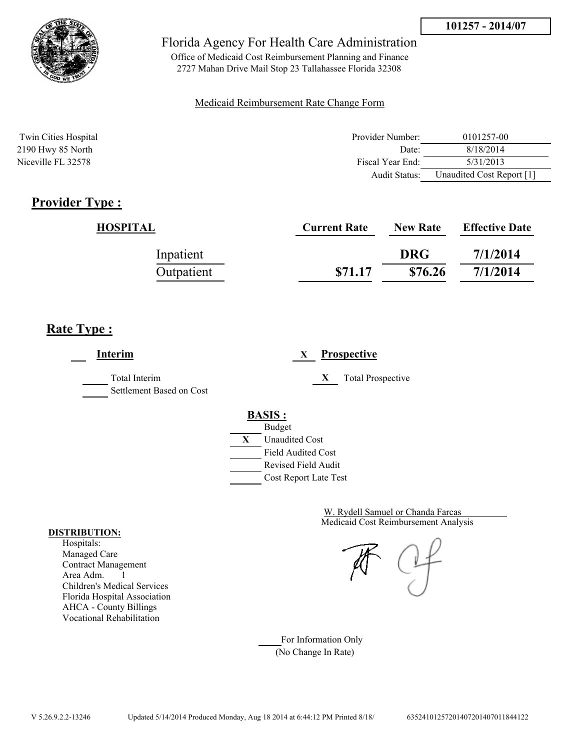

Office of Medicaid Cost Reimbursement Planning and Finance 2727 Mahan Drive Mail Stop 23 Tallahassee Florida 32308

#### Medicaid Reimbursement Rate Change Form

| Twin Cities Hospital | Provider Number: | 0101257-00                |
|----------------------|------------------|---------------------------|
| 2190 Hwy 85 North    | Date:            | 8/18/2014                 |
| Niceville FL 32578   | Fiscal Year End: | 5/31/2013                 |
|                      | Audit Status:    | Unaudited Cost Report [1] |

## **Provider Type :**

| HOSPITAL   | <b>Current Rate</b> | <b>New Rate</b> | <b>Effective Date</b> |
|------------|---------------------|-----------------|-----------------------|
| Inpatient  |                     | <b>DRG</b>      | 7/1/2014              |
| Outpatient | \$71.17             | \$76.26         | 7/1/2014              |

## **Rate Type :**

**Interim X Prospective** Total Interim **X** Total Prospective Settlement Based on Cost **BASIS :** Budget **X** Unaudited Cost Field Audited Cost Revised Field Audit Cost Report Late Test

> Medicaid Cost Reimbursement Analysis W. Rydell Samuel or Chanda Farcas

For Information Only (No Change In Rate)

#### **DISTRIBUTION:**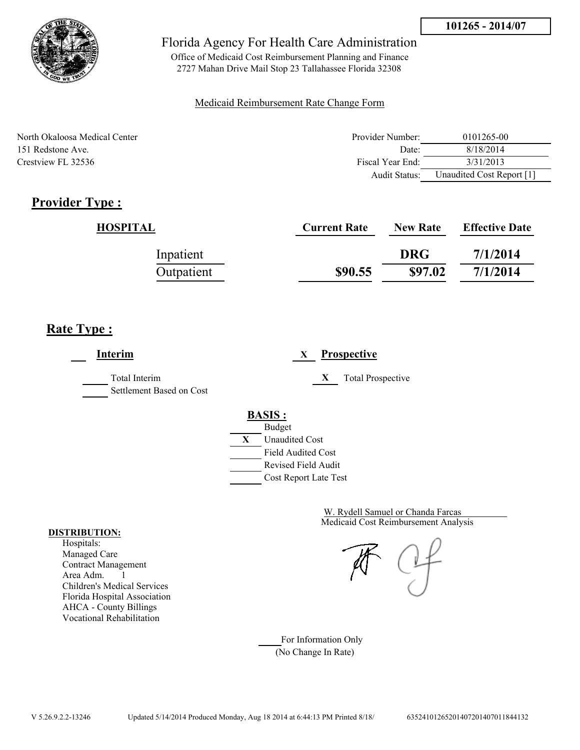

Office of Medicaid Cost Reimbursement Planning and Finance 2727 Mahan Drive Mail Stop 23 Tallahassee Florida 32308

#### Medicaid Reimbursement Rate Change Form

| North Okaloosa Medical Center | Provider Number:     | 0101265-00                |
|-------------------------------|----------------------|---------------------------|
| 151 Redstone Ave              | Date:                | 8/18/2014                 |
| Crestview FL 32536            | Fiscal Year End:     | 3/31/2013                 |
|                               | <b>Audit Status:</b> | Unaudited Cost Report [1] |

## **Provider Type :**

| HOSPITAL   | <b>Current Rate</b> | <b>New Rate</b> | <b>Effective Date</b> |
|------------|---------------------|-----------------|-----------------------|
| Inpatient  |                     | <b>DRG</b>      | 7/1/2014              |
| Outpatient | \$90.55             | \$97.02         | 7/1/2014              |

## **Rate Type :**

**Interim X Prospective** Total Interim **X** Total Prospective Settlement Based on Cost **BASIS :** Budget **X** Unaudited Cost Field Audited Cost Revised Field Audit Cost Report Late Test

> Medicaid Cost Reimbursement Analysis W. Rydell Samuel or Chanda Farcas

For Information Only (No Change In Rate)

#### **DISTRIBUTION:**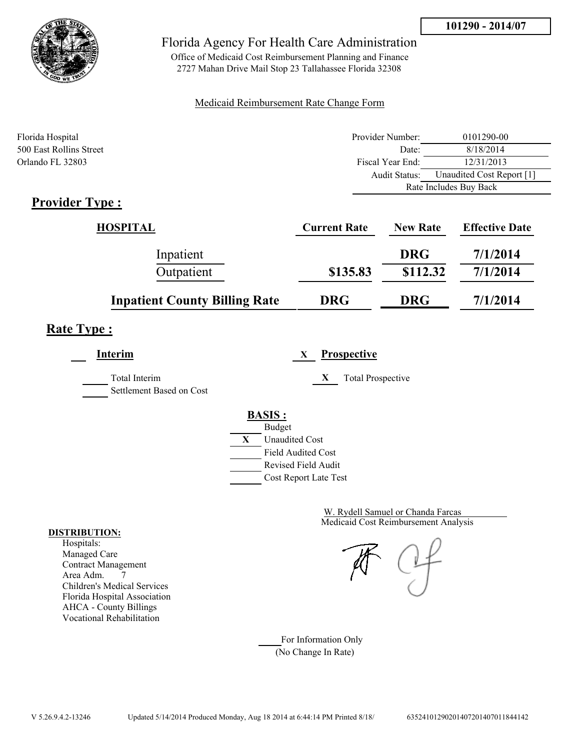

Office of Medicaid Cost Reimbursement Planning and Finance 2727 Mahan Drive Mail Stop 23 Tallahassee Florida 32308

### Medicaid Reimbursement Rate Change Form

| Florida Hospital        | Provider Number:     | 0101290-00                |
|-------------------------|----------------------|---------------------------|
| 500 East Rollins Street | Date:                | 8/18/2014                 |
| Orlando FL 32803        | Fiscal Year End:     | 12/31/2013                |
|                         | <b>Audit Status:</b> | Unaudited Cost Report [1] |
|                         |                      | Rate Includes Buy Back    |
| <b>Provider Type</b> :  |                      |                           |

## **Provider Type :**

| HOSPITAL                             | <b>Current Rate</b> | <b>New Rate</b> | <b>Effective Date</b> |
|--------------------------------------|---------------------|-----------------|-----------------------|
| Inpatient                            |                     | <b>DRG</b>      | 7/1/2014              |
| Outpatient                           | \$135.83            | \$112.32        | 7/1/2014              |
| <b>Inpatient County Billing Rate</b> | <b>DRG</b>          | <b>DRG</b>      | 7/1/2014              |

# **Rate Type :**

**Interim X Prospective** Total Interim **X** Total Prospective Settlement Based on Cost **BASIS :** Budget **X** Unaudited Cost Field Audited Cost Revised Field Audit Cost Report Late Test

> Medicaid Cost Reimbursement Analysis W. Rydell Samuel or Chanda Farcas

For Information Only (No Change In Rate)

#### **DISTRIBUTION:**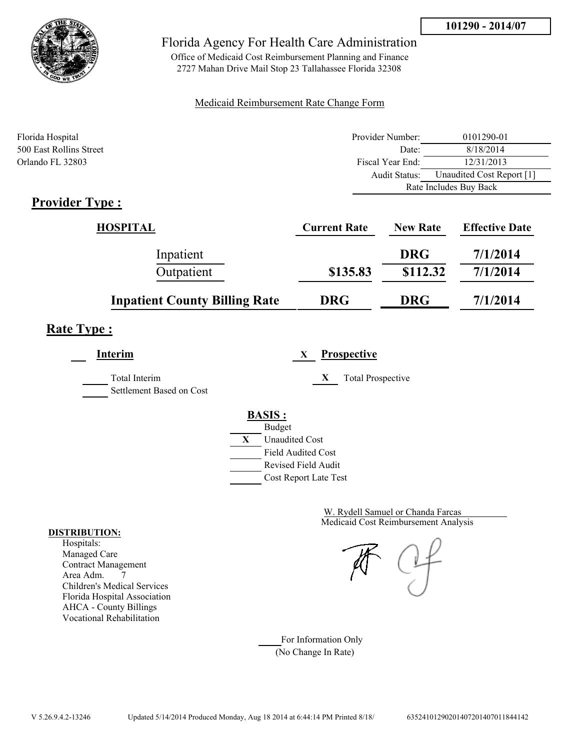

Office of Medicaid Cost Reimbursement Planning and Finance 2727 Mahan Drive Mail Stop 23 Tallahassee Florida 32308

#### Medicaid Reimbursement Rate Change Form

| Florida Hospital        | Provider Number:     | 0101290-01                |
|-------------------------|----------------------|---------------------------|
| 500 East Rollins Street | Date:                | 8/18/2014                 |
| Orlando FL 32803        | Fiscal Year End:     | 12/31/2013                |
|                         | <b>Audit Status:</b> | Unaudited Cost Report [1] |
|                         |                      | Rate Includes Buy Back    |
| <b>Provider Type:</b>   |                      |                           |

# **Provider Type :**

| <b>HOSPITAL</b>                      | <b>Current Rate</b> | <b>New Rate</b> | <b>Effective Date</b> |
|--------------------------------------|---------------------|-----------------|-----------------------|
| Inpatient                            |                     | <b>DRG</b>      | 7/1/2014              |
| Outpatient                           | \$135.83            | \$112.32        | 7/1/2014              |
| <b>Inpatient County Billing Rate</b> | <b>DRG</b>          | <b>DRG</b>      | 7/1/2014              |

# **Rate Type :**

**Interim X Prospective** Total Interim **X** Total Prospective Settlement Based on Cost **BASIS :**



Cost Report Late Test

Medicaid Cost Reimbursement Analysis W. Rydell Samuel or Chanda Farcas

For Information Only (No Change In Rate)

#### **DISTRIBUTION:**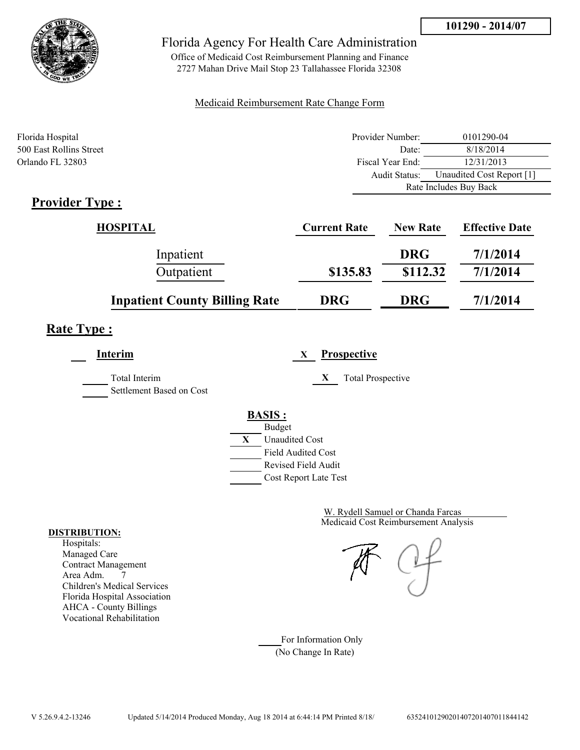

Office of Medicaid Cost Reimbursement Planning and Finance 2727 Mahan Drive Mail Stop 23 Tallahassee Florida 32308

### Medicaid Reimbursement Rate Change Form

| Florida Hospital        | Provider Number:     | 0101290-04                |
|-------------------------|----------------------|---------------------------|
| 500 East Rollins Street | Date:                | 8/18/2014                 |
| Orlando FL 32803        | Fiscal Year End:     | 12/31/2013                |
|                         | <b>Audit Status:</b> | Unaudited Cost Report [1] |
|                         |                      | Rate Includes Buy Back    |
| <b>Provider Type</b> :  |                      |                           |

## **Provider Type :**

| HOSPITAL                             | <b>Current Rate</b> | <b>New Rate</b> | <b>Effective Date</b> |
|--------------------------------------|---------------------|-----------------|-----------------------|
| Inpatient                            |                     | <b>DRG</b>      | 7/1/2014              |
| Outpatient                           | \$135.83            | \$112.32        | 7/1/2014              |
| <b>Inpatient County Billing Rate</b> | <b>DRG</b>          | <b>DRG</b>      | 7/1/2014              |

# **Rate Type :**

**Interim X Prospective** Total Interim **X** Total Prospective Settlement Based on Cost **BASIS :** Budget **X** Unaudited Cost

Field Audited Cost Revised Field Audit Cost Report Late Test

> Medicaid Cost Reimbursement Analysis W. Rydell Samuel or Chanda Farcas

For Information Only (No Change In Rate)

#### **DISTRIBUTION:**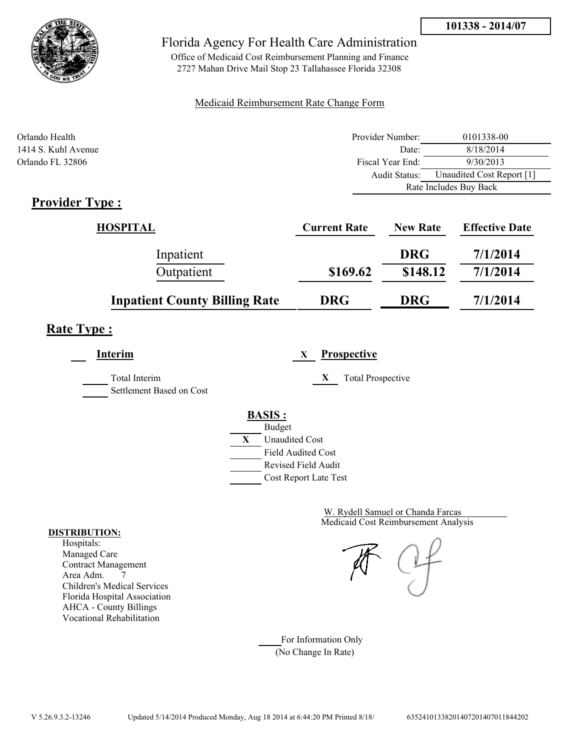

Office of Medicaid Cost Reimbursement Planning and Finance 2727 Mahan Drive Mail Stop 23 Tallahassee Florida 32308

#### Medicaid Reimbursement Rate Change Form

| Orlando Health      | Provider Number: | 0101338-00                |
|---------------------|------------------|---------------------------|
| 1414 S. Kuhl Avenue | Date:            | 8/18/2014                 |
| Orlando FL 32806    | Fiscal Year End: | 9/30/2013                 |
|                     | Audit Status:    | Unaudited Cost Report [1] |
|                     |                  | Rate Includes Buy Back    |
| $Pravidar Tvna$     |                  |                           |

## **Provider Type :**

| <b>HOSPITAL</b>                      | <b>Current Rate</b> | <b>New Rate</b> | <b>Effective Date</b> |
|--------------------------------------|---------------------|-----------------|-----------------------|
| Inpatient                            |                     | <b>DRG</b>      | 7/1/2014              |
| Outpatient                           | \$169.62            | \$148.12        | 7/1/2014              |
| <b>Inpatient County Billing Rate</b> | <b>DRG</b>          | <b>DRG</b>      | 7/1/2014              |

# **Rate Type :**

| Interim                                   | <b>Prospective</b><br>X                                                                                                                   |
|-------------------------------------------|-------------------------------------------------------------------------------------------------------------------------------------------|
| Total Interim<br>Settlement Based on Cost | <b>Total Prospective</b><br>X                                                                                                             |
|                                           | <b>BASIS:</b><br><b>Budget</b><br>X<br><b>Unaudited Cost</b><br><b>Field Audited Cost</b><br>Revised Field Audit<br>Cost Report Late Test |

Medicaid Cost Reimbursement Analysis W. Rydell Samuel or Chanda Farcas

For Information Only (No Change In Rate)

#### **DISTRIBUTION:**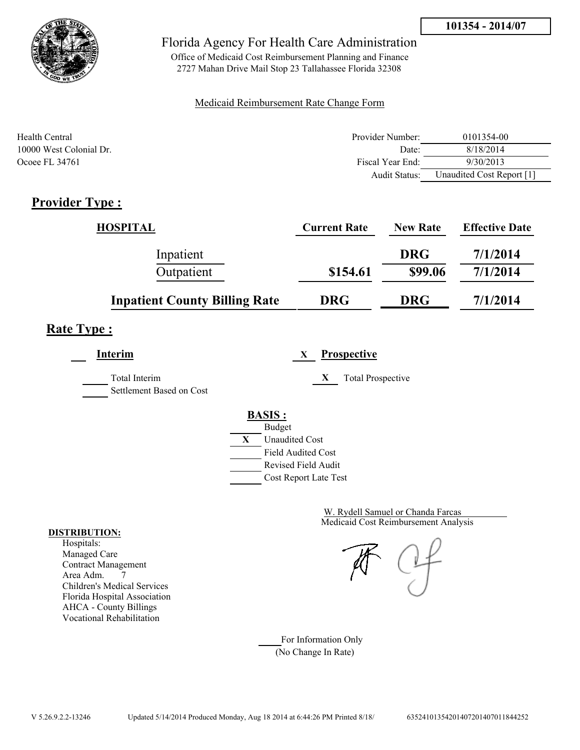

Office of Medicaid Cost Reimbursement Planning and Finance 2727 Mahan Drive Mail Stop 23 Tallahassee Florida 32308

### Medicaid Reimbursement Rate Change Form

| Health Central          | Provider Number:     | 0101354-00                |
|-------------------------|----------------------|---------------------------|
| 10000 West Colonial Dr. | Date:                | 8/18/2014                 |
| Ocoee FL 34761          | Fiscal Year End:     | 9/30/2013                 |
|                         | <b>Audit Status:</b> | Unaudited Cost Report [1] |

## **Provider Type :**

| <b>HOSPITAL</b>                      | <b>Current Rate</b> | <b>New Rate</b> | <b>Effective Date</b> |
|--------------------------------------|---------------------|-----------------|-----------------------|
| Inpatient                            |                     | <b>DRG</b>      | 7/1/2014              |
| Outpatient                           | \$154.61            | \$99.06         | 7/1/2014              |
| <b>Inpatient County Billing Rate</b> | <b>DRG</b>          | <b>DRG</b>      | 7/1/2014              |

## **Rate Type :**

**Interim X Prospective**

Total Interim **X** Total Prospective Settlement Based on Cost



Medicaid Cost Reimbursement Analysis W. Rydell Samuel or Chanda Farcas

For Information Only (No Change In Rate)

#### **DISTRIBUTION:**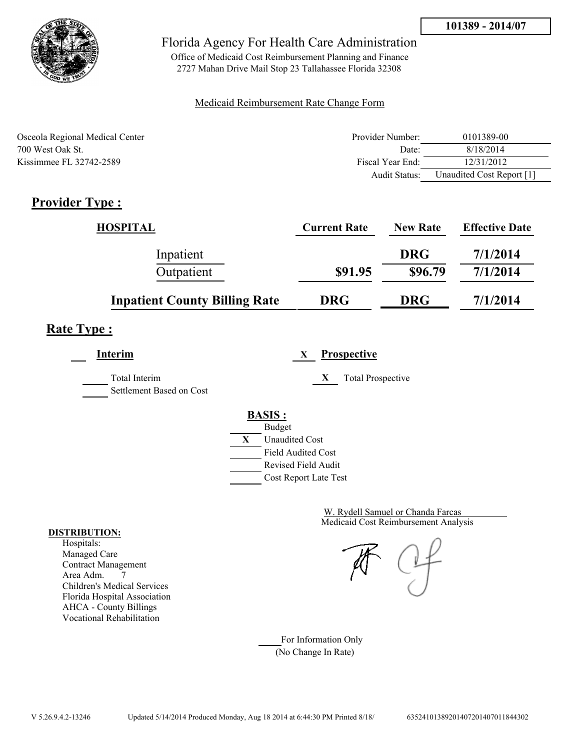

Office of Medicaid Cost Reimbursement Planning and Finance 2727 Mahan Drive Mail Stop 23 Tallahassee Florida 32308

### Medicaid Reimbursement Rate Change Form

| Osceola Regional Medical Center | Provider Number:     | 0101389-00                |
|---------------------------------|----------------------|---------------------------|
| 700 West Oak St.                | Date:                | 8/18/2014                 |
| Kissimmee FL 32742-2589         | Fiscal Year End:     | 12/31/2012                |
|                                 | <b>Audit Status:</b> | Unaudited Cost Report [1] |

# **Provider Type :**

| <b>HOSPITAL</b>                      | <b>Current Rate</b> | <b>New Rate</b> | <b>Effective Date</b> |
|--------------------------------------|---------------------|-----------------|-----------------------|
| Inpatient                            |                     | <b>DRG</b>      | 7/1/2014              |
| Outpatient                           | \$91.95             | \$96.79         | 7/1/2014              |
| <b>Inpatient County Billing Rate</b> | <b>DRG</b>          | <b>DRG</b>      | 7/1/2014              |

# **Rate Type :**

**Interim X Prospective**

Total Interim **X** Total Prospective

Settlement Based on Cost

### **BASIS :** Budget



Medicaid Cost Reimbursement Analysis W. Rydell Samuel or Chanda Farcas

For Information Only (No Change In Rate)

#### **DISTRIBUTION:**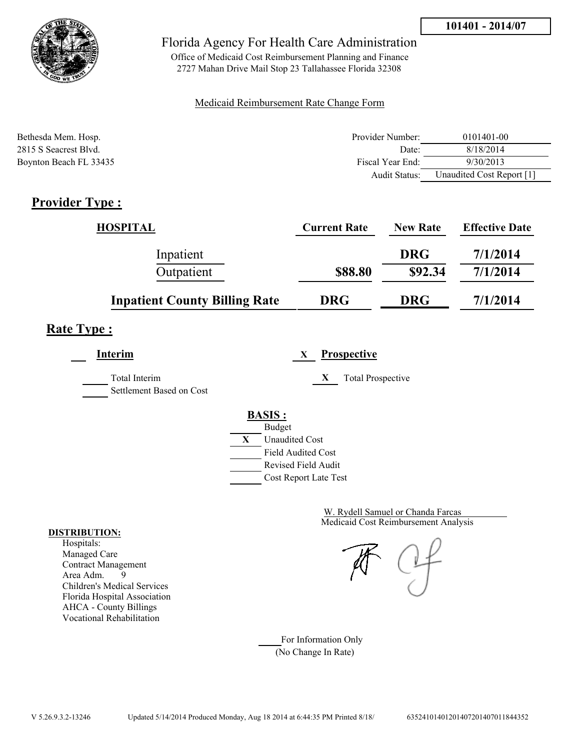

Office of Medicaid Cost Reimbursement Planning and Finance 2727 Mahan Drive Mail Stop 23 Tallahassee Florida 32308

### Medicaid Reimbursement Rate Change Form

| Bethesda Mem. Hosp.    | Provider Number:     | 0101401-00                |
|------------------------|----------------------|---------------------------|
| 2815 S Seacrest Blvd.  | Date:                | 8/18/2014                 |
| Boynton Beach FL 33435 | Fiscal Year End:     | 9/30/2013                 |
|                        | <b>Audit Status:</b> | Unaudited Cost Report [1] |

# **Provider Type :**

| <b>HOSPITAL</b>                      | <b>Current Rate</b> | <b>New Rate</b> | <b>Effective Date</b> |
|--------------------------------------|---------------------|-----------------|-----------------------|
| Inpatient                            |                     | <b>DRG</b>      | 7/1/2014              |
| Outpatient                           | \$88.80             | \$92.34         | 7/1/2014              |
| <b>Inpatient County Billing Rate</b> | <b>DRG</b>          | <b>DRG</b>      | 7/1/2014              |

# **Rate Type :**

**Interim X Prospective**

Total Interim **X** Total Prospective Settlement Based on Cost

#### **BASIS :** Budget



Medicaid Cost Reimbursement Analysis W. Rydell Samuel or Chanda Farcas

For Information Only (No Change In Rate)

#### **DISTRIBUTION:**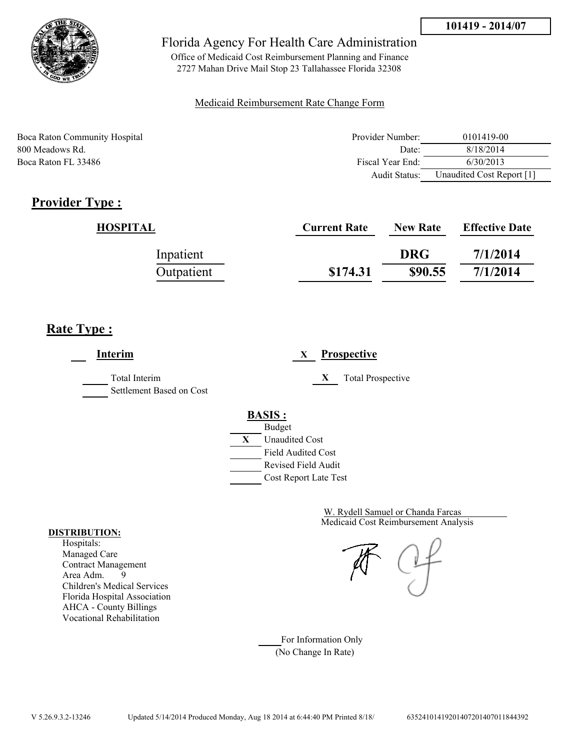

Office of Medicaid Cost Reimbursement Planning and Finance 2727 Mahan Drive Mail Stop 23 Tallahassee Florida 32308

### Medicaid Reimbursement Rate Change Form

Boca Raton Community Hospital **Provider Number:** 0101419-00 800 Meadows Rd. Date: 8/18/2014 Boca Raton FL 33486 Fiscal Year End: 6/30/2013 Audit Status: Unaudited Cost Report [1]

# **Provider Type :**

| HOSPITAL   | <b>Current Rate</b> | <b>New Rate</b> | <b>Effective Date</b> |
|------------|---------------------|-----------------|-----------------------|
| Inpatient  |                     | <b>DRG</b>      | 7/1/2014              |
| Outpatient | \$174.31            | \$90.55         | 7/1/2014              |

# **Rate Type :**

**Interim X Prospective** Total Interim **X** Total Prospective Settlement Based on Cost **BASIS :** Budget **X** Unaudited Cost Field Audited Cost Revised Field Audit Cost Report Late Test

> Medicaid Cost Reimbursement Analysis W. Rydell Samuel or Chanda Farcas

For Information Only (No Change In Rate)

#### **DISTRIBUTION:**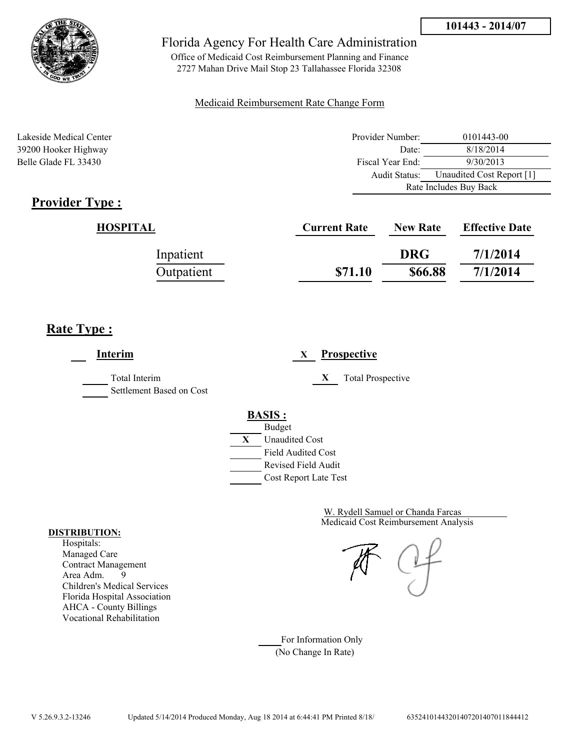



Office of Medicaid Cost Reimbursement Planning and Finance 2727 Mahan Drive Mail Stop 23 Tallahassee Florida 32308

### Medicaid Reimbursement Rate Change Form

Lakeside Medical Center **Provider Number:** 0101443-00 39200 Hooker Highway Date: 8/18/2014 Belle Glade FL 33430 Fiscal Year End: 9/30/2013 Audit Status: Unaudited Cost Report [1] Rate Includes Buy Back

# **Provider Type :**

| HOSPITAL   | <b>Current Rate</b> | <b>New Rate</b> | <b>Effective Date</b> |
|------------|---------------------|-----------------|-----------------------|
| Inpatient  |                     | <b>DRG</b>      | 7/1/2014              |
| Outpatient | \$71.10             | \$66.88         | 7/1/2014              |

## **Rate Type :**

**Interim X Prospective** Total Interim **X** Total Prospective Settlement Based on Cost **BASIS :** Budget **X** Unaudited Cost Field Audited Cost Revised Field Audit Cost Report Late Test

> Medicaid Cost Reimbursement Analysis W. Rydell Samuel or Chanda Farcas

For Information Only (No Change In Rate)

#### **DISTRIBUTION:**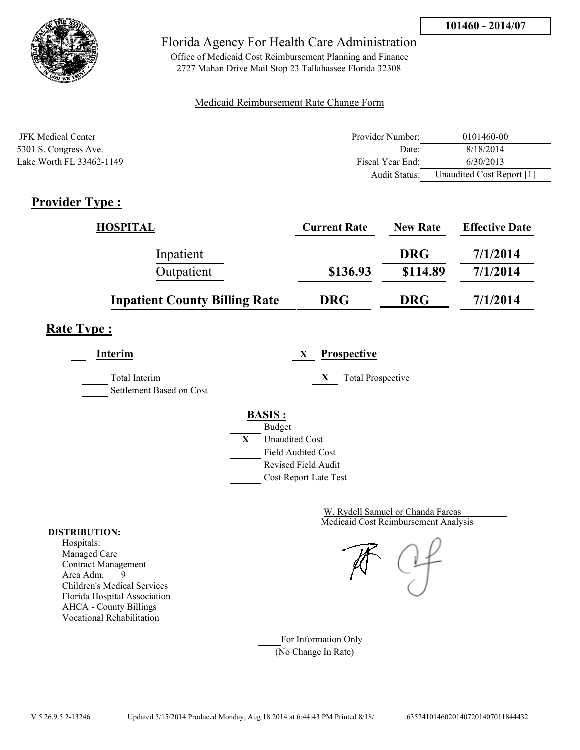

Office of Medicaid Cost Reimbursement Planning and Finance 2727 Mahan Drive Mail Stop 23 Tallahassee Florida 32308

### Medicaid Reimbursement Rate Change Form

| JFK Medical Center       | Provider Number: | 0101460-00                |
|--------------------------|------------------|---------------------------|
| 5301 S. Congress Ave.    | Date:            | 8/18/2014                 |
| Lake Worth FL 33462-1149 | Fiscal Year End: | 6/30/2013                 |
|                          | Audit Status:    | Unaudited Cost Report [1] |

## **Provider Type :**

| <b>HOSPITAL</b>                      | <b>Current Rate</b> | <b>New Rate</b> | <b>Effective Date</b> |
|--------------------------------------|---------------------|-----------------|-----------------------|
| Inpatient                            |                     | <b>DRG</b>      | 7/1/2014              |
| Outpatient                           | \$136.93            | \$114.89        | 7/1/2014              |
| <b>Inpatient County Billing Rate</b> | <b>DRG</b>          | <b>DRG</b>      | 7/1/2014              |

# **Rate Type :**

**Interim X Prospective**

Total Interim **X** Total Prospective Settlement Based on Cost

## **BASIS :**



Medicaid Cost Reimbursement Analysis W. Rydell Samuel or Chanda Farcas

For Information Only (No Change In Rate)

#### **DISTRIBUTION:**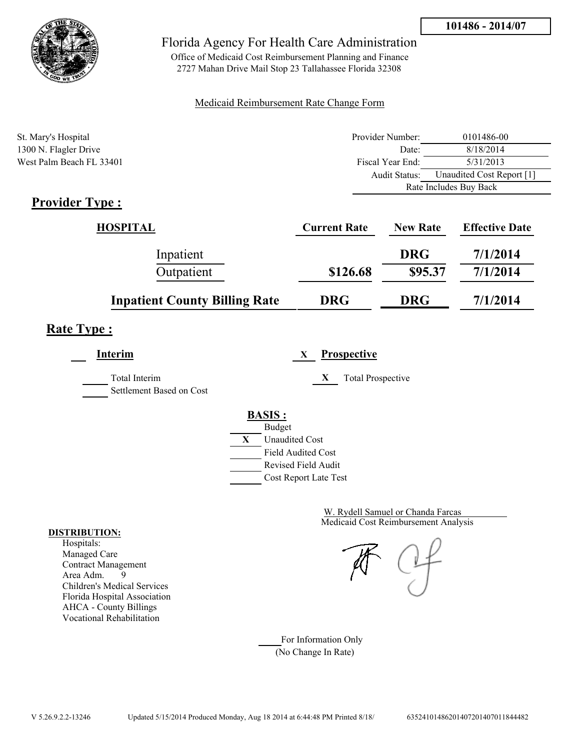

Office of Medicaid Cost Reimbursement Planning and Finance 2727 Mahan Drive Mail Stop 23 Tallahassee Florida 32308

#### Medicaid Reimbursement Rate Change Form

| St. Mary's Hospital      | Provider Number: | 0101486-00                |  |
|--------------------------|------------------|---------------------------|--|
| 1300 N. Flagler Drive    | Date:            | 8/18/2014                 |  |
| West Palm Beach FL 33401 | Fiscal Year End: | 5/31/2013                 |  |
|                          | Audit Status:    | Unaudited Cost Report [1] |  |
|                          |                  | Rate Includes Buy Back    |  |

## **Provider Type :**

| HOSPITAL                             | <b>Current Rate</b> | <b>New Rate</b> | <b>Effective Date</b> |
|--------------------------------------|---------------------|-----------------|-----------------------|
| Inpatient                            |                     | <b>DRG</b>      | 7/1/2014              |
| Outpatient                           | \$126.68            | \$95.37         | 7/1/2014              |
| <b>Inpatient County Billing Rate</b> | <b>DRG</b>          | <b>DRG</b>      | 7/1/2014              |

# **Rate Type :**

**Interim X Prospective** Total Interim **X** Total Prospective Settlement Based on Cost **BASIS :** Budget **X** Unaudited Cost Field Audited Cost Revised Field Audit Cost Report Late Test

> Medicaid Cost Reimbursement Analysis W. Rydell Samuel or Chanda Farcas

For Information Only (No Change In Rate)

#### **DISTRIBUTION:**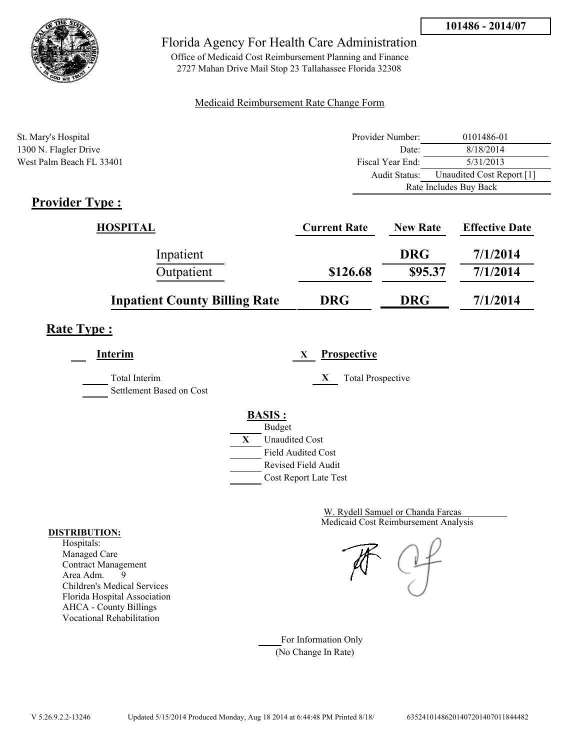

Office of Medicaid Cost Reimbursement Planning and Finance 2727 Mahan Drive Mail Stop 23 Tallahassee Florida 32308

#### Medicaid Reimbursement Rate Change Form

| St. Mary's Hospital      | Provider Number: | 0101486-01                |  |
|--------------------------|------------------|---------------------------|--|
| 1300 N. Flagler Drive    | Date:            | 8/18/2014                 |  |
| West Palm Beach FL 33401 | Fiscal Year End: | 5/31/2013                 |  |
|                          | Audit Status:    | Unaudited Cost Report [1] |  |
|                          |                  | Rate Includes Buy Back    |  |

# **Provider Type :**

| <b>HOSPITAL</b>                      | <b>Current Rate</b> | <b>New Rate</b> | <b>Effective Date</b> |
|--------------------------------------|---------------------|-----------------|-----------------------|
| Inpatient                            |                     | <b>DRG</b>      | 7/1/2014              |
| Outpatient                           | \$126.68            | \$95.37         | 7/1/2014              |
| <b>Inpatient County Billing Rate</b> | <b>DRG</b>          | <b>DRG</b>      | 7/1/2014              |

# **Rate Type :**

| <b>Interim</b>                            | <b>Prospective</b><br>X                                                   |
|-------------------------------------------|---------------------------------------------------------------------------|
| Total Interim<br>Settlement Based on Cost | X<br><b>Total Prospective</b>                                             |
|                                           | <b>BASIS:</b><br><b>Budget</b><br>X<br><b>Unaudited Cost</b>              |
|                                           | <b>Field Audited Cost</b><br>Revised Field Audit<br>Cost Report Late Test |

Medicaid Cost Reimbursement Analysis W. Rydell Samuel or Chanda Farcas

For Information Only (No Change In Rate)

#### **DISTRIBUTION:**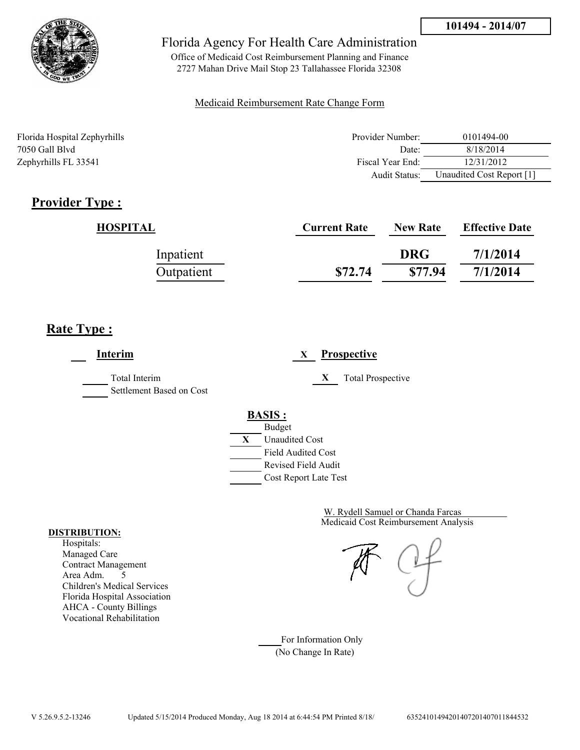

Office of Medicaid Cost Reimbursement Planning and Finance 2727 Mahan Drive Mail Stop 23 Tallahassee Florida 32308

#### Medicaid Reimbursement Rate Change Form

| Florida Hospital Zephyrhills | Provider Number: | 0101494-00                |
|------------------------------|------------------|---------------------------|
| 7050 Gall Blvd               | Date:            | 8/18/2014                 |
| Zephyrhills FL 33541         | Fiscal Year End: | 12/31/2012                |
|                              | Audit Status:    | Unaudited Cost Report [1] |

# **Provider Type :**

| HOSPITAL   | <b>Current Rate</b> | <b>New Rate</b> | <b>Effective Date</b> |
|------------|---------------------|-----------------|-----------------------|
| Inpatient  |                     | <b>DRG</b>      | 7/1/2014              |
| Outpatient | \$72.74             | \$77.94         | 7/1/2014              |

## **Rate Type :**

**Interim X Prospective** Total Interim **X** Total Prospective Settlement Based on Cost **BASIS :** Budget **X** Unaudited Cost Field Audited Cost Revised Field Audit Cost Report Late Test

> Medicaid Cost Reimbursement Analysis W. Rydell Samuel or Chanda Farcas

For Information Only (No Change In Rate)

#### **DISTRIBUTION:**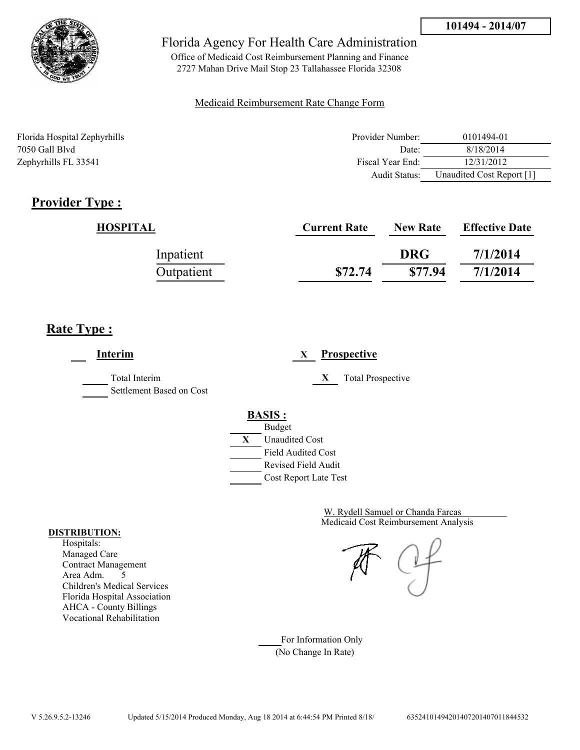

Office of Medicaid Cost Reimbursement Planning and Finance 2727 Mahan Drive Mail Stop 23 Tallahassee Florida 32308

#### Medicaid Reimbursement Rate Change Form

| Florida Hospital Zephyrhills | Provider Number: | 0101494-01                |
|------------------------------|------------------|---------------------------|
| 7050 Gall Blvd               | Date:            | 8/18/2014                 |
| Zephyrhills FL 33541         | Fiscal Year End: | 12/31/2012                |
|                              | Audit Status:    | Unaudited Cost Report [1] |

# **Provider Type :**

| HOSPITAL   | <b>Current Rate</b> | <b>New Rate</b> | <b>Effective Date</b> |
|------------|---------------------|-----------------|-----------------------|
| Inpatient  |                     | <b>DRG</b>      | 7/1/2014              |
| Outpatient | \$72.74             | \$77.94         | 7/1/2014              |

## **Rate Type :**

**Interim X Prospective** Total Interim **X** Total Prospective Settlement Based on Cost **BASIS :** Budget **X** Unaudited Cost Field Audited Cost Revised Field Audit Cost Report Late Test

> Medicaid Cost Reimbursement Analysis W. Rydell Samuel or Chanda Farcas

For Information Only (No Change In Rate)

#### **DISTRIBUTION:**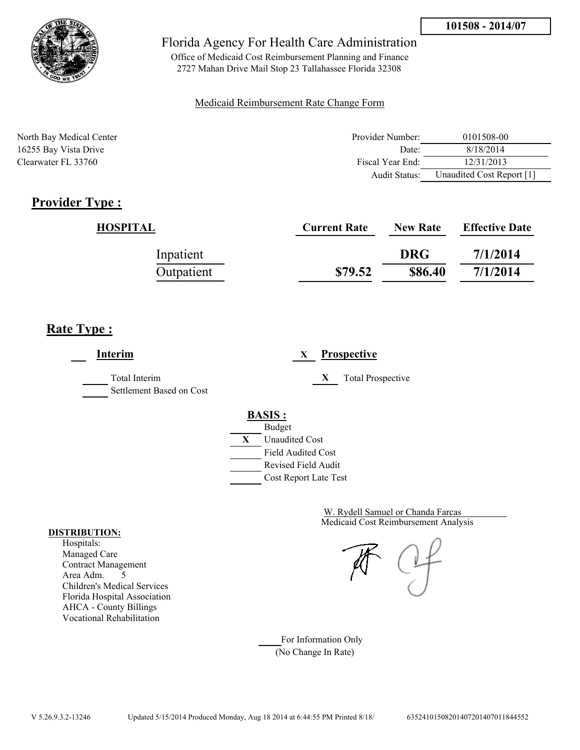

Office of Medicaid Cost Reimbursement Planning and Finance 2727 Mahan Drive Mail Stop 23 Tallahassee Florida 32308

#### Medicaid Reimbursement Rate Change Form

| North Bay Medical Center | Provider Number: | 0101508-00                |
|--------------------------|------------------|---------------------------|
| 16255 Bay Vista Drive    | Date:            | 8/18/2014                 |
| Clearwater FL 33760      | Fiscal Year End: | 12/31/2013                |
|                          | Audit Status:    | Unaudited Cost Report [1] |

## **Provider Type :**

| HOSPITAL   | <b>Current Rate</b> | <b>New Rate</b> | <b>Effective Date</b> |
|------------|---------------------|-----------------|-----------------------|
| Inpatient  |                     | <b>DRG</b>      | 7/1/2014              |
| Outpatient | \$79.52             | \$86.40         | 7/1/2014              |

## **Rate Type :**

**Interim X Prospective** Total Interim **X** Total Prospective Settlement Based on Cost **BASIS :** Budget **X** Unaudited Cost Field Audited Cost Revised Field Audit Cost Report Late Test

> Medicaid Cost Reimbursement Analysis W. Rydell Samuel or Chanda Farcas

For Information Only (No Change In Rate)

#### **DISTRIBUTION:**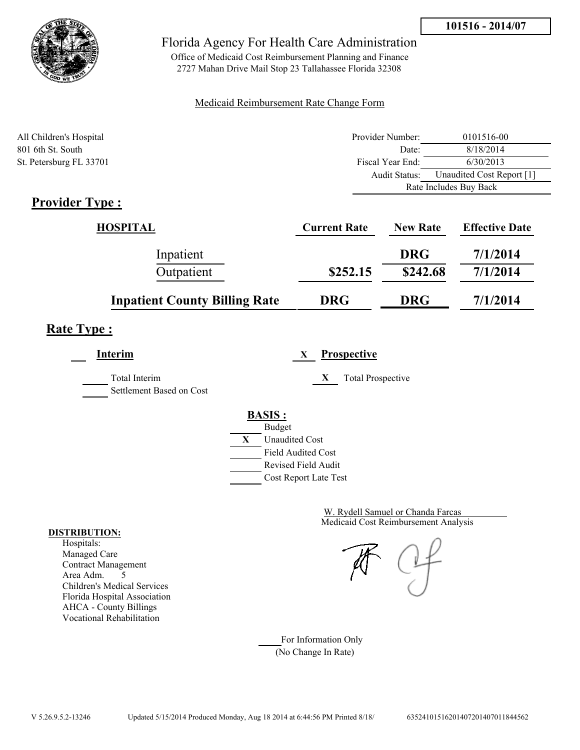



Office of Medicaid Cost Reimbursement Planning and Finance 2727 Mahan Drive Mail Stop 23 Tallahassee Florida 32308

#### Medicaid Reimbursement Rate Change Form

| All Children's Hospital                                   | Provider Number: | 0101516-00                |  |
|-----------------------------------------------------------|------------------|---------------------------|--|
| 801 6th St. South                                         | Date:            | 8/18/2014                 |  |
| St. Petersburg FL 33701                                   | Fiscal Year End: | 6/30/2013                 |  |
|                                                           | Audit Status:    | Unaudited Cost Report [1] |  |
|                                                           |                  | Rate Includes Buy Back    |  |
| $\bullet$ $\bullet$<br>$\sim$<br>$\overline{\phantom{a}}$ |                  |                           |  |

## **Provider Type :**

| HOSPITAL                             | <b>Current Rate</b> | <b>New Rate</b> | <b>Effective Date</b> |
|--------------------------------------|---------------------|-----------------|-----------------------|
| Inpatient                            |                     | <b>DRG</b>      | 7/1/2014              |
| Outpatient                           | \$252.15            | \$242.68        | 7/1/2014              |
| <b>Inpatient County Billing Rate</b> | <b>DRG</b>          | <b>DRG</b>      | 7/1/2014              |

# **Rate Type :**

**Interim X Prospective** Total Interim **X** Total Prospective Settlement Based on Cost **BASIS :** Budget **X** Unaudited Cost

Field Audited Cost Revised Field Audit Cost Report Late Test

> Medicaid Cost Reimbursement Analysis W. Rydell Samuel or Chanda Farcas

For Information Only (No Change In Rate)

#### **DISTRIBUTION:**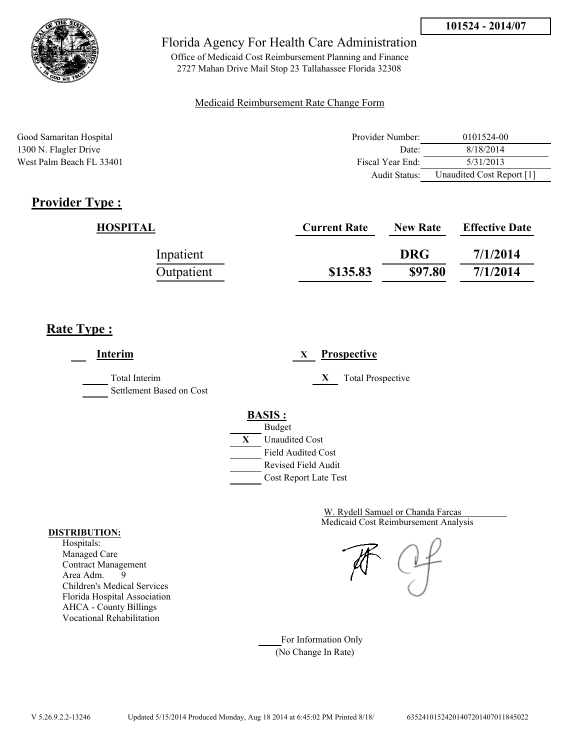

Office of Medicaid Cost Reimbursement Planning and Finance 2727 Mahan Drive Mail Stop 23 Tallahassee Florida 32308

#### Medicaid Reimbursement Rate Change Form

| Good Samaritan Hospital  | Provider Number: | 0101524-00                |
|--------------------------|------------------|---------------------------|
| 1300 N. Flagler Drive    | Date:            | 8/18/2014                 |
| West Palm Beach FL 33401 | Fiscal Year End: | 5/31/2013                 |
|                          | Audit Status:    | Unaudited Cost Report [1] |

# **Provider Type :**

| HOSPITAL   | <b>Current Rate</b> | <b>New Rate</b> | <b>Effective Date</b> |
|------------|---------------------|-----------------|-----------------------|
| Inpatient  |                     | <b>DRG</b>      | 7/1/2014              |
| Outpatient | \$135.83            | \$97.80         | 7/1/2014              |

# **Rate Type :**

| Interim                                   | <b>Prospective</b><br>X       |
|-------------------------------------------|-------------------------------|
| Total Interim<br>Settlement Based on Cost | X<br><b>Total Prospective</b> |
|                                           | <b>BASIS:</b>                 |
|                                           | <b>Budget</b>                 |
|                                           | X<br><b>Unaudited Cost</b>    |
|                                           | <b>Field Audited Cost</b>     |
|                                           | Revised Field Audit           |
|                                           | Cost Report Late Test         |

Medicaid Cost Reimbursement Analysis W. Rydell Samuel or Chanda Farcas

For Information Only (No Change In Rate)

#### **DISTRIBUTION:**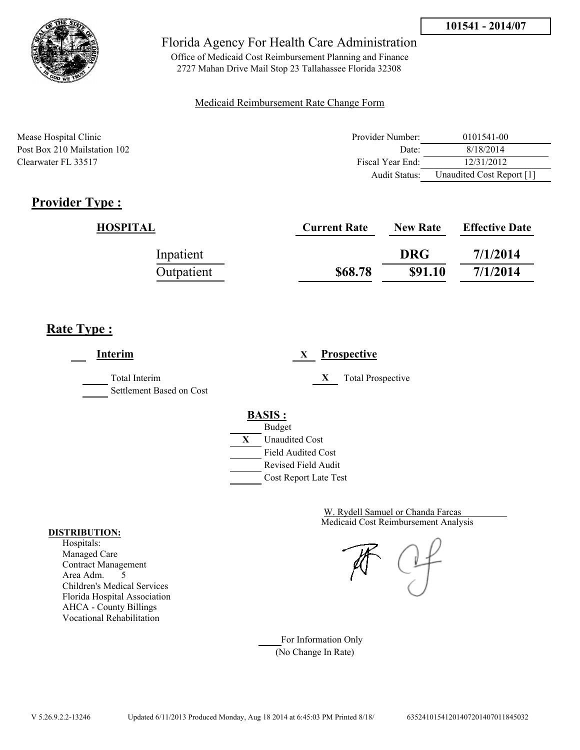

Office of Medicaid Cost Reimbursement Planning and Finance 2727 Mahan Drive Mail Stop 23 Tallahassee Florida 32308

#### Medicaid Reimbursement Rate Change Form

| Mease Hospital Clinic        | Provider Number: | 0101541-00                |
|------------------------------|------------------|---------------------------|
| Post Box 210 Mailstation 102 | Date             | 8/18/2014                 |
| Clearwater FL 33517          | Fiscal Year End: | 12/31/2012                |
|                              | Audit Status:    | Unaudited Cost Report [1] |

# **Provider Type :**

| HOSPITAL   | <b>Current Rate</b> | <b>New Rate</b> | <b>Effective Date</b> |
|------------|---------------------|-----------------|-----------------------|
| Inpatient  |                     | <b>DRG</b>      | 7/1/2014              |
| Outpatient | \$68.78             | \$91.10         | 7/1/2014              |

## **Rate Type :**

**Interim X Prospective** Total Interim **X** Total Prospective Settlement Based on Cost **BASIS :** Budget **X** Unaudited Cost Field Audited Cost Revised Field Audit Cost Report Late Test

> Medicaid Cost Reimbursement Analysis W. Rydell Samuel or Chanda Farcas

For Information Only (No Change In Rate)

#### **DISTRIBUTION:**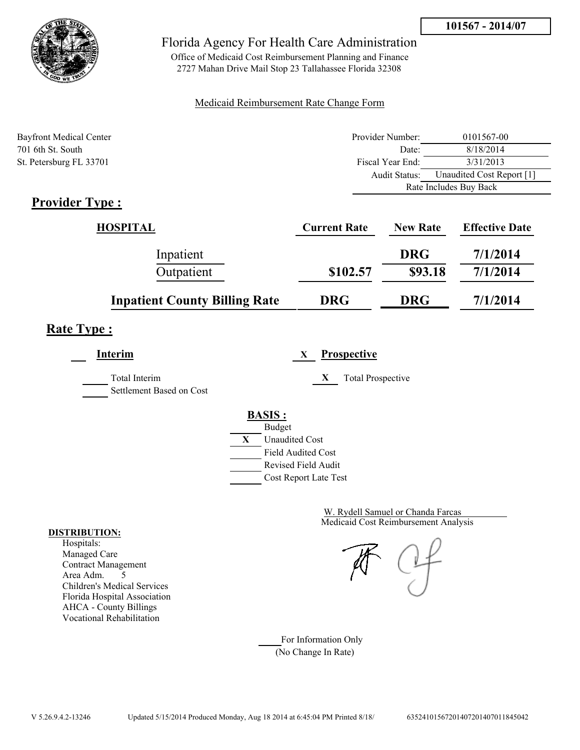

Office of Medicaid Cost Reimbursement Planning and Finance 2727 Mahan Drive Mail Stop 23 Tallahassee Florida 32308

#### Medicaid Reimbursement Rate Change Form

| <b>Bayfront Medical Center</b> | Provider Number: | 0101567-00                |  |
|--------------------------------|------------------|---------------------------|--|
| 701 6th St. South              | Date:            | 8/18/2014                 |  |
| St. Petersburg FL 33701        | Fiscal Year End: | 3/31/2013                 |  |
|                                | Audit Status:    | Unaudited Cost Report [1] |  |
|                                |                  | Rate Includes Buy Back    |  |

# **Provider Type :**

| HOSPITAL                             | <b>Current Rate</b> | <b>New Rate</b> | <b>Effective Date</b> |
|--------------------------------------|---------------------|-----------------|-----------------------|
| Inpatient                            |                     | <b>DRG</b>      | 7/1/2014              |
| Outpatient                           | \$102.57            | \$93.18         | 7/1/2014              |
| <b>Inpatient County Billing Rate</b> | <b>DRG</b>          | <b>DRG</b>      | 7/1/2014              |

# **Rate Type :**

| Interim                                   | <b>Prospective</b><br>X                                                        |
|-------------------------------------------|--------------------------------------------------------------------------------|
| Total Interim<br>Settlement Based on Cost | <b>Total Prospective</b><br>X                                                  |
|                                           | <b>BASIS:</b><br><b>Budget</b>                                                 |
|                                           | X<br><b>Unaudited Cost</b><br><b>Field Audited Cost</b><br>Revised Field Audit |
|                                           | Cost Report Late Test                                                          |

Medicaid Cost Reimbursement Analysis W. Rydell Samuel or Chanda Farcas

For Information Only (No Change In Rate)

#### **DISTRIBUTION:**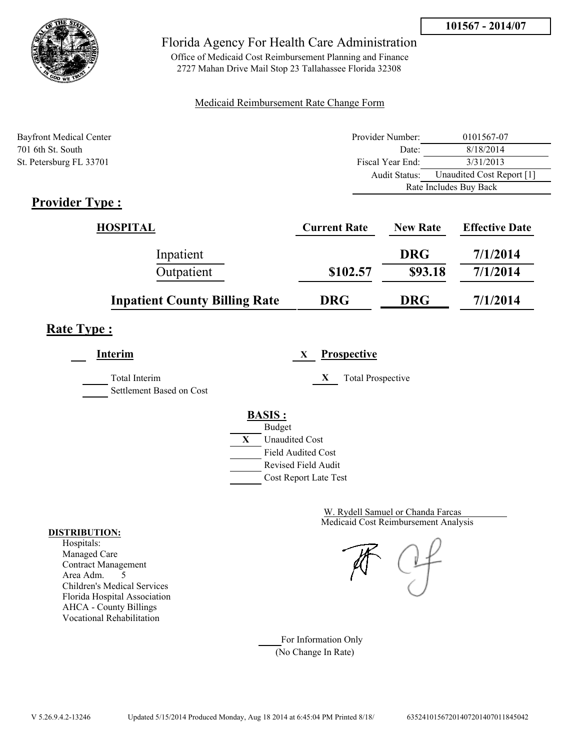

Office of Medicaid Cost Reimbursement Planning and Finance 2727 Mahan Drive Mail Stop 23 Tallahassee Florida 32308

#### Medicaid Reimbursement Rate Change Form

| <b>Bayfront Medical Center</b> | Provider Number: | 0101567-07                |  |
|--------------------------------|------------------|---------------------------|--|
| 701 6th St. South              | Date:            | 8/18/2014                 |  |
| St. Petersburg FL 33701        | Fiscal Year End: | 3/31/2013                 |  |
|                                | Audit Status:    | Unaudited Cost Report [1] |  |
|                                |                  | Rate Includes Buy Back    |  |

# **Provider Type :**

| HOSPITAL                             | <b>Current Rate</b> | <b>New Rate</b> | <b>Effective Date</b> |
|--------------------------------------|---------------------|-----------------|-----------------------|
| Inpatient                            |                     | <b>DRG</b>      | 7/1/2014              |
| Outpatient                           | \$102.57            | \$93.18         | 7/1/2014              |
| <b>Inpatient County Billing Rate</b> | <b>DRG</b>          | <b>DRG</b>      | 7/1/2014              |

# **Rate Type :**

**Interim X Prospective** Total Interim **X** Total Prospective Settlement Based on Cost **BASIS :**



Medicaid Cost Reimbursement Analysis W. Rydell Samuel or Chanda Farcas

For Information Only (No Change In Rate)

#### **DISTRIBUTION:**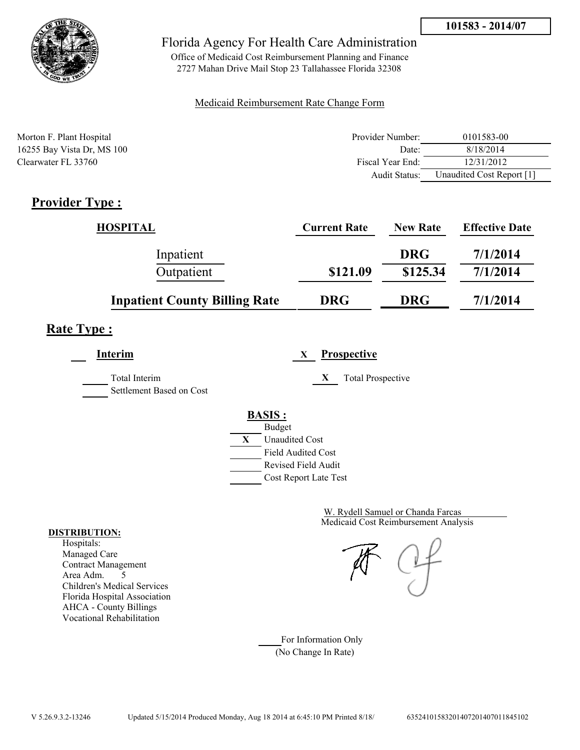

Office of Medicaid Cost Reimbursement Planning and Finance 2727 Mahan Drive Mail Stop 23 Tallahassee Florida 32308

### Medicaid Reimbursement Rate Change Form

| Morton F. Plant Hospital   | Provider Number: | 0101583-00                |
|----------------------------|------------------|---------------------------|
| 16255 Bay Vista Dr, MS 100 | Date:            | 8/18/2014                 |
| Clearwater FL 33760        | Fiscal Year End: | 12/31/2012                |
|                            | Audit Status:    | Unaudited Cost Report [1] |

# **Provider Type :**

| <b>HOSPITAL</b>                      | <b>Current Rate</b> | <b>New Rate</b> | <b>Effective Date</b> |
|--------------------------------------|---------------------|-----------------|-----------------------|
| Inpatient                            |                     | <b>DRG</b>      | 7/1/2014              |
| Outpatient                           | \$121.09            | \$125.34        | 7/1/2014              |
| <b>Inpatient County Billing Rate</b> | <b>DRG</b>          | <b>DRG</b>      | 7/1/2014              |

# **Rate Type :**

**Interim X Prospective**

Total Interim **X** Total Prospective Settlement Based on Cost

**BASIS :**



**DISTRIBUTION:**

Hospitals: Managed Care Contract Management Area Adm. 5 Children's Medical Services Florida Hospital Association AHCA - County Billings Vocational Rehabilitation

Medicaid Cost Reimbursement Analysis

W. Rydell Samuel or Chanda Farcas

For Information Only (No Change In Rate)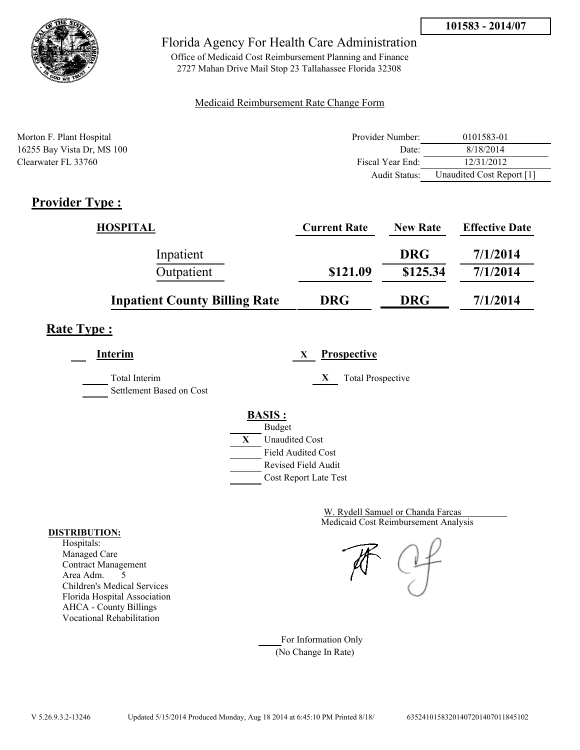

Office of Medicaid Cost Reimbursement Planning and Finance 2727 Mahan Drive Mail Stop 23 Tallahassee Florida 32308

### Medicaid Reimbursement Rate Change Form

| Morton F. Plant Hospital   | Provider Number: | 0101583-01                |
|----------------------------|------------------|---------------------------|
| 16255 Bay Vista Dr, MS 100 | Date:            | 8/18/2014                 |
| Clearwater FL 33760        | Fiscal Year End: | 12/31/2012                |
|                            | Audit Status:    | Unaudited Cost Report [1] |

# **Provider Type :**

| <b>HOSPITAL</b>                      | <b>Current Rate</b> | <b>New Rate</b> | <b>Effective Date</b> |
|--------------------------------------|---------------------|-----------------|-----------------------|
| Inpatient                            |                     | <b>DRG</b>      | 7/1/2014              |
| Outpatient                           | \$121.09            | \$125.34        | 7/1/2014              |
| <b>Inpatient County Billing Rate</b> | <b>DRG</b>          | <b>DRG</b>      | 7/1/2014              |

# **Rate Type :**

**Interim X Prospective**

Total Interim **X** Total Prospective Settlement Based on Cost



Medicaid Cost Reimbursement Analysis W. Rydell Samuel or Chanda Farcas

For Information Only (No Change In Rate)

#### **DISTRIBUTION:**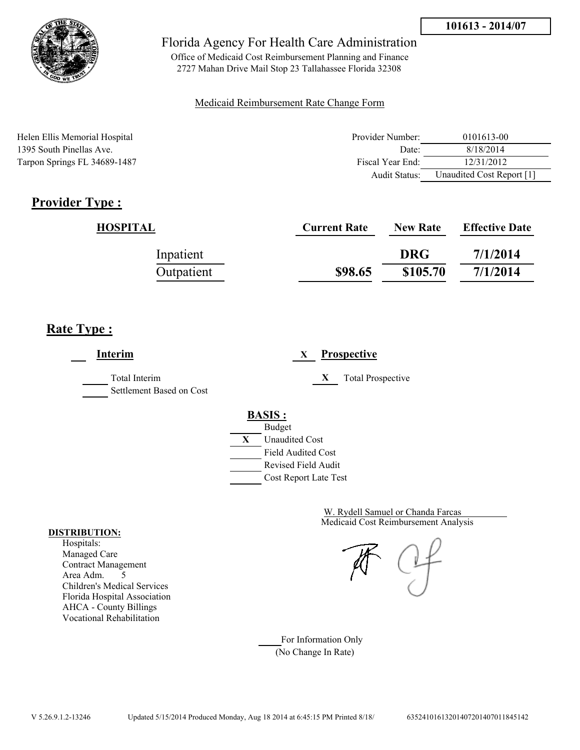

Office of Medicaid Cost Reimbursement Planning and Finance 2727 Mahan Drive Mail Stop 23 Tallahassee Florida 32308

#### Medicaid Reimbursement Rate Change Form

| Helen Ellis Memorial Hospital | Provider Number: | 0101613-00                |
|-------------------------------|------------------|---------------------------|
| 1395 South Pinellas Ave.      | Date:            | 8/18/2014                 |
| Tarpon Springs FL 34689-1487  | Fiscal Year End: | 12/31/2012                |
|                               | Audit Status:    | Unaudited Cost Report [1] |

# **Provider Type :**

| HOSPITAL   | <b>Current Rate</b> | <b>New Rate</b> | <b>Effective Date</b> |
|------------|---------------------|-----------------|-----------------------|
| Inpatient  |                     | <b>DRG</b>      | 7/1/2014              |
| Outpatient | \$98.65             | \$105.70        | 7/1/2014              |

# **Rate Type :**

**Interim X Prospective** Total Interim **X** Total Prospective Settlement Based on Cost **BASIS :** Budget **X** Unaudited Cost Field Audited Cost Revised Field Audit Cost Report Late Test

> Medicaid Cost Reimbursement Analysis W. Rydell Samuel or Chanda Farcas

For Information Only (No Change In Rate)

#### **DISTRIBUTION:**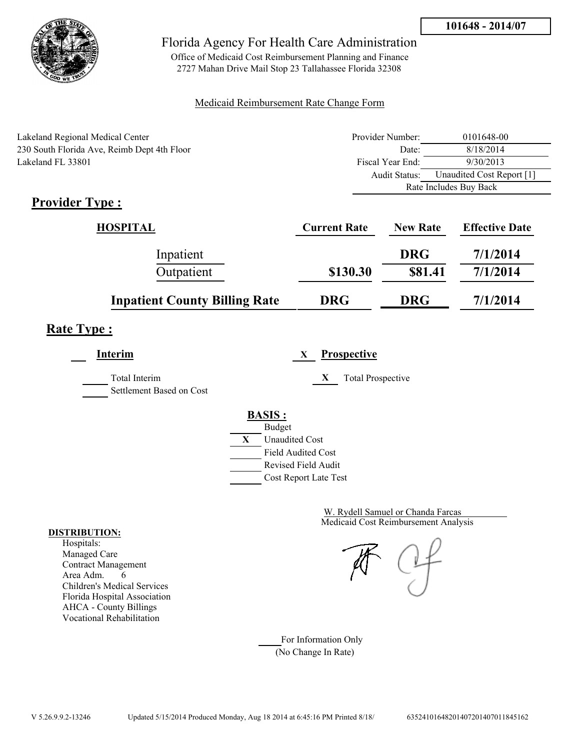

Office of Medicaid Cost Reimbursement Planning and Finance 2727 Mahan Drive Mail Stop 23 Tallahassee Florida 32308

### Medicaid Reimbursement Rate Change Form

| Lakeland Regional Medical Center            | Provider Number: | 0101648-00                |  |
|---------------------------------------------|------------------|---------------------------|--|
| 230 South Florida Ave, Reimb Dept 4th Floor | Date:            | 8/18/2014                 |  |
| Lakeland FL 33801                           | Fiscal Year End: | 9/30/2013                 |  |
|                                             | Audit Status:    | Unaudited Cost Report [1] |  |
|                                             |                  | Rate Includes Buy Back    |  |

# **Provider Type :**

| <b>HOSPITAL</b>                      | <b>Current Rate</b> | <b>New Rate</b> | <b>Effective Date</b> |
|--------------------------------------|---------------------|-----------------|-----------------------|
| Inpatient                            |                     | <b>DRG</b>      | 7/1/2014              |
| Outpatient                           | \$130.30            | \$81.41         | 7/1/2014              |
| <b>Inpatient County Billing Rate</b> | <b>DRG</b>          | <b>DRG</b>      | 7/1/2014              |

# **Rate Type :**

| <b>Interim</b>                            | <b>Prospective</b><br>X       |
|-------------------------------------------|-------------------------------|
| Total Interim<br>Settlement Based on Cost | X<br><b>Total Prospective</b> |
|                                           | <b>BASIS:</b>                 |
|                                           | <b>Budget</b>                 |
|                                           | X<br><b>Unaudited Cost</b>    |
|                                           | <b>Field Audited Cost</b>     |
|                                           | <b>Revised Field Audit</b>    |
|                                           | Cost Report Late Test         |
|                                           |                               |

Medicaid Cost Reimbursement Analysis W. Rydell Samuel or Chanda Farcas

For Information Only (No Change In Rate)

#### **DISTRIBUTION:**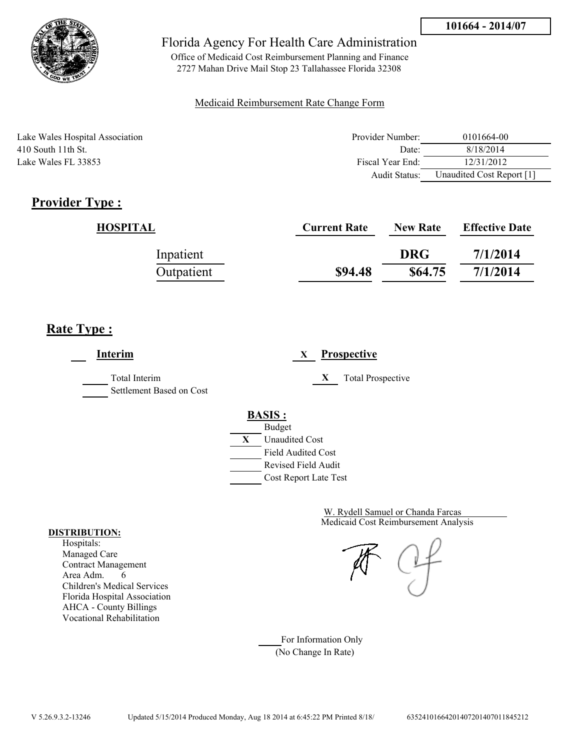

Office of Medicaid Cost Reimbursement Planning and Finance 2727 Mahan Drive Mail Stop 23 Tallahassee Florida 32308

#### Medicaid Reimbursement Rate Change Form

| Lake Wales Hospital Association | Provider Number:     | 0101664-00                |
|---------------------------------|----------------------|---------------------------|
| $410$ South 11th St.            | Date:                | 8/18/2014                 |
| Lake Wales FL 33853             | Fiscal Year End:     | 12/31/2012                |
|                                 | <b>Audit Status:</b> | Unaudited Cost Report [1] |

# **Provider Type :**

| HOSPITAL   | <b>Current Rate</b> | <b>New Rate</b> | <b>Effective Date</b> |
|------------|---------------------|-----------------|-----------------------|
| Inpatient  |                     | <b>DRG</b>      | 7/1/2014              |
| Outpatient | \$94.48             | \$64.75         | 7/1/2014              |

## **Rate Type :**

**Interim X Prospective** Total Interim **X** Total Prospective Settlement Based on Cost **BASIS :** Budget **X** Unaudited Cost Field Audited Cost Revised Field Audit Cost Report Late Test

> Medicaid Cost Reimbursement Analysis W. Rydell Samuel or Chanda Farcas

For Information Only (No Change In Rate)

#### **DISTRIBUTION:**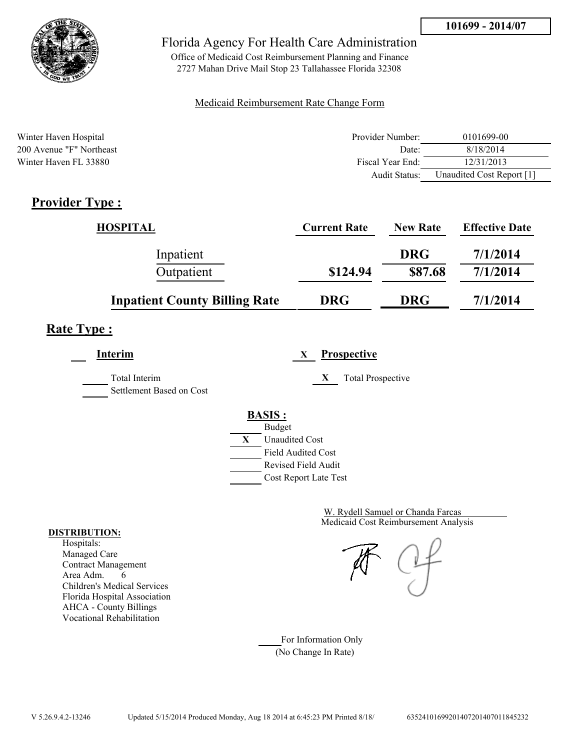

Office of Medicaid Cost Reimbursement Planning and Finance 2727 Mahan Drive Mail Stop 23 Tallahassee Florida 32308

### Medicaid Reimbursement Rate Change Form

| Winter Haven Hospital    | Provider Number: | 0101699-00                |
|--------------------------|------------------|---------------------------|
| 200 Avenue "F" Northeast | Date:            | 8/18/2014                 |
| Winter Haven FL 33880    | Fiscal Year End: | 12/31/2013                |
|                          | Audit Status:    | Unaudited Cost Report [1] |

# **Provider Type :**

| <b>HOSPITAL</b>                      | <b>Current Rate</b> | <b>New Rate</b> | <b>Effective Date</b> |
|--------------------------------------|---------------------|-----------------|-----------------------|
| Inpatient                            |                     | <b>DRG</b>      | 7/1/2014              |
| Outpatient                           | \$124.94            | \$87.68         | 7/1/2014              |
| <b>Inpatient County Billing Rate</b> | <b>DRG</b>          | <b>DRG</b>      | 7/1/2014              |

# **Rate Type :**

**Interim X Prospective**

Total Interim **X** Total Prospective Settlement Based on Cost

# **BASIS :**



Medicaid Cost Reimbursement Analysis W. Rydell Samuel or Chanda Farcas

For Information Only (No Change In Rate)

#### **DISTRIBUTION:**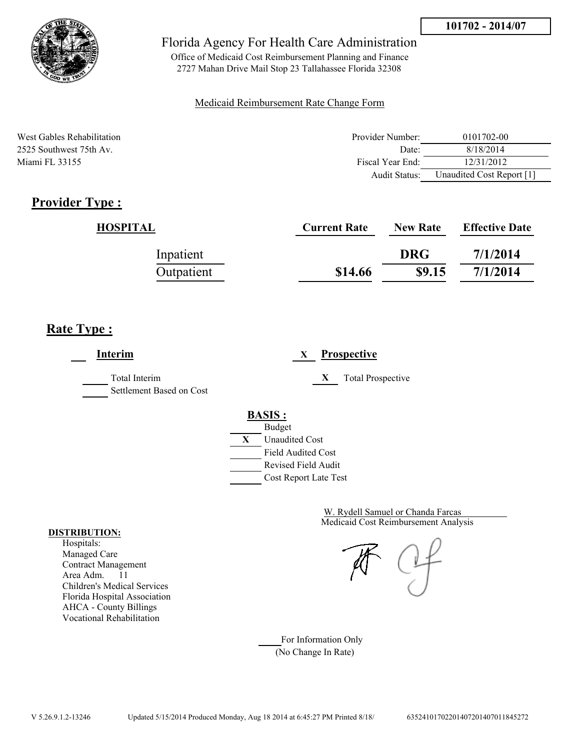

Office of Medicaid Cost Reimbursement Planning and Finance 2727 Mahan Drive Mail Stop 23 Tallahassee Florida 32308

#### Medicaid Reimbursement Rate Change Form

| West Gables Rehabilitation | Provider Number: | 0101702-00                |
|----------------------------|------------------|---------------------------|
| 2525 Southwest 75th Av.    | Date:            | 8/18/2014                 |
| Miami FL 33155             | Fiscal Year End: | 12/31/2012                |
|                            | Audit Status:    | Unaudited Cost Report [1] |

# **Provider Type :**

| <b>HOSPITAL</b> | <b>Current Rate</b> | <b>New Rate</b> | <b>Effective Date</b> |
|-----------------|---------------------|-----------------|-----------------------|
| Inpatient       |                     | <b>DRG</b>      | 7/1/2014              |
| Outpatient      | \$14.66             | \$9.15          | 7/1/2014              |

# **Rate Type :**

**Interim X Prospective** Total Interim **X** Total Prospective Settlement Based on Cost **BASIS :** Budget **X** Unaudited Cost Field Audited Cost Revised Field Audit Cost Report Late Test

> Medicaid Cost Reimbursement Analysis W. Rydell Samuel or Chanda Farcas

For Information Only (No Change In Rate)

#### **DISTRIBUTION:**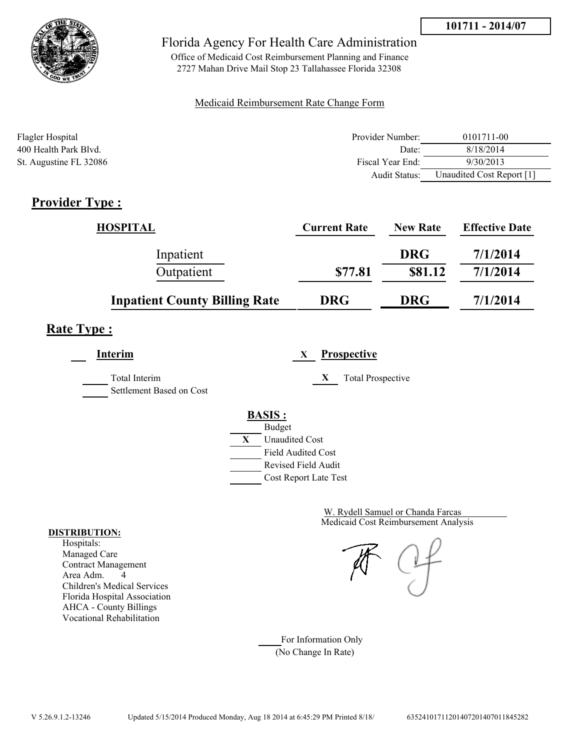



Office of Medicaid Cost Reimbursement Planning and Finance 2727 Mahan Drive Mail Stop 23 Tallahassee Florida 32308

#### Medicaid Reimbursement Rate Change Form

| Flagler Hospital       | Provider Number:     | 0101711-00                |
|------------------------|----------------------|---------------------------|
| 400 Health Park Blvd.  | Date:                | 8/18/2014                 |
| St. Augustine FL 32086 | Fiscal Year End:     | 9/30/2013                 |
|                        | <b>Audit Status:</b> | Unaudited Cost Report [1] |

## **Provider Type :**

| <b>HOSPITAL</b>                      | <b>Current Rate</b> | <b>New Rate</b> | <b>Effective Date</b> |
|--------------------------------------|---------------------|-----------------|-----------------------|
| Inpatient                            |                     | <b>DRG</b>      | 7/1/2014              |
| Outpatient                           | \$77.81             | \$81.12         | 7/1/2014              |
| <b>Inpatient County Billing Rate</b> | <b>DRG</b>          | <b>DRG</b>      | 7/1/2014              |

# **Rate Type :**

**Interim X Prospective** Total Interim **X** Total Prospective

Settlement Based on Cost

### **BASIS :** Budget **X** Unaudited Cost

Field Audited Cost Revised Field Audit

Cost Report Late Test

Medicaid Cost Reimbursement Analysis W. Rydell Samuel or Chanda Farcas

For Information Only (No Change In Rate)

#### **DISTRIBUTION:**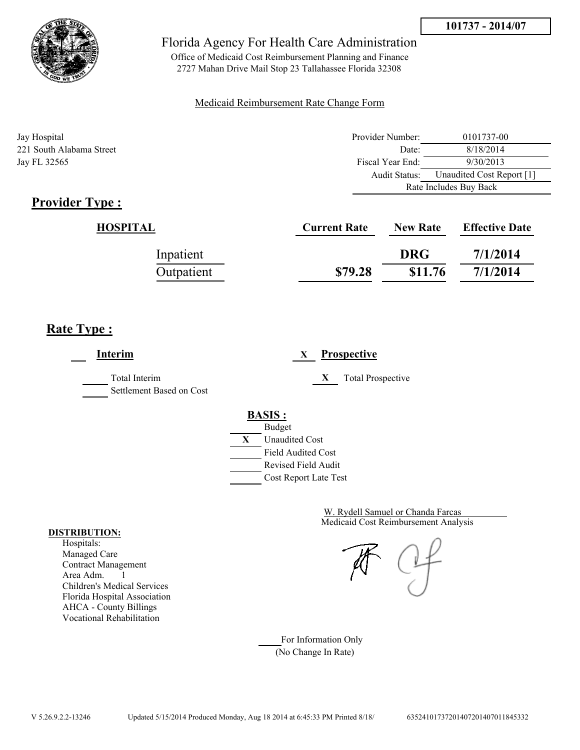



Office of Medicaid Cost Reimbursement Planning and Finance 2727 Mahan Drive Mail Stop 23 Tallahassee Florida 32308

#### Medicaid Reimbursement Rate Change Form

| Jay Hospital             | Provider Number: | 0101737-00                |  |
|--------------------------|------------------|---------------------------|--|
| 221 South Alabama Street | Date:            | 8/18/2014                 |  |
| Jay FL 32565             | Fiscal Year End: | 9/30/2013                 |  |
|                          | Audit Status:    | Unaudited Cost Report [1] |  |
|                          |                  | Rate Includes Buy Back    |  |

# **Provider Type :**

| HOSPITAL   | <b>Current Rate</b> | <b>New Rate</b> | <b>Effective Date</b> |
|------------|---------------------|-----------------|-----------------------|
| Inpatient  |                     | <b>DRG</b>      | 7/1/2014              |
| Outpatient | \$79.28             | \$11.76         | 7/1/2014              |

## **Rate Type :**

 $\overline{a}$ 

| Interim                                   | <b>Prospective</b><br>X                                                                                                                   |
|-------------------------------------------|-------------------------------------------------------------------------------------------------------------------------------------------|
| Total Interim<br>Settlement Based on Cost | X<br><b>Total Prospective</b>                                                                                                             |
|                                           | <b>BASIS:</b><br><b>Budget</b><br>X<br><b>Unaudited Cost</b><br><b>Field Audited Cost</b><br>Revised Field Audit<br>Cost Report Late Test |

Medicaid Cost Reimbursement Analysis W. Rydell Samuel or Chanda Farcas

For Information Only (No Change In Rate)

#### **DISTRIBUTION:**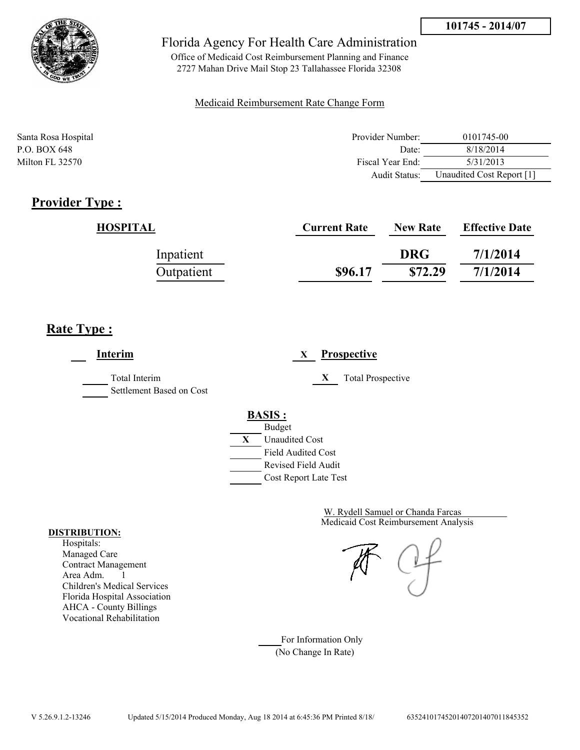

Office of Medicaid Cost Reimbursement Planning and Finance 2727 Mahan Drive Mail Stop 23 Tallahassee Florida 32308

#### Medicaid Reimbursement Rate Change Form

| Santa Rosa Hospital | Provider Number:     | 0101745-00                |
|---------------------|----------------------|---------------------------|
| P.O. BOX 648        | Date:                | 8/18/2014                 |
| Milton FL 32570     | Fiscal Year End:     | 5/31/2013                 |
|                     | <b>Audit Status:</b> | Unaudited Cost Report [1] |

## **Provider Type :**

| HOSPITAL   | <b>Current Rate</b> | <b>New Rate</b> | <b>Effective Date</b> |
|------------|---------------------|-----------------|-----------------------|
| Inpatient  |                     | <b>DRG</b>      | 7/1/2014              |
| Outpatient | \$96.17             | \$72.29         | 7/1/2014              |

## **Rate Type :**

**Interim X Prospective** Total Interim **X** Total Prospective Settlement Based on Cost **BASIS :** Budget **X** Unaudited Cost Field Audited Cost Revised Field Audit Cost Report Late Test

> Medicaid Cost Reimbursement Analysis W. Rydell Samuel or Chanda Farcas

For Information Only (No Change In Rate)

#### **DISTRIBUTION:**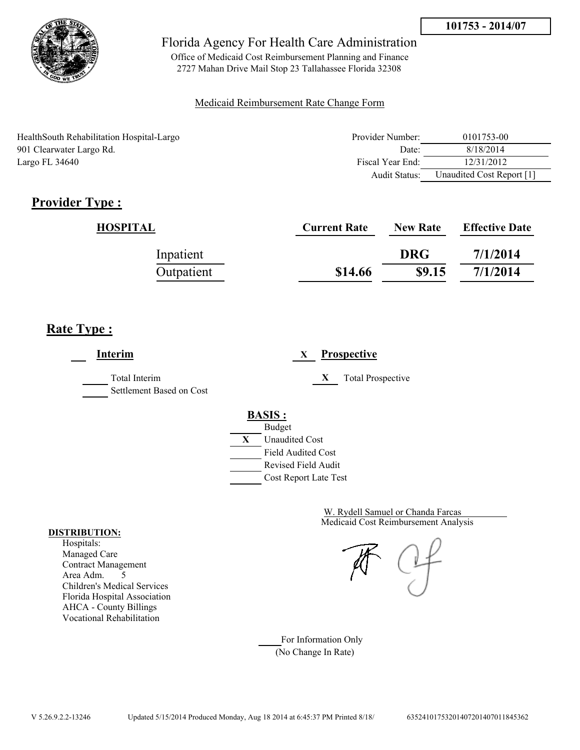

Office of Medicaid Cost Reimbursement Planning and Finance 2727 Mahan Drive Mail Stop 23 Tallahassee Florida 32308

### Medicaid Reimbursement Rate Change Form

HealthSouth Rehabilitation Hospital-Largo 901 Clearwater Largo Rd. Largo FL 34640

| Provider Number: | 0101753-00                |
|------------------|---------------------------|
| Date             | 8/18/2014                 |
| Fiscal Year End: | 12/31/2012                |
| Audit Status:    | Unaudited Cost Report [1] |

# **Provider Type :**

| HOSPITAL   | <b>Current Rate</b> | <b>New Rate</b> | <b>Effective Date</b> |
|------------|---------------------|-----------------|-----------------------|
| Inpatient  |                     | <b>DRG</b>      | 7/1/2014              |
| Outpatient | \$14.66             | \$9.15          | 7/1/2014              |

# **Rate Type :**

**Interim X Prospective** Total Interim **X** Total Prospective Settlement Based on Cost **BASIS :** Budget **X** Unaudited Cost Field Audited Cost Revised Field Audit Cost Report Late Test

> Medicaid Cost Reimbursement Analysis W. Rydell Samuel or Chanda Farcas

For Information Only (No Change In Rate)

#### **DISTRIBUTION:**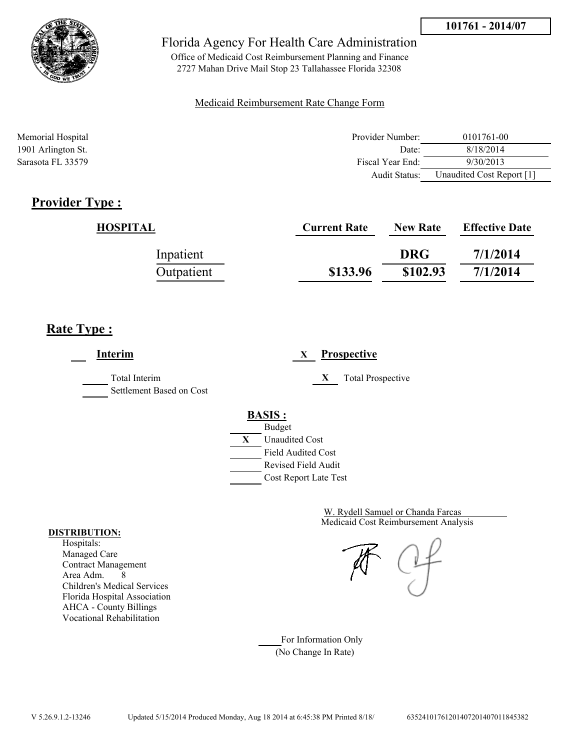

Office of Medicaid Cost Reimbursement Planning and Finance 2727 Mahan Drive Mail Stop 23 Tallahassee Florida 32308

#### Medicaid Reimbursement Rate Change Form

| Memorial Hospital  | Provider Number: | 0101761-00                |
|--------------------|------------------|---------------------------|
| 1901 Arlington St. | Date:            | 8/18/2014                 |
| Sarasota FL 33579  | Fiscal Year End: | 9/30/2013                 |
|                    | Audit Status:    | Unaudited Cost Report [1] |

## **Provider Type :**

| HOSPITAL   | <b>Current Rate</b> | <b>New Rate</b> | <b>Effective Date</b> |
|------------|---------------------|-----------------|-----------------------|
| Inpatient  |                     | <b>DRG</b>      | 7/1/2014              |
| Outpatient | \$133.96            | \$102.93        | 7/1/2014              |

## **Rate Type :**

**Interim X Prospective** Total Interim **X** Total Prospective Settlement Based on Cost **BASIS :** Budget **X** Unaudited Cost Field Audited Cost Revised Field Audit Cost Report Late Test

> Medicaid Cost Reimbursement Analysis W. Rydell Samuel or Chanda Farcas

For Information Only (No Change In Rate)

#### **DISTRIBUTION:**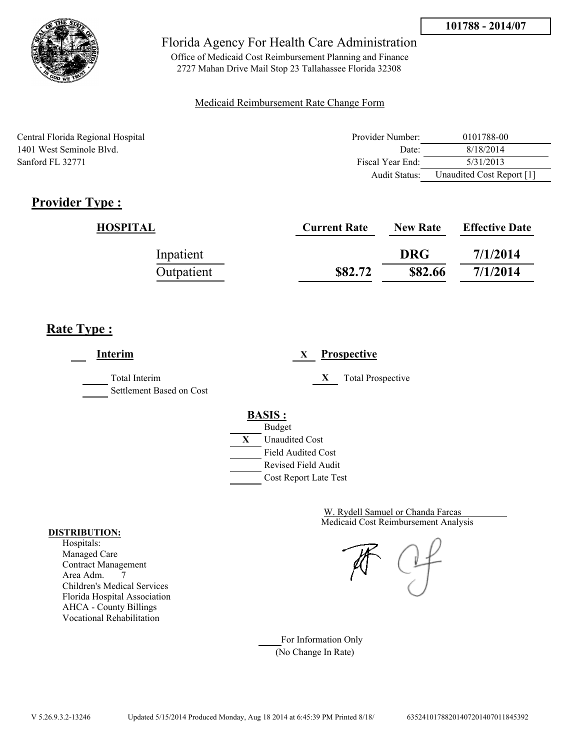

Office of Medicaid Cost Reimbursement Planning and Finance 2727 Mahan Drive Mail Stop 23 Tallahassee Florida 32308

### Medicaid Reimbursement Rate Change Form

Central Florida Regional Hospital 1401 West Seminole Blvd. Sanford FL 32771

| Provider Number: | 0101788-00                |
|------------------|---------------------------|
| Date:            | 8/18/2014                 |
| Fiscal Year End: | 5/31/2013                 |
| Audit Status:    | Unaudited Cost Report [1] |

# **Provider Type :**

| HOSPITAL   | <b>Current Rate</b> | <b>New Rate</b> | <b>Effective Date</b> |
|------------|---------------------|-----------------|-----------------------|
| Inpatient  |                     | <b>DRG</b>      | 7/1/2014              |
| Outpatient | \$82.72             | \$82.66         | 7/1/2014              |

# **Rate Type :**

**Interim X Prospective** Total Interim **X** Total Prospective Settlement Based on Cost **BASIS :** Budget **X** Unaudited Cost Field Audited Cost Revised Field Audit Cost Report Late Test

> Medicaid Cost Reimbursement Analysis W. Rydell Samuel or Chanda Farcas

For Information Only (No Change In Rate)

#### **DISTRIBUTION:**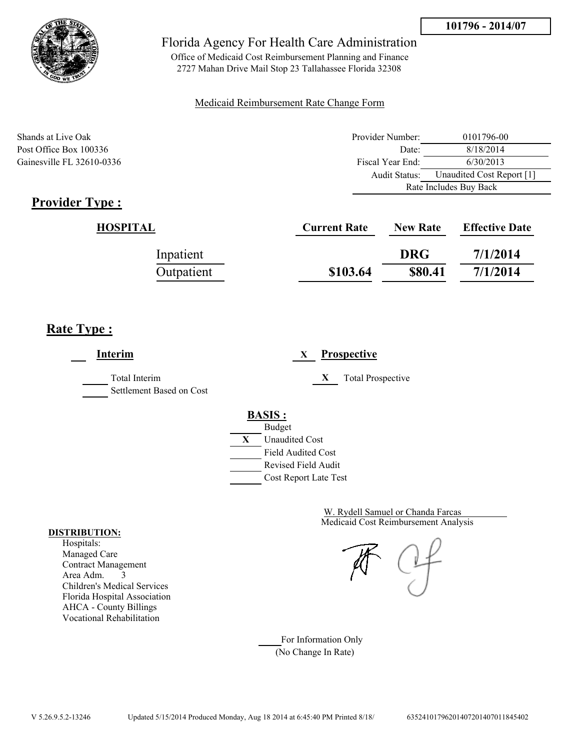

Office of Medicaid Cost Reimbursement Planning and Finance 2727 Mahan Drive Mail Stop 23 Tallahassee Florida 32308

#### Medicaid Reimbursement Rate Change Form

Shands at Live Oak 2010 1796-00 Post Office Box 100336 Date: 8/18/2014 Gainesville FL 32610-0336 Fiscal Year End: 6/30/2013 Audit Status: Unaudited Cost Report [1] Rate Includes Buy Back

# **Provider Type :**

| HOSPITAL   | <b>Current Rate</b> | <b>New Rate</b> | <b>Effective Date</b> |
|------------|---------------------|-----------------|-----------------------|
| Inpatient  |                     | <b>DRG</b>      | 7/1/2014              |
| Outpatient | \$103.64            | \$80.41         | 7/1/2014              |

# **Rate Type :**

**Interim X Prospective** Total Interim **X** Total Prospective Settlement Based on Cost **BASIS :** Budget **X** Unaudited Cost Field Audited Cost Revised Field Audit Cost Report Late Test

> Medicaid Cost Reimbursement Analysis W. Rydell Samuel or Chanda Farcas

For Information Only (No Change In Rate)

#### **DISTRIBUTION:**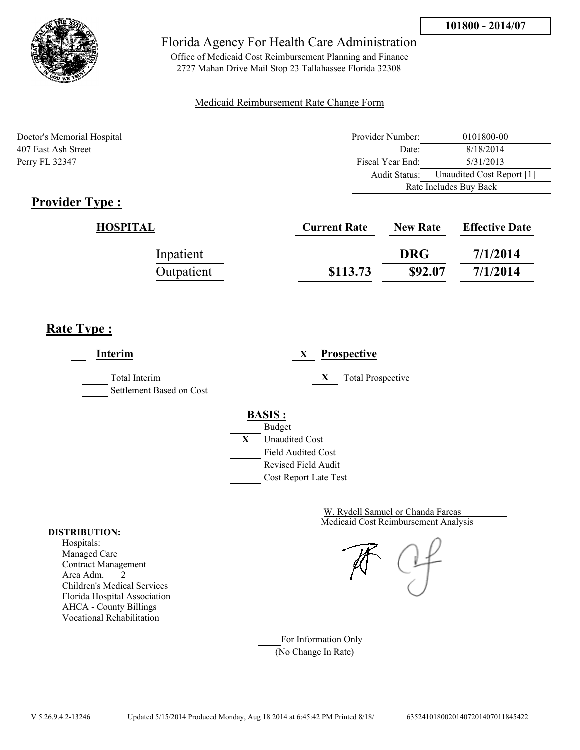

Office of Medicaid Cost Reimbursement Planning and Finance 2727 Mahan Drive Mail Stop 23 Tallahassee Florida 32308

### Medicaid Reimbursement Rate Change Form

Doctor's Memorial Hospital 407 East Ash Street Perry FL 32347

| Provider Number:                           | 0101800-00 |  |
|--------------------------------------------|------------|--|
| Date:                                      | 8/18/2014  |  |
| Fiscal Year End:                           | 5/31/2013  |  |
| Unaudited Cost Report [1]<br>Audit Status: |            |  |
| Rate Includes Buy Back                     |            |  |

# **Provider Type :**

| HOSPITAL   | <b>Current Rate</b> | <b>New Rate</b> | <b>Effective Date</b> |
|------------|---------------------|-----------------|-----------------------|
| Inpatient  |                     | <b>DRG</b>      | 7/1/2014              |
| Outpatient | \$113.73            | \$92.07         | 7/1/2014              |

# **Rate Type :**

**Interim X Prospective** Total Interim **X** Total Prospective Settlement Based on Cost **BASIS :** Budget **X** Unaudited Cost Field Audited Cost Revised Field Audit Cost Report Late Test

> Medicaid Cost Reimbursement Analysis W. Rydell Samuel or Chanda Farcas

For Information Only (No Change In Rate)

#### **DISTRIBUTION:**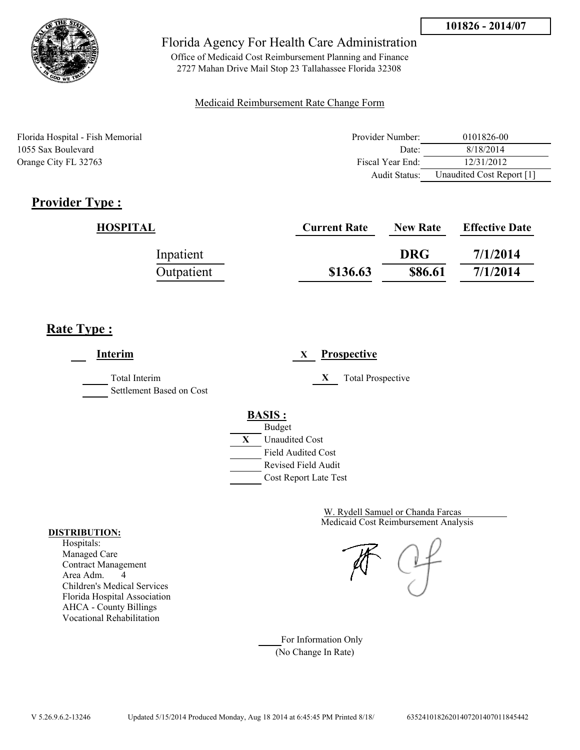

Office of Medicaid Cost Reimbursement Planning and Finance 2727 Mahan Drive Mail Stop 23 Tallahassee Florida 32308

### Medicaid Reimbursement Rate Change Form

Florida Hospital - Fish Memorial 1055 Sax Boulevard Orange City FL 32763

| Provider Number: | 0101826-00                |
|------------------|---------------------------|
| Date:            | 8/18/2014                 |
| Fiscal Year End: | 12/31/2012                |
| Audit Status:    | Unaudited Cost Report [1] |

# **Provider Type :**

| HOSPITAL   | <b>Current Rate</b> | <b>New Rate</b> | <b>Effective Date</b> |
|------------|---------------------|-----------------|-----------------------|
| Inpatient  |                     | <b>DRG</b>      | 7/1/2014              |
| Outpatient | \$136.63            | \$86.61         | 7/1/2014              |

# **Rate Type :**

**Interim X Prospective** Total Interim **X** Total Prospective Settlement Based on Cost **BASIS :** Budget **X** Unaudited Cost Field Audited Cost Revised Field Audit Cost Report Late Test

> Medicaid Cost Reimbursement Analysis W. Rydell Samuel or Chanda Farcas

For Information Only (No Change In Rate)

#### **DISTRIBUTION:**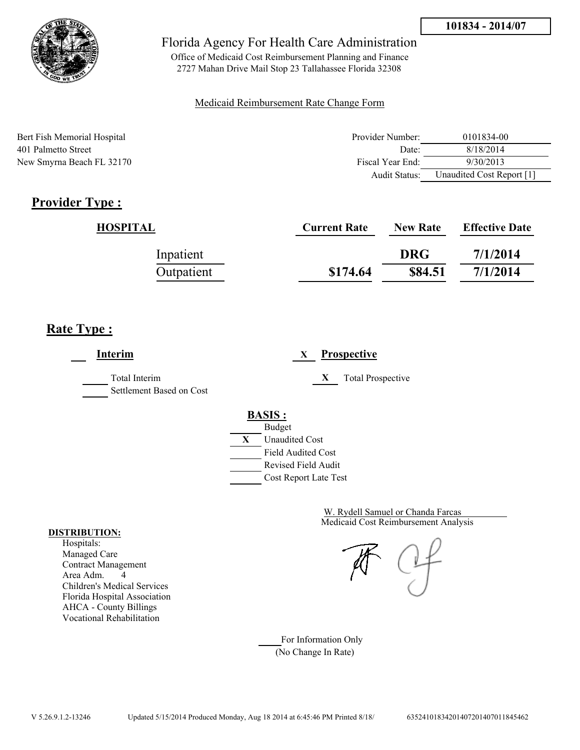

Office of Medicaid Cost Reimbursement Planning and Finance 2727 Mahan Drive Mail Stop 23 Tallahassee Florida 32308

### Medicaid Reimbursement Rate Change Form

| Bert Fish Memorial Hospital | Provider Number: | 0101834-00                |
|-----------------------------|------------------|---------------------------|
| 401 Palmetto Street         | Date:            | 8/18/2014                 |
| New Smyrna Beach FL 32170   | Fiscal Year End: | 9/30/2013                 |
|                             | Audit Status:    | Unaudited Cost Report [1] |

# **Provider Type :**

| HOSPITAL   | <b>Current Rate</b> | <b>New Rate</b> | <b>Effective Date</b> |
|------------|---------------------|-----------------|-----------------------|
| Inpatient  |                     | <b>DRG</b>      | 7/1/2014              |
| Outpatient | \$174.64            | \$84.51         | 7/1/2014              |

# **Rate Type :**

**Interim X Prospective** Total Interim **X** Total Prospective Settlement Based on Cost **BASIS :** Budget **X** Unaudited Cost Field Audited Cost Revised Field Audit Cost Report Late Test

> Medicaid Cost Reimbursement Analysis W. Rydell Samuel or Chanda Farcas

For Information Only (No Change In Rate)

#### **DISTRIBUTION:**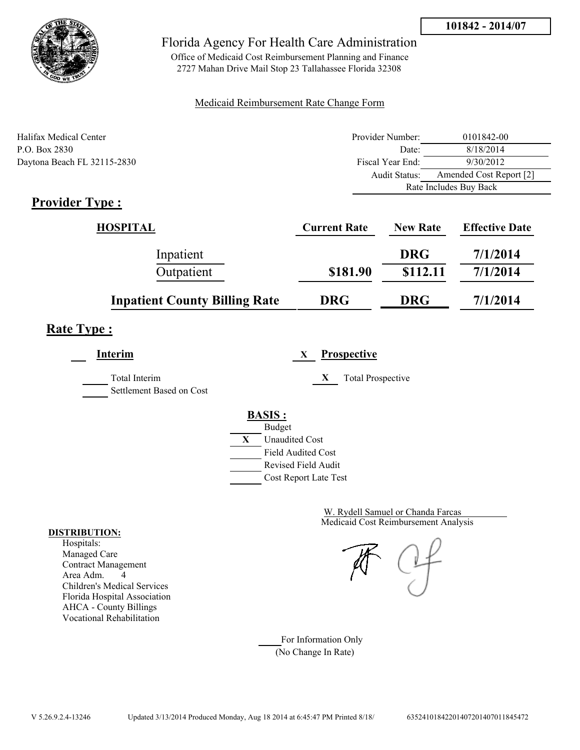



Office of Medicaid Cost Reimbursement Planning and Finance 2727 Mahan Drive Mail Stop 23 Tallahassee Florida 32308

#### Medicaid Reimbursement Rate Change Form

| Halifax Medical Center      | Provider Number:     | 0101842-00              |  |
|-----------------------------|----------------------|-------------------------|--|
| P.O. Box 2830               | Date:                | 8/18/2014               |  |
| Daytona Beach FL 32115-2830 | Fiscal Year End:     | 9/30/2012               |  |
|                             | <b>Audit Status:</b> | Amended Cost Report [2] |  |
|                             |                      | Rate Includes Buy Back  |  |

# **Provider Type :**

| HOSPITAL                             | <b>Current Rate</b> | <b>New Rate</b> | <b>Effective Date</b> |
|--------------------------------------|---------------------|-----------------|-----------------------|
| Inpatient                            |                     | <b>DRG</b>      | 7/1/2014              |
| Outpatient                           | \$181.90            | \$112.11        | 7/1/2014              |
| <b>Inpatient County Billing Rate</b> | <b>DRG</b>          | <b>DRG</b>      | 7/1/2014              |

# **Rate Type :**

**Interim X Prospective** Total Interim **X** Total Prospective Settlement Based on Cost **BASIS :** Budget **X** Unaudited Cost Field Audited Cost Revised Field Audit Cost Report Late Test

> Medicaid Cost Reimbursement Analysis W. Rydell Samuel or Chanda Farcas

For Information Only (No Change In Rate)

#### **DISTRIBUTION:**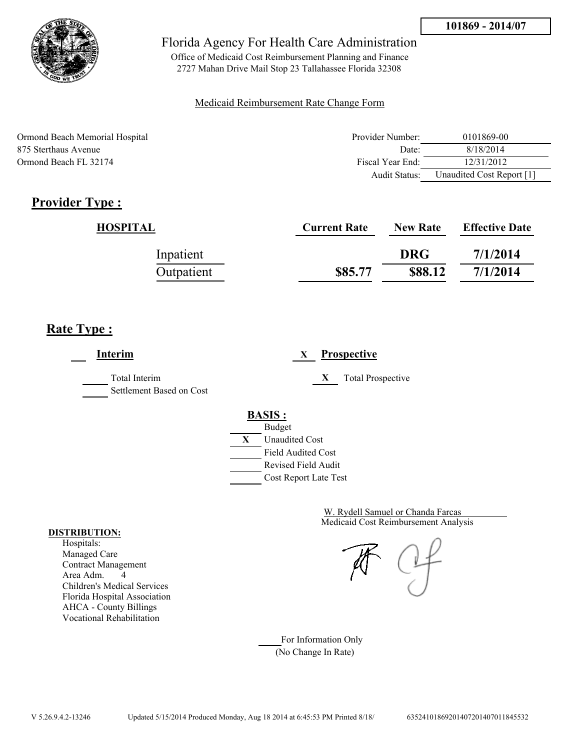

Office of Medicaid Cost Reimbursement Planning and Finance 2727 Mahan Drive Mail Stop 23 Tallahassee Florida 32308

### Medicaid Reimbursement Rate Change Form

Ormond Beach Memorial Hospital 875 Sterthaus Avenue Ormond Beach FL 32174

| Provider Number: | 0101869-00                |
|------------------|---------------------------|
| Date:            | 8/18/2014                 |
| Fiscal Year End: | 12/31/2012                |
| Audit Status:    | Unaudited Cost Report [1] |

# **Provider Type :**

| HOSPITAL   | <b>Current Rate</b> | <b>New Rate</b> | <b>Effective Date</b> |
|------------|---------------------|-----------------|-----------------------|
| Inpatient  |                     | <b>DRG</b>      | 7/1/2014              |
| Outpatient | \$85.77             | \$88.12         | 7/1/2014              |

# **Rate Type :**

**Interim X Prospective** Total Interim **X** Total Prospective Settlement Based on Cost **BASIS :** Budget **X** Unaudited Cost Field Audited Cost Revised Field Audit Cost Report Late Test

> Medicaid Cost Reimbursement Analysis W. Rydell Samuel or Chanda Farcas

For Information Only (No Change In Rate)

#### **DISTRIBUTION:**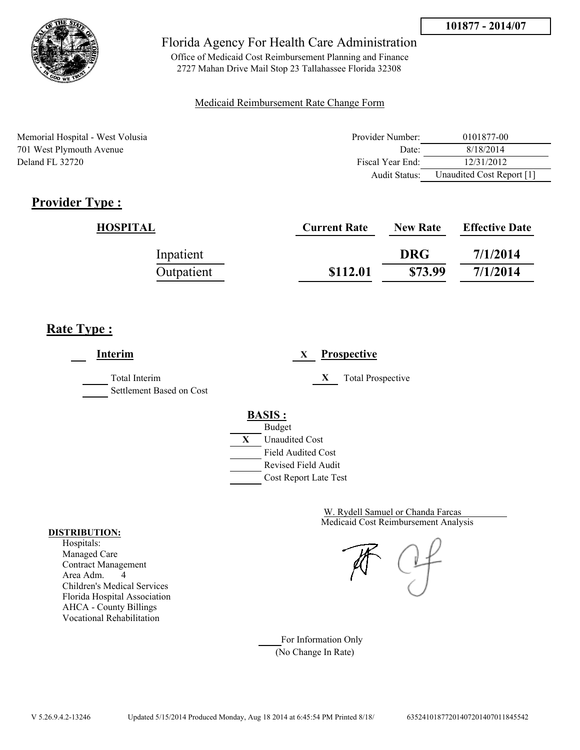

Office of Medicaid Cost Reimbursement Planning and Finance 2727 Mahan Drive Mail Stop 23 Tallahassee Florida 32308

#### Medicaid Reimbursement Rate Change Form

Memorial Hospital - West Volusia 701 West Plymouth Avenue Deland FL 32720

| Provider Number: | 0101877-00                |
|------------------|---------------------------|
| Date:            | 8/18/2014                 |
| Fiscal Year End: | 12/31/2012                |
| Audit Status:    | Unaudited Cost Report [1] |

# **Provider Type :**

| HOSPITAL   | <b>Current Rate</b> | <b>New Rate</b> | <b>Effective Date</b> |
|------------|---------------------|-----------------|-----------------------|
| Inpatient  |                     | <b>DRG</b>      | 7/1/2014              |
| Outpatient | \$112.01            | \$73.99         | 7/1/2014              |

## **Rate Type :**

**Interim X Prospective** Total Interim **X** Total Prospective Settlement Based on Cost **BASIS :** Budget **X** Unaudited Cost Field Audited Cost Revised Field Audit Cost Report Late Test

> Medicaid Cost Reimbursement Analysis W. Rydell Samuel or Chanda Farcas

For Information Only (No Change In Rate)

#### **DISTRIBUTION:**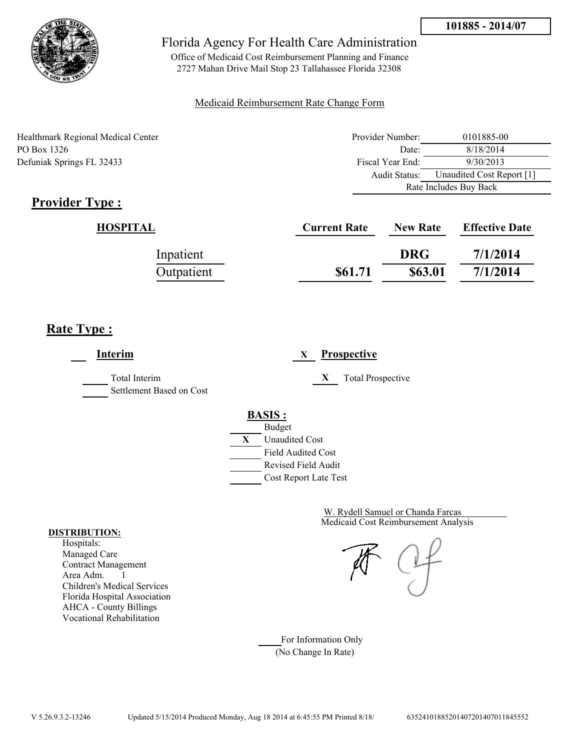

Office of Medicaid Cost Reimbursement Planning and Finance 2727 Mahan Drive Mail Stop 23 Tallahassee Florida 32308

### Medicaid Reimbursement Rate Change Form

| <b>Healthmark Regional Medical Center</b> | Provider Number: | 0101885-00                |
|-------------------------------------------|------------------|---------------------------|
| PO Box 1326                               | Date:            | 8/18/2014                 |
| Defuniak Springs FL 32433                 | Fiscal Year End: | 9/30/2013                 |
|                                           | Audit Status:    | Unaudited Cost Report [1] |
|                                           |                  | Rate Includes Buy Back    |

# **Provider Type :**

| HOSPITAL   | <b>Current Rate</b> | <b>New Rate</b> | <b>Effective Date</b> |
|------------|---------------------|-----------------|-----------------------|
| Inpatient  |                     | <b>DRG</b>      | 7/1/2014              |
| Outpatient | \$61.71             | \$63.01         | 7/1/2014              |

# **Rate Type :**

 $\overline{a}$ 

| Interim                                   | <b>Prospective</b><br>X                                                                                                                   |
|-------------------------------------------|-------------------------------------------------------------------------------------------------------------------------------------------|
| Total Interim<br>Settlement Based on Cost | X<br><b>Total Prospective</b>                                                                                                             |
|                                           | <b>BASIS:</b><br><b>Budget</b><br>X<br><b>Unaudited Cost</b><br><b>Field Audited Cost</b><br>Revised Field Audit<br>Cost Report Late Test |

Medicaid Cost Reimbursement Analysis W. Rydell Samuel or Chanda Farcas

For Information Only (No Change In Rate)

#### **DISTRIBUTION:**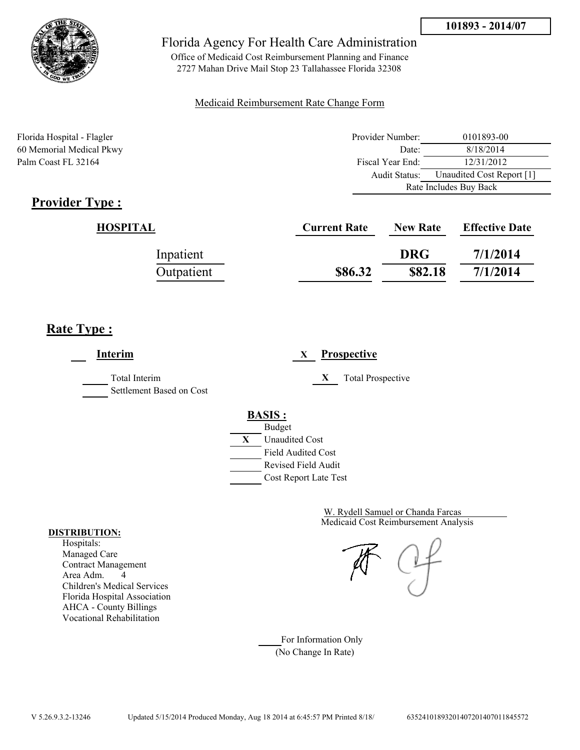

Office of Medicaid Cost Reimbursement Planning and Finance 2727 Mahan Drive Mail Stop 23 Tallahassee Florida 32308

### Medicaid Reimbursement Rate Change Form

Florida Hospital - Flagler Provider Number: 0101893-00 60 Memorial Medical Pkwy Date: 8/18/2014 Palm Coast FL 32164 Fiscal Year End: 12/31/2012 Audit Status: Unaudited Cost Report [1] Rate Includes Buy Back

# **Provider Type :**

| HOSPITAL   | <b>Current Rate</b> | <b>New Rate</b> | <b>Effective Date</b> |
|------------|---------------------|-----------------|-----------------------|
| Inpatient  |                     | <b>DRG</b>      | 7/1/2014              |
| Outpatient | \$86.32             | \$82.18         | 7/1/2014              |

# **Rate Type :**

**Interim X Prospective** Total Interim **X** Total Prospective Settlement Based on Cost **BASIS :** Budget **X** Unaudited Cost Field Audited Cost Revised Field Audit Cost Report Late Test

> Medicaid Cost Reimbursement Analysis W. Rydell Samuel or Chanda Farcas

For Information Only (No Change In Rate)

#### **DISTRIBUTION:**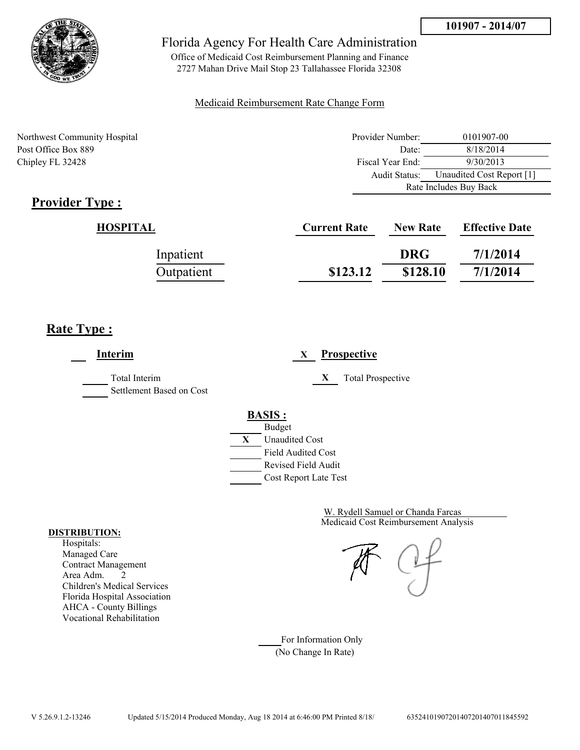

Office of Medicaid Cost Reimbursement Planning and Finance 2727 Mahan Drive Mail Stop 23 Tallahassee Florida 32308

### Medicaid Reimbursement Rate Change Form

Northwest Community Hospital Post Office Box 889 Chipley FL 32428

| Provider Number:       | 0101907-00                |  |
|------------------------|---------------------------|--|
| Date:                  | 8/18/2014                 |  |
| Fiscal Year End:       | 9/30/2013                 |  |
| Audit Status:          | Unaudited Cost Report [1] |  |
| Rate Includes Buy Back |                           |  |

# **Provider Type :**

| <b>HOSPITAL</b> | <b>Current Rate</b> | <b>New Rate</b> | <b>Effective Date</b> |
|-----------------|---------------------|-----------------|-----------------------|
| Inpatient       |                     | <b>DRG</b>      | 7/1/2014              |
| Outpatient      | \$123.12            | \$128.10        | 7/1/2014              |

# **Rate Type :**

| <b>Interim</b>                            | <b>Prospective</b><br>X                                                                                                                   |
|-------------------------------------------|-------------------------------------------------------------------------------------------------------------------------------------------|
| Total Interim<br>Settlement Based on Cost | X<br><b>Total Prospective</b>                                                                                                             |
|                                           | <b>BASIS:</b><br><b>Budget</b><br>X<br><b>Unaudited Cost</b><br><b>Field Audited Cost</b><br>Revised Field Audit<br>Cost Report Late Test |

Medicaid Cost Reimbursement Analysis W. Rydell Samuel or Chanda Farcas

For Information Only (No Change In Rate)

#### **DISTRIBUTION:**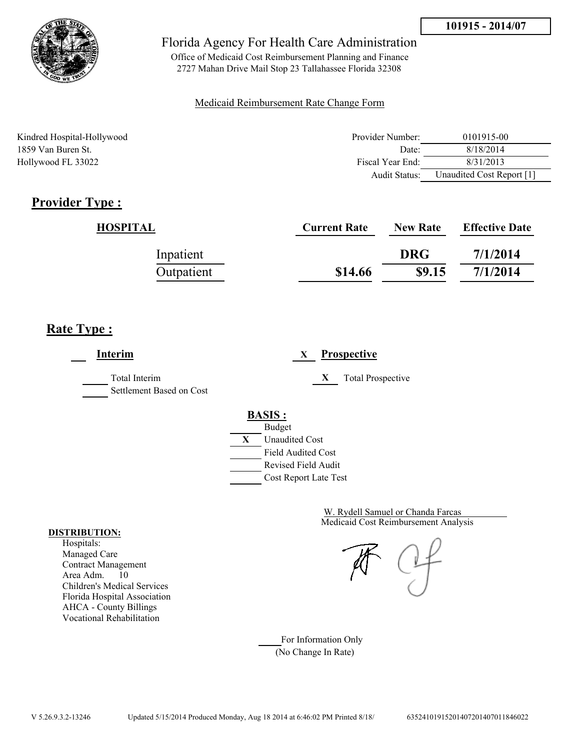

Office of Medicaid Cost Reimbursement Planning and Finance 2727 Mahan Drive Mail Stop 23 Tallahassee Florida 32308

### Medicaid Reimbursement Rate Change Form

| Kindred Hospital-Hollywood | Provider Number: | 0101915-00                |
|----------------------------|------------------|---------------------------|
| 1859 Van Buren St.         | Date:            | 8/18/2014                 |
| Hollywood FL 33022         | Fiscal Year End: | 8/31/2013                 |
|                            | Audit Status:    | Unaudited Cost Report [1] |

# **Provider Type :**

| HOSPITAL   | <b>Current Rate</b> | <b>New Rate</b> | <b>Effective Date</b> |
|------------|---------------------|-----------------|-----------------------|
| Inpatient  |                     | <b>DRG</b>      | 7/1/2014              |
| Outpatient | \$14.66             | \$9.15          | 7/1/2014              |

# **Rate Type :**

**Interim X Prospective** Total Interim **X** Total Prospective Settlement Based on Cost **BASIS :** Budget **X** Unaudited Cost Field Audited Cost Revised Field Audit Cost Report Late Test

> Medicaid Cost Reimbursement Analysis W. Rydell Samuel or Chanda Farcas

For Information Only (No Change In Rate)

#### **DISTRIBUTION:**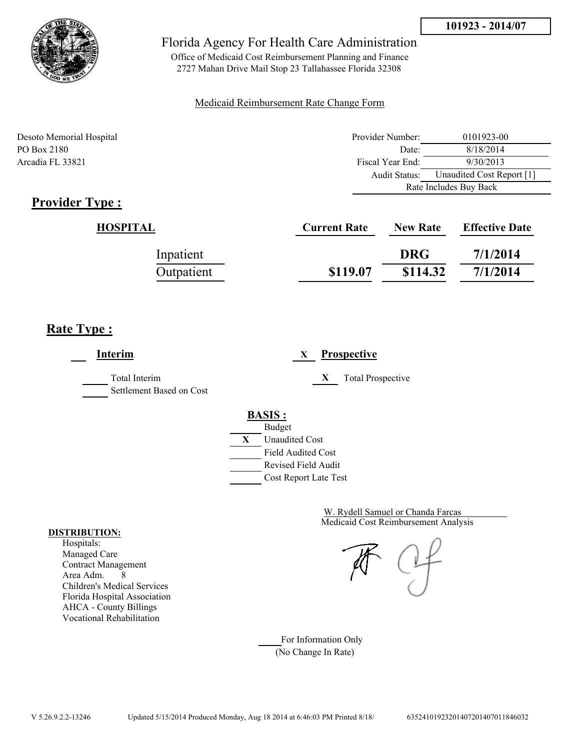



Office of Medicaid Cost Reimbursement Planning and Finance 2727 Mahan Drive Mail Stop 23 Tallahassee Florida 32308

#### Medicaid Reimbursement Rate Change Form

Desoto Memorial Hospital Provider Number: 0101923-00 PO Box 2180 8/18/2014 Arcadia FL 33821 **Fiscal Year End:** 9/30/2013 Audit Status: Unaudited Cost Report [1] Rate Includes Buy Back

# **Provider Type :**

| <b>HOSPITAL</b> | <b>Current Rate</b> | <b>New Rate</b> | <b>Effective Date</b> |
|-----------------|---------------------|-----------------|-----------------------|
| Inpatient       |                     | <b>DRG</b>      | 7/1/2014              |
| Outpatient      | \$119.07            | \$114.32        | 7/1/2014              |

# **Rate Type :**

**Interim X Prospective** Total Interim **X** Total Prospective Settlement Based on Cost **BASIS :** Budget **X** Unaudited Cost Field Audited Cost Revised Field Audit Cost Report Late Test

> Medicaid Cost Reimbursement Analysis W. Rydell Samuel or Chanda Farcas

For Information Only (No Change In Rate)

#### **DISTRIBUTION:**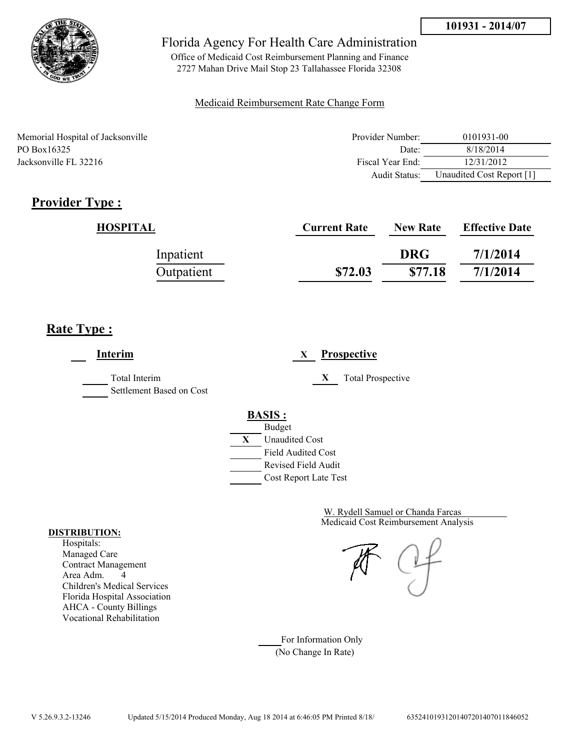

Office of Medicaid Cost Reimbursement Planning and Finance 2727 Mahan Drive Mail Stop 23 Tallahassee Florida 32308

#### Medicaid Reimbursement Rate Change Form

| Memorial Hospital of Jacksonville | Provider Number: | 0101931-00                |
|-----------------------------------|------------------|---------------------------|
| PO Box 16325                      | Date:            | 8/18/2014                 |
| Jacksonville FL 32216             | Fiscal Year End: | 12/31/2012                |
|                                   | Audit Status:    | Unaudited Cost Report [1] |

# **Provider Type :**

| HOSPITAL   | <b>Current Rate</b> | <b>New Rate</b> | <b>Effective Date</b> |
|------------|---------------------|-----------------|-----------------------|
| Inpatient  |                     | <b>DRG</b>      | 7/1/2014              |
| Outpatient | \$72.03             | \$77.18         | 7/1/2014              |

# **Rate Type :**

**Interim X Prospective** Total Interim **X** Total Prospective Settlement Based on Cost **BASIS :** Budget **X** Unaudited Cost Field Audited Cost Revised Field Audit Cost Report Late Test

> Medicaid Cost Reimbursement Analysis W. Rydell Samuel or Chanda Farcas

For Information Only (No Change In Rate)

#### **DISTRIBUTION:**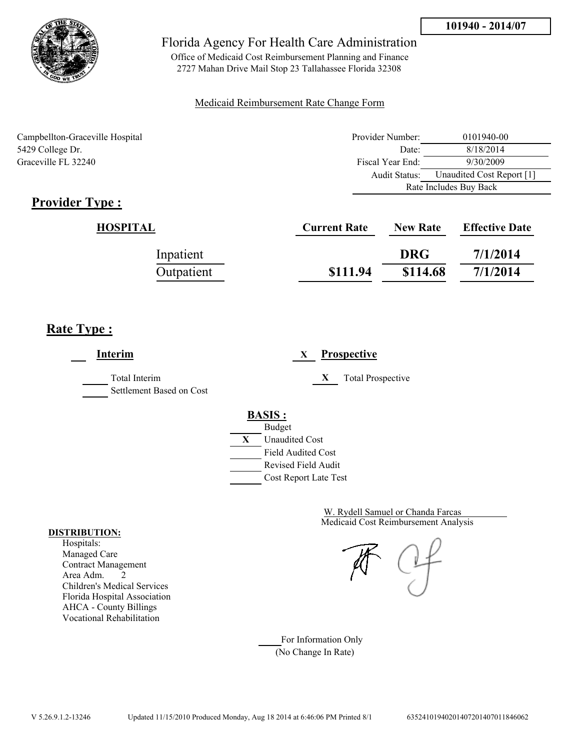

Office of Medicaid Cost Reimbursement Planning and Finance 2727 Mahan Drive Mail Stop 23 Tallahassee Florida 32308

### Medicaid Reimbursement Rate Change Form

Campbellton-Graceville Hospital 5429 College Dr. Graceville FL 32240

| Provider Number:       | 0101940-00                |  |
|------------------------|---------------------------|--|
| Date:                  | 8/18/2014                 |  |
| Fiscal Year End:       | 9/30/2009                 |  |
| Audit Status:          | Unaudited Cost Report [1] |  |
| Rate Includes Buy Back |                           |  |

# **Provider Type :**

| HOSPITAL   | <b>Current Rate</b> | <b>New Rate</b> | <b>Effective Date</b> |
|------------|---------------------|-----------------|-----------------------|
| Inpatient  |                     | <b>DRG</b>      | 7/1/2014              |
| Outpatient | \$111.94            | \$114.68        | 7/1/2014              |

# **Rate Type :**

| <b>Interim</b>                            | <b>Prospective</b><br>X                                                                                                                   |
|-------------------------------------------|-------------------------------------------------------------------------------------------------------------------------------------------|
| Total Interim<br>Settlement Based on Cost | X<br><b>Total Prospective</b>                                                                                                             |
|                                           | <b>BASIS:</b><br><b>Budget</b><br>X<br><b>Unaudited Cost</b><br><b>Field Audited Cost</b><br>Revised Field Audit<br>Cost Report Late Test |

Medicaid Cost Reimbursement Analysis W. Rydell Samuel or Chanda Farcas

For Information Only (No Change In Rate)

#### **DISTRIBUTION:**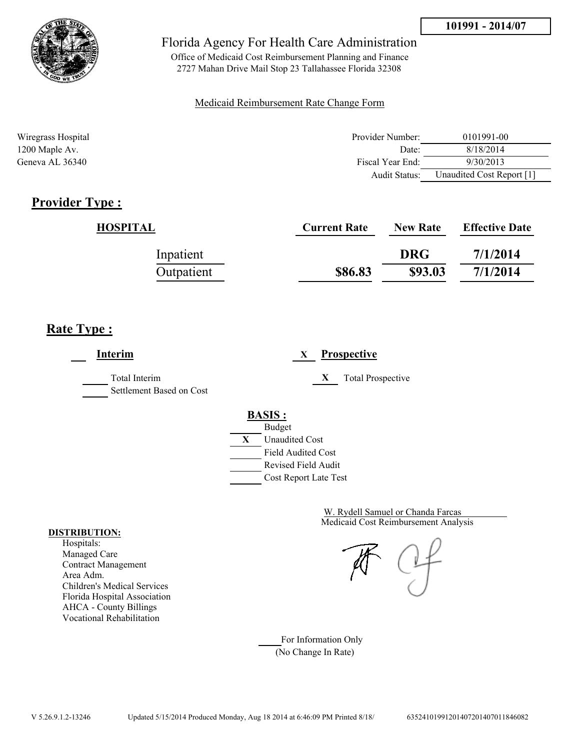

Office of Medicaid Cost Reimbursement Planning and Finance 2727 Mahan Drive Mail Stop 23 Tallahassee Florida 32308

### Medicaid Reimbursement Rate Change Form

| Wiregrass Hospital | Provider Number:     | 0101991-00                |
|--------------------|----------------------|---------------------------|
| $1200$ Maple Av.   | Date:                | 8/18/2014                 |
| Geneva AL 36340    | Fiscal Year End:     | 9/30/2013                 |
|                    | <b>Audit Status:</b> | Unaudited Cost Report [1] |

# **Provider Type :**

| HOSPITAL   | <b>Current Rate</b> | <b>New Rate</b> | <b>Effective Date</b> |
|------------|---------------------|-----------------|-----------------------|
| Inpatient  |                     | <b>DRG</b>      | 7/1/2014              |
| Outpatient | \$86.83             | \$93.03         | 7/1/2014              |

# **Rate Type :**

**Interim X Prospective** Total Interim **X** Total Prospective Settlement Based on Cost **BASIS :** Budget **X** Unaudited Cost Field Audited Cost Revised Field Audit Cost Report Late Test

> Medicaid Cost Reimbursement Analysis W. Rydell Samuel or Chanda Farcas

For Information Only (No Change In Rate)

#### **DISTRIBUTION:**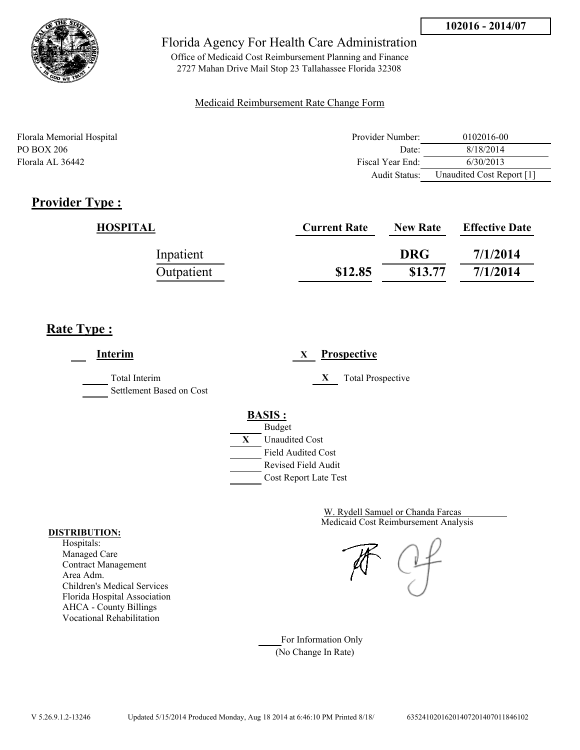

Office of Medicaid Cost Reimbursement Planning and Finance 2727 Mahan Drive Mail Stop 23 Tallahassee Florida 32308

#### Medicaid Reimbursement Rate Change Form

| Florala Memorial Hospital | Provider Number: | 0102016-00                |
|---------------------------|------------------|---------------------------|
| PO BOX 206                | Date:            | 8/18/2014                 |
| Florala AL 36442          | Fiscal Year End: | 6/30/2013                 |
|                           | Audit Status:    | Unaudited Cost Report [1] |

# **Provider Type :**

| HOSPITAL   | <b>Current Rate</b> | <b>New Rate</b> | <b>Effective Date</b> |
|------------|---------------------|-----------------|-----------------------|
| Inpatient  |                     | <b>DRG</b>      | 7/1/2014              |
| Outpatient | \$12.85             | \$13.77         | 7/1/2014              |

# **Rate Type :**

**Interim X Prospective** Total Interim **X** Total Prospective Settlement Based on Cost **BASIS :** Budget **X** Unaudited Cost Field Audited Cost Revised Field Audit Cost Report Late Test

> Medicaid Cost Reimbursement Analysis W. Rydell Samuel or Chanda Farcas

For Information Only (No Change In Rate)

#### **DISTRIBUTION:**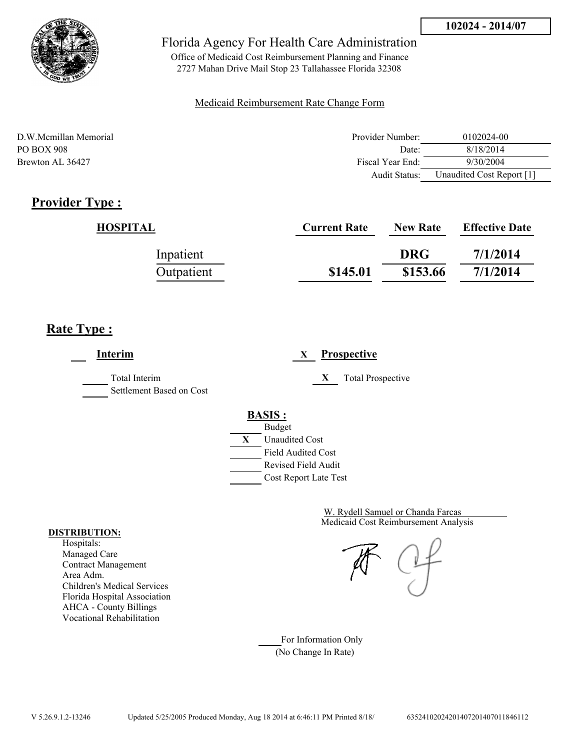

Office of Medicaid Cost Reimbursement Planning and Finance 2727 Mahan Drive Mail Stop 23 Tallahassee Florida 32308

#### Medicaid Reimbursement Rate Change Form

| D.W.Mcmillan Memorial | Provider Number: | 0102024-00                |
|-----------------------|------------------|---------------------------|
| PO BOX 908            | Date:            | 8/18/2014                 |
| Brewton AL 36427      | Fiscal Year End: | 9/30/2004                 |
|                       | Audit Status:    | Unaudited Cost Report [1] |

# **Provider Type :**

| HOSPITAL   | <b>Current Rate</b> | <b>New Rate</b> | <b>Effective Date</b> |
|------------|---------------------|-----------------|-----------------------|
| Inpatient  |                     | <b>DRG</b>      | 7/1/2014              |
| Outpatient | \$145.01            | \$153.66        | 7/1/2014              |

# **Rate Type :**

**Interim X Prospective** Total Interim **X** Total Prospective Settlement Based on Cost **BASIS :** Budget **X** Unaudited Cost Field Audited Cost Revised Field Audit Cost Report Late Test

> Medicaid Cost Reimbursement Analysis W. Rydell Samuel or Chanda Farcas

For Information Only (No Change In Rate)

#### **DISTRIBUTION:**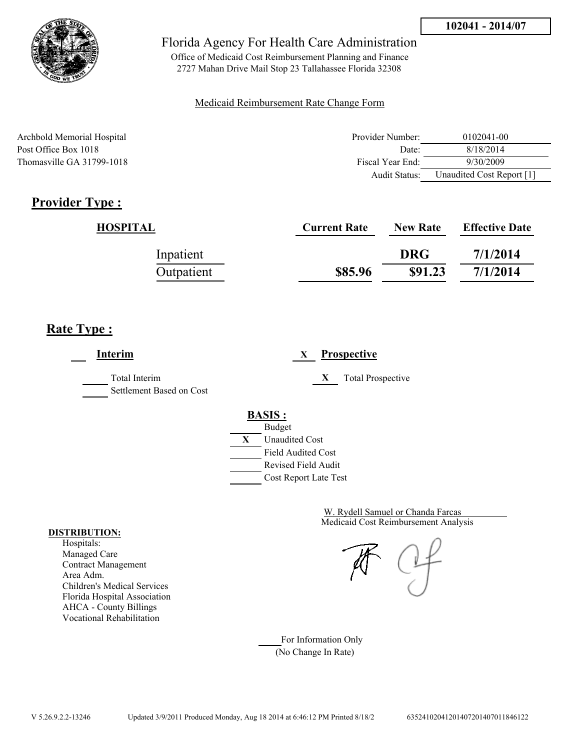

Office of Medicaid Cost Reimbursement Planning and Finance 2727 Mahan Drive Mail Stop 23 Tallahassee Florida 32308

#### Medicaid Reimbursement Rate Change Form

| Archbold Memorial Hospital | Provider Number: | 0102041-00                |
|----------------------------|------------------|---------------------------|
| Post Office Box 1018       | Date:            | 8/18/2014                 |
| Thomasville GA 31799-1018  | Fiscal Year End: | 9/30/2009                 |
|                            | Audit Status:    | Unaudited Cost Report [1] |

# **Provider Type :**

| HOSPITAL   | <b>Current Rate</b> | <b>New Rate</b> | <b>Effective Date</b> |
|------------|---------------------|-----------------|-----------------------|
| Inpatient  |                     | <b>DRG</b>      | 7/1/2014              |
| Outpatient | \$85.96             | \$91.23         | 7/1/2014              |

# **Rate Type :**

÷

| Prospective<br>X              |
|-------------------------------|
| X<br><b>Total Prospective</b> |
| <b>BASIS:</b>                 |
| <b>Budget</b>                 |
| X<br><b>Unaudited Cost</b>    |
| <b>Field Audited Cost</b>     |
| <b>Revised Field Audit</b>    |
| Cost Report Late Test         |
|                               |

Medicaid Cost Reimbursement Analysis W. Rydell Samuel or Chanda Farcas

For Information Only (No Change In Rate)

#### **DISTRIBUTION:**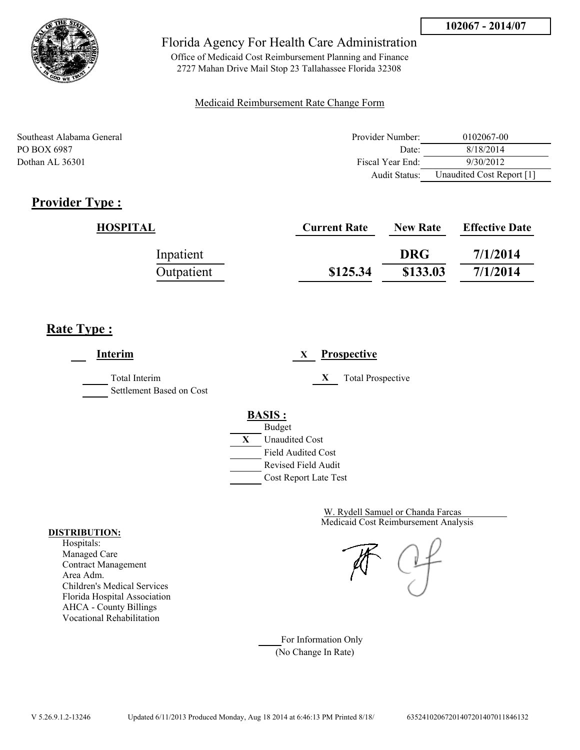

Office of Medicaid Cost Reimbursement Planning and Finance 2727 Mahan Drive Mail Stop 23 Tallahassee Florida 32308

#### Medicaid Reimbursement Rate Change Form

| Southeast Alabama General | Provider Number:     | 0102067-00                |
|---------------------------|----------------------|---------------------------|
| PO BOX 6987               | Date:                | 8/18/2014                 |
| Dothan AL 36301           | Fiscal Year End:     | 9/30/2012                 |
|                           | <b>Audit Status:</b> | Unaudited Cost Report [1] |

# **Provider Type :**

| HOSPITAL   | <b>Current Rate</b> | <b>New Rate</b> | <b>Effective Date</b> |
|------------|---------------------|-----------------|-----------------------|
| Inpatient  |                     | <b>DRG</b>      | 7/1/2014              |
| Outpatient | \$125.34            | \$133.03        | 7/1/2014              |

# **Rate Type :**

**Interim X Prospective** Total Interim **X** Total Prospective Settlement Based on Cost **BASIS :** Budget **X** Unaudited Cost Field Audited Cost Revised Field Audit Cost Report Late Test

> Medicaid Cost Reimbursement Analysis W. Rydell Samuel or Chanda Farcas

For Information Only (No Change In Rate)

#### **DISTRIBUTION:**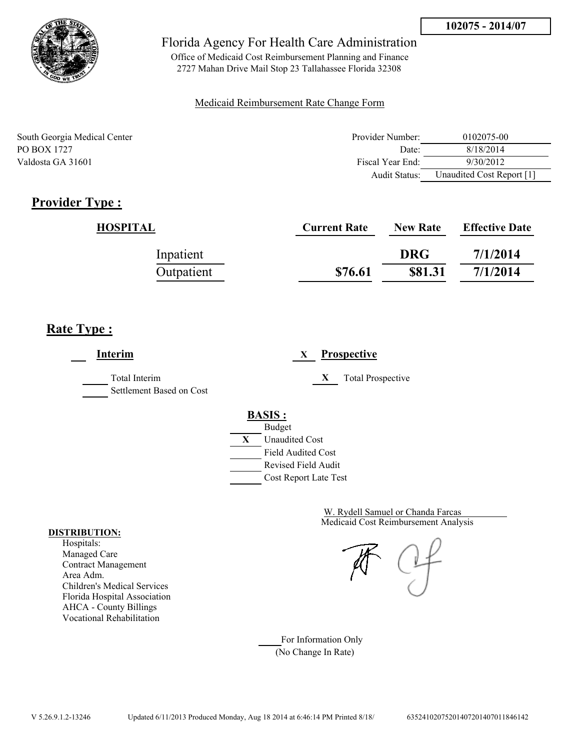

Office of Medicaid Cost Reimbursement Planning and Finance 2727 Mahan Drive Mail Stop 23 Tallahassee Florida 32308

### Medicaid Reimbursement Rate Change Form

| South Georgia Medical Center | Provider Number:     | 0102075-00                |
|------------------------------|----------------------|---------------------------|
| PO BOX 1727                  | Date:                | 8/18/2014                 |
| Valdosta GA 31601            | Fiscal Year End:     | 9/30/2012                 |
|                              | <b>Audit Status:</b> | Unaudited Cost Report [1] |

# **Provider Type :**

| HOSPITAL   | <b>Current Rate</b> | <b>New Rate</b> | <b>Effective Date</b> |
|------------|---------------------|-----------------|-----------------------|
| Inpatient  |                     | <b>DRG</b>      | 7/1/2014              |
| Outpatient | \$76.61             | \$81.31         | 7/1/2014              |

# **Rate Type :**

**Interim X Prospective** Total Interim **X** Total Prospective Settlement Based on Cost **BASIS :** Budget **X** Unaudited Cost Field Audited Cost Revised Field Audit Cost Report Late Test

> Medicaid Cost Reimbursement Analysis W. Rydell Samuel or Chanda Farcas

For Information Only (No Change In Rate)

#### **DISTRIBUTION:**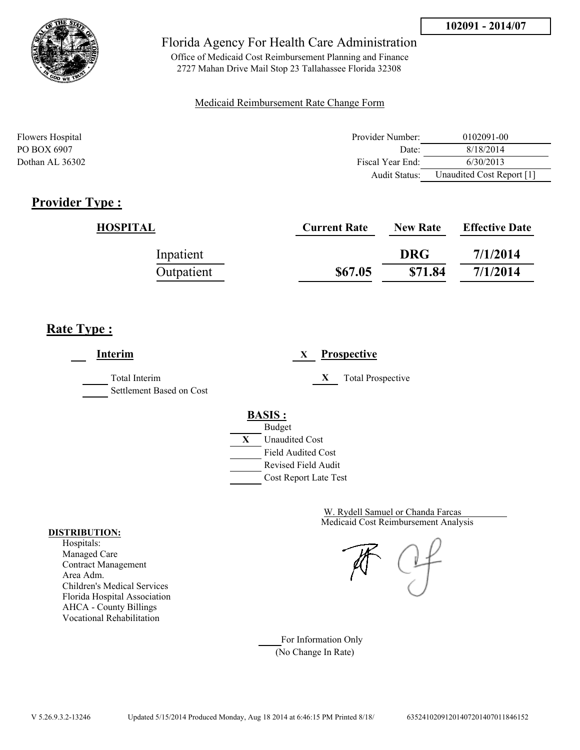

Office of Medicaid Cost Reimbursement Planning and Finance 2727 Mahan Drive Mail Stop 23 Tallahassee Florida 32308

#### Medicaid Reimbursement Rate Change Form

| Flowers Hospital | Provider Number: | 0102091-00                |
|------------------|------------------|---------------------------|
| PO BOX 6907      | Date:            | 8/18/2014                 |
| Dothan AL 36302  | Fiscal Year End: | 6/30/2013                 |
|                  | Audit Status:    | Unaudited Cost Report [1] |

# **Provider Type :**

| HOSPITAL   | <b>Current Rate</b> | <b>New Rate</b> | <b>Effective Date</b> |
|------------|---------------------|-----------------|-----------------------|
| Inpatient  |                     | <b>DRG</b>      | 7/1/2014              |
| Outpatient | \$67.05             | \$71.84         | 7/1/2014              |

# **Rate Type :**

**Interim X Prospective** Total Interim **X** Total Prospective Settlement Based on Cost **BASIS :** Budget **X** Unaudited Cost Field Audited Cost Revised Field Audit Cost Report Late Test

> Medicaid Cost Reimbursement Analysis W. Rydell Samuel or Chanda Farcas

For Information Only (No Change In Rate)

#### **DISTRIBUTION:**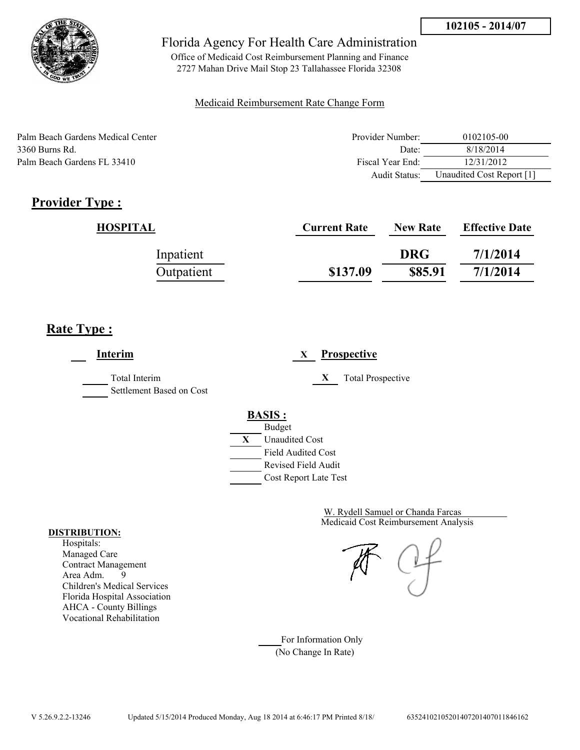

Office of Medicaid Cost Reimbursement Planning and Finance 2727 Mahan Drive Mail Stop 23 Tallahassee Florida 32308

### Medicaid Reimbursement Rate Change Form

| Palm Beach Gardens Medical Center | Provider Number: | 0102105-00                |
|-----------------------------------|------------------|---------------------------|
| 3360 Burns Rd.                    | Date:            | 8/18/2014                 |
| Palm Beach Gardens FL 33410       | Fiscal Year End: | 12/31/2012                |
|                                   | Audit Status:    | Unaudited Cost Report [1] |

# **Provider Type :**

| HOSPITAL   | <b>Current Rate</b> | <b>New Rate</b> | <b>Effective Date</b> |
|------------|---------------------|-----------------|-----------------------|
| Inpatient  |                     | <b>DRG</b>      | 7/1/2014              |
| Outpatient | \$137.09            | \$85.91         | 7/1/2014              |

# **Rate Type :**

**Interim X Prospective** Total Interim **X** Total Prospective Settlement Based on Cost **BASIS :** Budget **X** Unaudited Cost Field Audited Cost Revised Field Audit Cost Report Late Test

> Medicaid Cost Reimbursement Analysis W. Rydell Samuel or Chanda Farcas

For Information Only (No Change In Rate)

#### **DISTRIBUTION:**

Hospitals: Managed Care Contract Management Area Adm. 9 Children's Medical Services Florida Hospital Association AHCA - County Billings Vocational Rehabilitation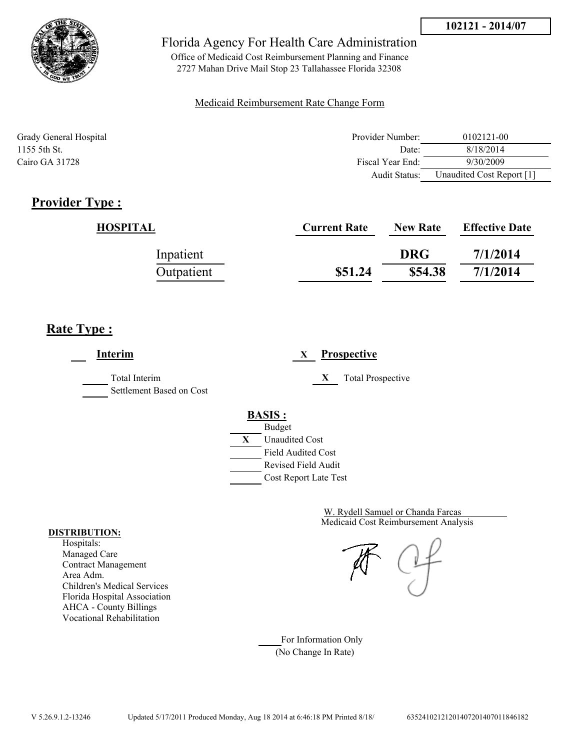

Office of Medicaid Cost Reimbursement Planning and Finance 2727 Mahan Drive Mail Stop 23 Tallahassee Florida 32308

### Medicaid Reimbursement Rate Change Form

| Grady General Hospital | Provider Number:     | 0102121-00                |
|------------------------|----------------------|---------------------------|
| 1155 5th St.           | Date:                | 8/18/2014                 |
| Cairo GA 31728         | Fiscal Year End:     | 9/30/2009                 |
|                        | <b>Audit Status:</b> | Unaudited Cost Report [1] |

## **Provider Type :**

| HOSPITAL   | <b>Current Rate</b> | <b>New Rate</b> | <b>Effective Date</b> |
|------------|---------------------|-----------------|-----------------------|
| Inpatient  |                     | <b>DRG</b>      | 7/1/2014              |
| Outpatient | \$51.24             | \$54.38         | 7/1/2014              |

# **Rate Type :**

**Interim X Prospective** Total Interim **X** Total Prospective Settlement Based on Cost **BASIS :** Budget **X** Unaudited Cost Field Audited Cost Revised Field Audit Cost Report Late Test

> Medicaid Cost Reimbursement Analysis W. Rydell Samuel or Chanda Farcas

For Information Only (No Change In Rate)

#### **DISTRIBUTION:**

Hospitals: Managed Care Contract Management Area Adm. Children's Medical Services Florida Hospital Association AHCA - County Billings Vocational Rehabilitation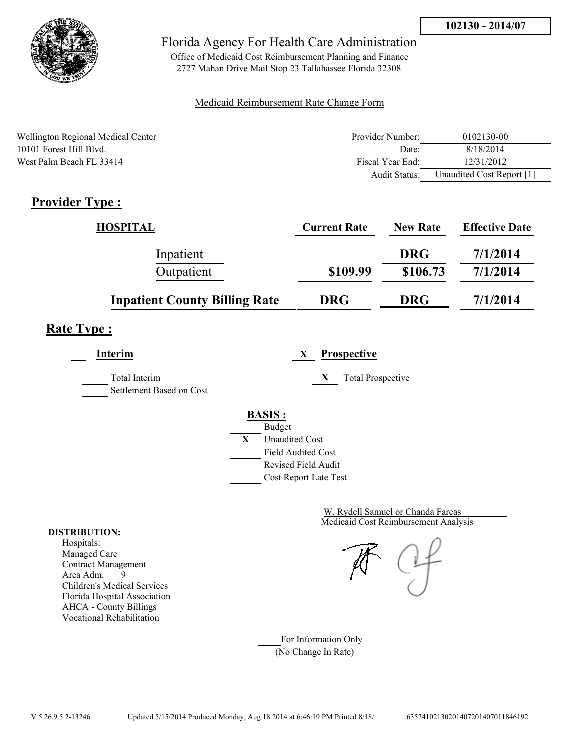

Office of Medicaid Cost Reimbursement Planning and Finance 2727 Mahan Drive Mail Stop 23 Tallahassee Florida 32308

### Medicaid Reimbursement Rate Change Form

| Wellington Regional Medical Center | Provider Number: | 0102130-00                |
|------------------------------------|------------------|---------------------------|
| 10101 Forest Hill Blvd.            | Date:            | 8/18/2014                 |
| West Palm Beach FL 33414           | Fiscal Year End: | 12/31/2012                |
|                                    | Audit Status:    | Unaudited Cost Report [1] |

# **Provider Type :**

| <b>HOSPITAL</b>                      | <b>Current Rate</b> | <b>New Rate</b> | <b>Effective Date</b> |
|--------------------------------------|---------------------|-----------------|-----------------------|
| Inpatient                            |                     | <b>DRG</b>      | 7/1/2014              |
| Outpatient                           | \$109.99            | \$106.73        | 7/1/2014              |
| <b>Inpatient County Billing Rate</b> | <b>DRG</b>          | <b>DRG</b>      | 7/1/2014              |

# **Rate Type :**

**Interim X Prospective**

Total Interim **X** Total Prospective

Settlement Based on Cost

# **BASIS :**



Medicaid Cost Reimbursement Analysis W. Rydell Samuel or Chanda Farcas

For Information Only (No Change In Rate)

#### **DISTRIBUTION:**

Hospitals: Managed Care Contract Management Area Adm. 9 Children's Medical Services Florida Hospital Association AHCA - County Billings Vocational Rehabilitation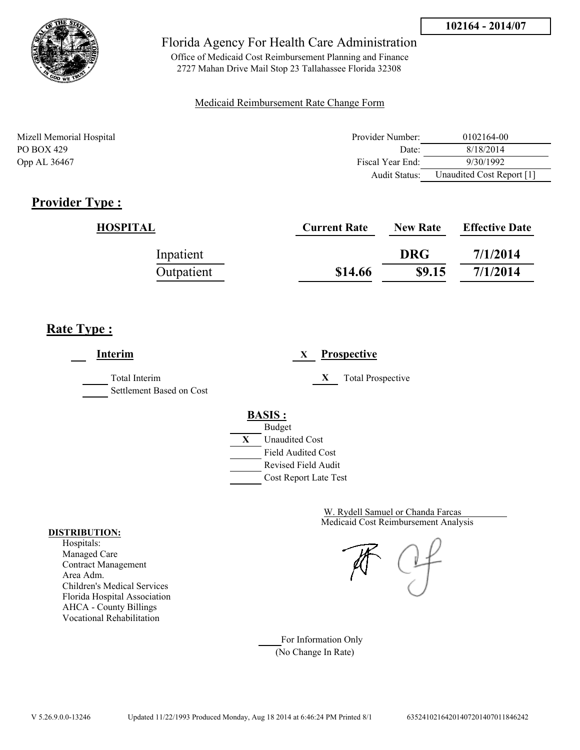

Office of Medicaid Cost Reimbursement Planning and Finance 2727 Mahan Drive Mail Stop 23 Tallahassee Florida 32308

### Medicaid Reimbursement Rate Change Form

| Mizell Memorial Hospital | Provider Number:     | 0102164-00                |
|--------------------------|----------------------|---------------------------|
| PO BOX 429               | Date:                | 8/18/2014                 |
| Opp AL 36467             | Fiscal Year End:     | 9/30/1992                 |
|                          | <b>Audit Status:</b> | Unaudited Cost Report [1] |

## **Provider Type :**

| HOSPITAL   | <b>Current Rate</b> | <b>New Rate</b> | <b>Effective Date</b> |
|------------|---------------------|-----------------|-----------------------|
| Inpatient  |                     | <b>DRG</b>      | 7/1/2014              |
| Outpatient | \$14.66             | \$9.15          | 7/1/2014              |

## **Rate Type :**

**Interim X Prospective** Total Interim **X** Total Prospective Settlement Based on Cost **BASIS :** Budget **X** Unaudited Cost Field Audited Cost Revised Field Audit Cost Report Late Test

> Medicaid Cost Reimbursement Analysis W. Rydell Samuel or Chanda Farcas

For Information Only (No Change In Rate)

#### **DISTRIBUTION:**

Hospitals: Managed Care Contract Management Area Adm. Children's Medical Services Florida Hospital Association AHCA - County Billings Vocational Rehabilitation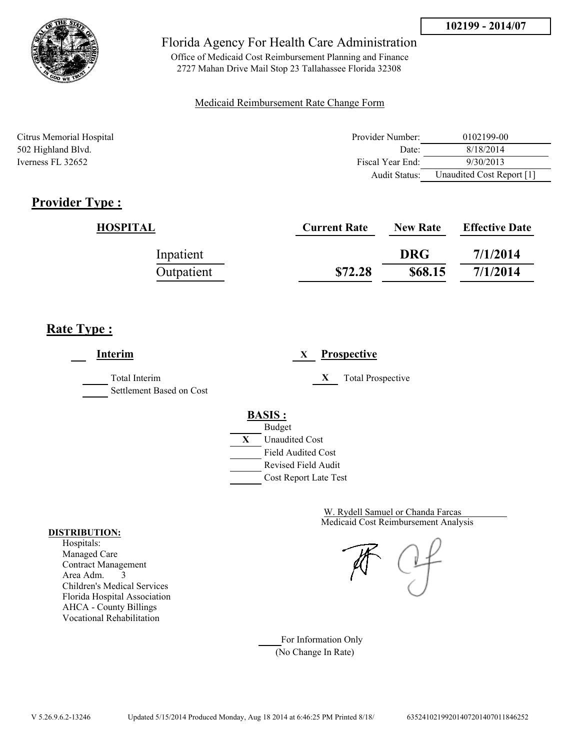

Office of Medicaid Cost Reimbursement Planning and Finance 2727 Mahan Drive Mail Stop 23 Tallahassee Florida 32308

### Medicaid Reimbursement Rate Change Form

| Citrus Memorial Hospital | Provider Number: | 0102199-00                |
|--------------------------|------------------|---------------------------|
| 502 Highland Blvd.       | Date:            | 8/18/2014                 |
| Iverness FL 32652        | Fiscal Year End: | 9/30/2013                 |
|                          | Audit Status:    | Unaudited Cost Report [1] |

# **Provider Type :**

| HOSPITAL   | <b>Current Rate</b> | <b>New Rate</b> | <b>Effective Date</b> |
|------------|---------------------|-----------------|-----------------------|
| Inpatient  |                     | <b>DRG</b>      | 7/1/2014              |
| Outpatient | \$72.28             | \$68.15         | 7/1/2014              |

# **Rate Type :**

**Interim X Prospective** Total Interim **X** Total Prospective Settlement Based on Cost **BASIS :** Budget **X** Unaudited Cost Field Audited Cost Revised Field Audit Cost Report Late Test

> Medicaid Cost Reimbursement Analysis W. Rydell Samuel or Chanda Farcas

For Information Only (No Change In Rate)

#### **DISTRIBUTION:**

Hospitals: Managed Care Contract Management Area Adm. 3 Children's Medical Services Florida Hospital Association AHCA - County Billings Vocational Rehabilitation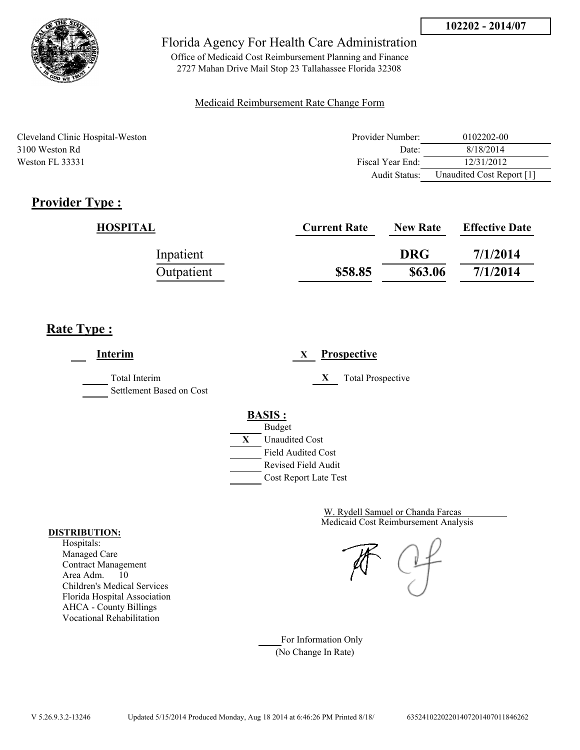

Office of Medicaid Cost Reimbursement Planning and Finance 2727 Mahan Drive Mail Stop 23 Tallahassee Florida 32308

### Medicaid Reimbursement Rate Change Form

Cleveland Clinic Hospital-Weston 3100 Weston Rd Weston FL 33331

| Provider Number: | 0102202-00                |
|------------------|---------------------------|
| Date             | 8/18/2014                 |
| Fiscal Year End: | 12/31/2012                |
| Audit Status:    | Unaudited Cost Report [1] |

# **Provider Type :**

| HOSPITAL   | <b>Current Rate</b> | <b>New Rate</b> | <b>Effective Date</b> |
|------------|---------------------|-----------------|-----------------------|
| Inpatient  |                     | <b>DRG</b>      | 7/1/2014              |
| Outpatient | \$58.85             | \$63.06         | 7/1/2014              |

# **Rate Type :**

**Interim X Prospective** Total Interim **X** Total Prospective Settlement Based on Cost **BASIS :** Budget **X** Unaudited Cost Field Audited Cost Revised Field Audit Cost Report Late Test

> Medicaid Cost Reimbursement Analysis W. Rydell Samuel or Chanda Farcas

For Information Only (No Change In Rate)

#### **DISTRIBUTION:**

Hospitals: Managed Care Contract Management Area Adm. 10 Children's Medical Services Florida Hospital Association AHCA - County Billings Vocational Rehabilitation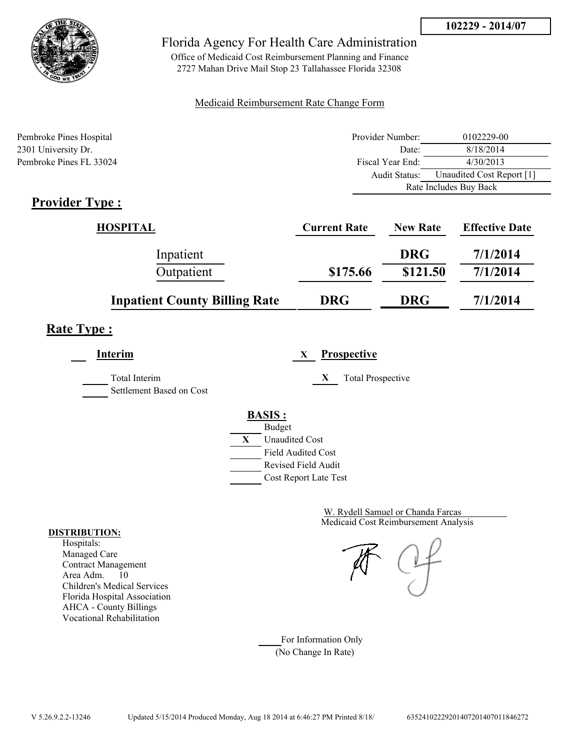

Office of Medicaid Cost Reimbursement Planning and Finance 2727 Mahan Drive Mail Stop 23 Tallahassee Florida 32308

### Medicaid Reimbursement Rate Change Form

| Pembroke Pines Hospital | Provider Number: | 0102229-00                |  |
|-------------------------|------------------|---------------------------|--|
| 2301 University Dr.     | Date:            | 8/18/2014                 |  |
| Pembroke Pines FL 33024 | Fiscal Year End: | 4/30/2013                 |  |
|                         | Audit Status:    | Unaudited Cost Report [1] |  |
|                         |                  | Rate Includes Buy Back    |  |

# **Provider Type :**

| HOSPITAL                             | <b>Current Rate</b> | <b>New Rate</b> | <b>Effective Date</b> |
|--------------------------------------|---------------------|-----------------|-----------------------|
| Inpatient                            |                     | <b>DRG</b>      | 7/1/2014              |
| Outpatient                           | \$175.66            | \$121.50        | 7/1/2014              |
| <b>Inpatient County Billing Rate</b> | <b>DRG</b>          | <b>DRG</b>      | 7/1/2014              |

# **Rate Type :**

**Interim X Prospective**

Total Interim **X** Total Prospective

Settlement Based on Cost

## **BASIS :**



Medicaid Cost Reimbursement Analysis W. Rydell Samuel or Chanda Farcas

For Information Only (No Change In Rate)

#### **DISTRIBUTION:**

Hospitals: Managed Care Contract Management Area Adm. 10 Children's Medical Services Florida Hospital Association AHCA - County Billings Vocational Rehabilitation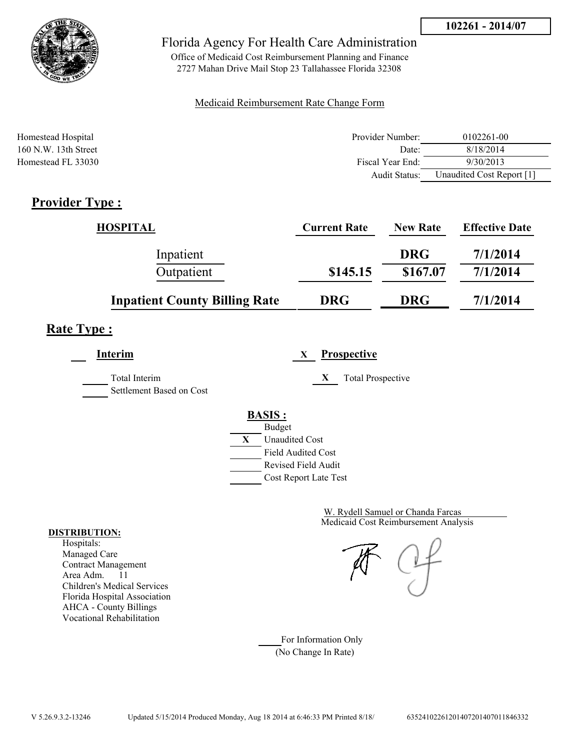

Office of Medicaid Cost Reimbursement Planning and Finance 2727 Mahan Drive Mail Stop 23 Tallahassee Florida 32308

### Medicaid Reimbursement Rate Change Form

| Homestead Hospital     | Provider Number:     | 0102261-00                |
|------------------------|----------------------|---------------------------|
| $160$ N.W. 13th Street | Date:                | 8/18/2014                 |
| Homestead FL 33030     | Fiscal Year End:     | 9/30/2013                 |
|                        | <b>Audit Status:</b> | Unaudited Cost Report [1] |

# **Provider Type :**

| <b>HOSPITAL</b>                      | <b>Current Rate</b> | <b>New Rate</b> | <b>Effective Date</b> |
|--------------------------------------|---------------------|-----------------|-----------------------|
| Inpatient                            |                     | <b>DRG</b>      | 7/1/2014              |
| Outpatient                           | \$145.15            | \$167.07        | 7/1/2014              |
| <b>Inpatient County Billing Rate</b> | <b>DRG</b>          | <b>DRG</b>      | 7/1/2014              |

# **Rate Type :**

**Interim X Prospective**

Total Interim **X** Total Prospective

Settlement Based on Cost

# **BASIS :**



Medicaid Cost Reimbursement Analysis W. Rydell Samuel or Chanda Farcas

For Information Only (No Change In Rate)

#### **DISTRIBUTION:**

Hospitals: Managed Care Contract Management Area Adm. 11 Children's Medical Services Florida Hospital Association AHCA - County Billings Vocational Rehabilitation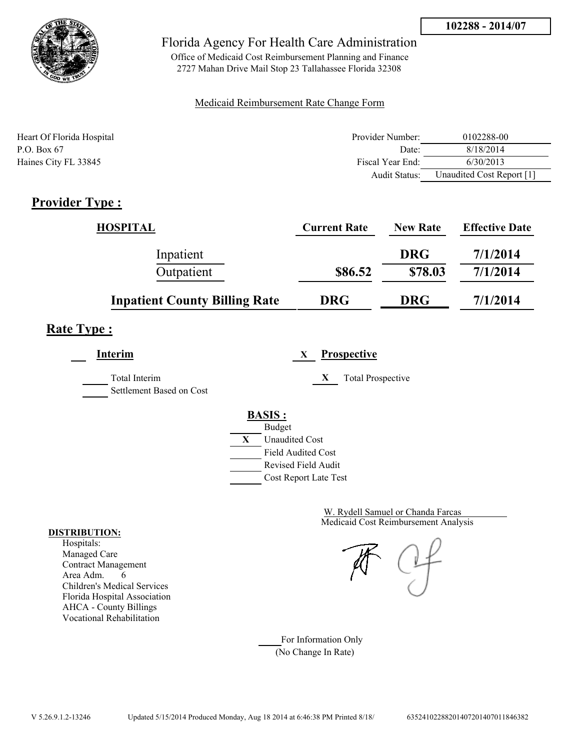

Office of Medicaid Cost Reimbursement Planning and Finance 2727 Mahan Drive Mail Stop 23 Tallahassee Florida 32308

### Medicaid Reimbursement Rate Change Form

| Heart Of Florida Hospital | Provider Number:     | 0102288-00                |
|---------------------------|----------------------|---------------------------|
| P.O. Box $67$             | Date:                | 8/18/2014                 |
| Haines City FL 33845      | Fiscal Year End:     | 6/30/2013                 |
|                           | <b>Audit Status:</b> | Unaudited Cost Report [1] |

# **Provider Type :**

| <b>HOSPITAL</b>                      | <b>Current Rate</b> | <b>New Rate</b> | <b>Effective Date</b> |
|--------------------------------------|---------------------|-----------------|-----------------------|
| Inpatient                            |                     | <b>DRG</b>      | 7/1/2014              |
| Outpatient                           | \$86.52             | \$78.03         | 7/1/2014              |
| <b>Inpatient County Billing Rate</b> | <b>DRG</b>          | <b>DRG</b>      | 7/1/2014              |

# **Rate Type :**

**Interim X Prospective** Total Interim **X** Total Prospective

Settlement Based on Cost

# **BASIS :**



Medicaid Cost Reimbursement Analysis W. Rydell Samuel or Chanda Farcas

For Information Only (No Change In Rate)

#### **DISTRIBUTION:**

Hospitals: Managed Care Contract Management Area Adm. 6 Children's Medical Services Florida Hospital Association AHCA - County Billings Vocational Rehabilitation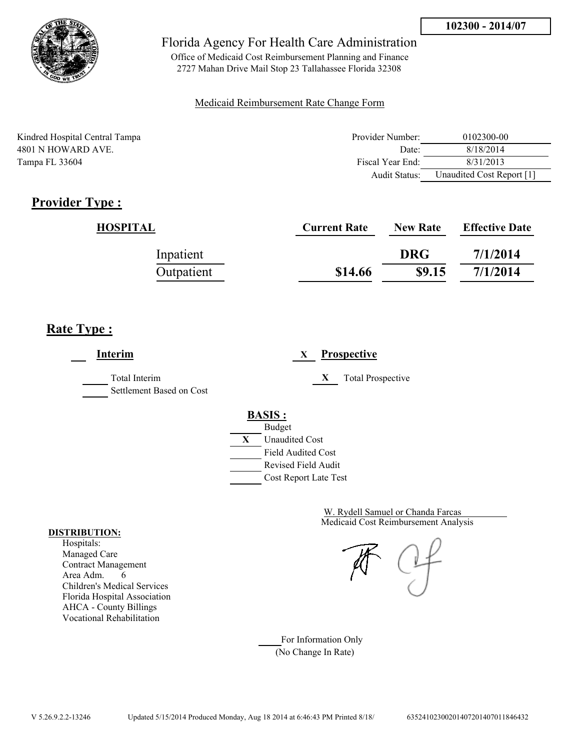

Office of Medicaid Cost Reimbursement Planning and Finance 2727 Mahan Drive Mail Stop 23 Tallahassee Florida 32308

### Medicaid Reimbursement Rate Change Form

Kindred Hospital Central Tampa 4801 N HOWARD AVE. Tampa FL 33604

| Provider Number: | 0102300-00                |
|------------------|---------------------------|
| Date:            | 8/18/2014                 |
| Fiscal Year End: | 8/31/2013                 |
| Audit Status:    | Unaudited Cost Report [1] |

# **Provider Type :**

| HOSPITAL   | <b>Current Rate</b> | <b>New Rate</b> | <b>Effective Date</b> |
|------------|---------------------|-----------------|-----------------------|
| Inpatient  |                     | <b>DRG</b>      | 7/1/2014              |
| Outpatient | \$14.66             | \$9.15          | 7/1/2014              |

# **Rate Type :**

**Interim X Prospective** Total Interim **X** Total Prospective Settlement Based on Cost **BASIS :** Budget **X** Unaudited Cost Field Audited Cost Revised Field Audit Cost Report Late Test

> Medicaid Cost Reimbursement Analysis W. Rydell Samuel or Chanda Farcas

For Information Only (No Change In Rate)

#### **DISTRIBUTION:**

Hospitals: Managed Care Contract Management Area Adm. 6 Children's Medical Services Florida Hospital Association AHCA - County Billings Vocational Rehabilitation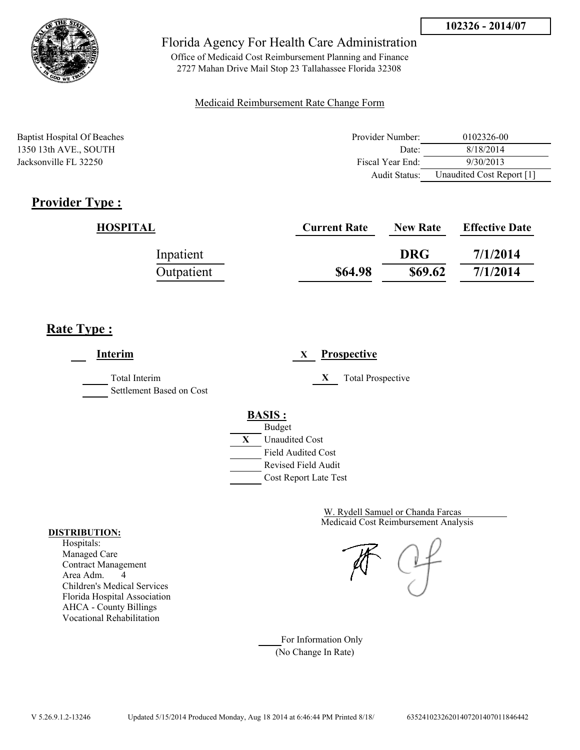

Office of Medicaid Cost Reimbursement Planning and Finance 2727 Mahan Drive Mail Stop 23 Tallahassee Florida 32308

### Medicaid Reimbursement Rate Change Form

Baptist Hospital Of Beaches **Provider Number:** 0102326-00 1350 13th AVE., SOUTH Date: 8/18/2014 Jacksonville FL 32250 Fiscal Year End: 9/30/2013 Audit Status: Unaudited Cost Report [1]

# **Provider Type :**

| HOSPITAL   | <b>Current Rate</b> | <b>New Rate</b> | <b>Effective Date</b> |
|------------|---------------------|-----------------|-----------------------|
| Inpatient  |                     | <b>DRG</b>      | 7/1/2014              |
| Outpatient | \$64.98             | \$69.62         | 7/1/2014              |

# **Rate Type :**

**Interim X Prospective** Total Interim **X** Total Prospective Settlement Based on Cost **BASIS :** Budget **X** Unaudited Cost Field Audited Cost Revised Field Audit Cost Report Late Test

> Medicaid Cost Reimbursement Analysis W. Rydell Samuel or Chanda Farcas

For Information Only (No Change In Rate)

#### **DISTRIBUTION:**

Hospitals: Managed Care Contract Management Area Adm. 4 Children's Medical Services Florida Hospital Association AHCA - County Billings Vocational Rehabilitation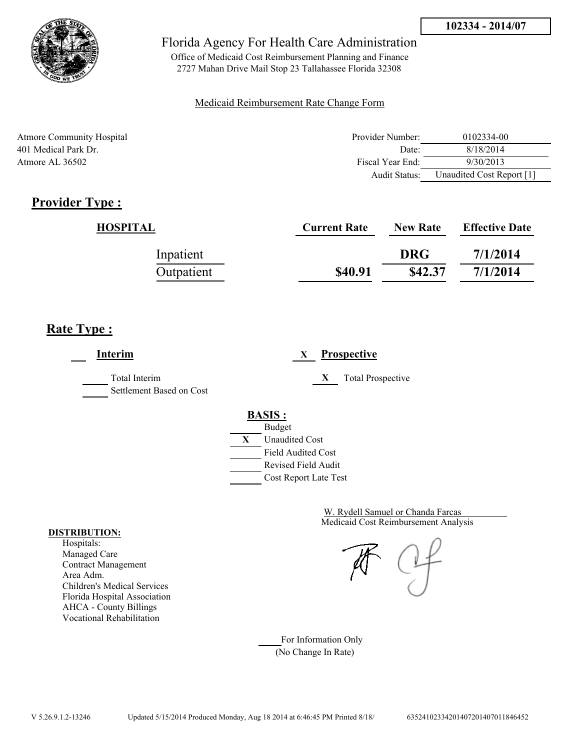

Office of Medicaid Cost Reimbursement Planning and Finance 2727 Mahan Drive Mail Stop 23 Tallahassee Florida 32308

### Medicaid Reimbursement Rate Change Form

| <b>Atmore Community Hospital</b> | Provider Number: | 0102334-00                |
|----------------------------------|------------------|---------------------------|
| 401 Medical Park Dr.             | Date:            | 8/18/2014                 |
| Atmore AL $36502$                | Fiscal Year End: | 9/30/2013                 |
|                                  | Audit Status:    | Unaudited Cost Report [1] |

# **Provider Type :**

| HOSPITAL   | <b>Current Rate</b> | <b>New Rate</b> | <b>Effective Date</b> |
|------------|---------------------|-----------------|-----------------------|
| Inpatient  |                     | <b>DRG</b>      | 7/1/2014              |
| Outpatient | \$40.91             | \$42.37         | 7/1/2014              |

# **Rate Type :**

**Interim X Prospective** Total Interim **X** Total Prospective Settlement Based on Cost **BASIS :** Budget **X** Unaudited Cost Field Audited Cost Revised Field Audit Cost Report Late Test

> Medicaid Cost Reimbursement Analysis W. Rydell Samuel or Chanda Farcas

For Information Only (No Change In Rate)

#### **DISTRIBUTION:**

Hospitals: Managed Care Contract Management Area Adm. Children's Medical Services Florida Hospital Association AHCA - County Billings Vocational Rehabilitation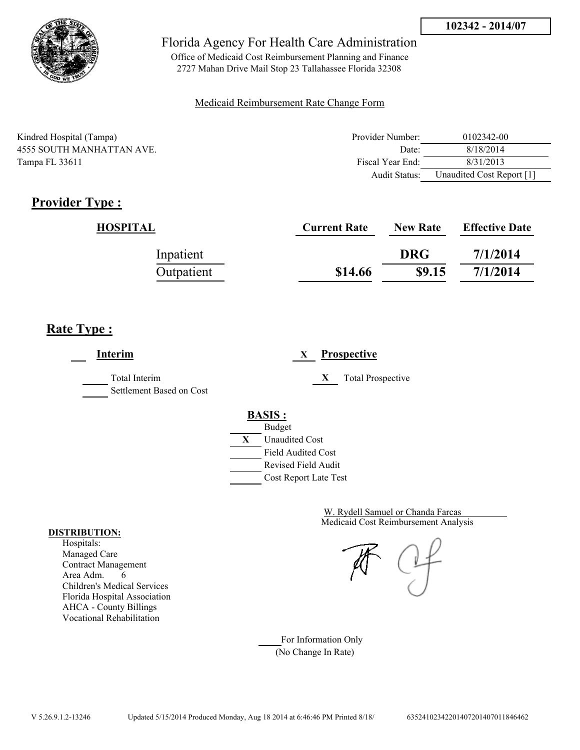

Office of Medicaid Cost Reimbursement Planning and Finance 2727 Mahan Drive Mail Stop 23 Tallahassee Florida 32308

### Medicaid Reimbursement Rate Change Form

| Kindred Hospital (Tampa) | Provider Number:     | 0102342-00                |
|--------------------------|----------------------|---------------------------|
| 4555 SOUTH MANHATTAN AVE | Date:                | 8/18/2014                 |
| Tampa FL 33611           | Fiscal Year End:     | 8/31/2013                 |
|                          | <b>Audit Status:</b> | Unaudited Cost Report [1] |

# **Provider Type :**

| HOSPITAL   | <b>Current Rate</b> | <b>New Rate</b> | <b>Effective Date</b> |
|------------|---------------------|-----------------|-----------------------|
| Inpatient  |                     | <b>DRG</b>      | 7/1/2014              |
| Outpatient | \$14.66             | \$9.15          | 7/1/2014              |

# **Rate Type :**

**Interim X Prospective** Total Interim **X** Total Prospective Settlement Based on Cost **BASIS :** Budget **X** Unaudited Cost Field Audited Cost Revised Field Audit Cost Report Late Test

> Medicaid Cost Reimbursement Analysis W. Rydell Samuel or Chanda Farcas

For Information Only (No Change In Rate)

#### **DISTRIBUTION:**

Hospitals: Managed Care Contract Management Area Adm. 6 Children's Medical Services Florida Hospital Association AHCA - County Billings Vocational Rehabilitation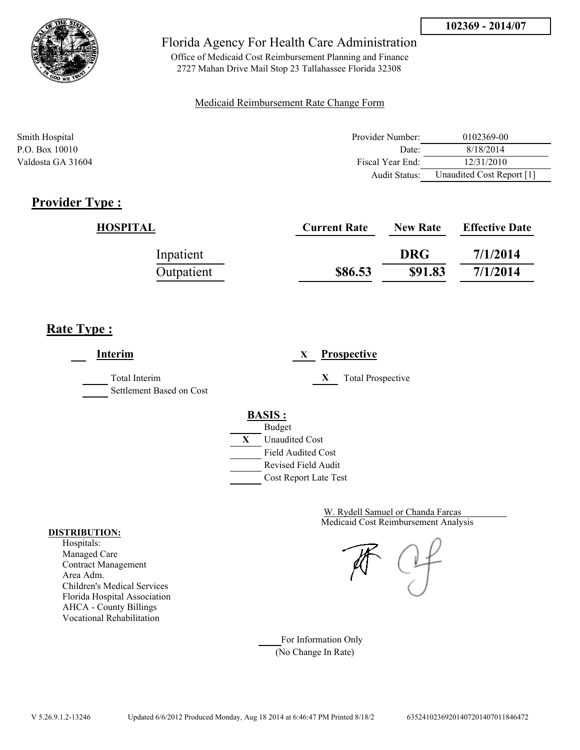

Office of Medicaid Cost Reimbursement Planning and Finance 2727 Mahan Drive Mail Stop 23 Tallahassee Florida 32308

### Medicaid Reimbursement Rate Change Form

| Smith Hospital    | Provider Number:     | 0102369-00                |
|-------------------|----------------------|---------------------------|
| P.O. Box 10010    | Date:                | 8/18/2014                 |
| Valdosta GA 31604 | Fiscal Year End:     | 12/31/2010                |
|                   | <b>Audit Status:</b> | Unaudited Cost Report [1] |

# **Provider Type :**

| HOSPITAL   | <b>Current Rate</b> | <b>New Rate</b> | <b>Effective Date</b> |
|------------|---------------------|-----------------|-----------------------|
| Inpatient  |                     | <b>DRG</b>      | 7/1/2014              |
| Outpatient | \$86.53             | \$91.83         | 7/1/2014              |

# **Rate Type :**

**Interim X Prospective** Total Interim **X** Total Prospective Settlement Based on Cost **BASIS :** Budget **X** Unaudited Cost Field Audited Cost Revised Field Audit Cost Report Late Test

> Medicaid Cost Reimbursement Analysis W. Rydell Samuel or Chanda Farcas

For Information Only (No Change In Rate)

#### **DISTRIBUTION:**

Hospitals: Managed Care Contract Management Area Adm. Children's Medical Services Florida Hospital Association AHCA - County Billings Vocational Rehabilitation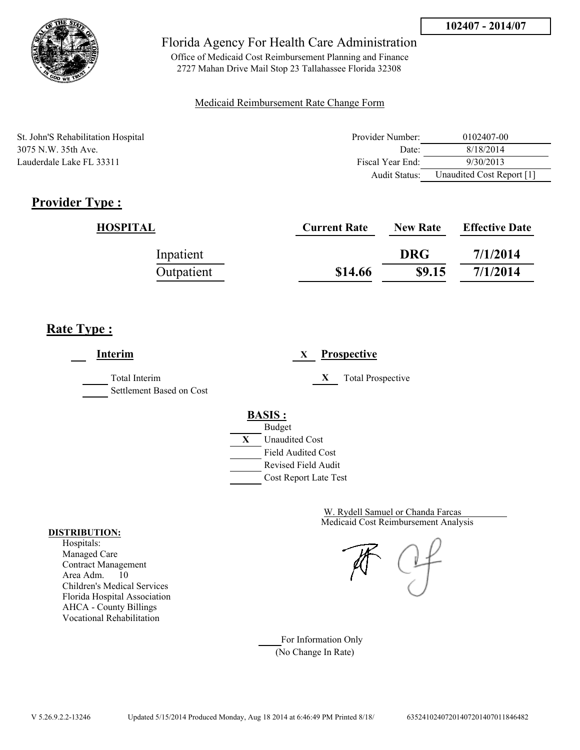

Office of Medicaid Cost Reimbursement Planning and Finance 2727 Mahan Drive Mail Stop 23 Tallahassee Florida 32308

### Medicaid Reimbursement Rate Change Form

St. John'S Rehabilitation Hospital 3075 N.W. 35th Ave. Lauderdale Lake FL 33311

| Provider Number: | 0102407-00                |
|------------------|---------------------------|
| Date:            | 8/18/2014                 |
| Fiscal Year End: | 9/30/2013                 |
| Audit Status:    | Unaudited Cost Report [1] |

# **Provider Type :**

| HOSPITAL   | <b>Current Rate</b> | <b>New Rate</b> | <b>Effective Date</b> |
|------------|---------------------|-----------------|-----------------------|
| Inpatient  |                     | <b>DRG</b>      | 7/1/2014              |
| Outpatient | \$14.66             | \$9.15          | 7/1/2014              |

## **Rate Type :**

**Interim X Prospective** Total Interim **X** Total Prospective Settlement Based on Cost **BASIS :** Budget **X** Unaudited Cost Field Audited Cost Revised Field Audit Cost Report Late Test

> Medicaid Cost Reimbursement Analysis W. Rydell Samuel or Chanda Farcas

For Information Only (No Change In Rate)

#### **DISTRIBUTION:**

Hospitals: Managed Care Contract Management Area Adm. 10 Children's Medical Services Florida Hospital Association AHCA - County Billings Vocational Rehabilitation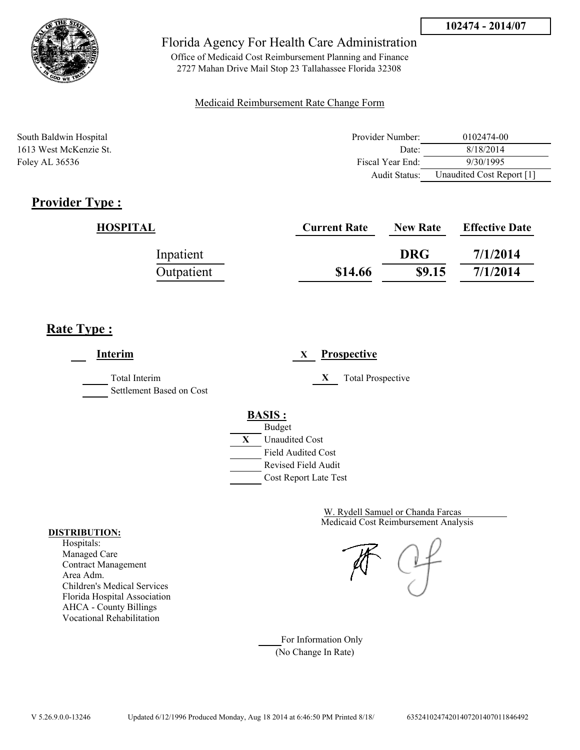

Office of Medicaid Cost Reimbursement Planning and Finance 2727 Mahan Drive Mail Stop 23 Tallahassee Florida 32308

### Medicaid Reimbursement Rate Change Form

| South Baldwin Hospital | Provider Number: | 0102474-00                |
|------------------------|------------------|---------------------------|
| 1613 West McKenzie St. | Date:            | 8/18/2014                 |
| Foley AL 36536         | Fiscal Year End: | 9/30/1995                 |
|                        | Audit Status:    | Unaudited Cost Report [1] |

# **Provider Type :**

| HOSPITAL   | <b>Current Rate</b> | <b>New Rate</b> | <b>Effective Date</b> |
|------------|---------------------|-----------------|-----------------------|
| Inpatient  |                     | <b>DRG</b>      | 7/1/2014              |
| Outpatient | \$14.66             | \$9.15          | 7/1/2014              |

# **Rate Type :**

**Interim X Prospective** Total Interim **X** Total Prospective Settlement Based on Cost **BASIS :** Budget **X** Unaudited Cost Field Audited Cost Revised Field Audit Cost Report Late Test

> Medicaid Cost Reimbursement Analysis W. Rydell Samuel or Chanda Farcas

For Information Only (No Change In Rate)

#### **DISTRIBUTION:**

Hospitals: Managed Care Contract Management Area Adm. Children's Medical Services Florida Hospital Association AHCA - County Billings Vocational Rehabilitation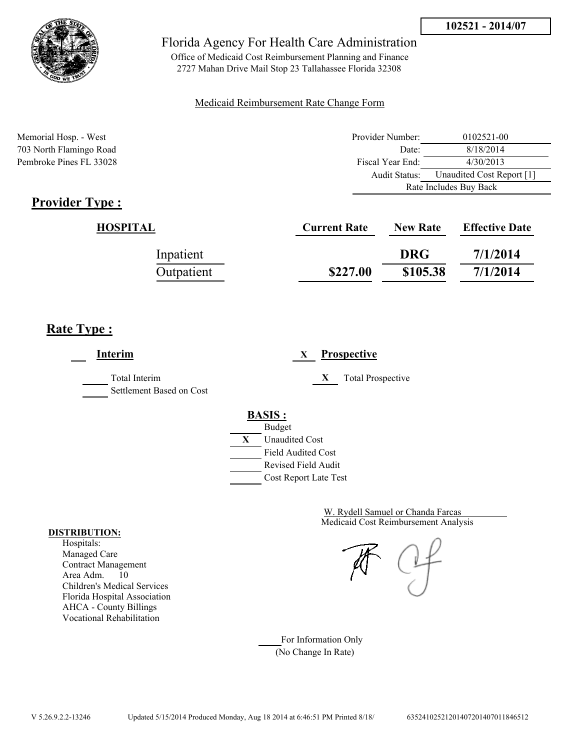Audit Status: Unaudited Cost Report [1]

Rate Includes Buy Back



## Florida Agency For Health Care Administration

Office of Medicaid Cost Reimbursement Planning and Finance 2727 Mahan Drive Mail Stop 23 Tallahassee Florida 32308

### Medicaid Reimbursement Rate Change Form

Memorial Hosp. - West 1002521-00 703 North Flamingo Road Date: 8/18/2014 Pembroke Pines FL 33028 Fiscal Year End: 4/30/2013

# **Provider Type :**

 $\underline{HOSPITAL}$ 

|            | <b>Current Rate</b> | <b>New Rate</b> | <b>Effective Date</b> |
|------------|---------------------|-----------------|-----------------------|
| Inpatient  |                     | <b>DRG</b>      | 7/1/2014              |
| Outpatient | \$227.00            | \$105.38        | 7/1/2014              |

## **Rate Type :**

**Interim X Prospective** Total Interim **X** Total Prospective Settlement Based on Cost **BASIS :** Budget **X** Unaudited Cost Field Audited Cost Revised Field Audit Cost Report Late Test

> Medicaid Cost Reimbursement Analysis W. Rydell Samuel or Chanda Farcas

For Information Only (No Change In Rate)

#### **DISTRIBUTION:**

Hospitals: Managed Care Contract Management Area Adm. 10 Children's Medical Services Florida Hospital Association AHCA - County Billings Vocational Rehabilitation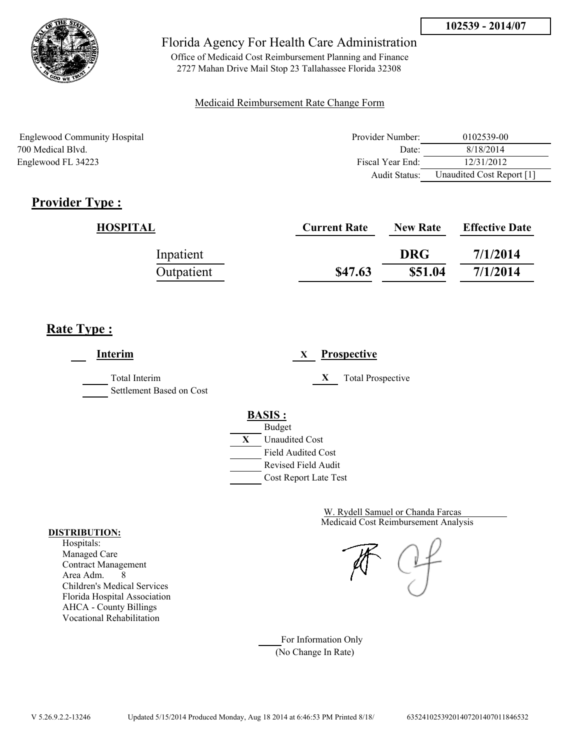

Office of Medicaid Cost Reimbursement Planning and Finance 2727 Mahan Drive Mail Stop 23 Tallahassee Florida 32308

### Medicaid Reimbursement Rate Change Form

| Englewood Community Hospital | Provider Number: | 0102539-00                |
|------------------------------|------------------|---------------------------|
| 700 Medical Blyd.            | Date:            | 8/18/2014                 |
| Englewood FL 34223           | Fiscal Year End: | 12/31/2012                |
|                              | Audit Status:    | Unaudited Cost Report [1] |

# **Provider Type :**

| HOSPITAL   | <b>Current Rate</b> | <b>New Rate</b> | <b>Effective Date</b> |
|------------|---------------------|-----------------|-----------------------|
| Inpatient  |                     | <b>DRG</b>      | 7/1/2014              |
| Outpatient | \$47.63             | \$51.04         | 7/1/2014              |

# **Rate Type :**

**Interim X Prospective** Total Interim **X** Total Prospective Settlement Based on Cost **BASIS :** Budget **X** Unaudited Cost Field Audited Cost Revised Field Audit Cost Report Late Test

> Medicaid Cost Reimbursement Analysis W. Rydell Samuel or Chanda Farcas

For Information Only (No Change In Rate)

#### **DISTRIBUTION:**

Hospitals: Managed Care Contract Management Area Adm. 8 Children's Medical Services Florida Hospital Association AHCA - County Billings Vocational Rehabilitation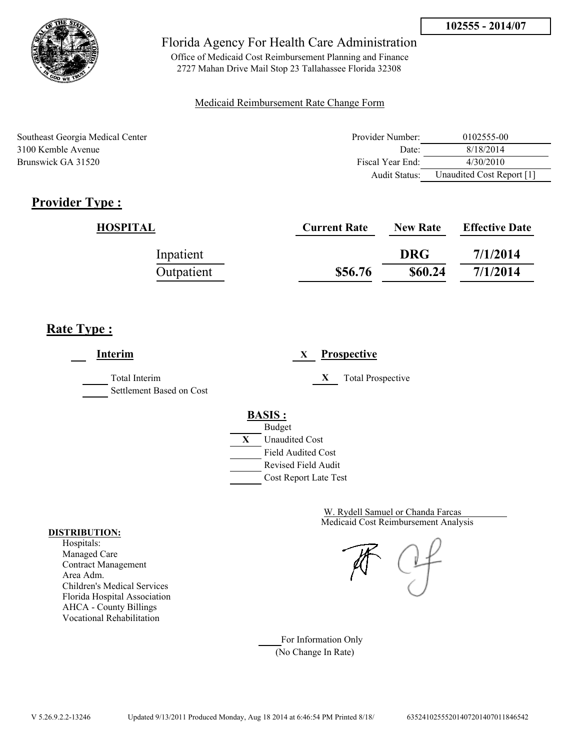

Office of Medicaid Cost Reimbursement Planning and Finance 2727 Mahan Drive Mail Stop 23 Tallahassee Florida 32308

### Medicaid Reimbursement Rate Change Form

| Southeast Georgia Medical Center | Provider Number: | 0102555-00                |
|----------------------------------|------------------|---------------------------|
| 3100 Kemble Avenue               | Date:            | 8/18/2014                 |
| Brunswick GA 31520               | Fiscal Year End: | 4/30/2010                 |
|                                  | Audit Status:    | Unaudited Cost Report [1] |

# **Provider Type :**

| HOSPITAL   | <b>Current Rate</b> | <b>New Rate</b> | <b>Effective Date</b> |
|------------|---------------------|-----------------|-----------------------|
| Inpatient  |                     | <b>DRG</b>      | 7/1/2014              |
| Outpatient | \$56.76             | \$60.24         | 7/1/2014              |

# **Rate Type :**

 $\overline{\phantom{a}}$ 

| <b>Interim</b>                            | <b>Prospective</b><br>X                                                                                          |
|-------------------------------------------|------------------------------------------------------------------------------------------------------------------|
| Total Interim<br>Settlement Based on Cost | X<br><b>Total Prospective</b>                                                                                    |
|                                           | <b>BASIS:</b><br><b>Budget</b><br>X<br><b>Unaudited Cost</b><br><b>Field Audited Cost</b><br>Revised Field Audit |
|                                           | Cost Report Late Test                                                                                            |

Medicaid Cost Reimbursement Analysis W. Rydell Samuel or Chanda Farcas

For Information Only (No Change In Rate)

#### **DISTRIBUTION:**

Hospitals: Managed Care Contract Management Area Adm. Children's Medical Services Florida Hospital Association AHCA - County Billings Vocational Rehabilitation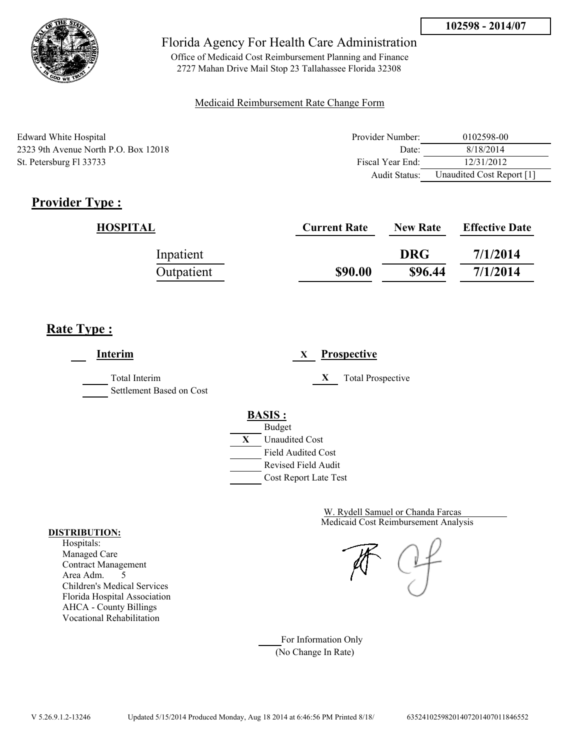

Office of Medicaid Cost Reimbursement Planning and Finance 2727 Mahan Drive Mail Stop 23 Tallahassee Florida 32308

### Medicaid Reimbursement Rate Change Form

| Edward White Hospital                  | Provider Number:     | 0102598-00                |
|----------------------------------------|----------------------|---------------------------|
| 2323 9th Avenue North P.O. Box $12018$ | Date:                | 8/18/2014                 |
| St. Petersburg Fl 33733                | Fiscal Year End:     | 12/31/2012                |
|                                        | <b>Audit Status:</b> | Unaudited Cost Report [1] |

# **Provider Type :**

| HOSPITAL   | <b>Current Rate</b> | <b>New Rate</b> | <b>Effective Date</b> |
|------------|---------------------|-----------------|-----------------------|
| Inpatient  |                     | <b>DRG</b>      | 7/1/2014              |
| Outpatient | \$90.00             | \$96.44         | 7/1/2014              |

# **Rate Type :**

**Interim X Prospective** Total Interim **X** Total Prospective Settlement Based on Cost **BASIS :** Budget **X** Unaudited Cost Field Audited Cost Revised Field Audit Cost Report Late Test

> Medicaid Cost Reimbursement Analysis W. Rydell Samuel or Chanda Farcas

For Information Only (No Change In Rate)

#### **DISTRIBUTION:**

Hospitals: Managed Care Contract Management Area Adm. 5 Children's Medical Services Florida Hospital Association AHCA - County Billings Vocational Rehabilitation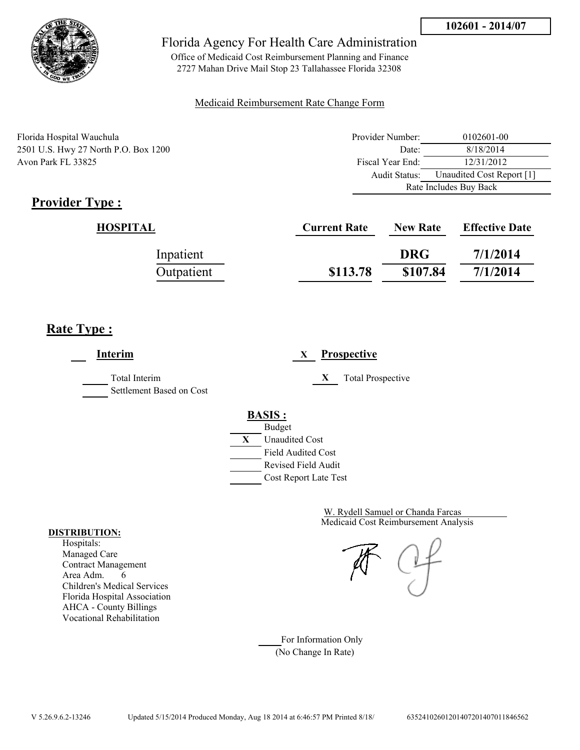

Office of Medicaid Cost Reimbursement Planning and Finance 2727 Mahan Drive Mail Stop 23 Tallahassee Florida 32308

### Medicaid Reimbursement Rate Change Form

| Florida Hospital Wauchula            | Provider Number:       | 0102601-00                |
|--------------------------------------|------------------------|---------------------------|
| 2501 U.S. Hwy 27 North P.O. Box 1200 | Date:                  | 8/18/2014                 |
| Avon Park FL 33825                   | Fiscal Year End:       | 12/31/2012                |
|                                      | Audit Status:          | Unaudited Cost Report [1] |
|                                      | Rate Includes Buy Back |                           |

# **Provider Type :**

| HOSPITAL   | <b>Current Rate</b> | <b>New Rate</b> | <b>Effective Date</b> |
|------------|---------------------|-----------------|-----------------------|
| Inpatient  |                     | <b>DRG</b>      | 7/1/2014              |
| Outpatient | \$113.78            | \$107.84        | 7/1/2014              |

# **Rate Type :**

 $\overline{\phantom{a}}$ 

| Interim                                   | <b>Prospective</b><br>X        |
|-------------------------------------------|--------------------------------|
| Total Interim<br>Settlement Based on Cost | X<br><b>Total Prospective</b>  |
|                                           | <b>BASIS:</b><br><b>Budget</b> |
|                                           | X<br><b>Unaudited Cost</b>     |
|                                           | <b>Field Audited Cost</b>      |
|                                           | <b>Revised Field Audit</b>     |
|                                           | Cost Report Late Test          |

Medicaid Cost Reimbursement Analysis W. Rydell Samuel or Chanda Farcas

For Information Only (No Change In Rate)

#### **DISTRIBUTION:**

Hospitals: Managed Care Contract Management Area Adm. 6 Children's Medical Services Florida Hospital Association AHCA - County Billings Vocational Rehabilitation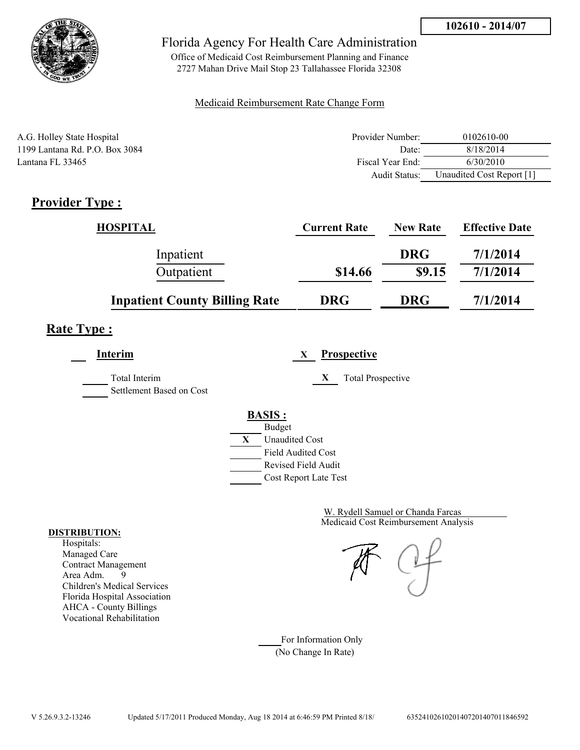

Office of Medicaid Cost Reimbursement Planning and Finance 2727 Mahan Drive Mail Stop 23 Tallahassee Florida 32308

### Medicaid Reimbursement Rate Change Form

| A.G. Holley State Hospital     | Provider Number: | 0102610-00                |
|--------------------------------|------------------|---------------------------|
| 1199 Lantana Rd. P.O. Box 3084 | Date:            | 8/18/2014                 |
| Lantana FL 33465               | Fiscal Year End: | 6/30/2010                 |
|                                | Audit Status:    | Unaudited Cost Report [1] |

# **Provider Type :**

| <b>HOSPITAL</b>                      | <b>Current Rate</b> | <b>New Rate</b> | <b>Effective Date</b> |
|--------------------------------------|---------------------|-----------------|-----------------------|
| Inpatient                            |                     | <b>DRG</b>      | 7/1/2014              |
| Outpatient                           | \$14.66             | \$9.15          | 7/1/2014              |
| <b>Inpatient County Billing Rate</b> | <b>DRG</b>          | <b>DRG</b>      | 7/1/2014              |

# **Rate Type :**

**Interim X Prospective**

Total Interim **X** Total Prospective Settlement Based on Cost

# **BASIS :**



Medicaid Cost Reimbursement Analysis W. Rydell Samuel or Chanda Farcas

For Information Only (No Change In Rate)

#### **DISTRIBUTION:**

Hospitals: Managed Care Contract Management Area Adm. 9 Children's Medical Services Florida Hospital Association AHCA - County Billings Vocational Rehabilitation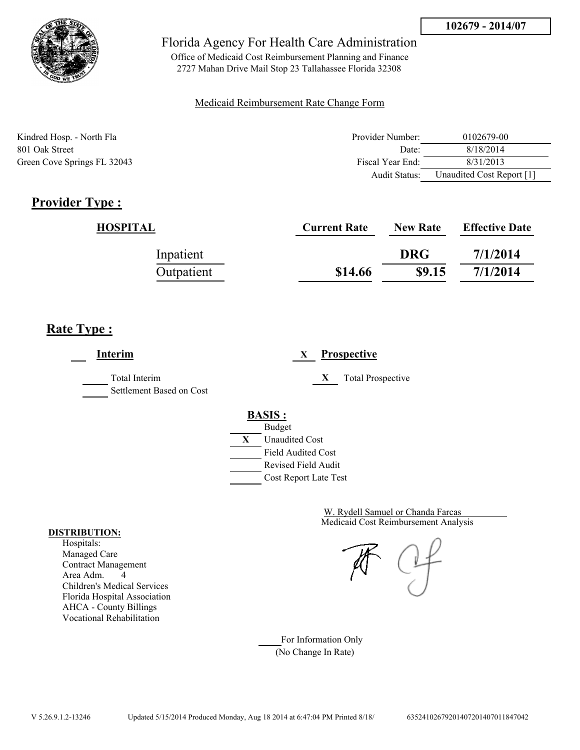

Office of Medicaid Cost Reimbursement Planning and Finance 2727 Mahan Drive Mail Stop 23 Tallahassee Florida 32308

### Medicaid Reimbursement Rate Change Form

| Kindred Hosp. - North Fla   | Provider Number: | 0102679-00                |
|-----------------------------|------------------|---------------------------|
| 801 Oak Street              | Date:            | 8/18/2014                 |
| Green Cove Springs FL 32043 | Fiscal Year End: | 8/31/2013                 |
|                             | Audit Status:    | Unaudited Cost Report [1] |

# **Provider Type :**

| HOSPITAL   | <b>Current Rate</b> | <b>New Rate</b> | <b>Effective Date</b> |
|------------|---------------------|-----------------|-----------------------|
| Inpatient  |                     | <b>DRG</b>      | 7/1/2014              |
| Outpatient | \$14.66             | \$9.15          | 7/1/2014              |

## **Rate Type :**

**Interim X Prospective** Total Interim **X** Total Prospective Settlement Based on Cost **BASIS :** Budget **X** Unaudited Cost Field Audited Cost Revised Field Audit Cost Report Late Test

> Medicaid Cost Reimbursement Analysis W. Rydell Samuel or Chanda Farcas

For Information Only (No Change In Rate)

#### **DISTRIBUTION:**

Hospitals: Managed Care Contract Management Area Adm. 4 Children's Medical Services Florida Hospital Association AHCA - County Billings Vocational Rehabilitation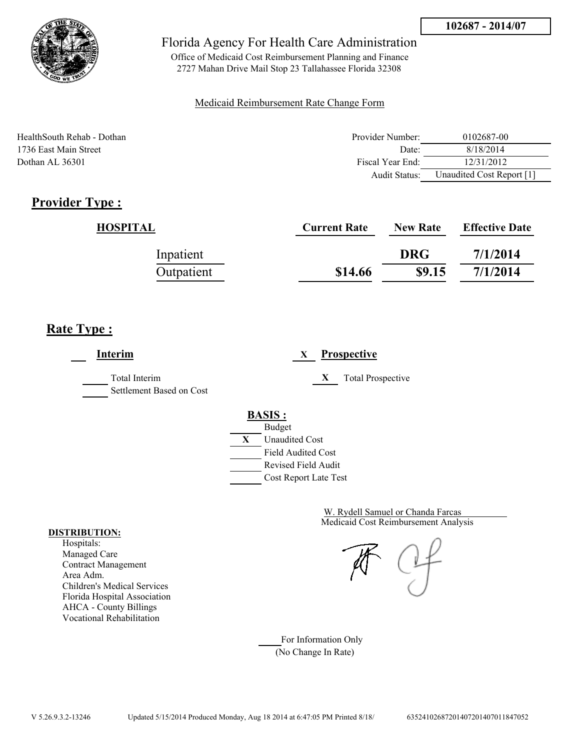

Office of Medicaid Cost Reimbursement Planning and Finance 2727 Mahan Drive Mail Stop 23 Tallahassee Florida 32308

### Medicaid Reimbursement Rate Change Form

HealthSouth Rehab - Dothan **Provider Number:** 0102687-00 1736 East Main Street **Date:** 8/18/2014 Dothan AL 36301 **Fiscal Year End:** 12/31/2012 Audit Status: Unaudited Cost Report [1]

# **Provider Type :**

| <b>HOSPITAL</b> | <b>Current Rate</b> | <b>New Rate</b> | <b>Effective Date</b> |
|-----------------|---------------------|-----------------|-----------------------|
| Inpatient       |                     | <b>DRG</b>      | 7/1/2014              |
| Outpatient      | \$14.66             | \$9.15          | 7/1/2014              |

# **Rate Type :**

**Interim X Prospective** Total Interim **X** Total Prospective Settlement Based on Cost **BASIS :** Budget **X** Unaudited Cost Field Audited Cost Revised Field Audit Cost Report Late Test

> Medicaid Cost Reimbursement Analysis W. Rydell Samuel or Chanda Farcas

For Information Only (No Change In Rate)

#### **DISTRIBUTION:**

Hospitals: Managed Care Contract Management Area Adm. Children's Medical Services Florida Hospital Association AHCA - County Billings Vocational Rehabilitation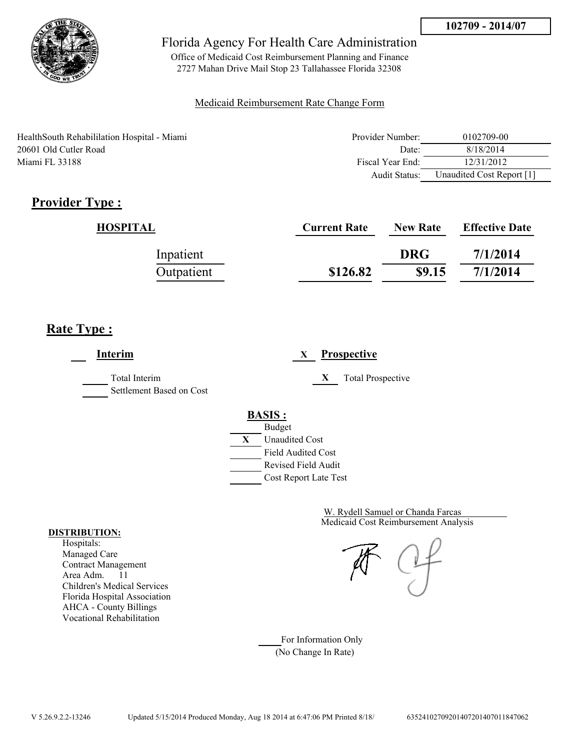

Office of Medicaid Cost Reimbursement Planning and Finance 2727 Mahan Drive Mail Stop 23 Tallahassee Florida 32308

### Medicaid Reimbursement Rate Change Form

HealthSouth Rehabililation Hospital - Miami 20601 Old Cutler Road Miami FL 33188

| Provider Number: | 0102709-00                |
|------------------|---------------------------|
| Date:            | 8/18/2014                 |
| Fiscal Year End: | 12/31/2012                |
| Audit Status:    | Unaudited Cost Report [1] |

# **Provider Type :**

| HOSPITAL   | <b>Current Rate</b> | <b>New Rate</b> | <b>Effective Date</b> |
|------------|---------------------|-----------------|-----------------------|
| Inpatient  |                     | <b>DRG</b>      | 7/1/2014              |
| Outpatient | \$126.82            | \$9.15          | 7/1/2014              |

# **Rate Type :**

**Interim X Prospective** Total Interim **X** Total Prospective Settlement Based on Cost **BASIS :** Budget **X** Unaudited Cost Field Audited Cost Revised Field Audit Cost Report Late Test

> Medicaid Cost Reimbursement Analysis W. Rydell Samuel or Chanda Farcas

For Information Only (No Change In Rate)

#### **DISTRIBUTION:**

Hospitals: Managed Care Contract Management Area Adm. 11 Children's Medical Services Florida Hospital Association AHCA - County Billings Vocational Rehabilitation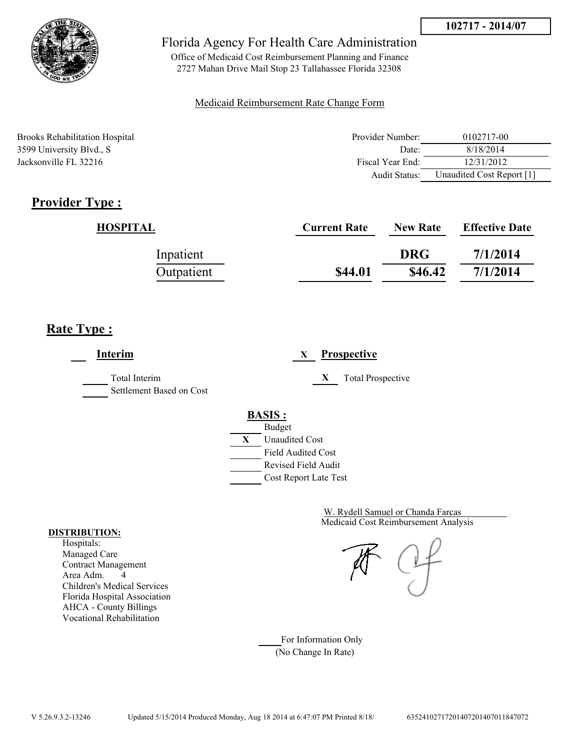

Office of Medicaid Cost Reimbursement Planning and Finance 2727 Mahan Drive Mail Stop 23 Tallahassee Florida 32308

### Medicaid Reimbursement Rate Change Form

Brooks Rehabilitation Hospital 3599 University Blvd., S. Jacksonville FL 32216

| Provider Number: | 0102717-00                |
|------------------|---------------------------|
| Date:            | 8/18/2014                 |
| Fiscal Year End: | 12/31/2012                |
| Audit Status:    | Unaudited Cost Report [1] |

# **Provider Type :**

| HOSPITAL   | <b>Current Rate</b> | <b>New Rate</b> | <b>Effective Date</b> |
|------------|---------------------|-----------------|-----------------------|
| Inpatient  |                     | <b>DRG</b>      | 7/1/2014              |
| Outpatient | \$44.01             | \$46.42         | 7/1/2014              |

# **Rate Type :**

**Interim X Prospective** Total Interim **X** Total Prospective Settlement Based on Cost **BASIS :** Budget **X** Unaudited Cost Field Audited Cost Revised Field Audit Cost Report Late Test

> Medicaid Cost Reimbursement Analysis W. Rydell Samuel or Chanda Farcas

For Information Only (No Change In Rate)

#### **DISTRIBUTION:**

Hospitals: Managed Care Contract Management Area Adm. 4 Children's Medical Services Florida Hospital Association AHCA - County Billings Vocational Rehabilitation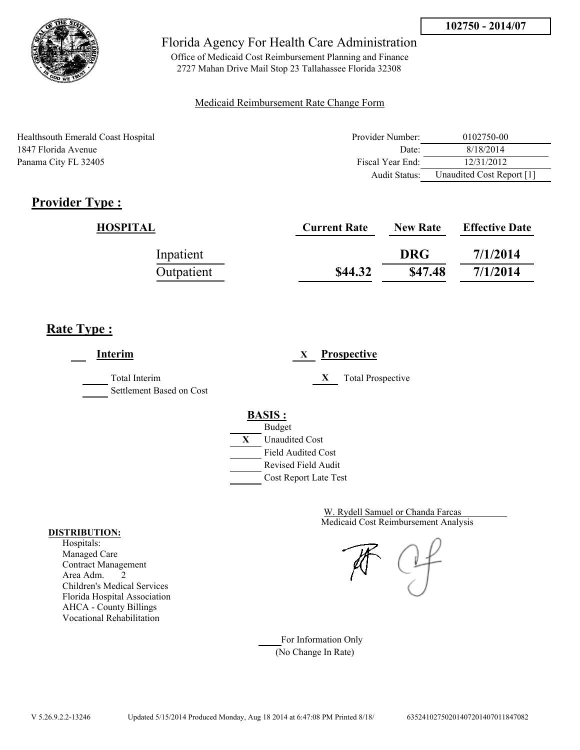

Office of Medicaid Cost Reimbursement Planning and Finance 2727 Mahan Drive Mail Stop 23 Tallahassee Florida 32308

### Medicaid Reimbursement Rate Change Form

| Healthsouth Emerald Coast Hospital | Provider Number: | 0102750-00                |
|------------------------------------|------------------|---------------------------|
| 1847 Florida Avenue                | Date:            | 8/18/2014                 |
| Panama City FL 32405               | Fiscal Year End: | 12/31/2012                |
|                                    | Audit Status:    | Unaudited Cost Report [1] |

# **Provider Type :**

| HOSPITAL   | <b>Current Rate</b> | <b>New Rate</b> | <b>Effective Date</b> |
|------------|---------------------|-----------------|-----------------------|
| Inpatient  |                     | <b>DRG</b>      | 7/1/2014              |
| Outpatient | \$44.32             | \$47.48         | 7/1/2014              |

# **Rate Type :**

 $\overline{\phantom{a}}$ 

| Interim                                   | <b>Prospective</b><br>X                          |
|-------------------------------------------|--------------------------------------------------|
| Total Interim<br>Settlement Based on Cost | X<br><b>Total Prospective</b>                    |
|                                           | <b>BASIS:</b>                                    |
|                                           | <b>Budget</b><br>X<br><b>Unaudited Cost</b>      |
|                                           | <b>Field Audited Cost</b><br>Revised Field Audit |
|                                           | Cost Report Late Test                            |

Medicaid Cost Reimbursement Analysis W. Rydell Samuel or Chanda Farcas

For Information Only (No Change In Rate)

#### **DISTRIBUTION:**

Hospitals: Managed Care Contract Management Area Adm. 2 Children's Medical Services Florida Hospital Association AHCA - County Billings Vocational Rehabilitation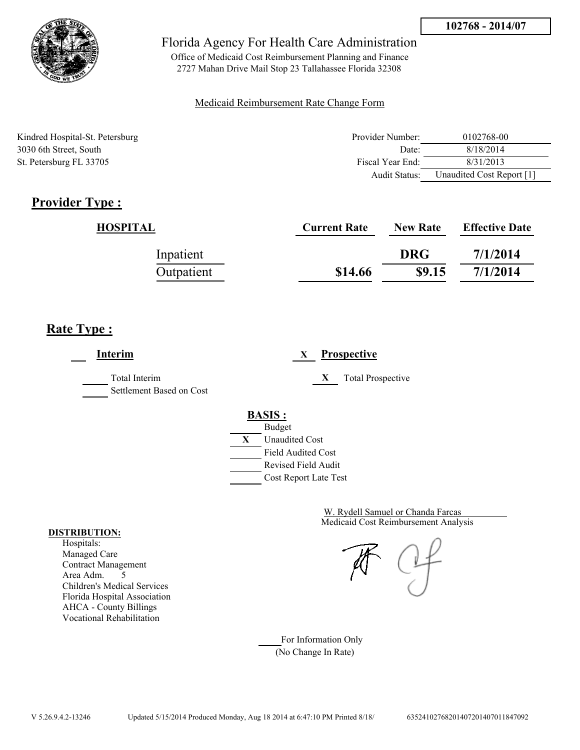

Office of Medicaid Cost Reimbursement Planning and Finance 2727 Mahan Drive Mail Stop 23 Tallahassee Florida 32308

### Medicaid Reimbursement Rate Change Form

Kindred Hospital-St. Petersburg 3030 6th Street, South St. Petersburg FL 33705

| Provider Number: | 0102768-00                |
|------------------|---------------------------|
| Date:            | 8/18/2014                 |
| Fiscal Year End: | 8/31/2013                 |
| Audit Status:    | Unaudited Cost Report [1] |

# **Provider Type :**

| HOSPITAL   | <b>Current Rate</b> | <b>New Rate</b> | <b>Effective Date</b> |
|------------|---------------------|-----------------|-----------------------|
| Inpatient  |                     | <b>DRG</b>      | 7/1/2014              |
| Outpatient | \$14.66             | \$9.15          | 7/1/2014              |

# **Rate Type :**

**Interim X Prospective** Total Interim **X** Total Prospective Settlement Based on Cost **BASIS :** Budget **X** Unaudited Cost Field Audited Cost Revised Field Audit Cost Report Late Test

> Medicaid Cost Reimbursement Analysis W. Rydell Samuel or Chanda Farcas

For Information Only (No Change In Rate)

#### **DISTRIBUTION:**

Hospitals: Managed Care Contract Management Area Adm. 5 Children's Medical Services Florida Hospital Association AHCA - County Billings Vocational Rehabilitation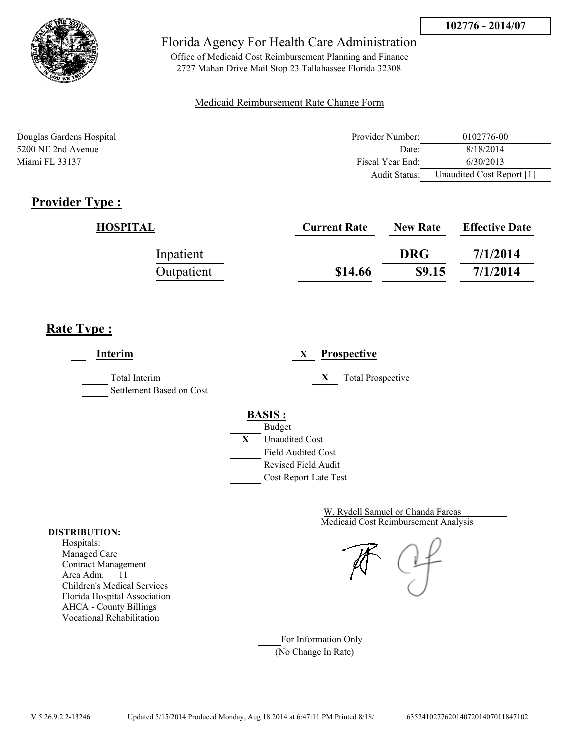

Office of Medicaid Cost Reimbursement Planning and Finance 2727 Mahan Drive Mail Stop 23 Tallahassee Florida 32308

### Medicaid Reimbursement Rate Change Form

| Douglas Gardens Hospital | Provider Number: | 0102776-00                |
|--------------------------|------------------|---------------------------|
| 5200 NE 2nd Avenue       | Date:            | 8/18/2014                 |
| Miami FL 33137           | Fiscal Year End: | 6/30/2013                 |
|                          | Audit Status:    | Unaudited Cost Report [1] |

# **Provider Type :**

| HOSPITAL   | <b>Current Rate</b> | <b>New Rate</b> | <b>Effective Date</b> |
|------------|---------------------|-----------------|-----------------------|
| Inpatient  |                     | <b>DRG</b>      | 7/1/2014              |
| Outpatient | \$14.66             | \$9.15          | 7/1/2014              |

# **Rate Type :**

**Interim X Prospective** Total Interim **X** Total Prospective Settlement Based on Cost **BASIS :** Budget **X** Unaudited Cost Field Audited Cost Revised Field Audit Cost Report Late Test

> Medicaid Cost Reimbursement Analysis W. Rydell Samuel or Chanda Farcas

For Information Only (No Change In Rate)

#### **DISTRIBUTION:**

Hospitals: Managed Care Contract Management Area Adm. 11 Children's Medical Services Florida Hospital Association AHCA - County Billings Vocational Rehabilitation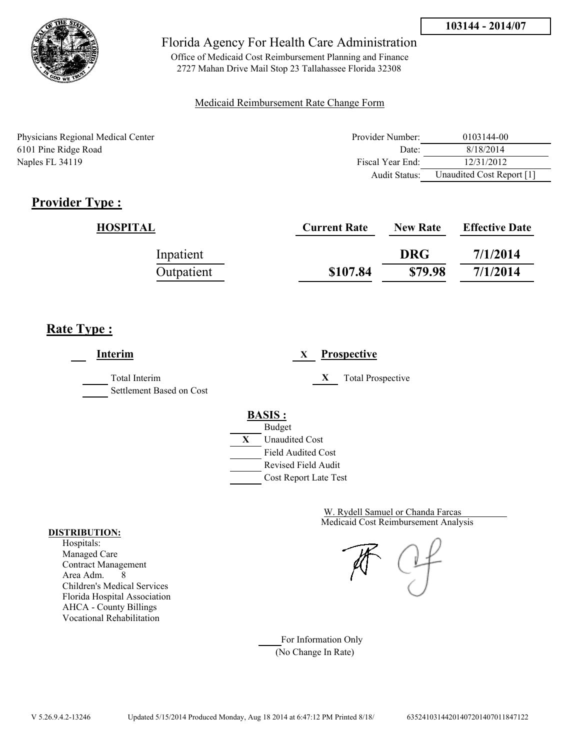

Office of Medicaid Cost Reimbursement Planning and Finance 2727 Mahan Drive Mail Stop 23 Tallahassee Florida 32308

### Medicaid Reimbursement Rate Change Form

Physicians Regional Medical Center 6101 Pine Ridge Road Naples FL 34119

| Provider Number: | 0103144-00                |
|------------------|---------------------------|
| Date:            | 8/18/2014                 |
| Fiscal Year End: | 12/31/2012                |
| Audit Status:    | Unaudited Cost Report [1] |

# **Provider Type :**

| HOSPITAL   | <b>Current Rate</b> | <b>New Rate</b> | <b>Effective Date</b> |
|------------|---------------------|-----------------|-----------------------|
| Inpatient  |                     | <b>DRG</b>      | 7/1/2014              |
| Outpatient | \$107.84            | \$79.98         | 7/1/2014              |

# **Rate Type :**

**Interim X Prospective** Total Interim **X** Total Prospective Settlement Based on Cost **BASIS :** Budget **X** Unaudited Cost Field Audited Cost Revised Field Audit Cost Report Late Test

> Medicaid Cost Reimbursement Analysis W. Rydell Samuel or Chanda Farcas

For Information Only (No Change In Rate)

#### **DISTRIBUTION:**

Hospitals: Managed Care Contract Management Area Adm. 8 Children's Medical Services Florida Hospital Association AHCA - County Billings Vocational Rehabilitation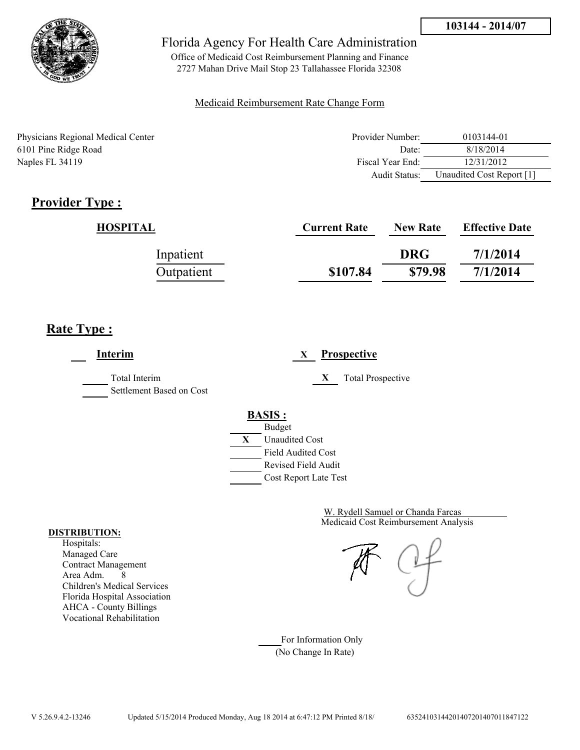

Office of Medicaid Cost Reimbursement Planning and Finance 2727 Mahan Drive Mail Stop 23 Tallahassee Florida 32308

### Medicaid Reimbursement Rate Change Form

Physicians Regional Medical Center 6101 Pine Ridge Road Naples FL 34119

| Provider Number: | 0103144-01                |
|------------------|---------------------------|
| Date:            | 8/18/2014                 |
| Fiscal Year End: | 12/31/2012                |
| Audit Status:    | Unaudited Cost Report [1] |

# **Provider Type :**

| HOSPITAL   | <b>Current Rate</b> | <b>New Rate</b> | <b>Effective Date</b> |
|------------|---------------------|-----------------|-----------------------|
| Inpatient  |                     | <b>DRG</b>      | 7/1/2014              |
| Outpatient | \$107.84            | \$79.98         | 7/1/2014              |

# **Rate Type :**

**Interim X Prospective** Total Interim **X** Total Prospective Settlement Based on Cost **BASIS :** Budget **X** Unaudited Cost Field Audited Cost Revised Field Audit Cost Report Late Test

> Medicaid Cost Reimbursement Analysis W. Rydell Samuel or Chanda Farcas

For Information Only (No Change In Rate)

#### **DISTRIBUTION:**

Hospitals: Managed Care Contract Management Area Adm. 8 Children's Medical Services Florida Hospital Association AHCA - County Billings Vocational Rehabilitation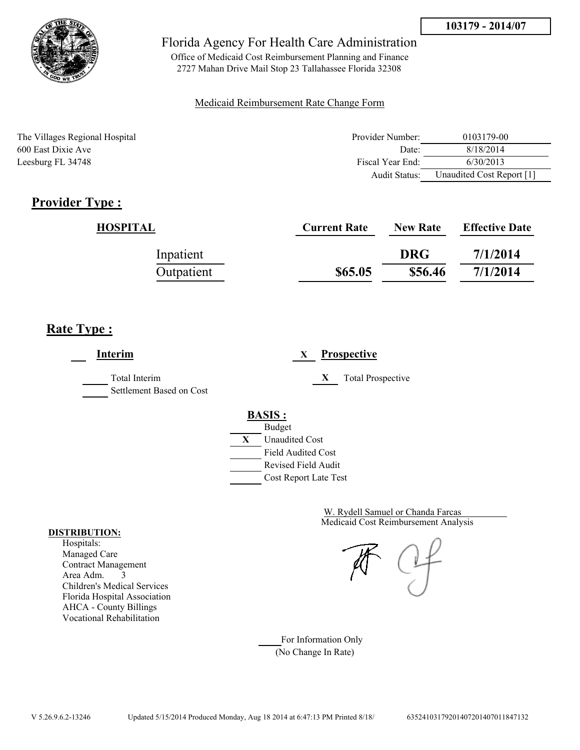

Office of Medicaid Cost Reimbursement Planning and Finance 2727 Mahan Drive Mail Stop 23 Tallahassee Florida 32308

### Medicaid Reimbursement Rate Change Form

| The Villages Regional Hospital | Provider Number: | 0103179-00                |
|--------------------------------|------------------|---------------------------|
| 600 East Dixie Ave             | Date:            | 8/18/2014                 |
| Leesburg FL 34748              | Fiscal Year End: | 6/30/2013                 |
|                                | Audit Status:    | Unaudited Cost Report [1] |

# **Provider Type :**

| HOSPITAL   | <b>Current Rate</b> | <b>New Rate</b> | <b>Effective Date</b> |
|------------|---------------------|-----------------|-----------------------|
| Inpatient  |                     | <b>DRG</b>      | 7/1/2014              |
| Outpatient | \$65.05             | \$56.46         | 7/1/2014              |

## **Rate Type :**

**Interim X Prospective** Total Interim **X** Total Prospective Settlement Based on Cost **BASIS :** Budget **X** Unaudited Cost Field Audited Cost Revised Field Audit Cost Report Late Test

> Medicaid Cost Reimbursement Analysis W. Rydell Samuel or Chanda Farcas

For Information Only (No Change In Rate)

#### **DISTRIBUTION:**

Hospitals: Managed Care Contract Management Area Adm. 3 Children's Medical Services Florida Hospital Association AHCA - County Billings Vocational Rehabilitation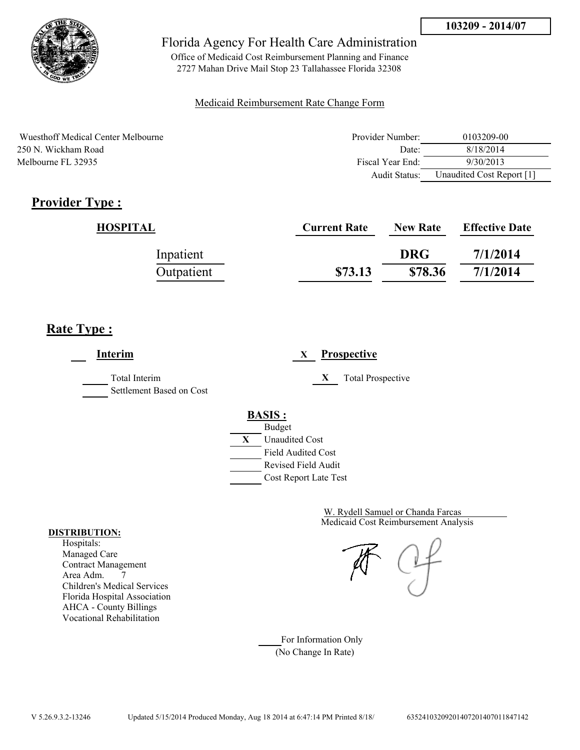

Office of Medicaid Cost Reimbursement Planning and Finance 2727 Mahan Drive Mail Stop 23 Tallahassee Florida 32308

### Medicaid Reimbursement Rate Change Form

Wuesthoff Medical Center Melbourne 250 N. Wickham Road Melbourne FL 32935

| Provider Number: | 0103209-00                |
|------------------|---------------------------|
| Date:            | 8/18/2014                 |
| Fiscal Year End: | 9/30/2013                 |
| Audit Status:    | Unaudited Cost Report [1] |

# **Provider Type :**

| HOSPITAL   | <b>Current Rate</b> | <b>New Rate</b> | <b>Effective Date</b> |
|------------|---------------------|-----------------|-----------------------|
| Inpatient  |                     | <b>DRG</b>      | 7/1/2014              |
| Outpatient | \$73.13             | \$78.36         | 7/1/2014              |

# **Rate Type :**

**Interim X Prospective** Total Interim **X** Total Prospective Settlement Based on Cost **BASIS :** Budget **X** Unaudited Cost Field Audited Cost Revised Field Audit Cost Report Late Test

> Medicaid Cost Reimbursement Analysis W. Rydell Samuel or Chanda Farcas

For Information Only (No Change In Rate)

#### **DISTRIBUTION:**

Hospitals: Managed Care Contract Management Area Adm. 7 Children's Medical Services Florida Hospital Association AHCA - County Billings Vocational Rehabilitation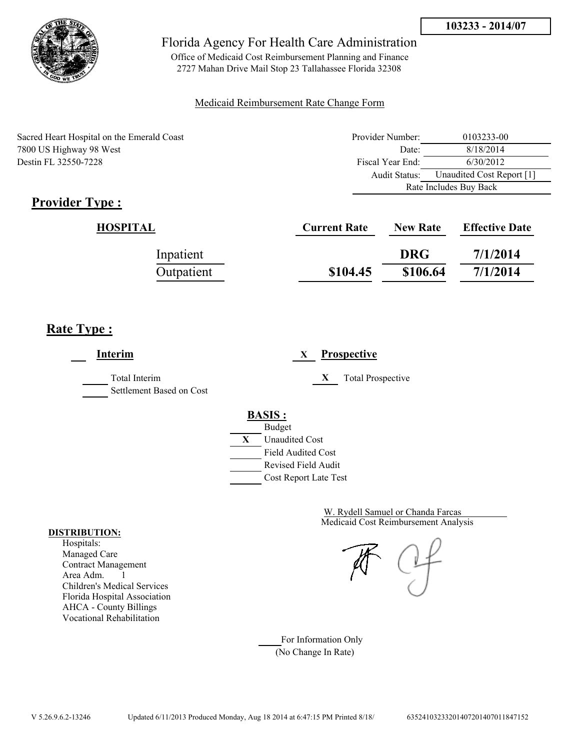

Office of Medicaid Cost Reimbursement Planning and Finance 2727 Mahan Drive Mail Stop 23 Tallahassee Florida 32308

### Medicaid Reimbursement Rate Change Form

| Sacred Heart Hospital on the Emerald Coast | Provider Number: | 0103233-00                |
|--------------------------------------------|------------------|---------------------------|
| 7800 US Highway 98 West                    | Date:            | 8/18/2014                 |
| Destin FL 32550-7228                       | Fiscal Year End: | 6/30/2012                 |
|                                            | Audit Status:    | Unaudited Cost Report [1] |
|                                            |                  | Rate Includes Buy Back    |

# **Provider Type :**

| HOSPITAL   | <b>Current Rate</b> | <b>New Rate</b> | <b>Effective Date</b> |
|------------|---------------------|-----------------|-----------------------|
| Inpatient  |                     | <b>DRG</b>      | 7/1/2014              |
| Outpatient | \$104.45            | \$106.64        | 7/1/2014              |

# **Rate Type :**

 $\overline{a}$ 

| Interim                                          | <b>Prospective</b><br>X                                                                                                                          |
|--------------------------------------------------|--------------------------------------------------------------------------------------------------------------------------------------------------|
| <b>Total Interim</b><br>Settlement Based on Cost | X<br><b>Total Prospective</b>                                                                                                                    |
|                                                  | <b>BASIS:</b><br><b>Budget</b><br>X<br><b>Unaudited Cost</b><br><b>Field Audited Cost</b><br><b>Revised Field Audit</b><br>Cost Report Late Test |

Medicaid Cost Reimbursement Analysis W. Rydell Samuel or Chanda Farcas

For Information Only (No Change In Rate)

#### **DISTRIBUTION:**

Hospitals: Managed Care Contract Management Area Adm. 1 Children's Medical Services Florida Hospital Association AHCA - County Billings Vocational Rehabilitation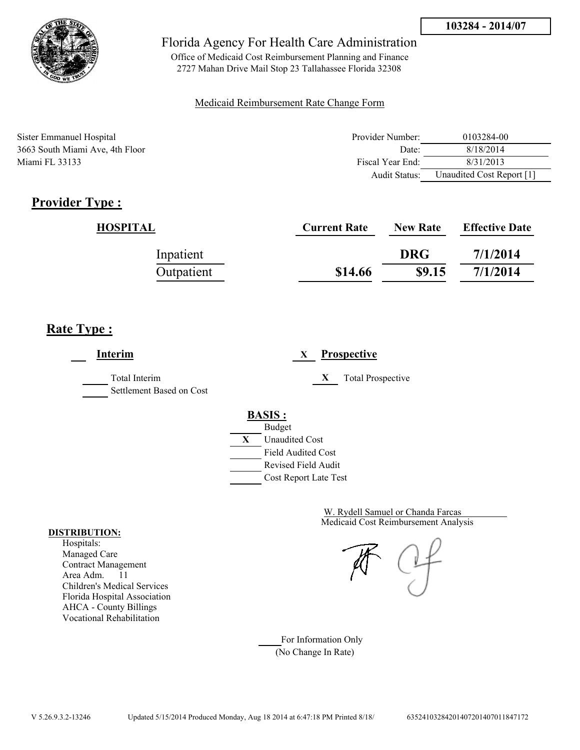

Office of Medicaid Cost Reimbursement Planning and Finance 2727 Mahan Drive Mail Stop 23 Tallahassee Florida 32308

### Medicaid Reimbursement Rate Change Form

| Sister Emmanuel Hospital        | Provider Number:     | 0103284-00                |
|---------------------------------|----------------------|---------------------------|
| 3663 South Miami Ave, 4th Floor | Date:                | 8/18/2014                 |
| Miami FL 33133                  | Fiscal Year End:     | 8/31/2013                 |
|                                 | <b>Audit Status:</b> | Unaudited Cost Report [1] |

# **Provider Type :**

| HOSPITAL   | <b>Current Rate</b> | <b>New Rate</b> | <b>Effective Date</b> |
|------------|---------------------|-----------------|-----------------------|
| Inpatient  |                     | <b>DRG</b>      | 7/1/2014              |
| Outpatient | \$14.66             | \$9.15          | 7/1/2014              |

# **Rate Type :**

**Interim X Prospective** Total Interim **X** Total Prospective Settlement Based on Cost **BASIS :** Budget **X** Unaudited Cost Field Audited Cost Revised Field Audit Cost Report Late Test

> Medicaid Cost Reimbursement Analysis W. Rydell Samuel or Chanda Farcas

For Information Only (No Change In Rate)

#### **DISTRIBUTION:**

Hospitals: Managed Care Contract Management Area Adm. 11 Children's Medical Services Florida Hospital Association AHCA - County Billings Vocational Rehabilitation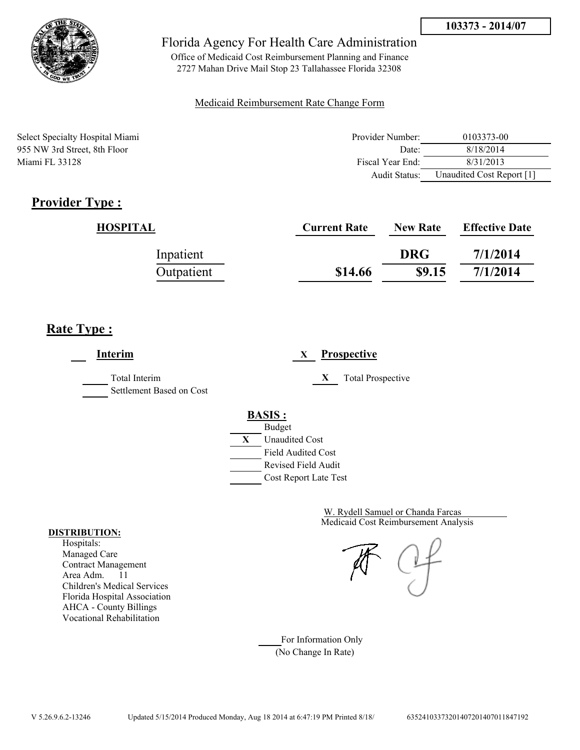

Office of Medicaid Cost Reimbursement Planning and Finance 2727 Mahan Drive Mail Stop 23 Tallahassee Florida 32308

### Medicaid Reimbursement Rate Change Form

Select Specialty Hospital Miami 955 NW 3rd Street, 8th Floor Miami FL 33128

| Provider Number: | 0103373-00                |
|------------------|---------------------------|
| Date:            | 8/18/2014                 |
| Fiscal Year End: | 8/31/2013                 |
| Audit Status:    | Unaudited Cost Report [1] |

# **Provider Type :**

| HOSPITAL   | <b>Current Rate</b> | <b>New Rate</b> | <b>Effective Date</b> |
|------------|---------------------|-----------------|-----------------------|
| Inpatient  |                     | <b>DRG</b>      | 7/1/2014              |
| Outpatient | \$14.66             | \$9.15          | 7/1/2014              |

# **Rate Type :**

**Interim X Prospective** Total Interim **X** Total Prospective Settlement Based on Cost **BASIS :** Budget **X** Unaudited Cost Field Audited Cost Revised Field Audit Cost Report Late Test

> Medicaid Cost Reimbursement Analysis W. Rydell Samuel or Chanda Farcas

For Information Only (No Change In Rate)

#### **DISTRIBUTION:**

Hospitals: Managed Care Contract Management Area Adm. 11 Children's Medical Services Florida Hospital Association AHCA - County Billings Vocational Rehabilitation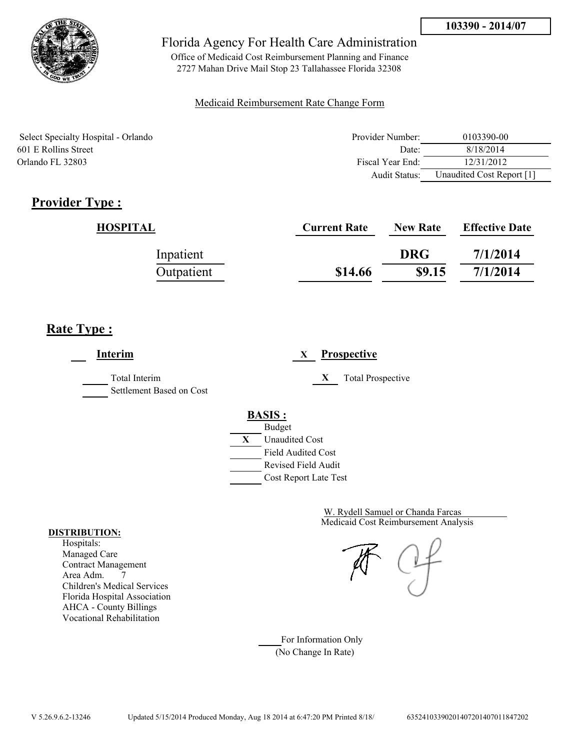

Office of Medicaid Cost Reimbursement Planning and Finance 2727 Mahan Drive Mail Stop 23 Tallahassee Florida 32308

### Medicaid Reimbursement Rate Change Form

Select Specialty Hospital - Orlando 601 E Rollins Street Orlando FL 32803

| Provider Number: | 0103390-00                |
|------------------|---------------------------|
| Date:            | 8/18/2014                 |
| Fiscal Year End: | 12/31/2012                |
| Audit Status:    | Unaudited Cost Report [1] |

# **Provider Type :**

| HOSPITAL   | <b>Current Rate</b> | <b>New Rate</b> | <b>Effective Date</b> |
|------------|---------------------|-----------------|-----------------------|
| Inpatient  |                     | <b>DRG</b>      | 7/1/2014              |
| Outpatient | \$14.66             | \$9.15          | 7/1/2014              |

## **Rate Type :**

**Interim X Prospective** Total Interim **X** Total Prospective Settlement Based on Cost **BASIS :** Budget **X** Unaudited Cost Field Audited Cost Revised Field Audit Cost Report Late Test

> Medicaid Cost Reimbursement Analysis W. Rydell Samuel or Chanda Farcas

For Information Only (No Change In Rate)

#### **DISTRIBUTION:**

Hospitals: Managed Care Contract Management Area Adm. 7 Children's Medical Services Florida Hospital Association AHCA - County Billings Vocational Rehabilitation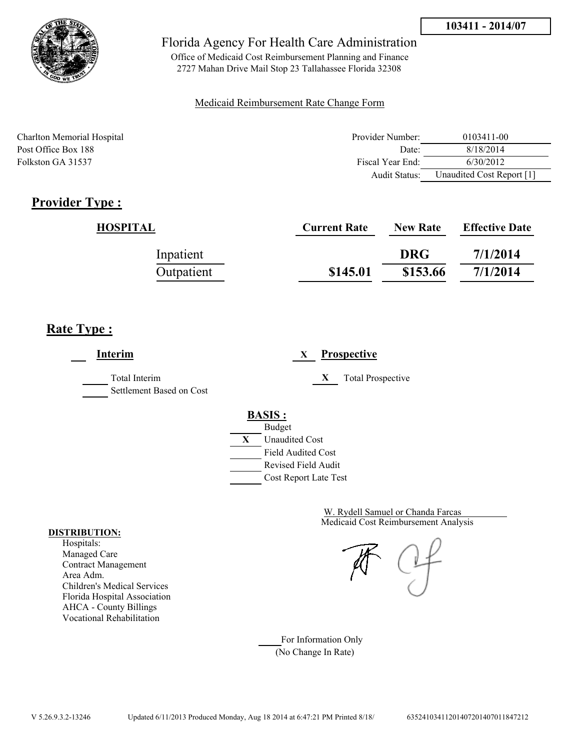

Office of Medicaid Cost Reimbursement Planning and Finance 2727 Mahan Drive Mail Stop 23 Tallahassee Florida 32308

### Medicaid Reimbursement Rate Change Form

Charlton Memorial Hospital Provider Number: 0103411-00 Post Office Box 188 Date: 8/18/2014 Folkston GA 31537 Fiscal Year End: 6/30/2012 Audit Status: Unaudited Cost Report [1]

# **Provider Type :**

| HOSPITAL   | <b>Current Rate</b> | <b>New Rate</b> | <b>Effective Date</b> |
|------------|---------------------|-----------------|-----------------------|
| Inpatient  |                     | <b>DRG</b>      | 7/1/2014              |
| Outpatient | \$145.01            | \$153.66        | 7/1/2014              |

## **Rate Type :**

**Interim X Prospective** Total Interim **X** Total Prospective Settlement Based on Cost **BASIS :** Budget **X** Unaudited Cost Field Audited Cost Revised Field Audit Cost Report Late Test

> Medicaid Cost Reimbursement Analysis W. Rydell Samuel or Chanda Farcas

For Information Only (No Change In Rate)

#### **DISTRIBUTION:**

Hospitals: Managed Care Contract Management Area Adm. Children's Medical Services Florida Hospital Association AHCA - County Billings Vocational Rehabilitation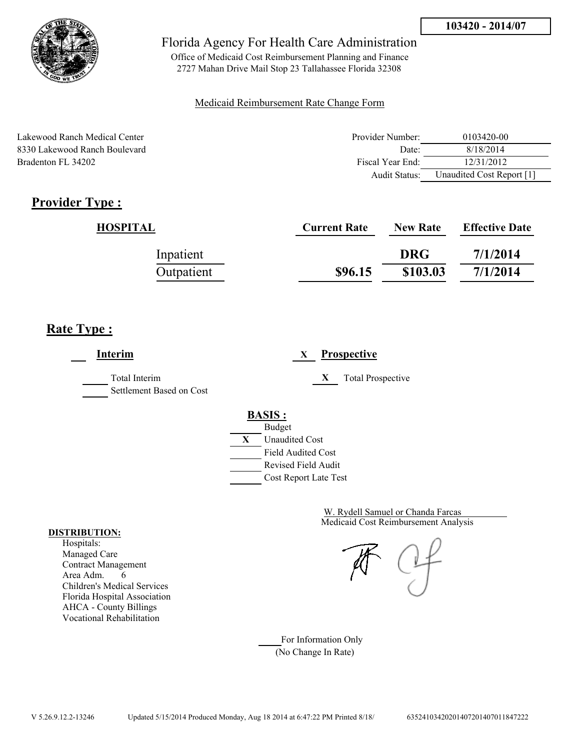

Office of Medicaid Cost Reimbursement Planning and Finance 2727 Mahan Drive Mail Stop 23 Tallahassee Florida 32308

### Medicaid Reimbursement Rate Change Form

Lakewood Ranch Medical Center 8330 Lakewood Ranch Boulevard Bradenton FL 34202

| Provider Number: | 0103420-00                |
|------------------|---------------------------|
| Date:            | 8/18/2014                 |
| Fiscal Year End: | 12/31/2012                |
| Audit Status:    | Unaudited Cost Report [1] |

# **Provider Type :**

| HOSPITAL   | <b>Current Rate</b> | <b>New Rate</b> | <b>Effective Date</b> |
|------------|---------------------|-----------------|-----------------------|
| Inpatient  |                     | <b>DRG</b>      | 7/1/2014              |
| Outpatient | \$96.15             | \$103.03        | 7/1/2014              |

## **Rate Type :**

**Interim X Prospective** Total Interim **X** Total Prospective Settlement Based on Cost **BASIS :** Budget **X** Unaudited Cost Field Audited Cost Revised Field Audit Cost Report Late Test

> Medicaid Cost Reimbursement Analysis W. Rydell Samuel or Chanda Farcas

For Information Only (No Change In Rate)

#### **DISTRIBUTION:**

Hospitals: Managed Care Contract Management Area Adm. 6 Children's Medical Services Florida Hospital Association AHCA - County Billings Vocational Rehabilitation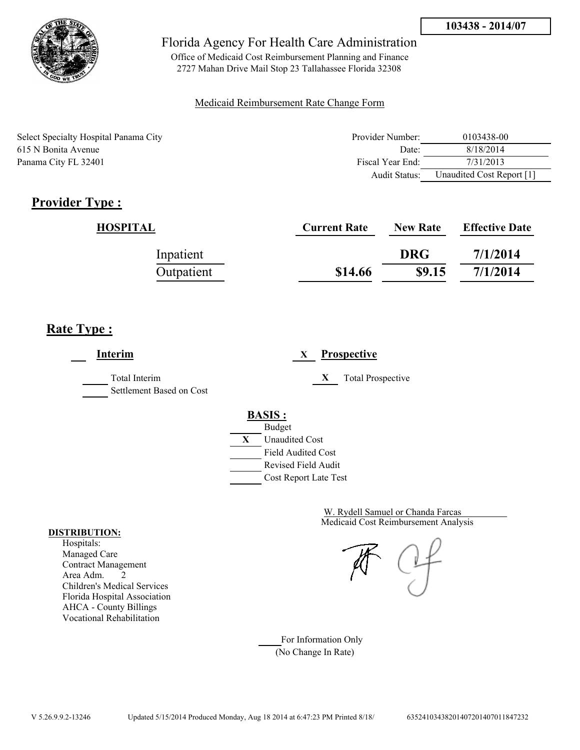

Office of Medicaid Cost Reimbursement Planning and Finance 2727 Mahan Drive Mail Stop 23 Tallahassee Florida 32308

### Medicaid Reimbursement Rate Change Form

Select Specialty Hospital Panama City 615 N Bonita Avenue Panama City FL 32401

| Provider Number: | 0103438-00                |
|------------------|---------------------------|
| Date             | 8/18/2014                 |
| Fiscal Year End: | 7/31/2013                 |
| Audit Status:    | Unaudited Cost Report [1] |

# **Provider Type :**

| HOSPITAL   | <b>Current Rate</b> | <b>New Rate</b> | <b>Effective Date</b> |
|------------|---------------------|-----------------|-----------------------|
| Inpatient  |                     | <b>DRG</b>      | 7/1/2014              |
| Outpatient | \$14.66             | \$9.15          | 7/1/2014              |

## **Rate Type :**

**Interim X Prospective** Total Interim **X** Total Prospective Settlement Based on Cost **BASIS :** Budget **X** Unaudited Cost Field Audited Cost Revised Field Audit Cost Report Late Test

> Medicaid Cost Reimbursement Analysis W. Rydell Samuel or Chanda Farcas

For Information Only (No Change In Rate)

#### **DISTRIBUTION:**

Hospitals: Managed Care Contract Management Area Adm. 2 Children's Medical Services Florida Hospital Association AHCA - County Billings Vocational Rehabilitation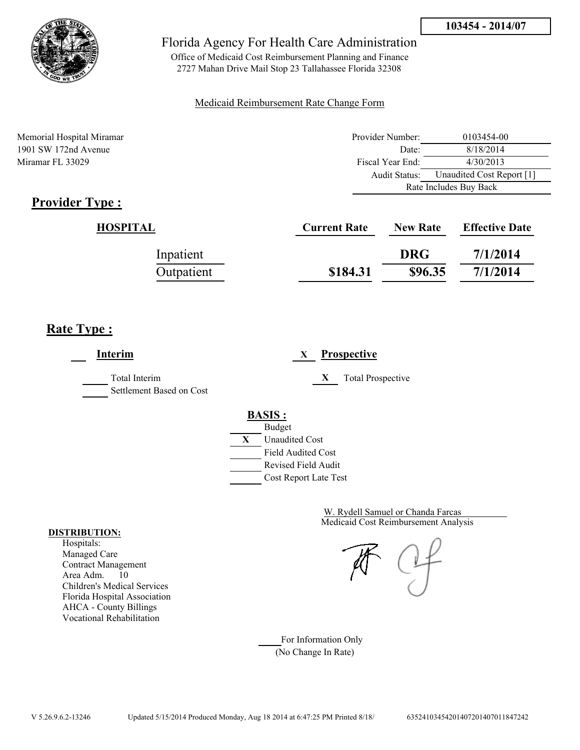

Office of Medicaid Cost Reimbursement Planning and Finance 2727 Mahan Drive Mail Stop 23 Tallahassee Florida 32308

### Medicaid Reimbursement Rate Change Form

Memorial Hospital Miramar 1901 SW 172nd Avenue Miramar FL 33029

| Provider Number:       | 0103454-00                |  |
|------------------------|---------------------------|--|
| Date:                  | 8/18/2014                 |  |
| Fiscal Year End:       | 4/30/2013                 |  |
| Audit Status:          | Unaudited Cost Report [1] |  |
| Rate Includes Buy Back |                           |  |

# **Provider Type :**

| HOSPITAL   | <b>Current Rate</b> | <b>New Rate</b> | <b>Effective Date</b> |
|------------|---------------------|-----------------|-----------------------|
| Inpatient  |                     | <b>DRG</b>      | 7/1/2014              |
| Outpatient | \$184.31            | \$96.35         | 7/1/2014              |

# **Rate Type :**

| Interim                                          | <b>Prospective</b><br>X                                                                                                                   |
|--------------------------------------------------|-------------------------------------------------------------------------------------------------------------------------------------------|
| <b>Total Interim</b><br>Settlement Based on Cost | X<br><b>Total Prospective</b>                                                                                                             |
|                                                  | <b>BASIS:</b><br><b>Budget</b><br>X<br><b>Unaudited Cost</b><br><b>Field Audited Cost</b><br>Revised Field Audit<br>Cost Report Late Test |

Medicaid Cost Reimbursement Analysis W. Rydell Samuel or Chanda Farcas

For Information Only (No Change In Rate)

#### **DISTRIBUTION:**

Hospitals: Managed Care Contract Management Area Adm. 10 Children's Medical Services Florida Hospital Association AHCA - County Billings Vocational Rehabilitation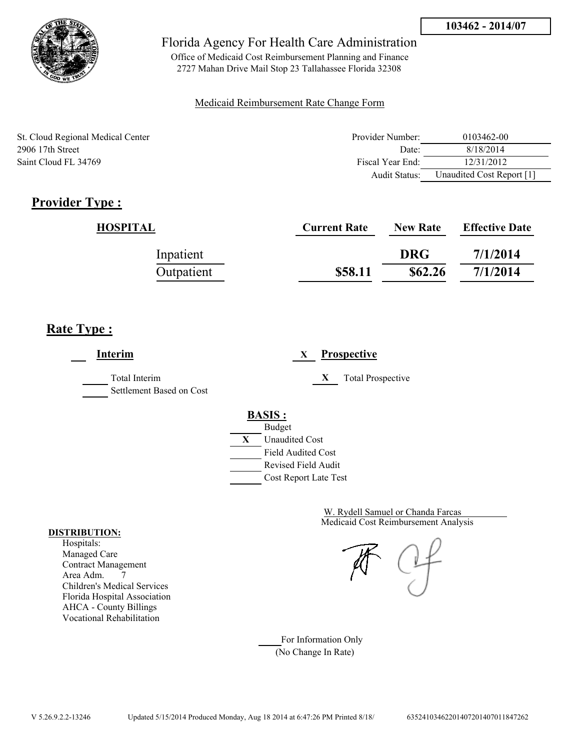

Office of Medicaid Cost Reimbursement Planning and Finance 2727 Mahan Drive Mail Stop 23 Tallahassee Florida 32308

### Medicaid Reimbursement Rate Change Form

St. Cloud Regional Medical Center 2906 17th Street Saint Cloud FL 34769

| Provider Number: | 0103462-00                |
|------------------|---------------------------|
| Date             | 8/18/2014                 |
| Fiscal Year End: | 12/31/2012                |
| Audit Status:    | Unaudited Cost Report [1] |

# **Provider Type :**

| HOSPITAL   | <b>Current Rate</b> | <b>New Rate</b> | <b>Effective Date</b> |
|------------|---------------------|-----------------|-----------------------|
| Inpatient  |                     | <b>DRG</b>      | 7/1/2014              |
| Outpatient | \$58.11             | \$62.26         | 7/1/2014              |

## **Rate Type :**

**Interim X Prospective** Total Interim **X** Total Prospective Settlement Based on Cost **BASIS :** Budget **X** Unaudited Cost Field Audited Cost Revised Field Audit Cost Report Late Test

> Medicaid Cost Reimbursement Analysis W. Rydell Samuel or Chanda Farcas

For Information Only (No Change In Rate)

#### **DISTRIBUTION:**

Hospitals: Managed Care Contract Management Area Adm. 7 Children's Medical Services Florida Hospital Association AHCA - County Billings Vocational Rehabilitation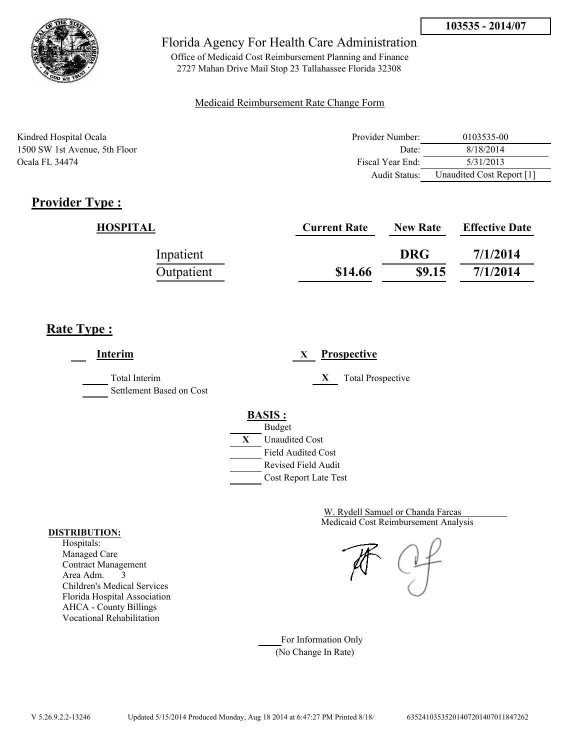

Office of Medicaid Cost Reimbursement Planning and Finance 2727 Mahan Drive Mail Stop 23 Tallahassee Florida 32308

### Medicaid Reimbursement Rate Change Form

| Kindred Hospital Ocala        | Provider Number: | 0103535-00                |
|-------------------------------|------------------|---------------------------|
| 1500 SW 1st Avenue, 5th Floor | Date:            | 8/18/2014                 |
| Ocala FL 34474                | Fiscal Year End: | 5/31/2013                 |
|                               | Audit Status:    | Unaudited Cost Report [1] |

## **Provider Type :**

| HOSPITAL   | <b>Current Rate</b> | <b>New Rate</b> | <b>Effective Date</b> |
|------------|---------------------|-----------------|-----------------------|
| Inpatient  |                     | <b>DRG</b>      | 7/1/2014              |
| Outpatient | \$14.66             | \$9.15          | 7/1/2014              |

## **Rate Type :**

| Interim                                   | <b>Prospective</b><br>X       |
|-------------------------------------------|-------------------------------|
| Total Interim<br>Settlement Based on Cost | X<br><b>Total Prospective</b> |
|                                           | <b>BASIS:</b>                 |
|                                           | <b>Budget</b>                 |
|                                           | X<br><b>Unaudited Cost</b>    |
|                                           | <b>Field Audited Cost</b>     |
|                                           | <b>Revised Field Audit</b>    |
|                                           | Cost Report Late Test         |

Medicaid Cost Reimbursement Analysis W. Rydell Samuel or Chanda Farcas

For Information Only (No Change In Rate)

#### **DISTRIBUTION:**

Hospitals: Managed Care Contract Management Area Adm. 3 Children's Medical Services Florida Hospital Association AHCA - County Billings Vocational Rehabilitation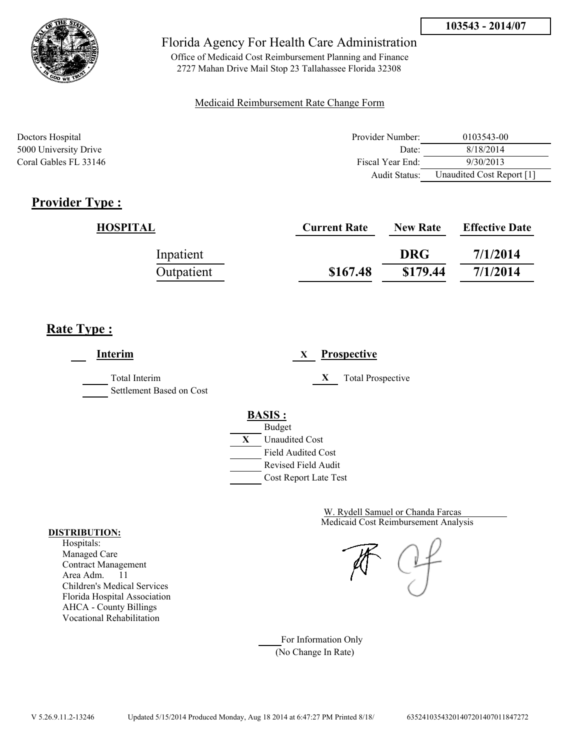

Office of Medicaid Cost Reimbursement Planning and Finance 2727 Mahan Drive Mail Stop 23 Tallahassee Florida 32308

### Medicaid Reimbursement Rate Change Form

| Doctors Hospital      | Provider Number: | 0103543-00                |
|-----------------------|------------------|---------------------------|
| 5000 University Drive | Date:            | 8/18/2014                 |
| Coral Gables FL 33146 | Fiscal Year End: | 9/30/2013                 |
|                       | Audit Status:    | Unaudited Cost Report [1] |

## **Provider Type :**

| HOSPITAL   | <b>Current Rate</b> | <b>New Rate</b> | <b>Effective Date</b> |
|------------|---------------------|-----------------|-----------------------|
| Inpatient  |                     | <b>DRG</b>      | 7/1/2014              |
| Outpatient | \$167.48            | \$179.44        | 7/1/2014              |

## **Rate Type :**

**Interim X Prospective** Total Interim **X** Total Prospective Settlement Based on Cost **BASIS :** Budget **X** Unaudited Cost Field Audited Cost Revised Field Audit Cost Report Late Test

> Medicaid Cost Reimbursement Analysis W. Rydell Samuel or Chanda Farcas

For Information Only (No Change In Rate)

#### **DISTRIBUTION:**

Hospitals: Managed Care Contract Management Area Adm. 11 Children's Medical Services Florida Hospital Association AHCA - County Billings Vocational Rehabilitation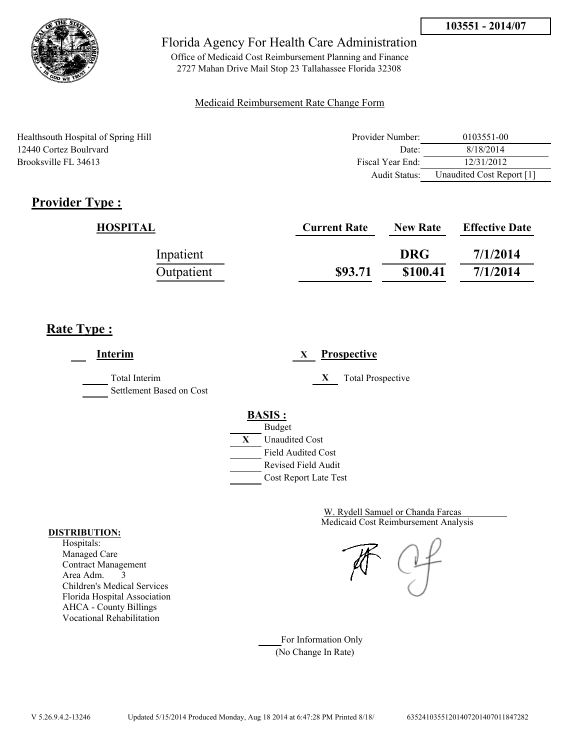

Office of Medicaid Cost Reimbursement Planning and Finance 2727 Mahan Drive Mail Stop 23 Tallahassee Florida 32308

### Medicaid Reimbursement Rate Change Form

Healthsouth Hospital of Spring Hill 12440 Cortez Boulrvard Brooksville FL 34613

| Provider Number: | 0103551-00                |
|------------------|---------------------------|
| Date             | 8/18/2014                 |
| Fiscal Year End: | 12/31/2012                |
| Audit Status:    | Unaudited Cost Report [1] |

# **Provider Type :**

| HOSPITAL   | <b>Current Rate</b> | <b>New Rate</b> | <b>Effective Date</b> |
|------------|---------------------|-----------------|-----------------------|
| Inpatient  |                     | <b>DRG</b>      | 7/1/2014              |
| Outpatient | \$93.71             | \$100.41        | 7/1/2014              |

# **Rate Type :**

**Interim X Prospective** Total Interim **X** Total Prospective Settlement Based on Cost **BASIS :** Budget **X** Unaudited Cost Field Audited Cost Revised Field Audit Cost Report Late Test

> Medicaid Cost Reimbursement Analysis W. Rydell Samuel or Chanda Farcas

For Information Only (No Change In Rate)

#### **DISTRIBUTION:**

Hospitals: Managed Care Contract Management Area Adm. 3 Children's Medical Services Florida Hospital Association AHCA - County Billings Vocational Rehabilitation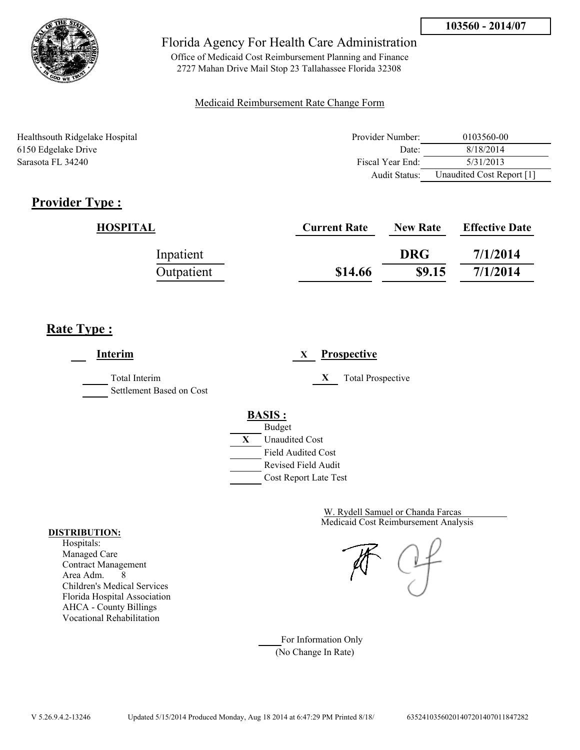

Office of Medicaid Cost Reimbursement Planning and Finance 2727 Mahan Drive Mail Stop 23 Tallahassee Florida 32308

### Medicaid Reimbursement Rate Change Form

| Healthsouth Ridgelake Hospital | Provider Number:     | 0103560-00                |
|--------------------------------|----------------------|---------------------------|
| 6150 Edgelake Drive            | Date:                | 8/18/2014                 |
| Sarasota FL 34240              | Fiscal Year End:     | 5/31/2013                 |
|                                | <b>Audit Status:</b> | Unaudited Cost Report [1] |

# **Provider Type :**

| HOSPITAL   | <b>Current Rate</b> | <b>New Rate</b> | <b>Effective Date</b> |
|------------|---------------------|-----------------|-----------------------|
| Inpatient  |                     | <b>DRG</b>      | 7/1/2014              |
| Outpatient | \$14.66             | \$9.15          | 7/1/2014              |

## **Rate Type :**

**Interim X Prospective** Total Interim **X** Total Prospective Settlement Based on Cost **BASIS :** Budget **X** Unaudited Cost Field Audited Cost Revised Field Audit Cost Report Late Test

> Medicaid Cost Reimbursement Analysis W. Rydell Samuel or Chanda Farcas

For Information Only (No Change In Rate)

#### **DISTRIBUTION:**

Hospitals: Managed Care Contract Management Area Adm. 8 Children's Medical Services Florida Hospital Association AHCA - County Billings Vocational Rehabilitation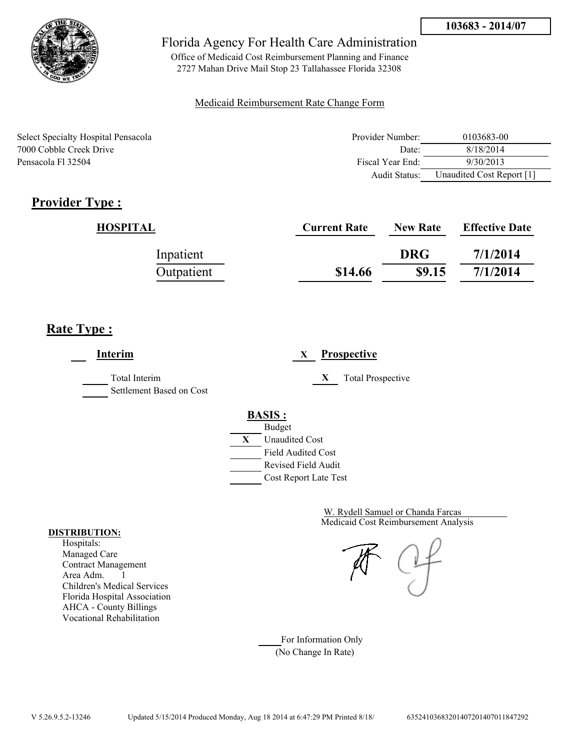

Office of Medicaid Cost Reimbursement Planning and Finance 2727 Mahan Drive Mail Stop 23 Tallahassee Florida 32308

### Medicaid Reimbursement Rate Change Form

| <b>Select Specialty Hospital Pensacola</b> | Provider Number:  | 0103683-00                |
|--------------------------------------------|-------------------|---------------------------|
| 7000 Cobble Creek Drive                    | Date <sup>-</sup> | 8/18/2014                 |
| Pensacola Fl 32504                         | Fiscal Year End:  | 9/30/2013                 |
|                                            | Audit Status:     | Unaudited Cost Report [1] |

# **Provider Type :**

| HOSPITAL   | <b>Current Rate</b> | <b>New Rate</b> | <b>Effective Date</b> |
|------------|---------------------|-----------------|-----------------------|
| Inpatient  |                     | <b>DRG</b>      | 7/1/2014              |
| Outpatient | \$14.66             | \$9.15          | 7/1/2014              |

# **Rate Type :**

 $\overline{a}$ 

| Interim                                   | <b>Prospective</b><br>X                          |
|-------------------------------------------|--------------------------------------------------|
| Total Interim<br>Settlement Based on Cost | X<br><b>Total Prospective</b>                    |
|                                           | <b>BASIS:</b>                                    |
|                                           | <b>Budget</b><br>X<br><b>Unaudited Cost</b>      |
|                                           | <b>Field Audited Cost</b><br>Revised Field Audit |
|                                           | Cost Report Late Test                            |

Medicaid Cost Reimbursement Analysis W. Rydell Samuel or Chanda Farcas

For Information Only (No Change In Rate)

#### **DISTRIBUTION:**

Hospitals: Managed Care Contract Management Area Adm. 1 Children's Medical Services Florida Hospital Association AHCA - County Billings Vocational Rehabilitation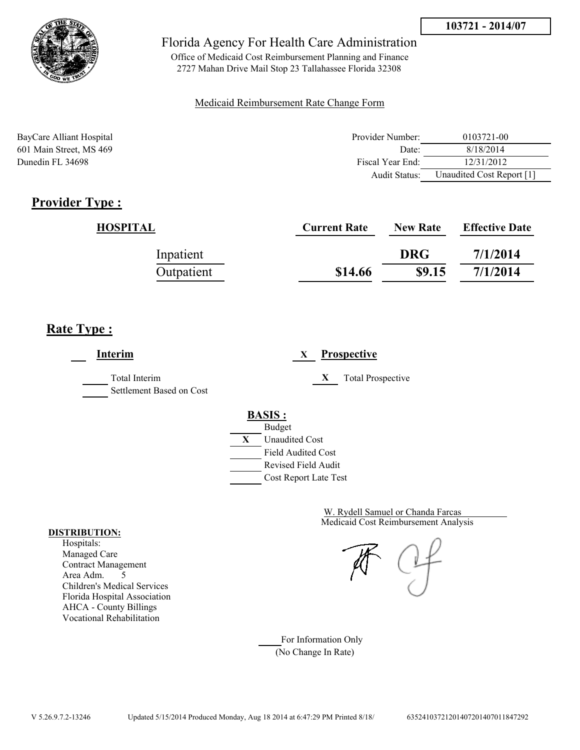

Office of Medicaid Cost Reimbursement Planning and Finance 2727 Mahan Drive Mail Stop 23 Tallahassee Florida 32308

### Medicaid Reimbursement Rate Change Form

| BayCare Alliant Hospital | Provider Number: | 0103721-00                |
|--------------------------|------------------|---------------------------|
| 601 Main Street, MS 469  | Date:            | 8/18/2014                 |
| Dunedin FL 34698         | Fiscal Year End: | 12/31/2012                |
|                          | Audit Status:    | Unaudited Cost Report [1] |

## **Provider Type :**

| <b>HOSPITAL</b> | <b>Current Rate</b> | <b>New Rate</b> | <b>Effective Date</b> |
|-----------------|---------------------|-----------------|-----------------------|
| Inpatient       |                     | <b>DRG</b>      | 7/1/2014              |
| Outpatient      | \$14.66             | \$9.15          | 7/1/2014              |

## **Rate Type :**

**Interim X Prospective** Total Interim **X** Total Prospective Settlement Based on Cost **BASIS :** Budget **X** Unaudited Cost Field Audited Cost Revised Field Audit Cost Report Late Test

> Medicaid Cost Reimbursement Analysis W. Rydell Samuel or Chanda Farcas

For Information Only (No Change In Rate)

#### **DISTRIBUTION:**

Hospitals: Managed Care Contract Management Area Adm. 5 Children's Medical Services Florida Hospital Association AHCA - County Billings Vocational Rehabilitation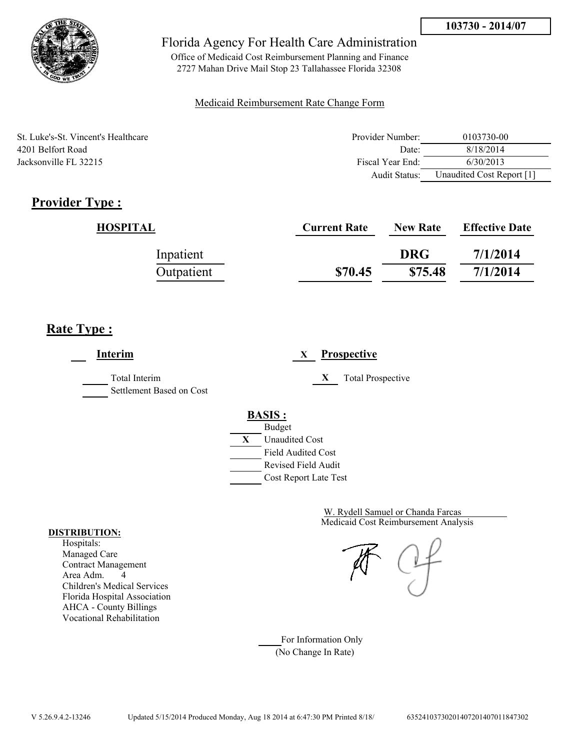

Office of Medicaid Cost Reimbursement Planning and Finance 2727 Mahan Drive Mail Stop 23 Tallahassee Florida 32308

### Medicaid Reimbursement Rate Change Form

| St. Luke's-St. Vincent's Healthcare | Provider Number: | 0103730-00                |
|-------------------------------------|------------------|---------------------------|
| 4201 Belfort Road                   | Date:            | 8/18/2014                 |
| Jacksonville FL 32215               | Fiscal Year End: | 6/30/2013                 |
|                                     | Audit Status:    | Unaudited Cost Report [1] |

## **Provider Type :**

| HOSPITAL   | <b>Current Rate</b> | <b>New Rate</b> | <b>Effective Date</b> |
|------------|---------------------|-----------------|-----------------------|
| Inpatient  |                     | <b>DRG</b>      | 7/1/2014              |
| Outpatient | \$70.45             | \$75.48         | 7/1/2014              |

## **Rate Type :**

**Interim X Prospective** Total Interim **X** Total Prospective Settlement Based on Cost **BASIS :** Budget **X** Unaudited Cost Field Audited Cost Revised Field Audit Cost Report Late Test

> Medicaid Cost Reimbursement Analysis W. Rydell Samuel or Chanda Farcas

For Information Only (No Change In Rate)

#### **DISTRIBUTION:**

Hospitals: Managed Care Contract Management Area Adm. 4 Children's Medical Services Florida Hospital Association AHCA - County Billings Vocational Rehabilitation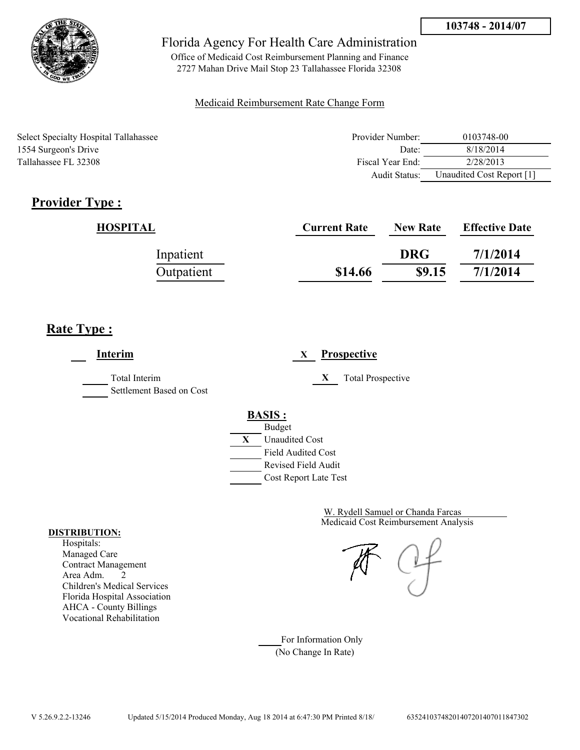

Office of Medicaid Cost Reimbursement Planning and Finance 2727 Mahan Drive Mail Stop 23 Tallahassee Florida 32308

### Medicaid Reimbursement Rate Change Form

| Select Specialty Hospital Tallahassee | Provider Number: | 0103748-00                |
|---------------------------------------|------------------|---------------------------|
| 1554 Surgeon's Drive                  | Date:            | 8/18/2014                 |
| Tallahassee FL 32308                  | Fiscal Year End: | 2/28/2013                 |
|                                       | Audit Status:    | Unaudited Cost Report [1] |

# **Provider Type :**

| HOSPITAL   | <b>Current Rate</b> | <b>New Rate</b> | <b>Effective Date</b> |
|------------|---------------------|-----------------|-----------------------|
| Inpatient  |                     | <b>DRG</b>      | 7/1/2014              |
| Outpatient | \$14.66             | \$9.15          | 7/1/2014              |

## **Rate Type :**

**Interim X Prospective** Total Interim **X** Total Prospective Settlement Based on Cost **BASIS :** Budget **X** Unaudited Cost Field Audited Cost Revised Field Audit Cost Report Late Test

> Medicaid Cost Reimbursement Analysis W. Rydell Samuel or Chanda Farcas

For Information Only (No Change In Rate)

#### **DISTRIBUTION:**

Hospitals: Managed Care Contract Management Area Adm. 2 Children's Medical Services Florida Hospital Association AHCA - County Billings Vocational Rehabilitation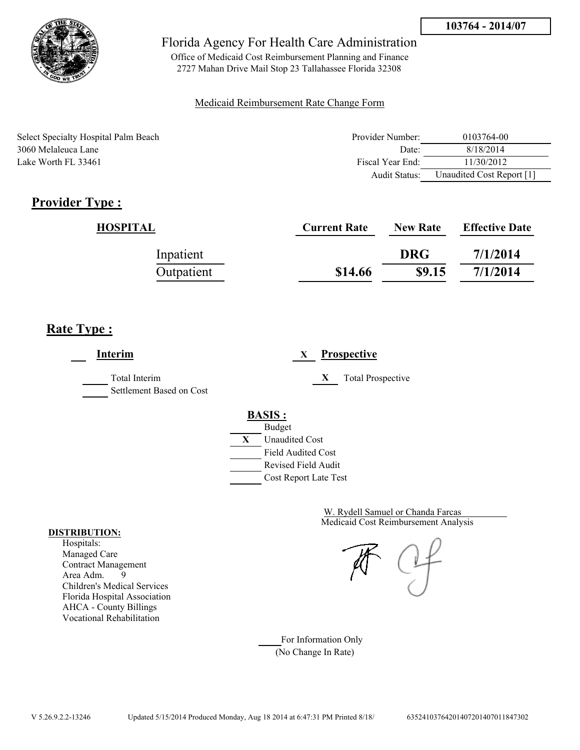

Office of Medicaid Cost Reimbursement Planning and Finance 2727 Mahan Drive Mail Stop 23 Tallahassee Florida 32308

### Medicaid Reimbursement Rate Change Form

Select Specialty Hospital Palm Beach 3060 Melaleuca Lane Lake Worth FL 33461

| Provider Number: | 0103764-00                |
|------------------|---------------------------|
| Date:            | 8/18/2014                 |
| Fiscal Year End: | 11/30/2012                |
| Audit Status:    | Unaudited Cost Report [1] |

# **Provider Type :**

| HOSPITAL   | <b>Current Rate</b> | <b>New Rate</b> | <b>Effective Date</b> |
|------------|---------------------|-----------------|-----------------------|
| Inpatient  |                     | <b>DRG</b>      | 7/1/2014              |
| Outpatient | \$14.66             | \$9.15          | 7/1/2014              |

## **Rate Type :**

**Interim X Prospective** Total Interim **X** Total Prospective Settlement Based on Cost **BASIS :** Budget **X** Unaudited Cost Field Audited Cost Revised Field Audit Cost Report Late Test

> Medicaid Cost Reimbursement Analysis W. Rydell Samuel or Chanda Farcas

For Information Only (No Change In Rate)

#### **DISTRIBUTION:**

Hospitals: Managed Care Contract Management Area Adm. 9 Children's Medical Services Florida Hospital Association AHCA - County Billings Vocational Rehabilitation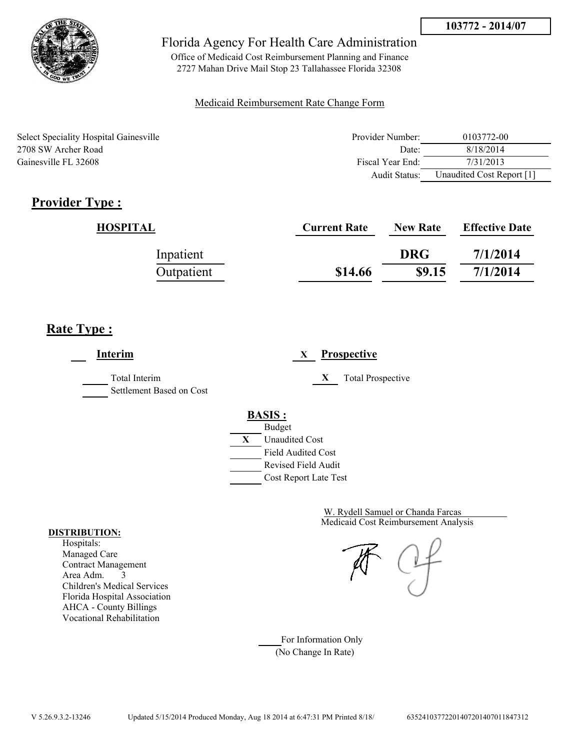

Office of Medicaid Cost Reimbursement Planning and Finance 2727 Mahan Drive Mail Stop 23 Tallahassee Florida 32308

### Medicaid Reimbursement Rate Change Form

| Select Speciality Hospital Gainesville | Provider Number: | 0103772-00                |
|----------------------------------------|------------------|---------------------------|
| 2708 SW Archer Road                    | Date:            | 8/18/2014                 |
| Gainesville FL 32608                   | Fiscal Year End: | 7/31/2013                 |
|                                        | Audit Status:    | Unaudited Cost Report [1] |

# **Provider Type :**

| HOSPITAL   | <b>Current Rate</b> | <b>New Rate</b> | <b>Effective Date</b> |
|------------|---------------------|-----------------|-----------------------|
| Inpatient  |                     | <b>DRG</b>      | 7/1/2014              |
| Outpatient | \$14.66             | \$9.15          | 7/1/2014              |

## **Rate Type :**

**Interim X Prospective** Total Interim **X** Total Prospective Settlement Based on Cost **BASIS :** Budget **X** Unaudited Cost Field Audited Cost Revised Field Audit Cost Report Late Test

> Medicaid Cost Reimbursement Analysis W. Rydell Samuel or Chanda Farcas

For Information Only (No Change In Rate)

#### **DISTRIBUTION:**

Hospitals: Managed Care Contract Management Area Adm. 3 Children's Medical Services Florida Hospital Association AHCA - County Billings Vocational Rehabilitation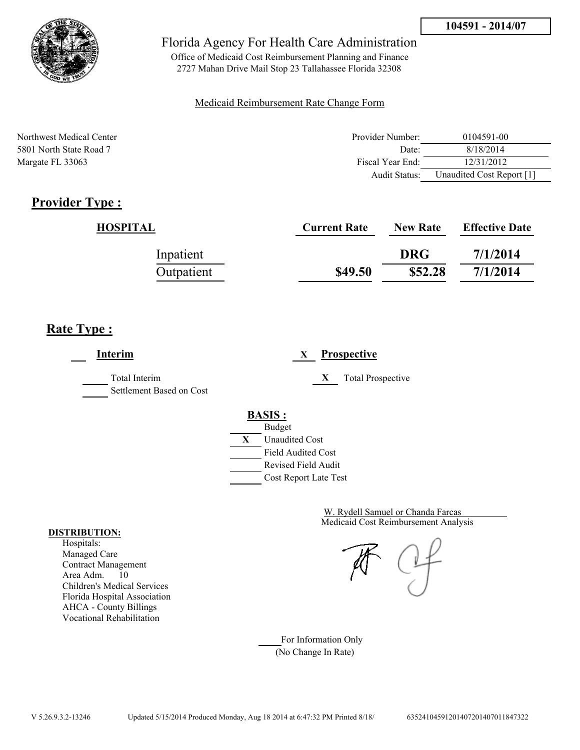

Office of Medicaid Cost Reimbursement Planning and Finance 2727 Mahan Drive Mail Stop 23 Tallahassee Florida 32308

### Medicaid Reimbursement Rate Change Form

| Northwest Medical Center | Provider Number: | 0104591-00                |
|--------------------------|------------------|---------------------------|
| 5801 North State Road 7  | Date:            | 8/18/2014                 |
| Margate FL 33063         | Fiscal Year End: | 12/31/2012                |
|                          | Audit Status:    | Unaudited Cost Report [1] |

# **Provider Type :**

| HOSPITAL   | <b>Current Rate</b> | <b>New Rate</b> | <b>Effective Date</b> |
|------------|---------------------|-----------------|-----------------------|
| Inpatient  |                     | <b>DRG</b>      | 7/1/2014              |
| Outpatient | \$49.50             | \$52.28         | 7/1/2014              |

# **Rate Type :**

**Interim X Prospective** Total Interim **X** Total Prospective Settlement Based on Cost **BASIS :** Budget **X** Unaudited Cost Field Audited Cost Revised Field Audit Cost Report Late Test

> Medicaid Cost Reimbursement Analysis W. Rydell Samuel or Chanda Farcas

For Information Only (No Change In Rate)

#### **DISTRIBUTION:**

Hospitals: Managed Care Contract Management Area Adm. 10 Children's Medical Services Florida Hospital Association AHCA - County Billings Vocational Rehabilitation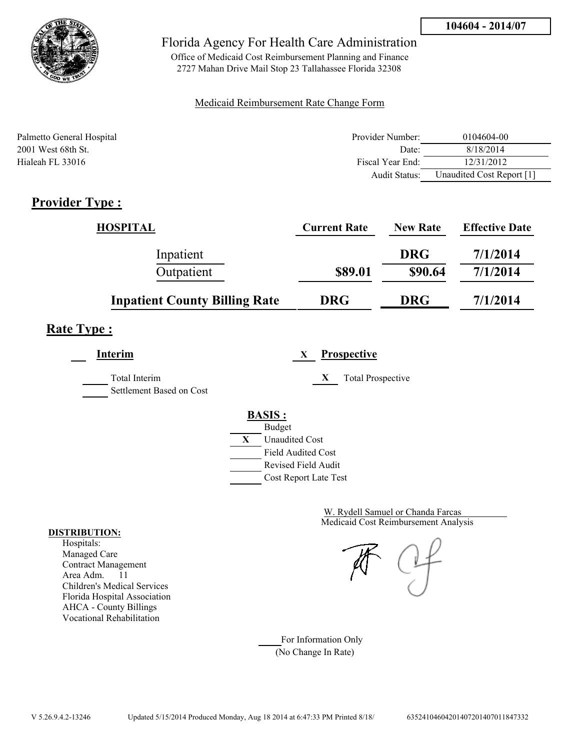

Office of Medicaid Cost Reimbursement Planning and Finance 2727 Mahan Drive Mail Stop 23 Tallahassee Florida 32308

### Medicaid Reimbursement Rate Change Form

| Palmetto General Hospital | Provider Number: | 0104604-00                |
|---------------------------|------------------|---------------------------|
| 2001 West 68th St.        | Date:            | 8/18/2014                 |
| Hialeah FL 33016          | Fiscal Year End: | 12/31/2012                |
|                           | Audit Status:    | Unaudited Cost Report [1] |

# **Provider Type :**

| <b>HOSPITAL</b>                      | <b>Current Rate</b> | <b>New Rate</b> | <b>Effective Date</b> |
|--------------------------------------|---------------------|-----------------|-----------------------|
| Inpatient                            |                     | <b>DRG</b>      | 7/1/2014              |
| Outpatient                           | \$89.01             | \$90.64         | 7/1/2014              |
| <b>Inpatient County Billing Rate</b> | <b>DRG</b>          | <b>DRG</b>      | 7/1/2014              |

## **Rate Type :**

**Interim X Prospective**

Total Interim **X** Total Prospective Settlement Based on Cost

# **BASIS :**



Medicaid Cost Reimbursement Analysis W. Rydell Samuel or Chanda Farcas

For Information Only (No Change In Rate)

#### **DISTRIBUTION:**

Hospitals: Managed Care Contract Management Area Adm. 11 Children's Medical Services Florida Hospital Association AHCA - County Billings Vocational Rehabilitation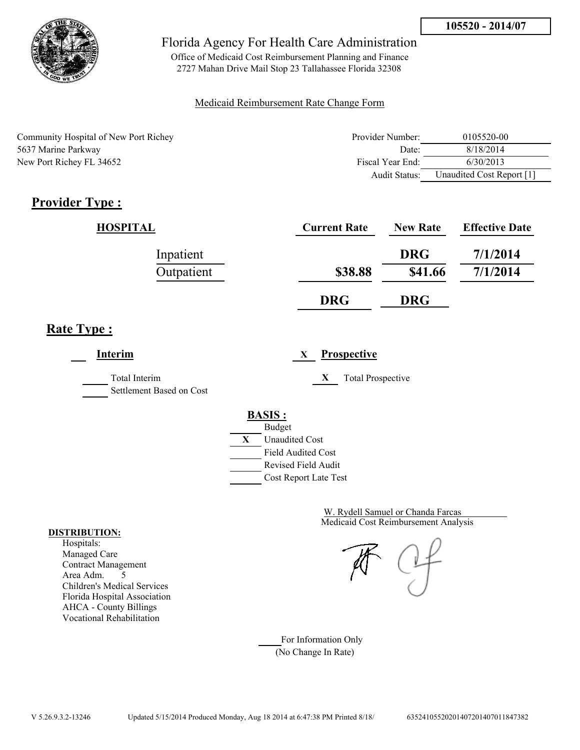

Office of Medicaid Cost Reimbursement Planning and Finance 2727 Mahan Drive Mail Stop 23 Tallahassee Florida 32308

### Medicaid Reimbursement Rate Change Form

| Community Hospital of New Port Richey | Provider Number: | 0105520-00                |
|---------------------------------------|------------------|---------------------------|
| 5637 Marine Parkway                   | Date:            | 8/18/2014                 |
| New Port Richey FL 34652              | Fiscal Year End: | 6/30/2013                 |
|                                       | Audit Status:    | Unaudited Cost Report [1] |

# **Provider Type :**

| HOSPITAL   | <b>Current Rate</b> | <b>New Rate</b> | <b>Effective Date</b> |
|------------|---------------------|-----------------|-----------------------|
| Inpatient  |                     | <b>DRG</b>      | 7/1/2014              |
| Outpatient | \$38.88             | \$41.66         | 7/1/2014              |
|            | <b>DRG</b>          | <b>DRG</b>      |                       |

# **Rate Type :**

**Interim X Prospective**

Total Interim **X** Total Prospective

Settlement Based on Cost



Medicaid Cost Reimbursement Analysis W. Rydell Samuel or Chanda Farcas

For Information Only (No Change In Rate)

#### **DISTRIBUTION:**

Hospitals: Managed Care Contract Management Area Adm. 5 Children's Medical Services Florida Hospital Association AHCA - County Billings Vocational Rehabilitation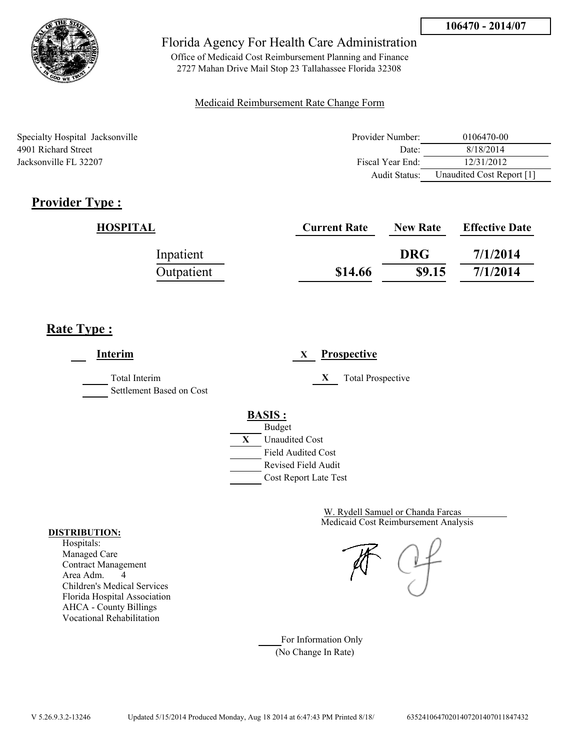

Office of Medicaid Cost Reimbursement Planning and Finance 2727 Mahan Drive Mail Stop 23 Tallahassee Florida 32308

### Medicaid Reimbursement Rate Change Form

| Specialty Hospital Jacksonville | Provider Number: | 0106470-00                |
|---------------------------------|------------------|---------------------------|
| 4901 Richard Street             | Date:            | 8/18/2014                 |
| Jacksonville FL 32207           | Fiscal Year End: | 12/31/2012                |
|                                 | Audit Status:    | Unaudited Cost Report [1] |

# **Provider Type :**

| HOSPITAL   | <b>Current Rate</b> | <b>New Rate</b> | <b>Effective Date</b> |
|------------|---------------------|-----------------|-----------------------|
| Inpatient  |                     | <b>DRG</b>      | 7/1/2014              |
| Outpatient | \$14.66             | \$9.15          | 7/1/2014              |

## **Rate Type :**

**Interim X Prospective** Total Interim **X** Total Prospective Settlement Based on Cost **BASIS :** Budget **X** Unaudited Cost Field Audited Cost Revised Field Audit Cost Report Late Test

> Medicaid Cost Reimbursement Analysis W. Rydell Samuel or Chanda Farcas

For Information Only (No Change In Rate)

#### **DISTRIBUTION:**

Hospitals: Managed Care Contract Management Area Adm. 4 Children's Medical Services Florida Hospital Association AHCA - County Billings Vocational Rehabilitation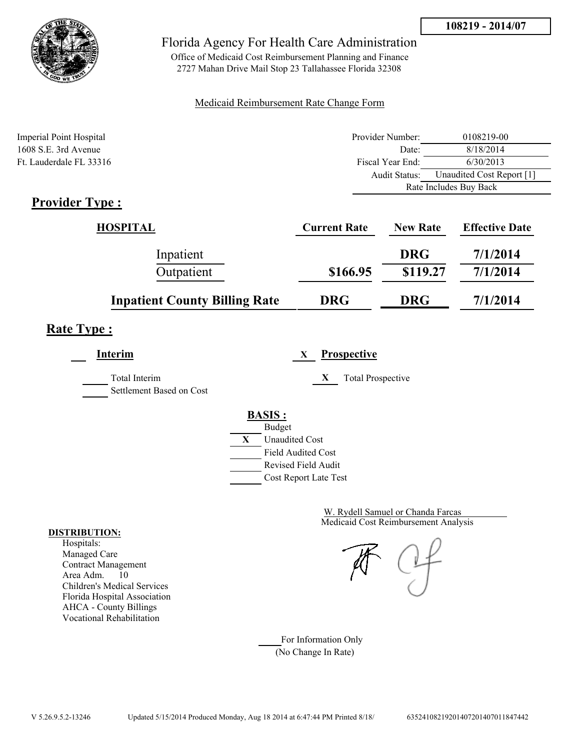

Office of Medicaid Cost Reimbursement Planning and Finance 2727 Mahan Drive Mail Stop 23 Tallahassee Florida 32308

### Medicaid Reimbursement Rate Change Form

| Imperial Point Hospital                   | Provider Number: | 0108219-00                |
|-------------------------------------------|------------------|---------------------------|
| $1608$ S.E. 3rd Avenue                    | Date:            | 8/18/2014                 |
| Ft. Lauderdale FL 33316                   | Fiscal Year End: | 6/30/2013                 |
|                                           | Audit Status:    | Unaudited Cost Report [1] |
|                                           |                  | Rate Includes Buy Back    |
| $\blacksquare$<br>$\cdot$ .<br>$\sqrt{2}$ |                  |                           |

## **Provider Type :**

| HOSPITAL                             | <b>Current Rate</b> | <b>New Rate</b> | <b>Effective Date</b> |
|--------------------------------------|---------------------|-----------------|-----------------------|
| Inpatient                            |                     | <b>DRG</b>      | 7/1/2014              |
| Outpatient                           | \$166.95            | \$119.27        | 7/1/2014              |
| <b>Inpatient County Billing Rate</b> | <b>DRG</b>          | <b>DRG</b>      | 7/1/2014              |

## **Rate Type :**

**Interim X Prospective**

Total Interim **X** Total Prospective Settlement Based on Cost

### **BASIS :**



Medicaid Cost Reimbursement Analysis W. Rydell Samuel or Chanda Farcas

For Information Only (No Change In Rate)

#### **DISTRIBUTION:**

Hospitals: Managed Care Contract Management Area Adm. 10 Children's Medical Services Florida Hospital Association AHCA - County Billings Vocational Rehabilitation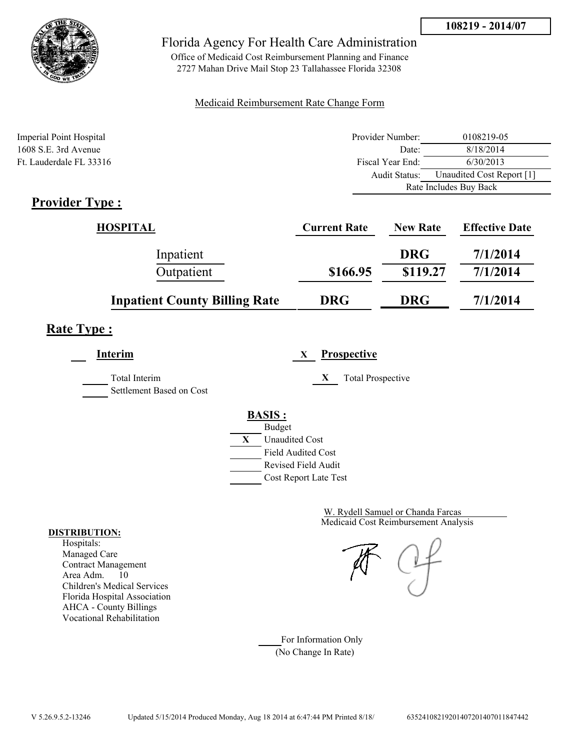

Office of Medicaid Cost Reimbursement Planning and Finance 2727 Mahan Drive Mail Stop 23 Tallahassee Florida 32308

### Medicaid Reimbursement Rate Change Form

| Imperial Point Hospital | Provider Number: | 0108219-05                |
|-------------------------|------------------|---------------------------|
| 1608 S.E. 3rd Avenue    | Date:            | 8/18/2014                 |
| Ft. Lauderdale FL 33316 | Fiscal Year End: | 6/30/2013                 |
|                         | Audit Status:    | Unaudited Cost Report [1] |
|                         |                  | Rate Includes Buy Back    |
| T.<br>$\cdot$ 1<br>m    |                  |                           |

## **Provider Type :**

| <b>HOSPITAL</b>                      | <b>Current Rate</b> | <b>New Rate</b> | <b>Effective Date</b> |
|--------------------------------------|---------------------|-----------------|-----------------------|
| Inpatient                            |                     | <b>DRG</b>      | 7/1/2014              |
| Outpatient                           | \$166.95            | \$119.27        | 7/1/2014              |
| <b>Inpatient County Billing Rate</b> | <b>DRG</b>          | <b>DRG</b>      | 7/1/2014              |

## **Rate Type :**

**Interim X Prospective**

Total Interim **X** Total Prospective

Settlement Based on Cost

# **BASIS :**



Medicaid Cost Reimbursement Analysis W. Rydell Samuel or Chanda Farcas

For Information Only (No Change In Rate)

#### **DISTRIBUTION:**

Hospitals: Managed Care Contract Management Area Adm. 10 Children's Medical Services Florida Hospital Association AHCA - County Billings Vocational Rehabilitation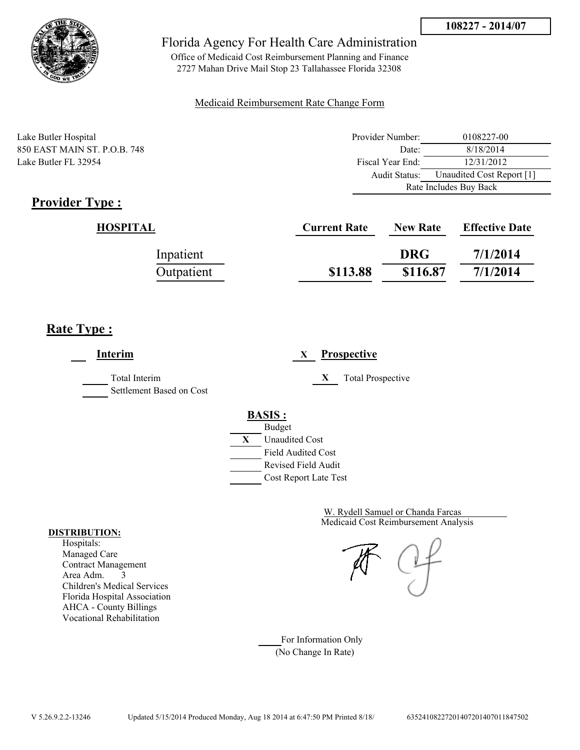

Office of Medicaid Cost Reimbursement Planning and Finance 2727 Mahan Drive Mail Stop 23 Tallahassee Florida 32308

### Medicaid Reimbursement Rate Change Form

Lake Butler Hospital 850 EAST MAIN ST. P.O.B. 748 Lake Butler FL 32954

| Provider Number:       | 0108227-00                |  |
|------------------------|---------------------------|--|
| Date:                  | 8/18/2014                 |  |
| Fiscal Year End:       | 12/31/2012                |  |
| Audit Status:          | Unaudited Cost Report [1] |  |
| Rate Includes Buy Back |                           |  |

# **Provider Type :**

| <b>HOSPITAL</b> | <b>Current Rate</b> | <b>New Rate</b> | <b>Effective Date</b> |
|-----------------|---------------------|-----------------|-----------------------|
| Inpatient       |                     | <b>DRG</b>      | 7/1/2014              |
| Outpatient      | \$113.88            | \$116.87        | 7/1/2014              |

## **Rate Type :**

| Interim                                   | <b>Prospective</b><br>X                                                                   |
|-------------------------------------------|-------------------------------------------------------------------------------------------|
| Total Interim<br>Settlement Based on Cost | X<br><b>Total Prospective</b>                                                             |
|                                           | <b>BASIS:</b><br><b>Budget</b><br>X<br><b>Unaudited Cost</b><br><b>Field Audited Cost</b> |
|                                           | Revised Field Audit<br>Cost Report Late Test                                              |

Medicaid Cost Reimbursement Analysis W. Rydell Samuel or Chanda Farcas

For Information Only (No Change In Rate)

#### **DISTRIBUTION:**

Hospitals: Managed Care Contract Management Area Adm. 3 Children's Medical Services Florida Hospital Association AHCA - County Billings Vocational Rehabilitation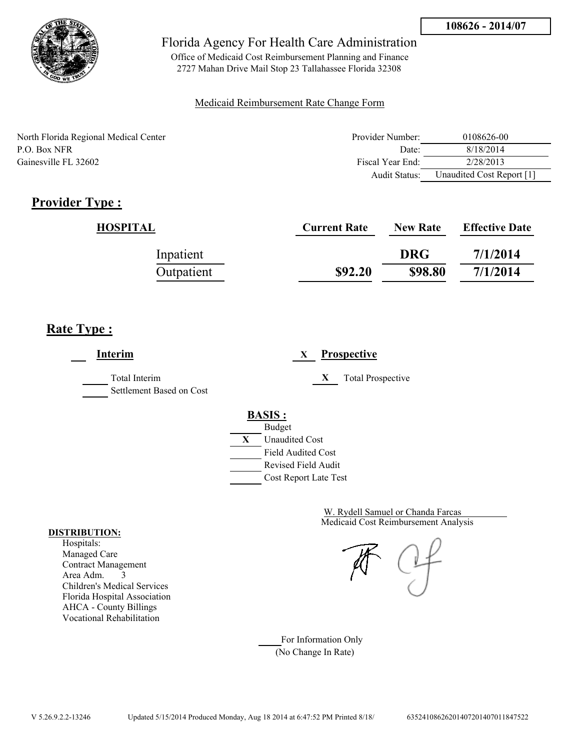

Office of Medicaid Cost Reimbursement Planning and Finance 2727 Mahan Drive Mail Stop 23 Tallahassee Florida 32308

### Medicaid Reimbursement Rate Change Form

North Florida Regional Medical Center P.O. Box NFR 8/18/2014 Gainesville FL 32602

| Provider Number: | 0108626-00                |
|------------------|---------------------------|
| Date:            | 8/18/2014                 |
| Fiscal Year End: | 2/28/2013                 |
| Audit Status:    | Unaudited Cost Report [1] |

# **Provider Type :**

| HOSPITAL   | <b>Current Rate</b> | <b>New Rate</b> | <b>Effective Date</b> |
|------------|---------------------|-----------------|-----------------------|
| Inpatient  |                     | <b>DRG</b>      | 7/1/2014              |
| Outpatient | \$92.20             | \$98.80         | 7/1/2014              |

# **Rate Type :**

**Interim X Prospective** Total Interim **X** Total Prospective Settlement Based on Cost **BASIS :** Budget **X** Unaudited Cost Field Audited Cost Revised Field Audit Cost Report Late Test

> Medicaid Cost Reimbursement Analysis W. Rydell Samuel or Chanda Farcas

For Information Only (No Change In Rate)

#### **DISTRIBUTION:**

Hospitals: Managed Care Contract Management Area Adm. 3 Children's Medical Services Florida Hospital Association AHCA - County Billings Vocational Rehabilitation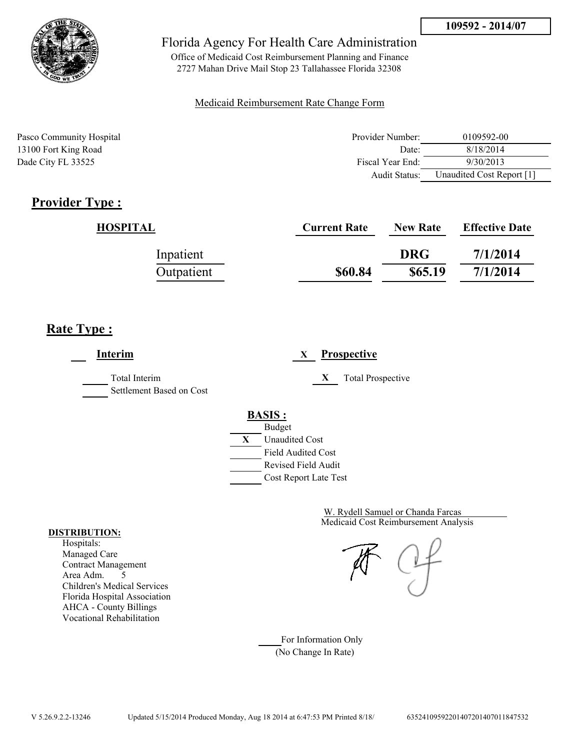

Office of Medicaid Cost Reimbursement Planning and Finance 2727 Mahan Drive Mail Stop 23 Tallahassee Florida 32308

### Medicaid Reimbursement Rate Change Form

| Pasco Community Hospital | Provider Number: | 0109592-00                |
|--------------------------|------------------|---------------------------|
| 13100 Fort King Road     | Date:            | 8/18/2014                 |
| Dade City FL 33525       | Fiscal Year End: | 9/30/2013                 |
|                          | Audit Status:    | Unaudited Cost Report [1] |

## **Provider Type :**

| HOSPITAL   | <b>Current Rate</b> | <b>New Rate</b> | <b>Effective Date</b> |
|------------|---------------------|-----------------|-----------------------|
| Inpatient  |                     | <b>DRG</b>      | 7/1/2014              |
| Outpatient | \$60.84             | \$65.19         | 7/1/2014              |

## **Rate Type :**

**Interim X Prospective** Total Interim **X** Total Prospective Settlement Based on Cost **BASIS :** Budget **X** Unaudited Cost Field Audited Cost Revised Field Audit Cost Report Late Test

> Medicaid Cost Reimbursement Analysis W. Rydell Samuel or Chanda Farcas

For Information Only (No Change In Rate)

#### **DISTRIBUTION:**

Hospitals: Managed Care Contract Management Area Adm. 5 Children's Medical Services Florida Hospital Association AHCA - County Billings Vocational Rehabilitation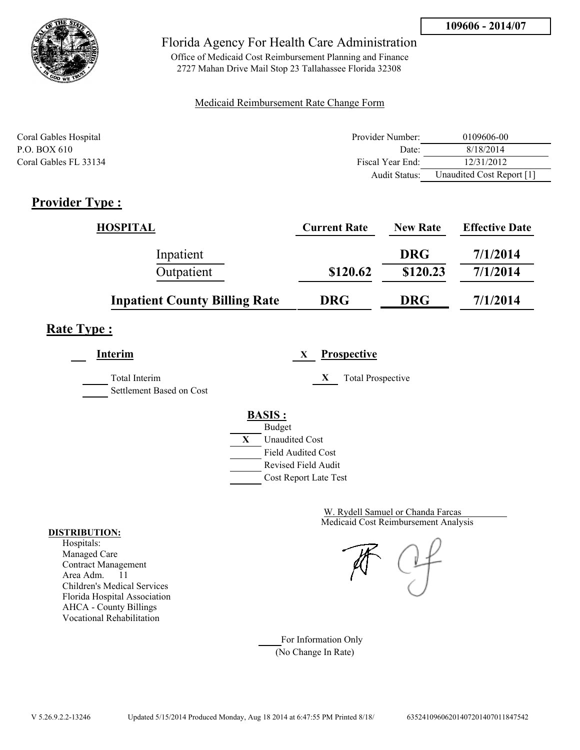

Office of Medicaid Cost Reimbursement Planning and Finance 2727 Mahan Drive Mail Stop 23 Tallahassee Florida 32308

### Medicaid Reimbursement Rate Change Form

| Coral Gables Hospital | Provider Number:     | 0109606-00                |
|-----------------------|----------------------|---------------------------|
| P.O. BOX 610          | Date:                | 8/18/2014                 |
| Coral Gables FL 33134 | Fiscal Year End:     | 12/31/2012                |
|                       | <b>Audit Status:</b> | Unaudited Cost Report [1] |

# **Provider Type :**

| <b>HOSPITAL</b>                      | <b>Current Rate</b> | <b>New Rate</b> | <b>Effective Date</b> |
|--------------------------------------|---------------------|-----------------|-----------------------|
| Inpatient                            |                     | <b>DRG</b>      | 7/1/2014              |
| Outpatient                           | \$120.62            | \$120.23        | 7/1/2014              |
| <b>Inpatient County Billing Rate</b> | <b>DRG</b>          | <b>DRG</b>      | 7/1/2014              |

## **Rate Type :**

**Interim X Prospective**

Total Interim **X** Total Prospective Settlement Based on Cost

**BASIS :**



Medicaid Cost Reimbursement Analysis W. Rydell Samuel or Chanda Farcas

For Information Only (No Change In Rate)

#### **DISTRIBUTION:**

Hospitals: Managed Care Contract Management Area Adm. 11 Children's Medical Services Florida Hospital Association AHCA - County Billings Vocational Rehabilitation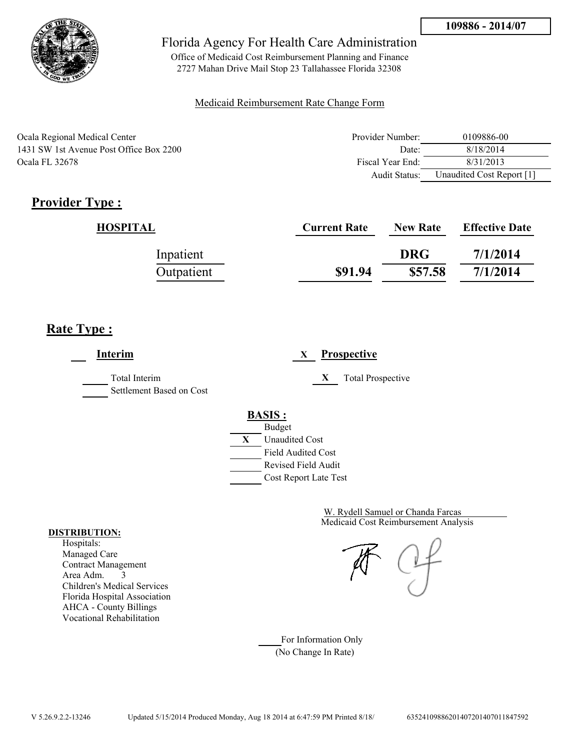

Office of Medicaid Cost Reimbursement Planning and Finance 2727 Mahan Drive Mail Stop 23 Tallahassee Florida 32308

### Medicaid Reimbursement Rate Change Form

| Ocala Regional Medical Center           | Provider Number: | 0109886-00                |
|-----------------------------------------|------------------|---------------------------|
| 1431 SW 1st Avenue Post Office Box 2200 | Date:            | 8/18/2014                 |
| Ocala FL 32678                          | Fiscal Year End: | 8/31/2013                 |
|                                         | Audit Status:    | Unaudited Cost Report [1] |

# **Provider Type :**

| HOSPITAL   | <b>Current Rate</b> | <b>New Rate</b> | <b>Effective Date</b> |
|------------|---------------------|-----------------|-----------------------|
| Inpatient  |                     | <b>DRG</b>      | 7/1/2014              |
| Outpatient | \$91.94             | \$57.58         | 7/1/2014              |

# **Rate Type :**

**Interim X Prospective** Total Interim **X** Total Prospective Settlement Based on Cost **BASIS :** Budget **X** Unaudited Cost Field Audited Cost Revised Field Audit Cost Report Late Test

> Medicaid Cost Reimbursement Analysis W. Rydell Samuel or Chanda Farcas

For Information Only (No Change In Rate)

#### **DISTRIBUTION:**

Hospitals: Managed Care Contract Management Area Adm. 3 Children's Medical Services Florida Hospital Association AHCA - County Billings Vocational Rehabilitation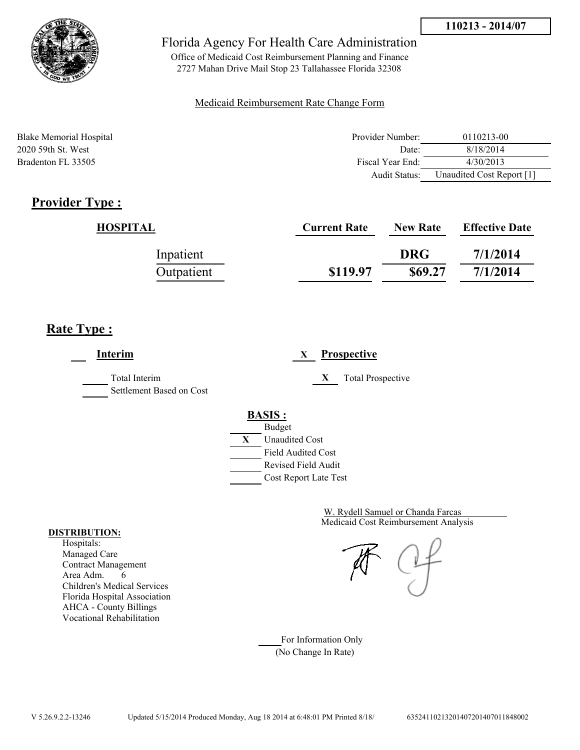



Office of Medicaid Cost Reimbursement Planning and Finance 2727 Mahan Drive Mail Stop 23 Tallahassee Florida 32308

### Medicaid Reimbursement Rate Change Form

| Blake Memorial Hospital | Provider Number: | 0110213-00                |
|-------------------------|------------------|---------------------------|
| 2020 59th St. West      | Date:            | 8/18/2014                 |
| Bradenton FL 33505      | Fiscal Year End: | 4/30/2013                 |
|                         | Audit Status:    | Unaudited Cost Report [1] |

# **Provider Type :**

| HOSPITAL   | <b>Current Rate</b> | <b>New Rate</b> | <b>Effective Date</b> |
|------------|---------------------|-----------------|-----------------------|
| Inpatient  |                     | <b>DRG</b>      | 7/1/2014              |
| Outpatient | \$119.97            | \$69.27         | 7/1/2014              |

## **Rate Type :**

**Interim X Prospective** Total Interim **X** Total Prospective Settlement Based on Cost **BASIS :** Budget **X** Unaudited Cost Field Audited Cost Revised Field Audit Cost Report Late Test

> Medicaid Cost Reimbursement Analysis W. Rydell Samuel or Chanda Farcas

For Information Only (No Change In Rate)

#### **DISTRIBUTION:**

Hospitals: Managed Care Contract Management Area Adm. 6 Children's Medical Services Florida Hospital Association AHCA - County Billings Vocational Rehabilitation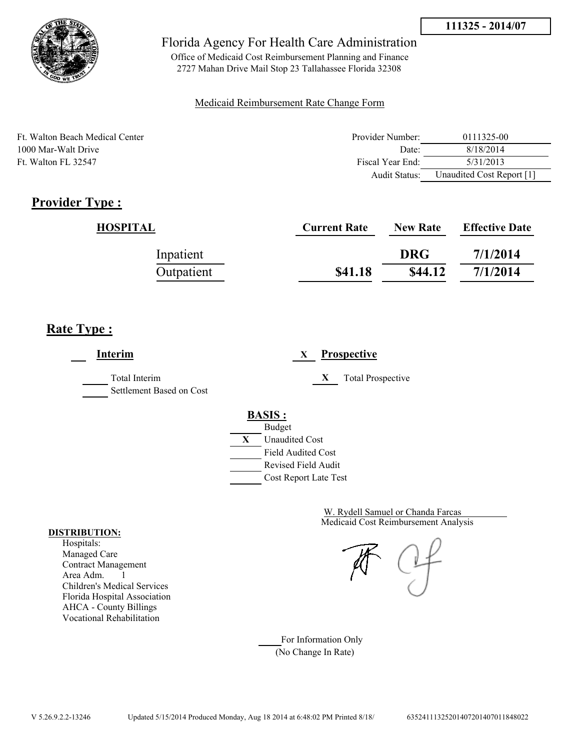

Office of Medicaid Cost Reimbursement Planning and Finance 2727 Mahan Drive Mail Stop 23 Tallahassee Florida 32308

### Medicaid Reimbursement Rate Change Form

| Ft. Walton Beach Medical Center | Provider Number: | 0111325-00                |
|---------------------------------|------------------|---------------------------|
| 1000 Mar-Walt Drive             | Date:            | 8/18/2014                 |
| Ft. Walton FL 32547             | Fiscal Year End: | 5/31/2013                 |
|                                 | Audit Status:    | Unaudited Cost Report [1] |

## **Provider Type :**

| HOSPITAL   | <b>Current Rate</b> | <b>New Rate</b> | <b>Effective Date</b> |
|------------|---------------------|-----------------|-----------------------|
| Inpatient  |                     | <b>DRG</b>      | 7/1/2014              |
| Outpatient | \$41.18             | \$44.12         | 7/1/2014              |

## **Rate Type :**

**Interim X Prospective** Total Interim **X** Total Prospective Settlement Based on Cost **BASIS :** Budget **X** Unaudited Cost Field Audited Cost Revised Field Audit Cost Report Late Test

> Medicaid Cost Reimbursement Analysis W. Rydell Samuel or Chanda Farcas

For Information Only (No Change In Rate)

#### **DISTRIBUTION:**

Hospitals: Managed Care Contract Management Area Adm. 1 Children's Medical Services Florida Hospital Association AHCA - County Billings Vocational Rehabilitation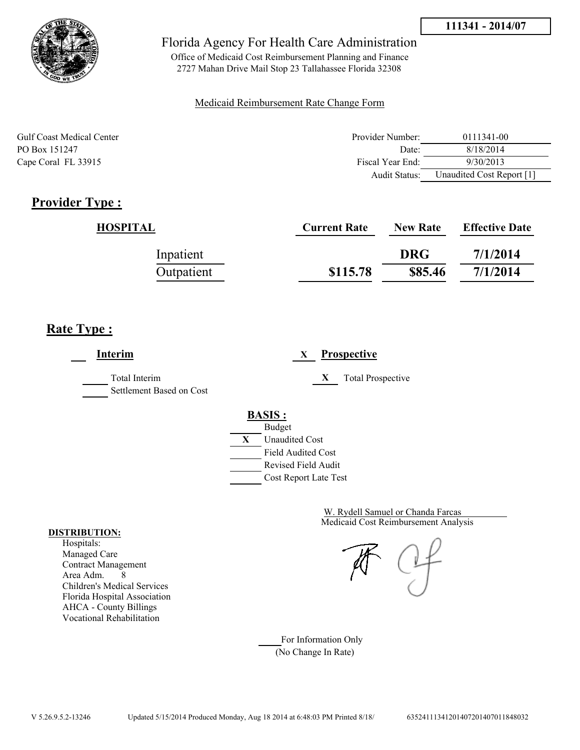



Office of Medicaid Cost Reimbursement Planning and Finance 2727 Mahan Drive Mail Stop 23 Tallahassee Florida 32308

### Medicaid Reimbursement Rate Change Form

| <b>Gulf Coast Medical Center</b> | Provider Number: | 0111341-00                |
|----------------------------------|------------------|---------------------------|
| PO Box 151247                    | Date:            | 8/18/2014                 |
| Cape Coral FL 33915              | Fiscal Year End: | 9/30/2013                 |
|                                  | Audit Status:    | Unaudited Cost Report [1] |

## **Provider Type :**

| <b>HOSPITAL</b> | <b>Current Rate</b> | <b>New Rate</b> | <b>Effective Date</b> |
|-----------------|---------------------|-----------------|-----------------------|
| Inpatient       |                     | <b>DRG</b>      | 7/1/2014              |
| Outpatient      | \$115.78            | \$85.46         | 7/1/2014              |

## **Rate Type :**

**Interim X Prospective** Total Interim **X** Total Prospective Settlement Based on Cost **BASIS :** Budget **X** Unaudited Cost Field Audited Cost Revised Field Audit Cost Report Late Test

> Medicaid Cost Reimbursement Analysis W. Rydell Samuel or Chanda Farcas

For Information Only (No Change In Rate)

#### **DISTRIBUTION:**

Hospitals: Managed Care Contract Management Area Adm. 8 Children's Medical Services Florida Hospital Association AHCA - County Billings Vocational Rehabilitation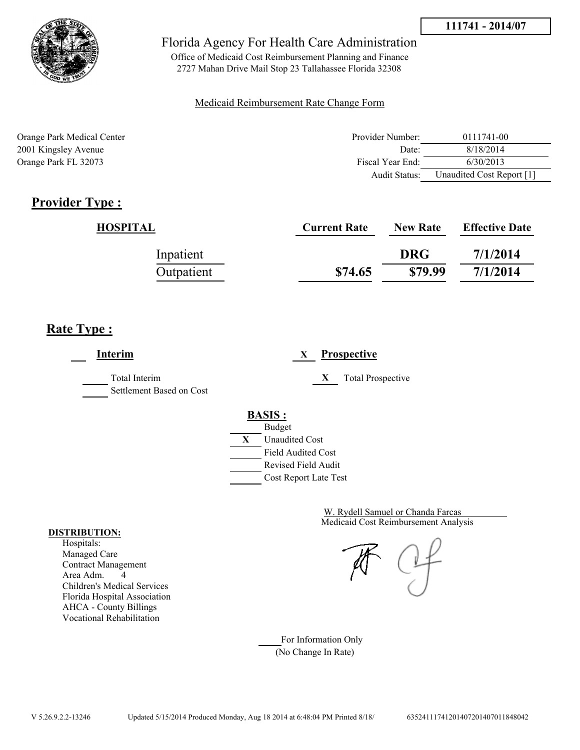



Office of Medicaid Cost Reimbursement Planning and Finance 2727 Mahan Drive Mail Stop 23 Tallahassee Florida 32308

### Medicaid Reimbursement Rate Change Form

| Orange Park Medical Center | Provider Number:     | 0111741-00                |
|----------------------------|----------------------|---------------------------|
| 2001 Kingsley Avenue       | Date:                | 8/18/2014                 |
| Orange Park FL 32073       | Fiscal Year End:     | 6/30/2013                 |
|                            | <b>Audit Status:</b> | Unaudited Cost Report [1] |

# **Provider Type :**

| <b>HOSPITAL</b> | <b>Current Rate</b> | <b>New Rate</b> | <b>Effective Date</b> |
|-----------------|---------------------|-----------------|-----------------------|
| Inpatient       |                     | <b>DRG</b>      | 7/1/2014              |
| Outpatient      | \$74.65             | \$79.99         | 7/1/2014              |

# **Rate Type :**

**Interim X Prospective** Total Interim **X** Total Prospective Settlement Based on Cost **BASIS :** Budget **X** Unaudited Cost Field Audited Cost Revised Field Audit Cost Report Late Test

> Medicaid Cost Reimbursement Analysis W. Rydell Samuel or Chanda Farcas

For Information Only (No Change In Rate)

#### **DISTRIBUTION:**

Hospitals: Managed Care Contract Management Area Adm. 4 Children's Medical Services Florida Hospital Association AHCA - County Billings Vocational Rehabilitation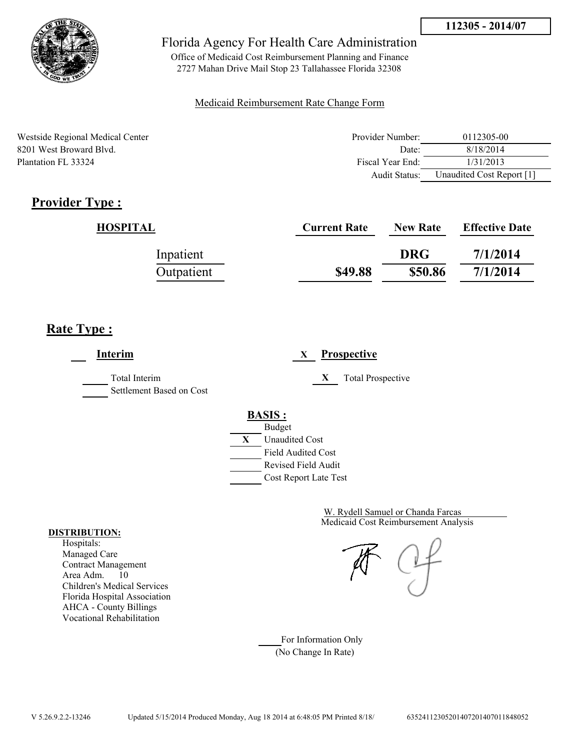

Office of Medicaid Cost Reimbursement Planning and Finance 2727 Mahan Drive Mail Stop 23 Tallahassee Florida 32308

### Medicaid Reimbursement Rate Change Form

| Westside Regional Medical Center | Provider Number:  | 0112305-00                |
|----------------------------------|-------------------|---------------------------|
| 8201 West Broward Blyd.          | Date <sup>-</sup> | 8/18/2014                 |
| Plantation FL 33324              | Fiscal Year End:  | 1/31/2013                 |
|                                  | Audit Status:     | Unaudited Cost Report [1] |

# **Provider Type :**

| HOSPITAL   | <b>Current Rate</b> | <b>New Rate</b> | <b>Effective Date</b> |
|------------|---------------------|-----------------|-----------------------|
| Inpatient  |                     | <b>DRG</b>      | 7/1/2014              |
| Outpatient | \$49.88             | \$50.86         | 7/1/2014              |

## **Rate Type :**

| Interim                                   | <b>Prospective</b><br>X                                                                   |
|-------------------------------------------|-------------------------------------------------------------------------------------------|
| Total Interim<br>Settlement Based on Cost | X<br><b>Total Prospective</b>                                                             |
|                                           | <b>BASIS:</b><br><b>Budget</b><br>X<br><b>Unaudited Cost</b><br><b>Field Audited Cost</b> |
|                                           | Revised Field Audit<br>Cost Report Late Test                                              |

Medicaid Cost Reimbursement Analysis W. Rydell Samuel or Chanda Farcas

For Information Only (No Change In Rate)

#### **DISTRIBUTION:**

Hospitals: Managed Care Contract Management Area Adm. 10 Children's Medical Services Florida Hospital Association AHCA - County Billings Vocational Rehabilitation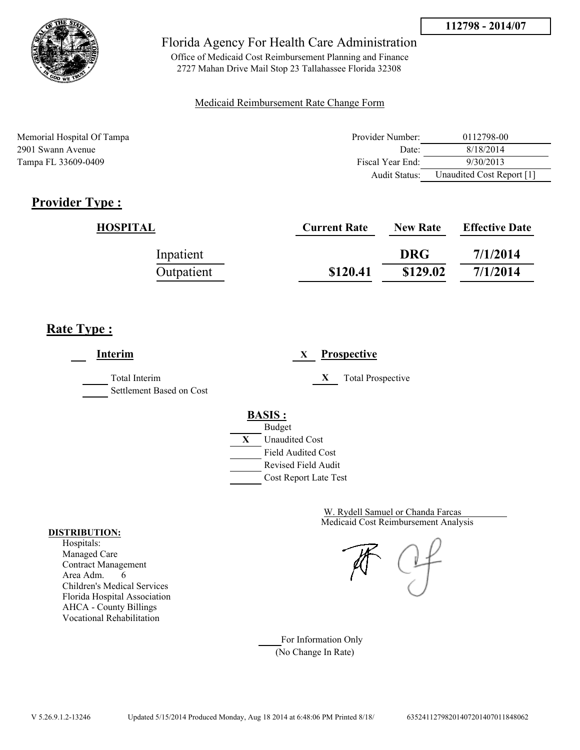

Office of Medicaid Cost Reimbursement Planning and Finance 2727 Mahan Drive Mail Stop 23 Tallahassee Florida 32308

### Medicaid Reimbursement Rate Change Form

| Memorial Hospital Of Tampa | Provider Number:     | 0112798-00                |
|----------------------------|----------------------|---------------------------|
| 2901 Swann Avenue          | Date:                | 8/18/2014                 |
| Tampa FL 33609-0409        | Fiscal Year End:     | 9/30/2013                 |
|                            | <b>Audit Status:</b> | Unaudited Cost Report [1] |

## **Provider Type :**

| <b>HOSPITAL</b> | <b>Current Rate</b> | <b>New Rate</b> | <b>Effective Date</b> |
|-----------------|---------------------|-----------------|-----------------------|
| Inpatient       |                     | <b>DRG</b>      | 7/1/2014              |
| Outpatient      | \$120.41            | \$129.02        | 7/1/2014              |

## **Rate Type :**

**Interim X Prospective** Total Interim **X** Total Prospective Settlement Based on Cost **BASIS :** Budget **X** Unaudited Cost Field Audited Cost Revised Field Audit Cost Report Late Test

> Medicaid Cost Reimbursement Analysis W. Rydell Samuel or Chanda Farcas

For Information Only (No Change In Rate)

#### **DISTRIBUTION:**

Hospitals: Managed Care Contract Management Area Adm. 6 Children's Medical Services Florida Hospital Association AHCA - County Billings Vocational Rehabilitation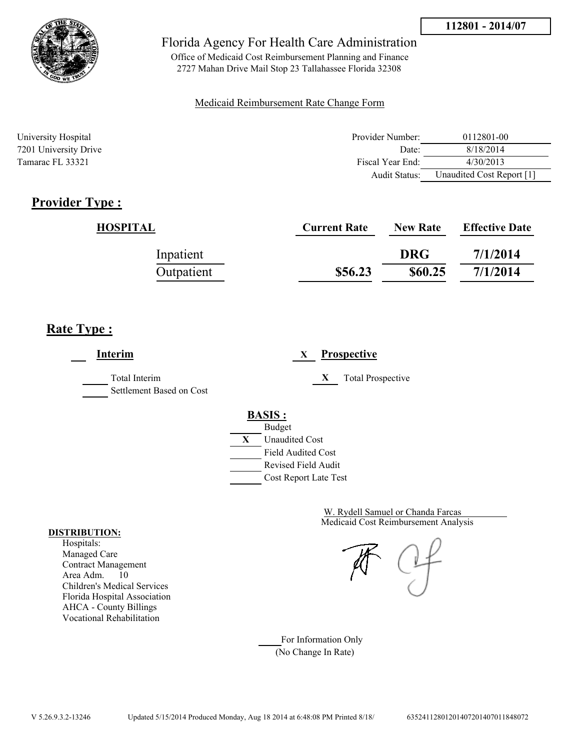



Office of Medicaid Cost Reimbursement Planning and Finance 2727 Mahan Drive Mail Stop 23 Tallahassee Florida 32308

### Medicaid Reimbursement Rate Change Form

| University Hospital   | Provider Number: | 0112801-00                |
|-----------------------|------------------|---------------------------|
| 7201 University Drive | Date:            | 8/18/2014                 |
| Tamarac FL 33321      | Fiscal Year End: | 4/30/2013                 |
|                       | Audit Status:    | Unaudited Cost Report [1] |

## **Provider Type :**

| <b>HOSPITAL</b> | <b>Current Rate</b> | <b>New Rate</b> | <b>Effective Date</b> |
|-----------------|---------------------|-----------------|-----------------------|
| Inpatient       |                     | <b>DRG</b>      | 7/1/2014              |
| Outpatient      | \$56.23             | \$60.25         | 7/1/2014              |

## **Rate Type :**

**Interim X Prospective** Total Interim **X** Total Prospective Settlement Based on Cost **BASIS :** Budget **X** Unaudited Cost Field Audited Cost Revised Field Audit Cost Report Late Test

> Medicaid Cost Reimbursement Analysis W. Rydell Samuel or Chanda Farcas

For Information Only (No Change In Rate)

#### **DISTRIBUTION:**

Hospitals: Managed Care Contract Management Area Adm. 10 Children's Medical Services Florida Hospital Association AHCA - County Billings Vocational Rehabilitation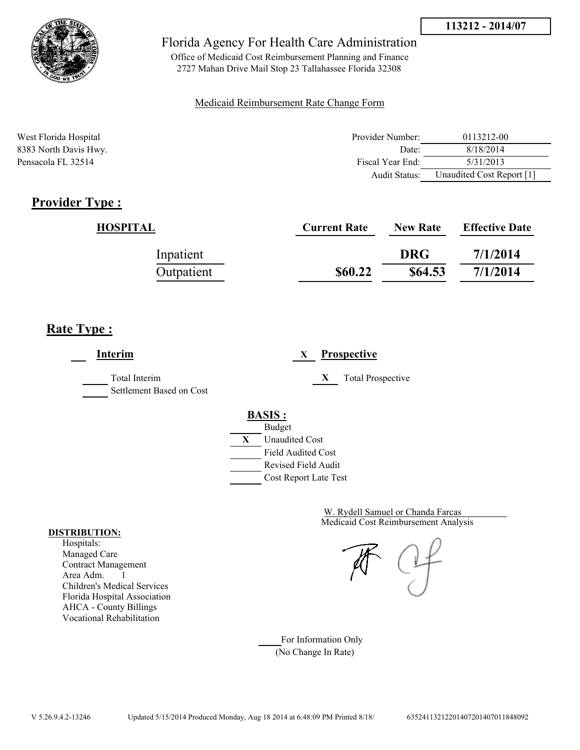



Office of Medicaid Cost Reimbursement Planning and Finance 2727 Mahan Drive Mail Stop 23 Tallahassee Florida 32308

### Medicaid Reimbursement Rate Change Form

| West Florida Hospital | Provider Number: | 0113212-00                |
|-----------------------|------------------|---------------------------|
| 8383 North Davis Hwy. | Date:            | 8/18/2014                 |
| Pensacola FL 32514    | Fiscal Year End: | 5/31/2013                 |
|                       | Audit Status:    | Unaudited Cost Report [1] |

## **Provider Type :**

| HOSPITAL   | <b>Current Rate</b> | <b>New Rate</b> | <b>Effective Date</b> |
|------------|---------------------|-----------------|-----------------------|
| Inpatient  |                     | <b>DRG</b>      | 7/1/2014              |
| Outpatient | \$60.22             | \$64.53         | 7/1/2014              |

## **Rate Type :**

**Interim X Prospective** Total Interim **X** Total Prospective Settlement Based on Cost **BASIS :** Budget **X** Unaudited Cost Field Audited Cost Revised Field Audit Cost Report Late Test

> Medicaid Cost Reimbursement Analysis W. Rydell Samuel or Chanda Farcas

For Information Only (No Change In Rate)

#### **DISTRIBUTION:**

Hospitals: Managed Care Contract Management Area Adm. 1 Children's Medical Services Florida Hospital Association AHCA - County Billings Vocational Rehabilitation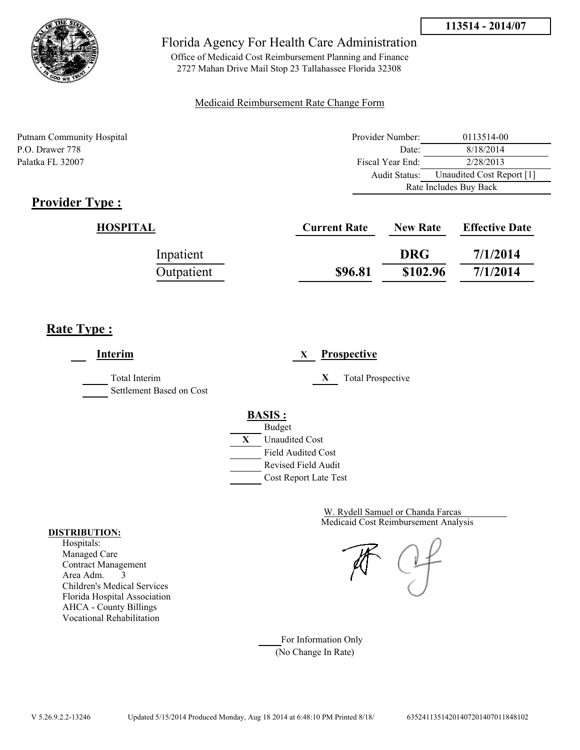



Office of Medicaid Cost Reimbursement Planning and Finance 2727 Mahan Drive Mail Stop 23 Tallahassee Florida 32308

### Medicaid Reimbursement Rate Change Form

Putnam Community Hospital **Provider Number:** 0113514-00 P.O. Drawer 778 Date: 8/18/2014 Palatka FL 32007 Fiscal Year End: 2/28/2013 Audit Status: Unaudited Cost Report [1] Rate Includes Buy Back

# **Provider Type :**

| HOSPITAL   | <b>Current Rate</b> | <b>New Rate</b> | <b>Effective Date</b> |
|------------|---------------------|-----------------|-----------------------|
| Inpatient  |                     | <b>DRG</b>      | 7/1/2014              |
| Outpatient | \$96.81             | \$102.96        | 7/1/2014              |

## **Rate Type :**

**Interim X Prospective** Total Interim **X** Total Prospective Settlement Based on Cost **BASIS :** Budget **X** Unaudited Cost Field Audited Cost Revised Field Audit Cost Report Late Test

> Medicaid Cost Reimbursement Analysis W. Rydell Samuel or Chanda Farcas

For Information Only (No Change In Rate)

#### **DISTRIBUTION:**

Hospitals: Managed Care Contract Management Area Adm. 3 Children's Medical Services Florida Hospital Association AHCA - County Billings Vocational Rehabilitation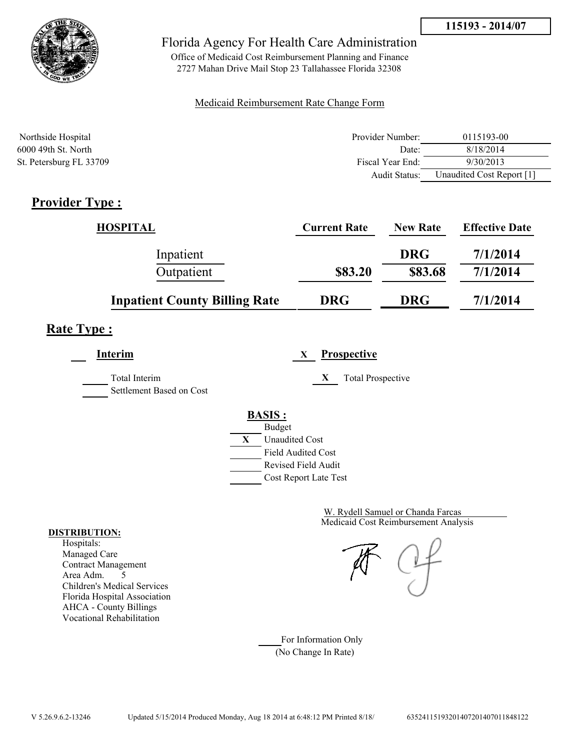



Office of Medicaid Cost Reimbursement Planning and Finance 2727 Mahan Drive Mail Stop 23 Tallahassee Florida 32308

### Medicaid Reimbursement Rate Change Form

| Northside Hospital      | Provider Number: | 0115193-00                |
|-------------------------|------------------|---------------------------|
| 6000 49th St. North     | Date:            | 8/18/2014                 |
| St. Petersburg FL 33709 | Fiscal Year End: | 9/30/2013                 |
|                         | Audit Status:    | Unaudited Cost Report [1] |

# **Provider Type :**

| <b>HOSPITAL</b>                      | <b>Current Rate</b> | <b>New Rate</b> | <b>Effective Date</b> |
|--------------------------------------|---------------------|-----------------|-----------------------|
| Inpatient                            |                     | <b>DRG</b>      | 7/1/2014              |
| Outpatient                           | \$83.20             | \$83.68         | 7/1/2014              |
| <b>Inpatient County Billing Rate</b> | <b>DRG</b>          | <b>DRG</b>      | 7/1/2014              |

# **Rate Type :**

**Interim X Prospective** Total Interim **X** Total Prospective Settlement Based on Cost **BASIS :** Budget



Medicaid Cost Reimbursement Analysis W. Rydell Samuel or Chanda Farcas

For Information Only (No Change In Rate)

#### **DISTRIBUTION:**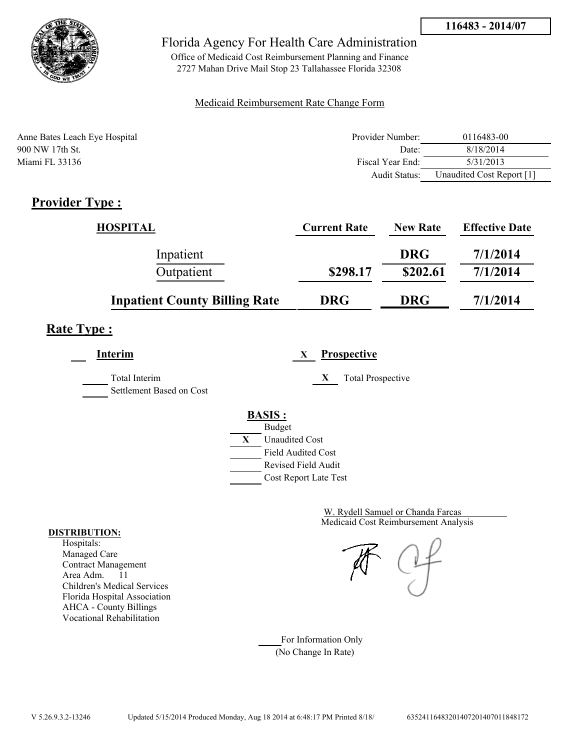

Office of Medicaid Cost Reimbursement Planning and Finance 2727 Mahan Drive Mail Stop 23 Tallahassee Florida 32308

### Medicaid Reimbursement Rate Change Form

| Anne Bates Leach Eye Hospital | Provider Number:     | 0116483-00                |
|-------------------------------|----------------------|---------------------------|
| 900 NW 17th St.               | Date <sup>-</sup>    | 8/18/2014                 |
| Miami FL 33136                | Fiscal Year End:     | 5/31/2013                 |
|                               | <b>Audit Status:</b> | Unaudited Cost Report [1] |

# **Provider Type :**

| <b>HOSPITAL</b>                      | <b>Current Rate</b> | <b>New Rate</b> | <b>Effective Date</b> |
|--------------------------------------|---------------------|-----------------|-----------------------|
| Inpatient                            |                     | <b>DRG</b>      | 7/1/2014              |
| Outpatient                           | \$298.17            | \$202.61        | 7/1/2014              |
| <b>Inpatient County Billing Rate</b> | <b>DRG</b>          | <b>DRG</b>      | 7/1/2014              |

# **Rate Type :**

**Interim X Prospective**

Total Interim **X** Total Prospective Settlement Based on Cost

**BASIS :**



Medicaid Cost Reimbursement Analysis W. Rydell Samuel or Chanda Farcas

For Information Only (No Change In Rate)

#### **DISTRIBUTION:**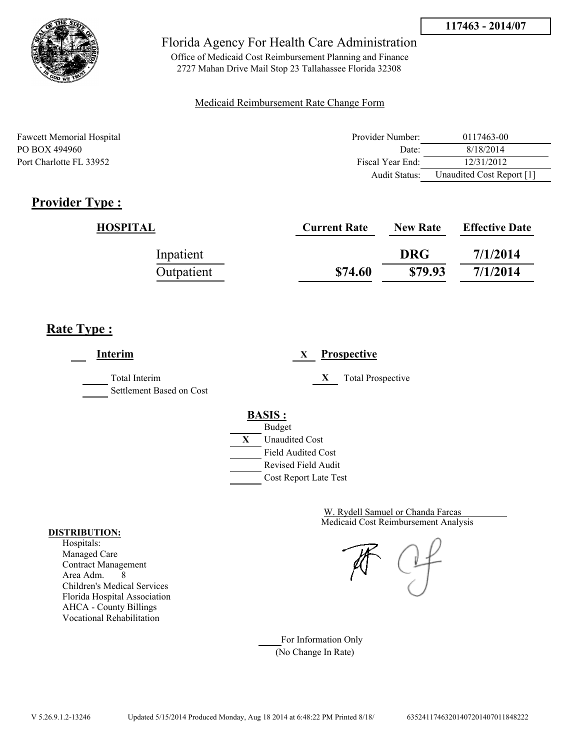



Office of Medicaid Cost Reimbursement Planning and Finance 2727 Mahan Drive Mail Stop 23 Tallahassee Florida 32308

### Medicaid Reimbursement Rate Change Form

| <b>Fawcett Memorial Hospital</b> | Provider Number: | 0117463-00                |
|----------------------------------|------------------|---------------------------|
| PO BOX 494960                    | Date:            | 8/18/2014                 |
| Port Charlotte FL 33952          | Fiscal Year End: | 12/31/2012                |
|                                  | Audit Status:    | Unaudited Cost Report [1] |

## **Provider Type :**

| HOSPITAL   | <b>Current Rate</b> | <b>New Rate</b> | <b>Effective Date</b> |
|------------|---------------------|-----------------|-----------------------|
| Inpatient  |                     | <b>DRG</b>      | 7/1/2014              |
| Outpatient | \$74.60             | \$79.93         | 7/1/2014              |

## **Rate Type :**

**Interim X Prospective** Total Interim **X** Total Prospective Settlement Based on Cost **BASIS :** Budget **X** Unaudited Cost Field Audited Cost Revised Field Audit Cost Report Late Test

> Medicaid Cost Reimbursement Analysis W. Rydell Samuel or Chanda Farcas

For Information Only (No Change In Rate)

#### **DISTRIBUTION:**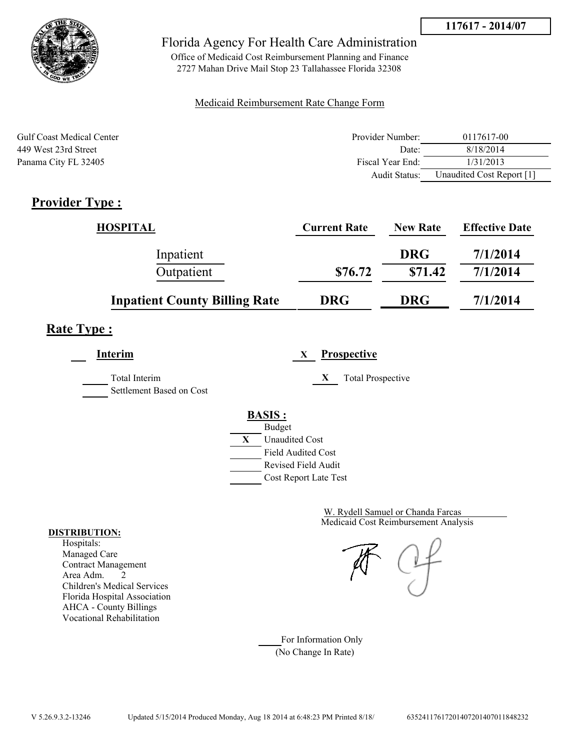



Office of Medicaid Cost Reimbursement Planning and Finance 2727 Mahan Drive Mail Stop 23 Tallahassee Florida 32308

### Medicaid Reimbursement Rate Change Form

| <b>Gulf Coast Medical Center</b> | Provider Number: | 0117617-00                |
|----------------------------------|------------------|---------------------------|
| 449 West 23rd Street             | Date:            | 8/18/2014                 |
| Panama City FL 32405             | Fiscal Year End: | 1/31/2013                 |
|                                  | Audit Status:    | Unaudited Cost Report [1] |

# **Provider Type :**

| <b>HOSPITAL</b>                      | <b>Current Rate</b> | <b>New Rate</b> | <b>Effective Date</b> |
|--------------------------------------|---------------------|-----------------|-----------------------|
| Inpatient                            |                     | <b>DRG</b>      | 7/1/2014              |
| Outpatient                           | \$76.72             | \$71.42         | 7/1/2014              |
| <b>Inpatient County Billing Rate</b> | <b>DRG</b>          | <b>DRG</b>      | 7/1/2014              |

# **Rate Type :**

**Interim X Prospective** Total Interim **X** Total Prospective Settlement Based on Cost **BASIS :** Budget **X** Unaudited Cost Field Audited Cost

Revised Field Audit

Cost Report Late Test

Medicaid Cost Reimbursement Analysis W. Rydell Samuel or Chanda Farcas

For Information Only (No Change In Rate)

#### **DISTRIBUTION:**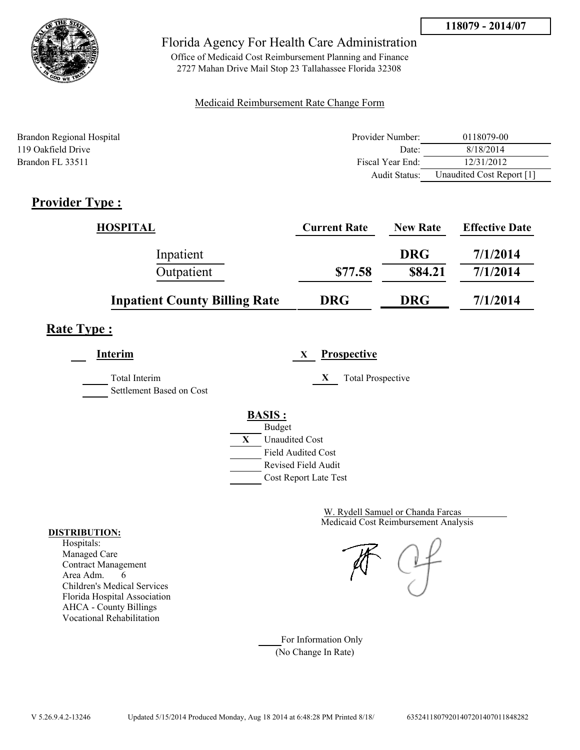

Office of Medicaid Cost Reimbursement Planning and Finance 2727 Mahan Drive Mail Stop 23 Tallahassee Florida 32308

### Medicaid Reimbursement Rate Change Form

| Brandon Regional Hospital | Provider Number: | 0118079-00                |
|---------------------------|------------------|---------------------------|
| 119 Oakfield Drive        | Date:            | 8/18/2014                 |
| Brandon FL 33511          | Fiscal Year End: | 12/31/2012                |
|                           | Audit Status:    | Unaudited Cost Report [1] |

# **Provider Type :**

| <b>HOSPITAL</b>                      | <b>Current Rate</b> | <b>New Rate</b> | <b>Effective Date</b> |
|--------------------------------------|---------------------|-----------------|-----------------------|
| Inpatient                            |                     | <b>DRG</b>      | 7/1/2014              |
| Outpatient                           | \$77.58             | \$84.21         | 7/1/2014              |
| <b>Inpatient County Billing Rate</b> | <b>DRG</b>          | <b>DRG</b>      | 7/1/2014              |

## **Rate Type :**

**Interim X Prospective** Total Interim **X** Total Prospective

Settlement Based on Cost



Medicaid Cost Reimbursement Analysis W. Rydell Samuel or Chanda Farcas

For Information Only (No Change In Rate)

#### **DISTRIBUTION:**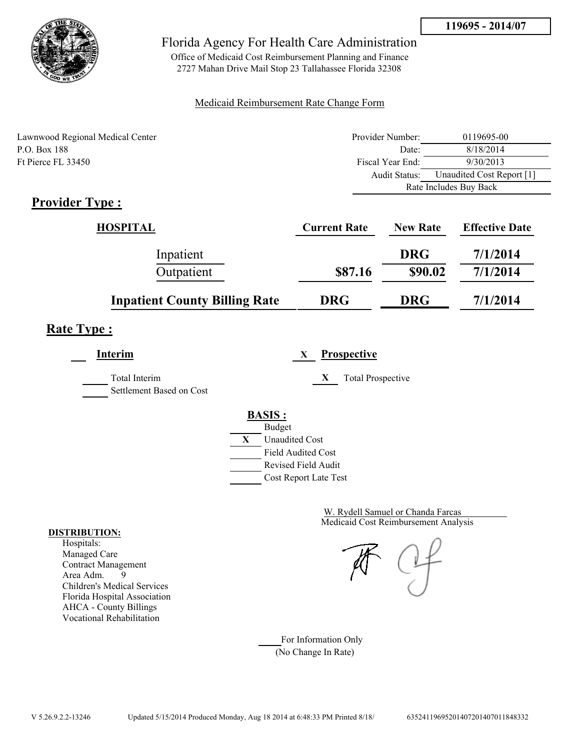

Office of Medicaid Cost Reimbursement Planning and Finance 2727 Mahan Drive Mail Stop 23 Tallahassee Florida 32308

### Medicaid Reimbursement Rate Change Form

| Lawnwood Regional Medical Center | Provider Number: | 0119695-00                |
|----------------------------------|------------------|---------------------------|
| P.O. Box 188                     | Date:            | 8/18/2014                 |
| Ft Pierce FL 33450               | Fiscal Year End: | 9/30/2013                 |
|                                  | Audit Status:    | Unaudited Cost Report [1] |
|                                  |                  | Rate Includes Buy Back    |

## **Provider Type :**

| <b>HOSPITAL</b>                      | <b>Current Rate</b> | <b>New Rate</b> | <b>Effective Date</b> |
|--------------------------------------|---------------------|-----------------|-----------------------|
| Inpatient                            |                     | <b>DRG</b>      | 7/1/2014              |
| Outpatient                           | \$87.16             | \$90.02         | 7/1/2014              |
| <b>Inpatient County Billing Rate</b> | <b>DRG</b>          | <b>DRG</b>      | 7/1/2014              |

# **Rate Type :**

**Interim X Prospective** Total Interim **X** Total Prospective Settlement Based on Cost **BASIS :** Budget **X** Unaudited Cost Field Audited Cost Revised Field Audit

Cost Report Late Test

Medicaid Cost Reimbursement Analysis W. Rydell Samuel or Chanda Farcas

For Information Only (No Change In Rate)

#### **DISTRIBUTION:**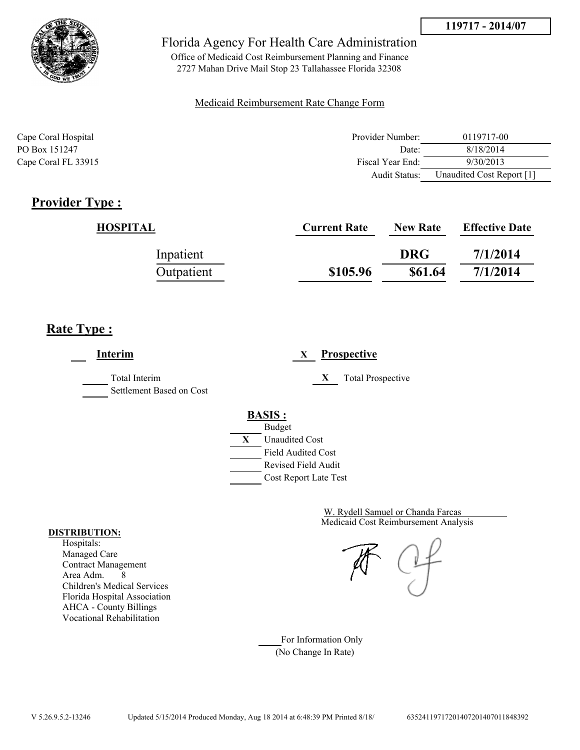



Office of Medicaid Cost Reimbursement Planning and Finance 2727 Mahan Drive Mail Stop 23 Tallahassee Florida 32308

### Medicaid Reimbursement Rate Change Form

| Cape Coral Hospital | Provider Number:     | 0119717-00                |
|---------------------|----------------------|---------------------------|
| PO Box 151247       | Date:                | 8/18/2014                 |
| Cape Coral FL 33915 | Fiscal Year End:     | 9/30/2013                 |
|                     | <b>Audit Status:</b> | Unaudited Cost Report [1] |

# **Provider Type :**

| HOSPITAL   | <b>Current Rate</b> | <b>New Rate</b> | <b>Effective Date</b> |
|------------|---------------------|-----------------|-----------------------|
| Inpatient  |                     | <b>DRG</b>      | 7/1/2014              |
| Outpatient | \$105.96            | \$61.64         | 7/1/2014              |

## **Rate Type :**

**Interim X Prospective** Total Interim **X** Total Prospective Settlement Based on Cost **BASIS :** Budget **X** Unaudited Cost Field Audited Cost Revised Field Audit Cost Report Late Test

> Medicaid Cost Reimbursement Analysis W. Rydell Samuel or Chanda Farcas

For Information Only (No Change In Rate)

#### **DISTRIBUTION:**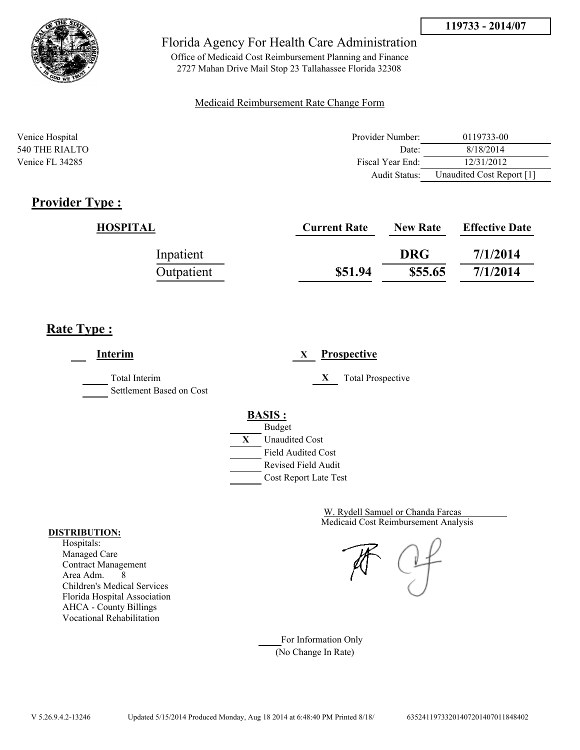



Office of Medicaid Cost Reimbursement Planning and Finance 2727 Mahan Drive Mail Stop 23 Tallahassee Florida 32308

### Medicaid Reimbursement Rate Change Form

| Venice Hospital | Provider Number: | 0119733-00                |
|-----------------|------------------|---------------------------|
| 540 THE RIALTO  | Date:            | 8/18/2014                 |
| Venice FL 34285 | Fiscal Year End: | 12/31/2012                |
|                 | Audit Status:    | Unaudited Cost Report [1] |

## **Provider Type :**

| HOSPITAL   | <b>Current Rate</b> | <b>New Rate</b> | <b>Effective Date</b> |
|------------|---------------------|-----------------|-----------------------|
| Inpatient  |                     | <b>DRG</b>      | 7/1/2014              |
| Outpatient | \$51.94             | \$55.65         | 7/1/2014              |

## **Rate Type :**

**Interim X Prospective** Total Interim **X** Total Prospective Settlement Based on Cost **BASIS :** Budget **X** Unaudited Cost Field Audited Cost Revised Field Audit Cost Report Late Test

> Medicaid Cost Reimbursement Analysis W. Rydell Samuel or Chanda Farcas

For Information Only (No Change In Rate)

#### **DISTRIBUTION:**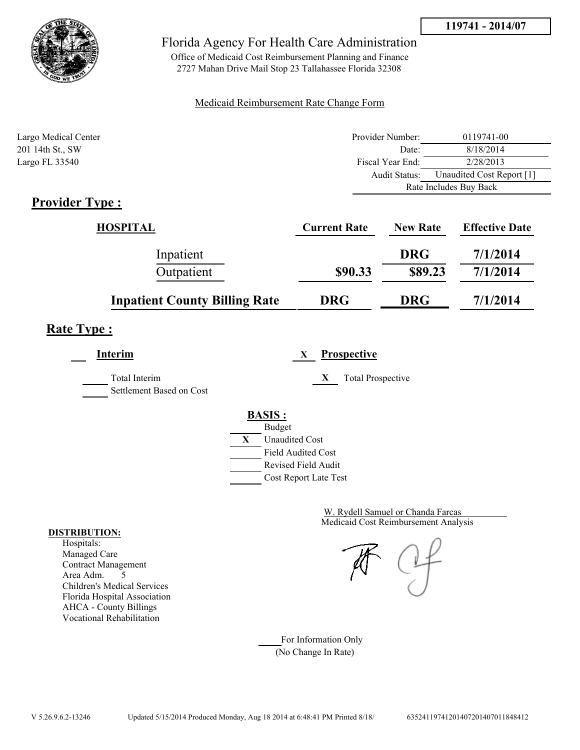



Office of Medicaid Cost Reimbursement Planning and Finance 2727 Mahan Drive Mail Stop 23 Tallahassee Florida 32308

### Medicaid Reimbursement Rate Change Form

| Largo Medical Center                                | Provider Number: | 0119741-00                |
|-----------------------------------------------------|------------------|---------------------------|
| 201 14th St., SW                                    | Date:            | 8/18/2014                 |
| Largo FL 33540                                      | Fiscal Year End: | 2/28/2013                 |
|                                                     | Audit Status:    | Unaudited Cost Report [1] |
|                                                     |                  | Rate Includes Buy Back    |
| $\sim$ $\sim$<br>$\sim$<br>$\overline{\phantom{a}}$ |                  |                           |

## **Provider Type :**

| HOSPITAL                             | <b>Current Rate</b> | <b>New Rate</b> | <b>Effective Date</b> |
|--------------------------------------|---------------------|-----------------|-----------------------|
| Inpatient                            |                     | <b>DRG</b>      | 7/1/2014              |
| Outpatient                           | \$90.33             | \$89.23         | 7/1/2014              |
| <b>Inpatient County Billing Rate</b> | <b>DRG</b>          | <b>DRG</b>      | 7/1/2014              |

## **Rate Type :**

**Interim X Prospective** Total Interim **X** Total Prospective Settlement Based on Cost **BASIS :** Budget **X** Unaudited Cost Field Audited Cost Revised Field Audit Cost Report Late Test

> Medicaid Cost Reimbursement Analysis W. Rydell Samuel or Chanda Farcas

For Information Only (No Change In Rate)

#### **DISTRIBUTION:**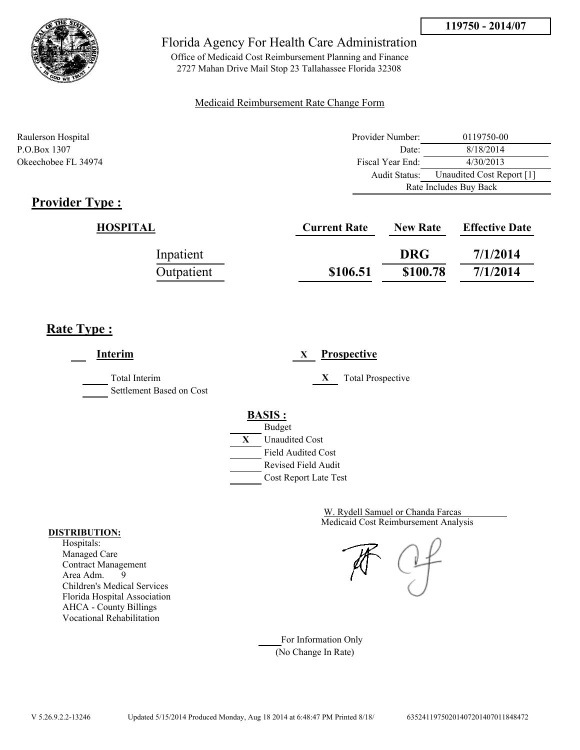



Office of Medicaid Cost Reimbursement Planning and Finance 2727 Mahan Drive Mail Stop 23 Tallahassee Florida 32308

### Medicaid Reimbursement Rate Change Form

| Raulerson Hospital  | Provider Number: | 0119750-00                |  |
|---------------------|------------------|---------------------------|--|
| P.O.Box 1307        | Date:            | 8/18/2014                 |  |
| Okeechobee FL 34974 | Fiscal Year End: | 4/30/2013                 |  |
|                     | Audit Status:    | Unaudited Cost Report [1] |  |
|                     |                  | Rate Includes Buy Back    |  |

# **Provider Type :**

| HOSPITAL   | <b>Current Rate</b> | <b>New Rate</b> | <b>Effective Date</b> |
|------------|---------------------|-----------------|-----------------------|
| Inpatient  |                     | <b>DRG</b>      | 7/1/2014              |
| Outpatient | \$106.51            | \$100.78        | 7/1/2014              |

## **Rate Type :**

÷

| Interim                                          | <b>Prospective</b><br>X                                                                                                                   |
|--------------------------------------------------|-------------------------------------------------------------------------------------------------------------------------------------------|
| <b>Total Interim</b><br>Settlement Based on Cost | X<br><b>Total Prospective</b>                                                                                                             |
|                                                  | <b>BASIS:</b><br><b>Budget</b><br>X<br><b>Unaudited Cost</b><br><b>Field Audited Cost</b><br>Revised Field Audit<br>Cost Report Late Test |

Medicaid Cost Reimbursement Analysis W. Rydell Samuel or Chanda Farcas

For Information Only (No Change In Rate)

#### **DISTRIBUTION:**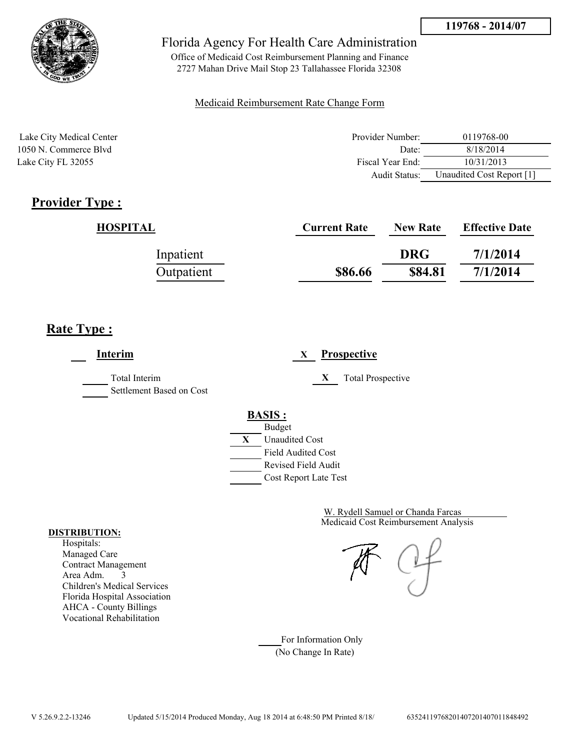

Office of Medicaid Cost Reimbursement Planning and Finance 2727 Mahan Drive Mail Stop 23 Tallahassee Florida 32308

### Medicaid Reimbursement Rate Change Form

| Lake City Medical Center | Provider Number:  | 0119768-00                |
|--------------------------|-------------------|---------------------------|
| 1050 N. Commerce Blyd    | Date <sup>-</sup> | 8/18/2014                 |
| Lake City FL 32055       | Fiscal Year End:  | 10/31/2013                |
|                          | Audit Status:     | Unaudited Cost Report [1] |

## **Provider Type :**

| <b>HOSPITAL</b> | <b>Current Rate</b> | <b>New Rate</b> | <b>Effective Date</b> |
|-----------------|---------------------|-----------------|-----------------------|
| Inpatient       |                     | <b>DRG</b>      | 7/1/2014              |
| Outpatient      | \$86.66             | \$84.81         | 7/1/2014              |

# **Rate Type :**

**Interim X Prospective** Total Interim **X** Total Prospective Settlement Based on Cost **BASIS :** Budget **X** Unaudited Cost Field Audited Cost Revised Field Audit Cost Report Late Test

> Medicaid Cost Reimbursement Analysis W. Rydell Samuel or Chanda Farcas

For Information Only (No Change In Rate)

#### **DISTRIBUTION:**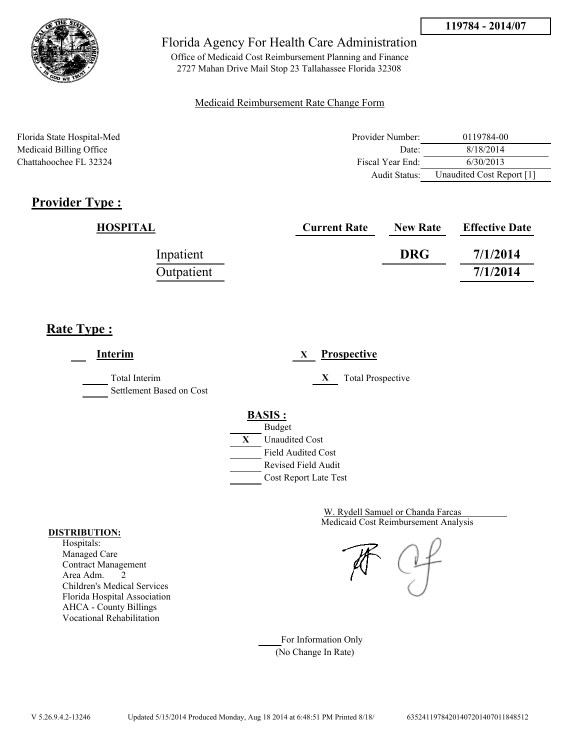

Office of Medicaid Cost Reimbursement Planning and Finance 2727 Mahan Drive Mail Stop 23 Tallahassee Florida 32308

### Medicaid Reimbursement Rate Change Form

Florida State Hospital-Med Provider Number: 0119784-00 Medicaid Billing Office 28/18/2014 Chattahoochee FL 32324 Fiscal Year End: 6/30/2013 Audit Status: Unaudited Cost Report [1]

# **Provider Type :**

| <b>HOSPITAL</b> | <b>Current Rate</b> | <b>New Rate</b> | <b>Effective Date</b> |
|-----------------|---------------------|-----------------|-----------------------|
| Inpatient       |                     | <b>DRG</b>      | 7/1/2014              |
| Outpatient      |                     |                 | 7/1/2014              |

## **Rate Type :**

**Interim X Prospective** Total Interim **X** Total Prospective Settlement Based on Cost **BASIS :** Budget **X** Unaudited Cost Field Audited Cost Revised Field Audit Cost Report Late Test

> Medicaid Cost Reimbursement Analysis W. Rydell Samuel or Chanda Farcas

For Information Only (No Change In Rate)

#### **DISTRIBUTION:**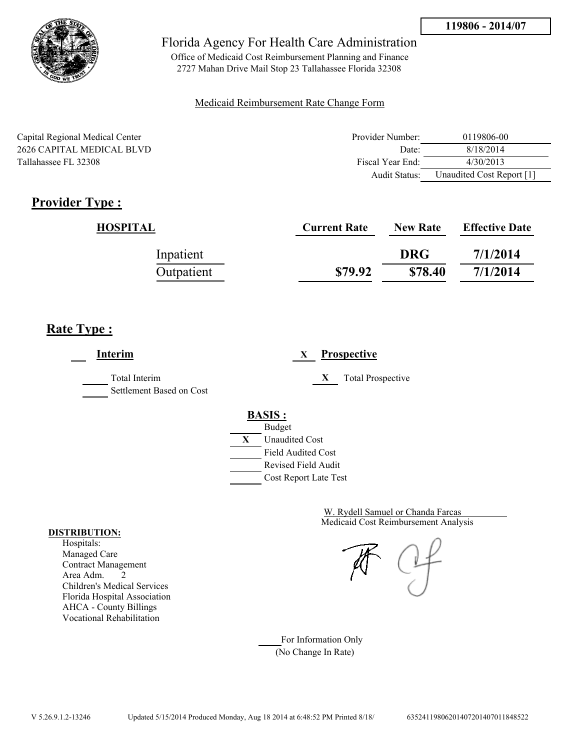

Office of Medicaid Cost Reimbursement Planning and Finance 2727 Mahan Drive Mail Stop 23 Tallahassee Florida 32308

### Medicaid Reimbursement Rate Change Form

Capital Regional Medical Center 2626 CAPITAL MEDICAL BLVD Tallahassee FL 32308

| Provider Number: | 0119806-00                |
|------------------|---------------------------|
| Date:            | 8/18/2014                 |
| Fiscal Year End: | 4/30/2013                 |
| Audit Status:    | Unaudited Cost Report [1] |

# **Provider Type :**

| HOSPITAL   | <b>Current Rate</b> | <b>New Rate</b> | <b>Effective Date</b> |
|------------|---------------------|-----------------|-----------------------|
| Inpatient  |                     | <b>DRG</b>      | 7/1/2014              |
| Outpatient | \$79.92             | \$78.40         | 7/1/2014              |

# **Rate Type :**

**Interim X Prospective** Total Interim **X** Total Prospective Settlement Based on Cost **BASIS :** Budget **X** Unaudited Cost Field Audited Cost Revised Field Audit Cost Report Late Test

> Medicaid Cost Reimbursement Analysis W. Rydell Samuel or Chanda Farcas

For Information Only (No Change In Rate)

#### **DISTRIBUTION:**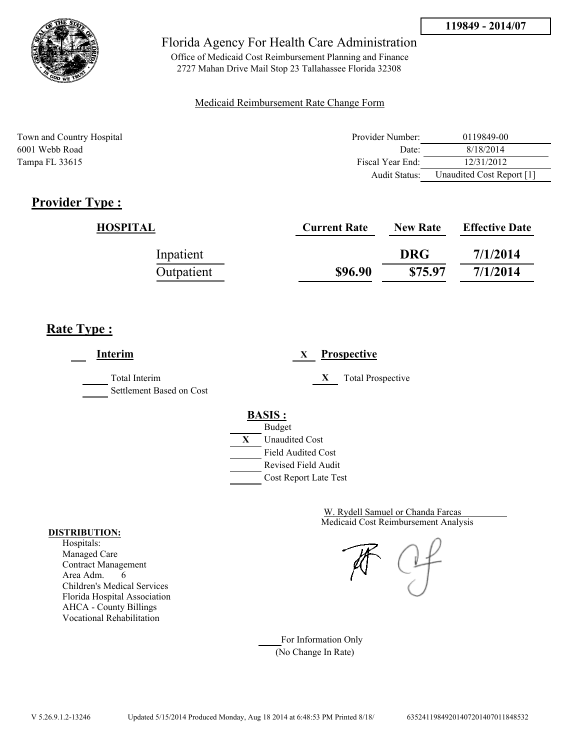

Office of Medicaid Cost Reimbursement Planning and Finance 2727 Mahan Drive Mail Stop 23 Tallahassee Florida 32308

### Medicaid Reimbursement Rate Change Form

| Town and Country Hospital | Provider Number: | 0119849-00                |
|---------------------------|------------------|---------------------------|
| 6001 Webb Road            | Date:            | 8/18/2014                 |
| Tampa FL 33615            | Fiscal Year End: | 12/31/2012                |
|                           | Audit Status:    | Unaudited Cost Report [1] |

# **Provider Type :**

| HOSPITAL   | <b>Current Rate</b> | <b>New Rate</b> | <b>Effective Date</b> |
|------------|---------------------|-----------------|-----------------------|
| Inpatient  |                     | <b>DRG</b>      | 7/1/2014              |
| Outpatient | \$96.90             | \$75.97         | 7/1/2014              |

## **Rate Type :**

**Interim X Prospective** Total Interim **X** Total Prospective Settlement Based on Cost **BASIS :** Budget **X** Unaudited Cost Field Audited Cost Revised Field Audit Cost Report Late Test

> Medicaid Cost Reimbursement Analysis W. Rydell Samuel or Chanda Farcas

For Information Only (No Change In Rate)

#### **DISTRIBUTION:**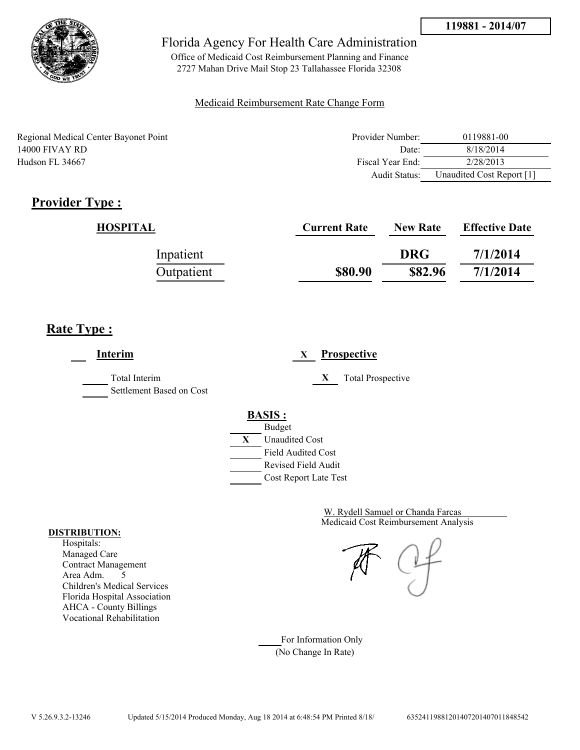

Office of Medicaid Cost Reimbursement Planning and Finance 2727 Mahan Drive Mail Stop 23 Tallahassee Florida 32308

### Medicaid Reimbursement Rate Change Form

Regional Medical Center Bayonet Point 14000 FIVAY RD Hudson FL 34667

| Provider Number: | 0119881-00                |
|------------------|---------------------------|
| Date             | 8/18/2014                 |
| Fiscal Year End: | 2/28/2013                 |
| Audit Status:    | Unaudited Cost Report [1] |

# **Provider Type :**

| HOSPITAL   | <b>Current Rate</b> | <b>New Rate</b> | <b>Effective Date</b> |
|------------|---------------------|-----------------|-----------------------|
| Inpatient  |                     | <b>DRG</b>      | 7/1/2014              |
| Outpatient | \$80.90             | \$82.96         | 7/1/2014              |

# **Rate Type :**

**Interim X Prospective** Total Interim **X** Total Prospective Settlement Based on Cost **BASIS :** Budget **X** Unaudited Cost Field Audited Cost Revised Field Audit Cost Report Late Test

> Medicaid Cost Reimbursement Analysis W. Rydell Samuel or Chanda Farcas

For Information Only (No Change In Rate)

#### **DISTRIBUTION:**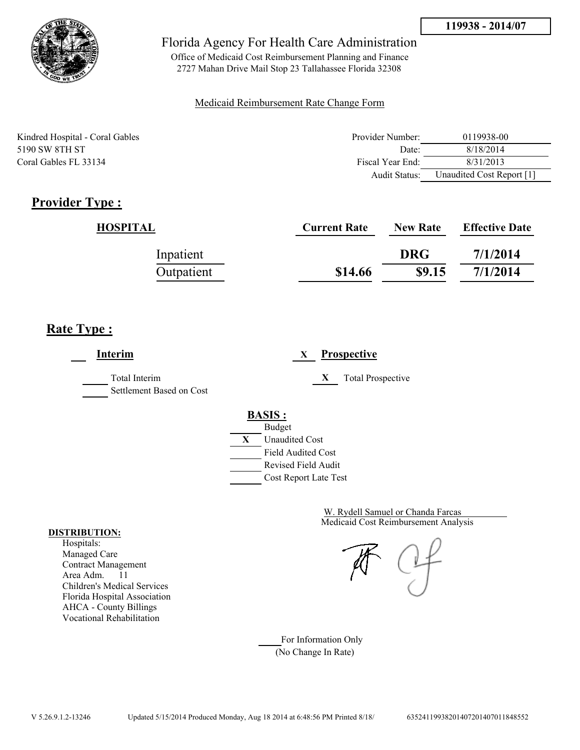

Office of Medicaid Cost Reimbursement Planning and Finance 2727 Mahan Drive Mail Stop 23 Tallahassee Florida 32308

### Medicaid Reimbursement Rate Change Form

| Kindred Hospital - Coral Gables | Provider Number: | 0119938-00                |
|---------------------------------|------------------|---------------------------|
| 5190 SW 8TH ST                  | Date:            | 8/18/2014                 |
| Coral Gables FL 33134           | Fiscal Year End: | 8/31/2013                 |
|                                 | Audit Status:    | Unaudited Cost Report [1] |

# **Provider Type :**

| HOSPITAL   | <b>Current Rate</b> | <b>New Rate</b> | <b>Effective Date</b> |
|------------|---------------------|-----------------|-----------------------|
| Inpatient  |                     | <b>DRG</b>      | 7/1/2014              |
| Outpatient | \$14.66             | \$9.15          | 7/1/2014              |

## **Rate Type :**

**Interim X Prospective** Total Interim **X** Total Prospective Settlement Based on Cost **BASIS :** Budget **X** Unaudited Cost Field Audited Cost Revised Field Audit Cost Report Late Test

> Medicaid Cost Reimbursement Analysis W. Rydell Samuel or Chanda Farcas

For Information Only (No Change In Rate)

#### **DISTRIBUTION:**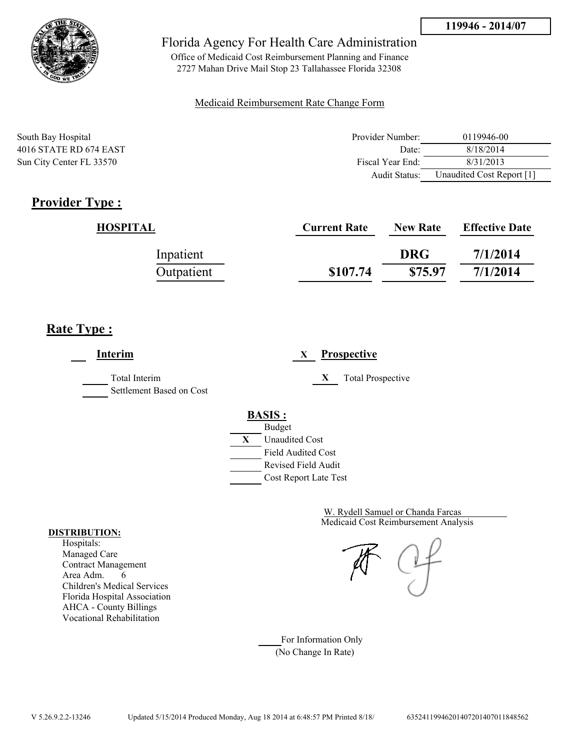

Office of Medicaid Cost Reimbursement Planning and Finance 2727 Mahan Drive Mail Stop 23 Tallahassee Florida 32308

### Medicaid Reimbursement Rate Change Form

| South Bay Hospital       | Provider Number: | 0119946-00                |
|--------------------------|------------------|---------------------------|
| 4016 STATE RD 674 EAST   | Date:            | 8/18/2014                 |
| Sun City Center FL 33570 | Fiscal Year End: | 8/31/2013                 |
|                          | Audit Status:    | Unaudited Cost Report [1] |

# **Provider Type :**

| HOSPITAL   | <b>Current Rate</b> | <b>New Rate</b> | <b>Effective Date</b> |
|------------|---------------------|-----------------|-----------------------|
| Inpatient  |                     | <b>DRG</b>      | 7/1/2014              |
| Outpatient | \$107.74            | \$75.97         | 7/1/2014              |

## **Rate Type :**

**Interim X Prospective** Total Interim **X** Total Prospective Settlement Based on Cost **BASIS :** Budget **X** Unaudited Cost Field Audited Cost Revised Field Audit Cost Report Late Test

> Medicaid Cost Reimbursement Analysis W. Rydell Samuel or Chanda Farcas

For Information Only (No Change In Rate)

#### **DISTRIBUTION:**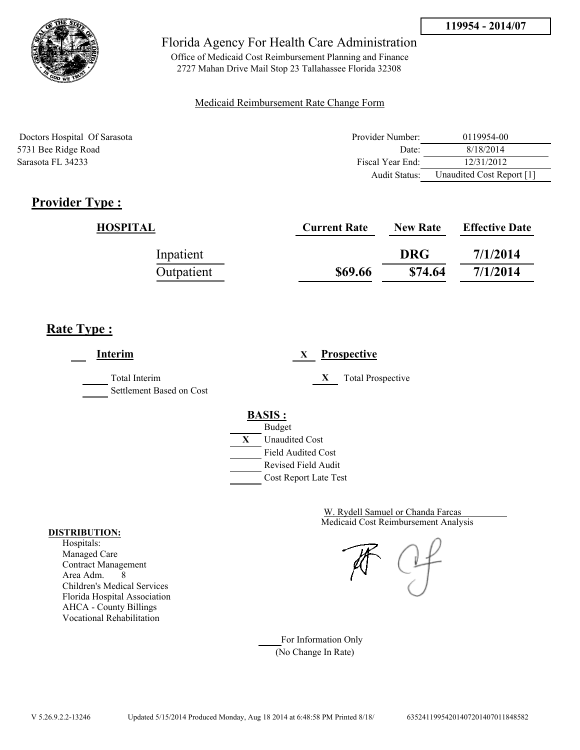

Office of Medicaid Cost Reimbursement Planning and Finance 2727 Mahan Drive Mail Stop 23 Tallahassee Florida 32308

### Medicaid Reimbursement Rate Change Form

| Doctors Hospital Of Sarasota | Provider Number: | 0119954-00                |
|------------------------------|------------------|---------------------------|
| 5731 Bee Ridge Road          | Date:            | 8/18/2014                 |
| Sarasota FL 34233            | Fiscal Year End: | 12/31/2012                |
|                              | Audit Status:    | Unaudited Cost Report [1] |

## **Provider Type :**

| HOSPITAL   | <b>Current Rate</b> | <b>New Rate</b> | <b>Effective Date</b> |
|------------|---------------------|-----------------|-----------------------|
| Inpatient  |                     | <b>DRG</b>      | 7/1/2014              |
| Outpatient | \$69.66             | \$74.64         | 7/1/2014              |

## **Rate Type :**

**Interim X Prospective** Total Interim **X** Total Prospective Settlement Based on Cost **BASIS :** Budget **X** Unaudited Cost Field Audited Cost Revised Field Audit Cost Report Late Test

> Medicaid Cost Reimbursement Analysis W. Rydell Samuel or Chanda Farcas

For Information Only (No Change In Rate)

#### **DISTRIBUTION:**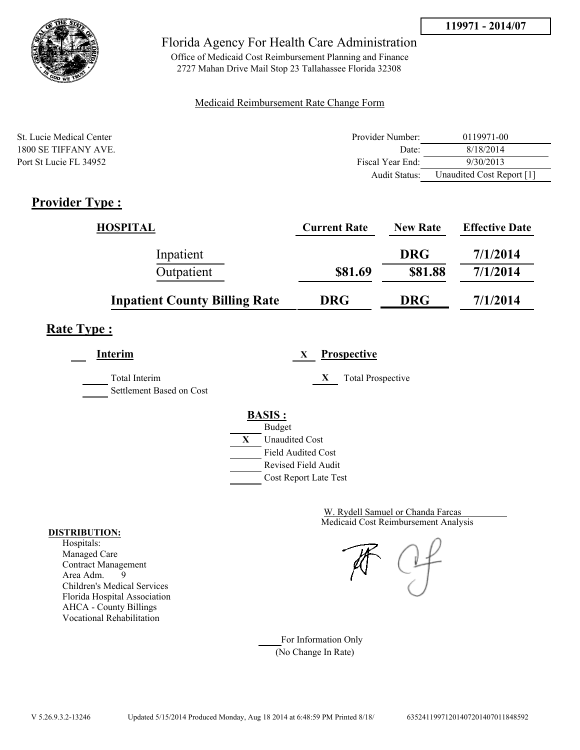



Office of Medicaid Cost Reimbursement Planning and Finance 2727 Mahan Drive Mail Stop 23 Tallahassee Florida 32308

### Medicaid Reimbursement Rate Change Form

| St. Lucie Medical Center | Provider Number: | 0119971-00                |
|--------------------------|------------------|---------------------------|
| 1800 SE TIFFANY AVE      | Date:            | 8/18/2014                 |
| Port St Lucie FL 34952   | Fiscal Year End: | 9/30/2013                 |
|                          | Audit Status:    | Unaudited Cost Report [1] |

## **Provider Type :**

| <b>HOSPITAL</b>                      | <b>Current Rate</b> | <b>New Rate</b> | <b>Effective Date</b> |
|--------------------------------------|---------------------|-----------------|-----------------------|
| Inpatient                            |                     | <b>DRG</b>      | 7/1/2014              |
| Outpatient                           | \$81.69             | \$81.88         | 7/1/2014              |
| <b>Inpatient County Billing Rate</b> | <b>DRG</b>          | <b>DRG</b>      | 7/1/2014              |

# **Rate Type :**

**Interim X Prospective**

Total Interim **X** Total Prospective Settlement Based on Cost

**BASIS :**



Medicaid Cost Reimbursement Analysis W. Rydell Samuel or Chanda Farcas

For Information Only (No Change In Rate)

#### **DISTRIBUTION:**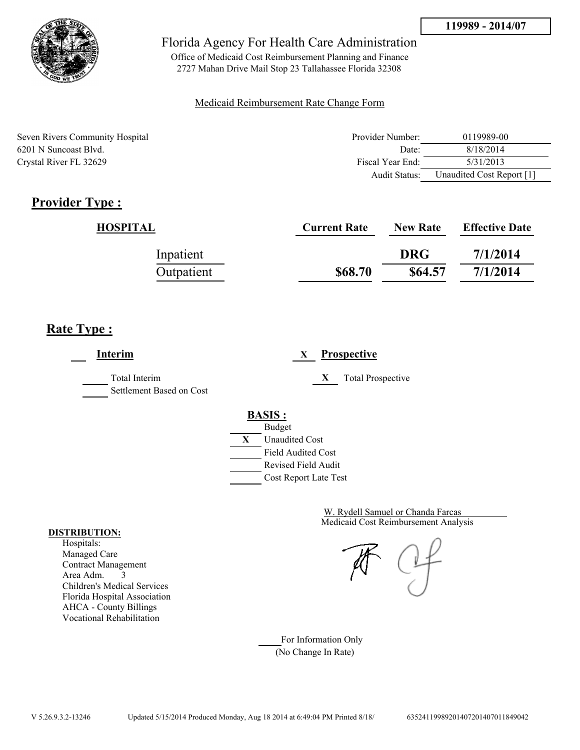

Office of Medicaid Cost Reimbursement Planning and Finance 2727 Mahan Drive Mail Stop 23 Tallahassee Florida 32308

### Medicaid Reimbursement Rate Change Form

| Seven Rivers Community Hospital | Provider Number: | 0119989-00                |
|---------------------------------|------------------|---------------------------|
| 6201 N Suncoast Blvd.           | Date:            | 8/18/2014                 |
| Crystal River FL 32629          | Fiscal Year End: | 5/31/2013                 |
|                                 | Audit Status:    | Unaudited Cost Report [1] |

# **Provider Type :**

| HOSPITAL   | <b>Current Rate</b> | <b>New Rate</b> | <b>Effective Date</b> |
|------------|---------------------|-----------------|-----------------------|
| Inpatient  |                     | <b>DRG</b>      | 7/1/2014              |
| Outpatient | \$68.70             | \$64.57         | 7/1/2014              |

## **Rate Type :**

 $\overline{\phantom{a}}$ 

| Interim                                          | <b>Prospective</b><br>X        |
|--------------------------------------------------|--------------------------------|
| <b>Total Interim</b><br>Settlement Based on Cost | X<br><b>Total Prospective</b>  |
|                                                  | <b>BASIS:</b><br><b>Budget</b> |
|                                                  | X<br><b>Unaudited Cost</b>     |
|                                                  | <b>Field Audited Cost</b>      |
|                                                  | Revised Field Audit            |
|                                                  | Cost Report Late Test          |

Medicaid Cost Reimbursement Analysis W. Rydell Samuel or Chanda Farcas

For Information Only (No Change In Rate)

#### **DISTRIBUTION:**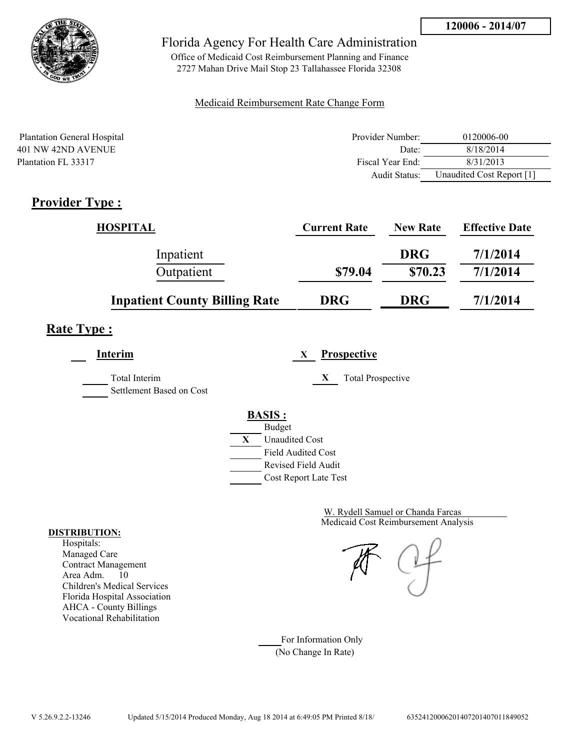

Office of Medicaid Cost Reimbursement Planning and Finance 2727 Mahan Drive Mail Stop 23 Tallahassee Florida 32308

### Medicaid Reimbursement Rate Change Form

| <b>Plantation General Hospital</b> | Provider Number: | 0120006-00                |
|------------------------------------|------------------|---------------------------|
| 401 NW 42ND AVENUE                 | Date:            | 8/18/2014                 |
| Plantation FL 33317                | Fiscal Year End: | 8/31/2013                 |
|                                    | Audit Status:    | Unaudited Cost Report [1] |

# **Provider Type :**

| <b>HOSPITAL</b>                      | <b>Current Rate</b> | <b>New Rate</b> | <b>Effective Date</b> |
|--------------------------------------|---------------------|-----------------|-----------------------|
| Inpatient                            |                     | <b>DRG</b>      | 7/1/2014              |
| Outpatient                           | \$79.04             | \$70.23         | 7/1/2014              |
| <b>Inpatient County Billing Rate</b> | <b>DRG</b>          | <b>DRG</b>      | 7/1/2014              |

## **Rate Type :**

**Interim X Prospective**

Total Interim **X** Total Prospective Settlement Based on Cost

# **BASIS :**



Medicaid Cost Reimbursement Analysis W. Rydell Samuel or Chanda Farcas

For Information Only (No Change In Rate)

#### **DISTRIBUTION:**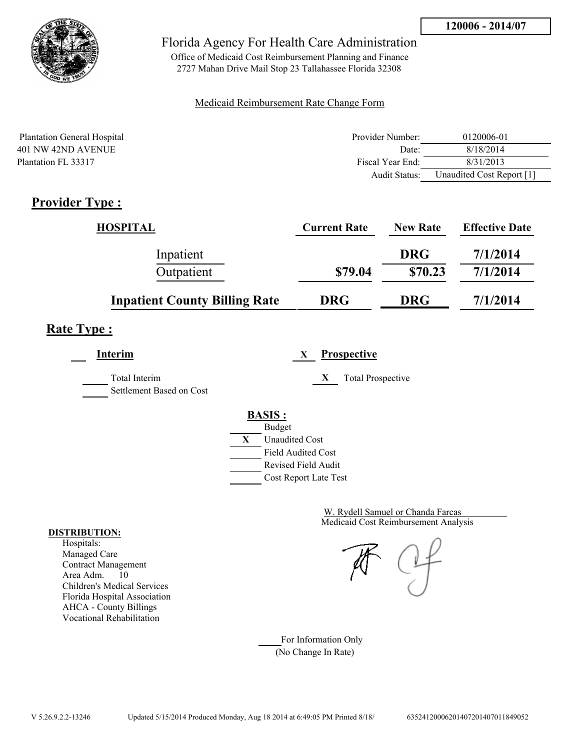

Office of Medicaid Cost Reimbursement Planning and Finance 2727 Mahan Drive Mail Stop 23 Tallahassee Florida 32308

### Medicaid Reimbursement Rate Change Form

| <b>Plantation General Hospital</b> | Provider Number: | 0120006-01                |
|------------------------------------|------------------|---------------------------|
| 401 NW 42ND AVENUE                 | Date:            | 8/18/2014                 |
| Plantation FL 33317                | Fiscal Year End: | 8/31/2013                 |
|                                    | Audit Status:    | Unaudited Cost Report [1] |

# **Provider Type :**

| <b>HOSPITAL</b>                      | <b>Current Rate</b> | <b>New Rate</b> | <b>Effective Date</b> |
|--------------------------------------|---------------------|-----------------|-----------------------|
| Inpatient                            |                     | <b>DRG</b>      | 7/1/2014              |
| Outpatient                           | \$79.04             | \$70.23         | 7/1/2014              |
| <b>Inpatient County Billing Rate</b> | <b>DRG</b>          | <b>DRG</b>      | 7/1/2014              |

# **Rate Type :**

**Interim X Prospective**

Total Interim **X** Total Prospective Settlement Based on Cost



Medicaid Cost Reimbursement Analysis W. Rydell Samuel or Chanda Farcas

For Information Only (No Change In Rate)

#### **DISTRIBUTION:**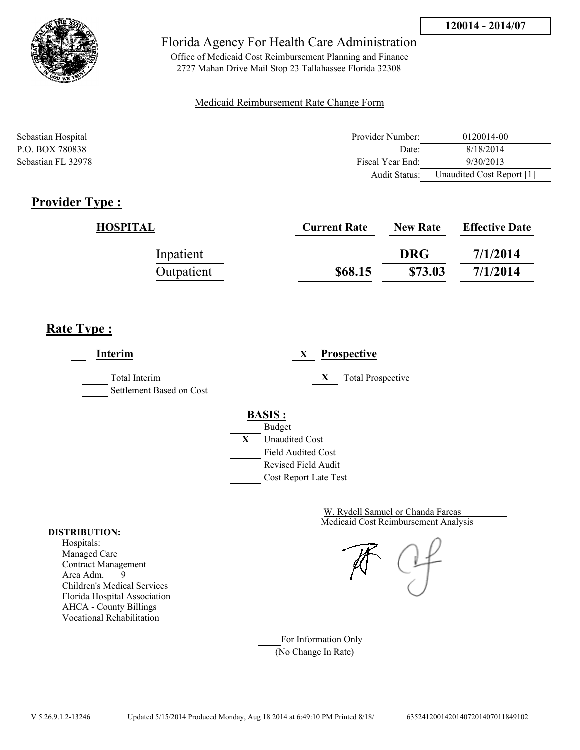

Office of Medicaid Cost Reimbursement Planning and Finance 2727 Mahan Drive Mail Stop 23 Tallahassee Florida 32308

### Medicaid Reimbursement Rate Change Form

| Sebastian Hospital | Provider Number: | 0120014-00                |
|--------------------|------------------|---------------------------|
| P.O. BOX 780838    | Date:            | 8/18/2014                 |
| Sebastian FL 32978 | Fiscal Year End: | 9/30/2013                 |
|                    | Audit Status:    | Unaudited Cost Report [1] |

## **Provider Type :**

| HOSPITAL   | <b>Current Rate</b> | <b>New Rate</b> | <b>Effective Date</b> |
|------------|---------------------|-----------------|-----------------------|
| Inpatient  |                     | <b>DRG</b>      | 7/1/2014              |
| Outpatient | \$68.15             | \$73.03         | 7/1/2014              |

# **Rate Type :**

**Interim X Prospective** Total Interim **X** Total Prospective Settlement Based on Cost **BASIS :** Budget **X** Unaudited Cost Field Audited Cost Revised Field Audit Cost Report Late Test

> Medicaid Cost Reimbursement Analysis W. Rydell Samuel or Chanda Farcas

For Information Only (No Change In Rate)

#### **DISTRIBUTION:**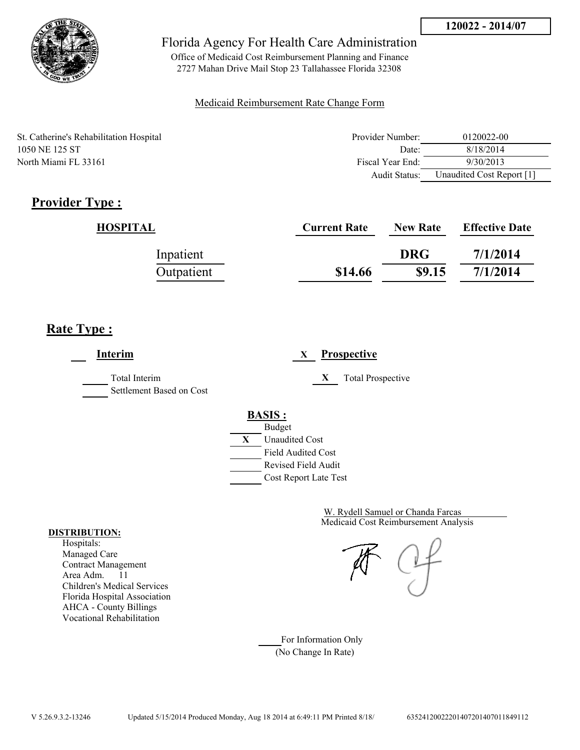

Office of Medicaid Cost Reimbursement Planning and Finance 2727 Mahan Drive Mail Stop 23 Tallahassee Florida 32308

### Medicaid Reimbursement Rate Change Form

St. Catherine's Rehabilitation Hospital 1050 NE 125 ST North Miami FL 33161

| Provider Number: | 0120022-00                |
|------------------|---------------------------|
| Date             | 8/18/2014                 |
| Fiscal Year End: | 9/30/2013                 |
| Audit Status:    | Unaudited Cost Report [1] |

# **Provider Type :**

| HOSPITAL   | <b>Current Rate</b> | <b>New Rate</b> | <b>Effective Date</b> |
|------------|---------------------|-----------------|-----------------------|
| Inpatient  |                     | <b>DRG</b>      | 7/1/2014              |
| Outpatient | \$14.66             | \$9.15          | 7/1/2014              |

## **Rate Type :**

**Interim X Prospective** Total Interim **X** Total Prospective Settlement Based on Cost **BASIS :** Budget **X** Unaudited Cost Field Audited Cost Revised Field Audit Cost Report Late Test

> Medicaid Cost Reimbursement Analysis W. Rydell Samuel or Chanda Farcas

For Information Only (No Change In Rate)

#### **DISTRIBUTION:**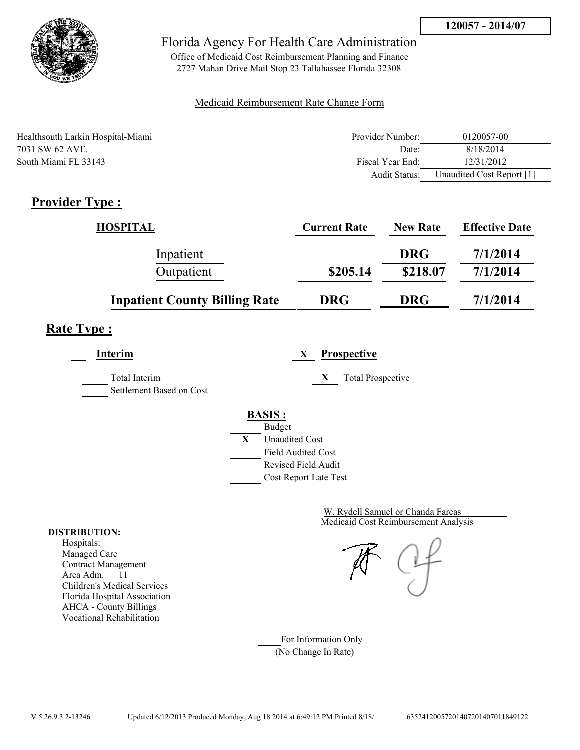

Office of Medicaid Cost Reimbursement Planning and Finance 2727 Mahan Drive Mail Stop 23 Tallahassee Florida 32308

### Medicaid Reimbursement Rate Change Form

| Healthsouth Larkin Hospital-Miami | Provider Number: | 0120057-00                |
|-----------------------------------|------------------|---------------------------|
| 7031 SW 62 AVE.                   | Date:            | 8/18/2014                 |
| South Miami FL 33143              | Fiscal Year End: | 12/31/2012                |
|                                   | Audit Status:    | Unaudited Cost Report [1] |

# **Provider Type :**

| <b>HOSPITAL</b>                      | <b>Current Rate</b> | <b>New Rate</b> | <b>Effective Date</b> |
|--------------------------------------|---------------------|-----------------|-----------------------|
| Inpatient                            |                     | <b>DRG</b>      | 7/1/2014              |
| Outpatient                           | \$205.14            | \$218.07        | 7/1/2014              |
| <b>Inpatient County Billing Rate</b> | <b>DRG</b>          | <b>DRG</b>      | 7/1/2014              |

# **Rate Type :**

**Interim X Prospective**

Total Interim **X** Total Prospective Settlement Based on Cost

> **BASIS :** Budget



Medicaid Cost Reimbursement Analysis W. Rydell Samuel or Chanda Farcas

For Information Only (No Change In Rate)

#### **DISTRIBUTION:**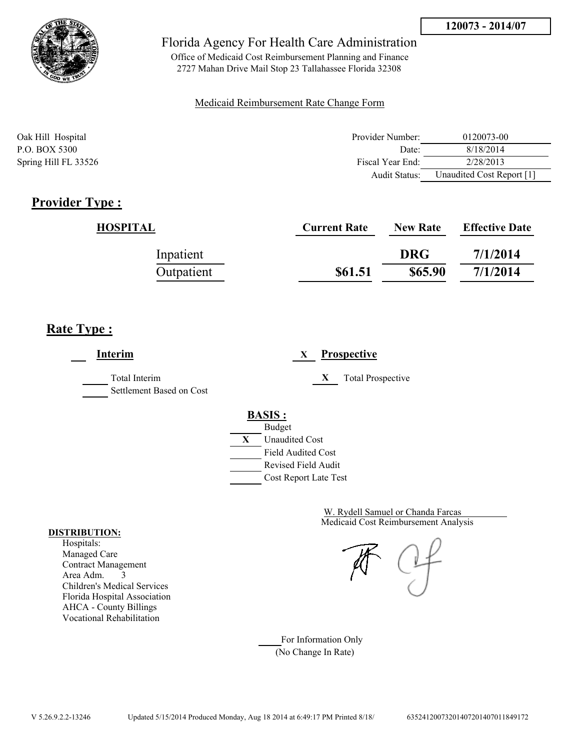

Office of Medicaid Cost Reimbursement Planning and Finance 2727 Mahan Drive Mail Stop 23 Tallahassee Florida 32308

### Medicaid Reimbursement Rate Change Form

| Oak Hill Hospital    | Provider Number:     | 0120073-00                |
|----------------------|----------------------|---------------------------|
| P.O. BOX 5300        | Date:                | 8/18/2014                 |
| Spring Hill FL 33526 | Fiscal Year End:     | 2/28/2013                 |
|                      | <b>Audit Status:</b> | Unaudited Cost Report [1] |

## **Provider Type :**

| HOSPITAL   | <b>Current Rate</b> | <b>New Rate</b> | <b>Effective Date</b> |
|------------|---------------------|-----------------|-----------------------|
| Inpatient  |                     | <b>DRG</b>      | 7/1/2014              |
| Outpatient | \$61.51             | \$65.90         | 7/1/2014              |

## **Rate Type :**

**Interim X Prospective** Total Interim **X** Total Prospective Settlement Based on Cost **BASIS :** Budget **X** Unaudited Cost Field Audited Cost Revised Field Audit Cost Report Late Test

> Medicaid Cost Reimbursement Analysis W. Rydell Samuel or Chanda Farcas

For Information Only (No Change In Rate)

#### **DISTRIBUTION:**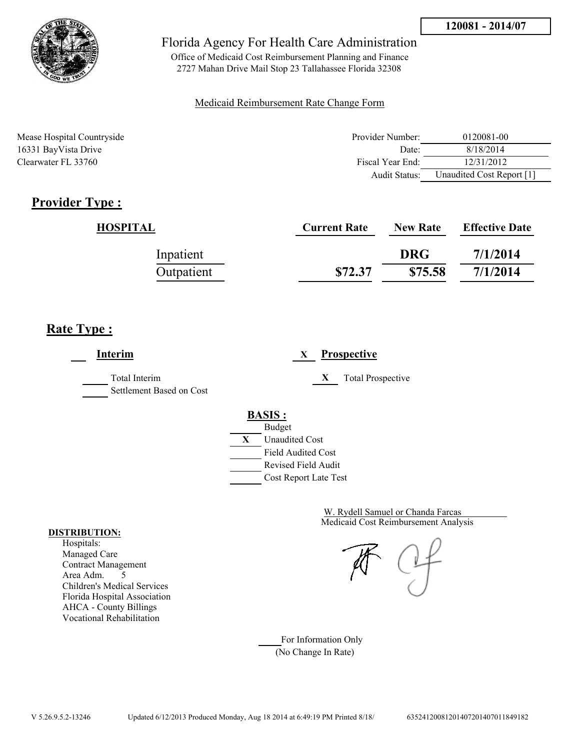

Office of Medicaid Cost Reimbursement Planning and Finance 2727 Mahan Drive Mail Stop 23 Tallahassee Florida 32308

### Medicaid Reimbursement Rate Change Form

| Mease Hospital Countryside | Provider Number: | 0120081-00                |
|----------------------------|------------------|---------------------------|
| 16331 BayVista Drive       | Date:            | 8/18/2014                 |
| Clearwater FL 33760        | Fiscal Year End: | 12/31/2012                |
|                            | Audit Status:    | Unaudited Cost Report [1] |

## **Provider Type :**

| HOSPITAL   | <b>Current Rate</b> | <b>New Rate</b> | <b>Effective Date</b> |
|------------|---------------------|-----------------|-----------------------|
| Inpatient  |                     | <b>DRG</b>      | 7/1/2014              |
| Outpatient | \$72.37             | \$75.58         | 7/1/2014              |

## **Rate Type :**

**Interim X Prospective** Total Interim **X** Total Prospective Settlement Based on Cost **BASIS :** Budget **X** Unaudited Cost Field Audited Cost Revised Field Audit Cost Report Late Test

> Medicaid Cost Reimbursement Analysis W. Rydell Samuel or Chanda Farcas

For Information Only (No Change In Rate)

#### **DISTRIBUTION:**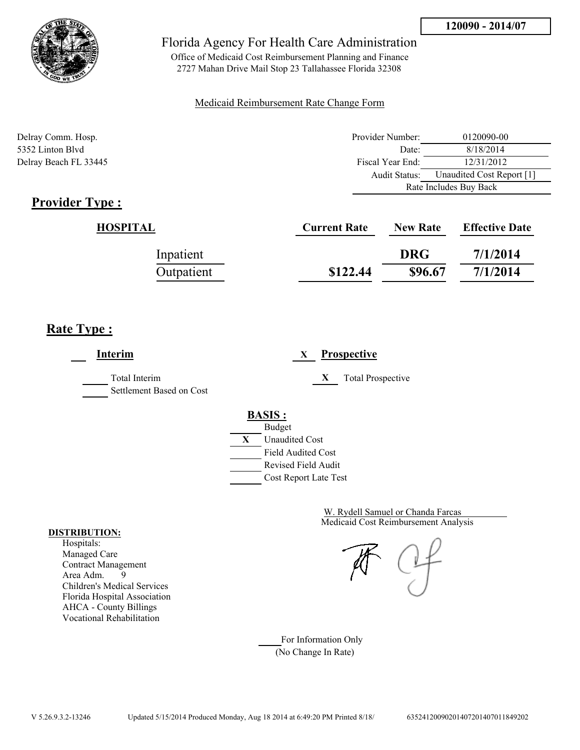

Office of Medicaid Cost Reimbursement Planning and Finance 2727 Mahan Drive Mail Stop 23 Tallahassee Florida 32308

### Medicaid Reimbursement Rate Change Form

| Delray Comm. Hosp.    | Provider Number: | 0120090-00                |  |
|-----------------------|------------------|---------------------------|--|
| 5352 Linton Blyd      | Date:            | 8/18/2014                 |  |
| Delray Beach FL 33445 | Fiscal Year End: | 12/31/2012                |  |
|                       | Audit Status:    | Unaudited Cost Report [1] |  |
|                       |                  | Rate Includes Buy Back    |  |

## **Provider Type :**

| HOSPITAL   | <b>Current Rate</b> | <b>New Rate</b> | <b>Effective Date</b> |
|------------|---------------------|-----------------|-----------------------|
| Inpatient  |                     | <b>DRG</b>      | 7/1/2014              |
| Outpatient | \$122.44            | \$96.67         | 7/1/2014              |

## **Rate Type :**

**Interim X Prospective** Total Interim **X** Total Prospective Settlement Based on Cost **BASIS :** Budget **X** Unaudited Cost Field Audited Cost Revised Field Audit Cost Report Late Test

> Medicaid Cost Reimbursement Analysis W. Rydell Samuel or Chanda Farcas

For Information Only (No Change In Rate)

#### **DISTRIBUTION:**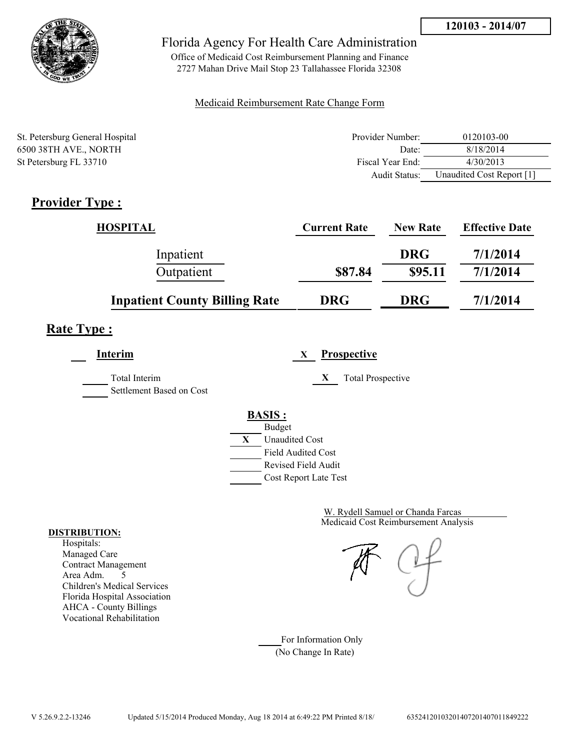

Office of Medicaid Cost Reimbursement Planning and Finance 2727 Mahan Drive Mail Stop 23 Tallahassee Florida 32308

### Medicaid Reimbursement Rate Change Form

| St. Petersburg General Hospital | Provider Number: | 0120103-00                |
|---------------------------------|------------------|---------------------------|
| 6500 38TH AVE., NORTH           | Date:            | 8/18/2014                 |
| St Petersburg FL 33710          | Fiscal Year End: | 4/30/2013                 |
|                                 | Audit Status:    | Unaudited Cost Report [1] |

# **Provider Type :**

| <b>HOSPITAL</b>                      | <b>Current Rate</b> | <b>New Rate</b> | <b>Effective Date</b> |
|--------------------------------------|---------------------|-----------------|-----------------------|
| Inpatient                            |                     | <b>DRG</b>      | 7/1/2014              |
| Outpatient                           | \$87.84             | \$95.11         | 7/1/2014              |
| <b>Inpatient County Billing Rate</b> | <b>DRG</b>          | <b>DRG</b>      | 7/1/2014              |

# **Rate Type :**

**Interim X Prospective**

Total Interim **X** Total Prospective Settlement Based on Cost

**BASIS :**



Medicaid Cost Reimbursement Analysis W. Rydell Samuel or Chanda Farcas

For Information Only (No Change In Rate)

#### **DISTRIBUTION:**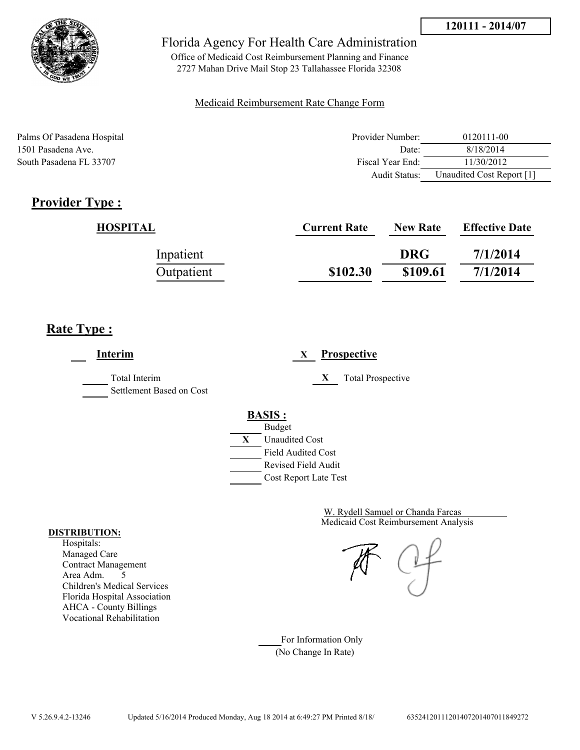

Office of Medicaid Cost Reimbursement Planning and Finance 2727 Mahan Drive Mail Stop 23 Tallahassee Florida 32308

### Medicaid Reimbursement Rate Change Form

Palms Of Pasadena Hospital **Provider Number:** 0120111-00 1501 Pasadena Ave. Date: 8/18/2014 South Pasadena FL 33707 Fiscal Year End: 11/30/2012 Audit Status: Unaudited Cost Report [1]

# **Provider Type :**

| HOSPITAL   | <b>Current Rate</b> | <b>New Rate</b> | <b>Effective Date</b> |
|------------|---------------------|-----------------|-----------------------|
| Inpatient  |                     | <b>DRG</b>      | 7/1/2014              |
| Outpatient | \$102.30            | \$109.61        | 7/1/2014              |

# **Rate Type :**

**Interim X Prospective** Total Interim **X** Total Prospective Settlement Based on Cost **BASIS :** Budget **X** Unaudited Cost Field Audited Cost Revised Field Audit Cost Report Late Test

> Medicaid Cost Reimbursement Analysis W. Rydell Samuel or Chanda Farcas

For Information Only (No Change In Rate)

#### **DISTRIBUTION:**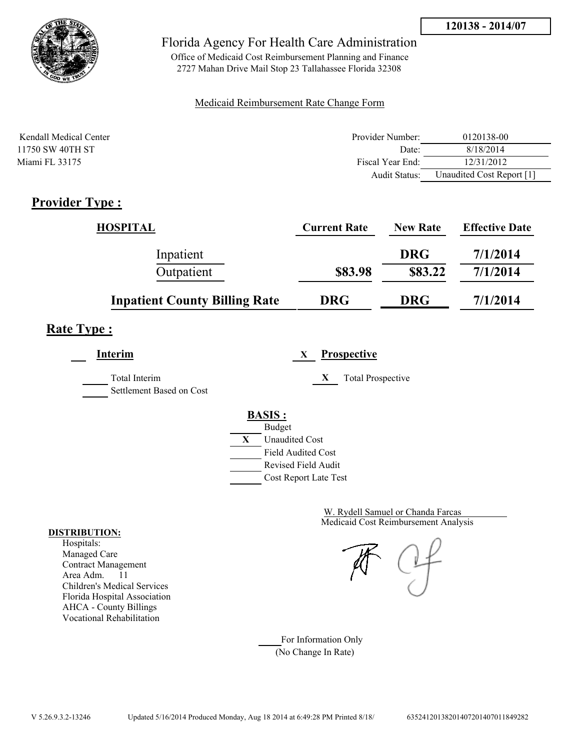

Office of Medicaid Cost Reimbursement Planning and Finance 2727 Mahan Drive Mail Stop 23 Tallahassee Florida 32308

### Medicaid Reimbursement Rate Change Form

| Kendall Medical Center | Provider Number: | 0120138-00                |
|------------------------|------------------|---------------------------|
| 11750 SW 40TH ST       | Date:            | 8/18/2014                 |
| Miami FL 33175         | Fiscal Year End: | 12/31/2012                |
|                        | Audit Status:    | Unaudited Cost Report [1] |

## **Provider Type :**

| <b>HOSPITAL</b>                      | <b>Current Rate</b> | <b>New Rate</b> | <b>Effective Date</b> |
|--------------------------------------|---------------------|-----------------|-----------------------|
| Inpatient                            |                     | <b>DRG</b>      | 7/1/2014              |
| Outpatient                           | \$83.98             | \$83.22         | 7/1/2014              |
| <b>Inpatient County Billing Rate</b> | <b>DRG</b>          | <b>DRG</b>      | 7/1/2014              |

## **Rate Type :**

**Interim X Prospective**

Total Interim **X** Total Prospective Settlement Based on Cost

**BASIS :**



Medicaid Cost Reimbursement Analysis W. Rydell Samuel or Chanda Farcas

For Information Only (No Change In Rate)

#### **DISTRIBUTION:**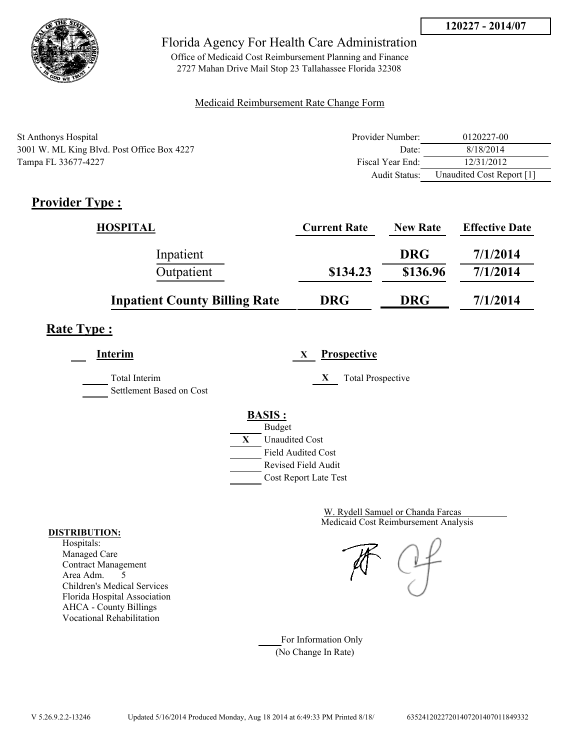

Office of Medicaid Cost Reimbursement Planning and Finance 2727 Mahan Drive Mail Stop 23 Tallahassee Florida 32308

### Medicaid Reimbursement Rate Change Form

| <b>St Anthonys Hospital</b>                | Provider Number: | 0120227-00                |
|--------------------------------------------|------------------|---------------------------|
| 3001 W. ML King Blvd. Post Office Box 4227 | Date:            | 8/18/2014                 |
| Tampa FL 33677-4227                        | Fiscal Year End: | 12/31/2012                |
|                                            | Audit Status:    | Unaudited Cost Report [1] |

# **Provider Type :**

| <b>HOSPITAL</b>                      | <b>Current Rate</b> | <b>New Rate</b> | <b>Effective Date</b> |
|--------------------------------------|---------------------|-----------------|-----------------------|
| Inpatient                            |                     | <b>DRG</b>      | 7/1/2014              |
| Outpatient                           | \$134.23            | \$136.96        | 7/1/2014              |
| <b>Inpatient County Billing Rate</b> | <b>DRG</b>          | <b>DRG</b>      | 7/1/2014              |

# **Rate Type :**

**Interim X Prospective** Total Interim **X** Total Prospective Settlement Based on Cost **BASIS :**



Medicaid Cost Reimbursement Analysis W. Rydell Samuel or Chanda Farcas

For Information Only (No Change In Rate)

#### **DISTRIBUTION:**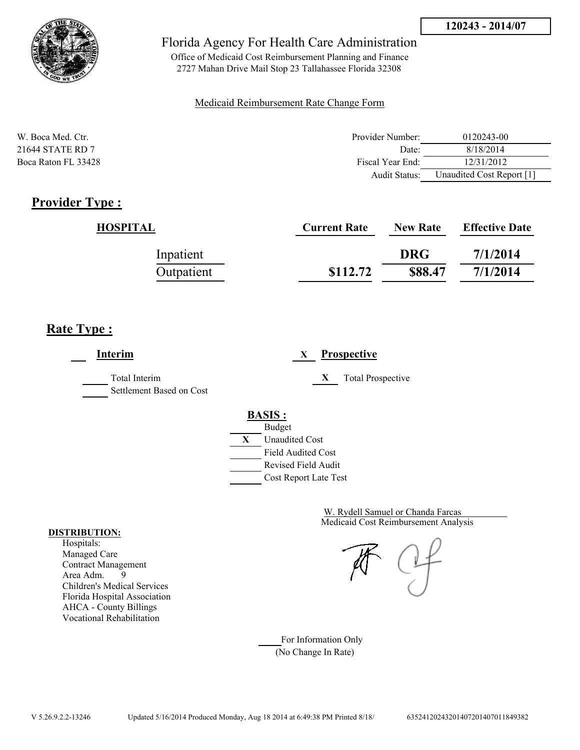

Office of Medicaid Cost Reimbursement Planning and Finance 2727 Mahan Drive Mail Stop 23 Tallahassee Florida 32308

### Medicaid Reimbursement Rate Change Form

| W. Boca Med. Ctr.   | Provider Number: | 0120243-00                |
|---------------------|------------------|---------------------------|
| 21644 STATE RD 7    | Date:            | 8/18/2014                 |
| Boca Raton FL 33428 | Fiscal Year End: | 12/31/2012                |
|                     | Audit Status:    | Unaudited Cost Report [1] |

## **Provider Type :**

| HOSPITAL   | <b>Current Rate</b> | <b>New Rate</b> | <b>Effective Date</b> |
|------------|---------------------|-----------------|-----------------------|
| Inpatient  |                     | <b>DRG</b>      | 7/1/2014              |
| Outpatient | \$112.72            | \$88.47         | 7/1/2014              |

## **Rate Type :**

**Interim X Prospective** Total Interim **X** Total Prospective Settlement Based on Cost **BASIS :** Budget **X** Unaudited Cost Field Audited Cost Revised Field Audit Cost Report Late Test

> Medicaid Cost Reimbursement Analysis W. Rydell Samuel or Chanda Farcas

For Information Only (No Change In Rate)

#### **DISTRIBUTION:**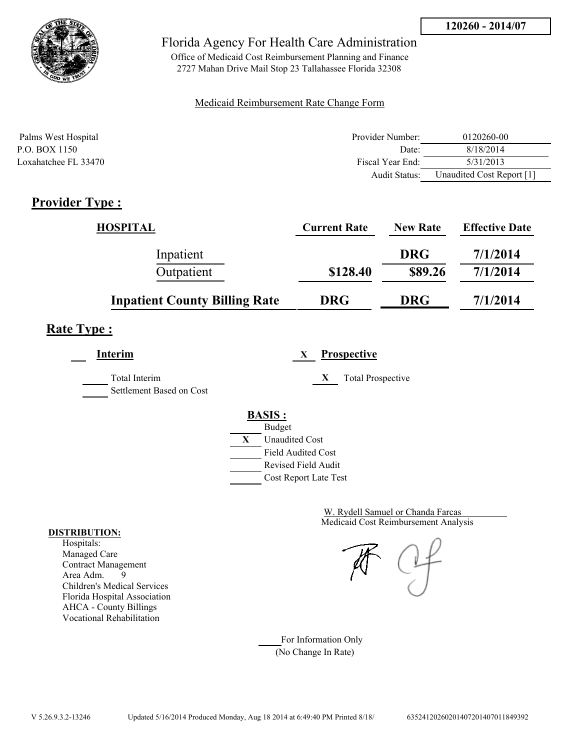



Office of Medicaid Cost Reimbursement Planning and Finance 2727 Mahan Drive Mail Stop 23 Tallahassee Florida 32308

### Medicaid Reimbursement Rate Change Form

| Palms West Hospital  | Provider Number:     | 0120260-00                |
|----------------------|----------------------|---------------------------|
| P.O. BOX 1150        | Date:                | 8/18/2014                 |
| Loxahatchee FL 33470 | Fiscal Year End:     | 5/31/2013                 |
|                      | <b>Audit Status:</b> | Unaudited Cost Report [1] |

# **Provider Type :**

| <b>HOSPITAL</b>                      | <b>Current Rate</b> | <b>New Rate</b> | <b>Effective Date</b> |
|--------------------------------------|---------------------|-----------------|-----------------------|
| Inpatient                            |                     | <b>DRG</b>      | 7/1/2014              |
| Outpatient                           | \$128.40            | \$89.26         | 7/1/2014              |
| <b>Inpatient County Billing Rate</b> | <b>DRG</b>          | <b>DRG</b>      | 7/1/2014              |

## **Rate Type :**

**Interim X Prospective**

Total Interim **X** Total Prospective

Settlement Based on Cost

# **BASIS :**



Medicaid Cost Reimbursement Analysis W. Rydell Samuel or Chanda Farcas

For Information Only (No Change In Rate)

#### **DISTRIBUTION:**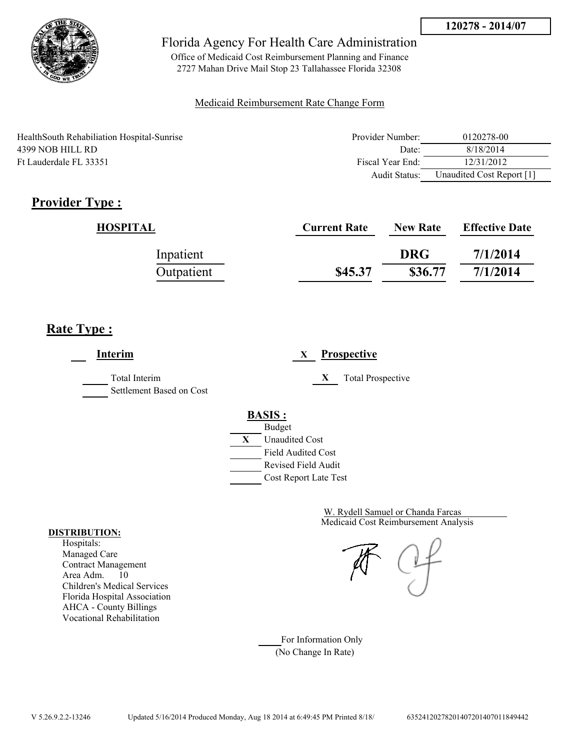

Office of Medicaid Cost Reimbursement Planning and Finance 2727 Mahan Drive Mail Stop 23 Tallahassee Florida 32308

### Medicaid Reimbursement Rate Change Form

| HealthSouth Rehabiliation Hospital-Sunrise | Provider Number: | 0120278-00                |
|--------------------------------------------|------------------|---------------------------|
| 4399 NOB HILL RD                           | Date:            | 8/18/2014                 |
| Ft Lauderdale FL 33351                     | Fiscal Year End: | 12/31/2012                |
|                                            | Audit Status:    | Unaudited Cost Report [1] |

# **Provider Type :**

| HOSPITAL   | <b>Current Rate</b> | <b>New Rate</b> | <b>Effective Date</b> |
|------------|---------------------|-----------------|-----------------------|
| Inpatient  |                     | <b>DRG</b>      | 7/1/2014              |
| Outpatient | \$45.37             | \$36.77         | 7/1/2014              |

## **Rate Type :**

**Interim X Prospective** Total Interim **X** Total Prospective Settlement Based on Cost **BASIS :** Budget **X** Unaudited Cost Field Audited Cost Revised Field Audit Cost Report Late Test

> Medicaid Cost Reimbursement Analysis W. Rydell Samuel or Chanda Farcas

For Information Only (No Change In Rate)

#### **DISTRIBUTION:**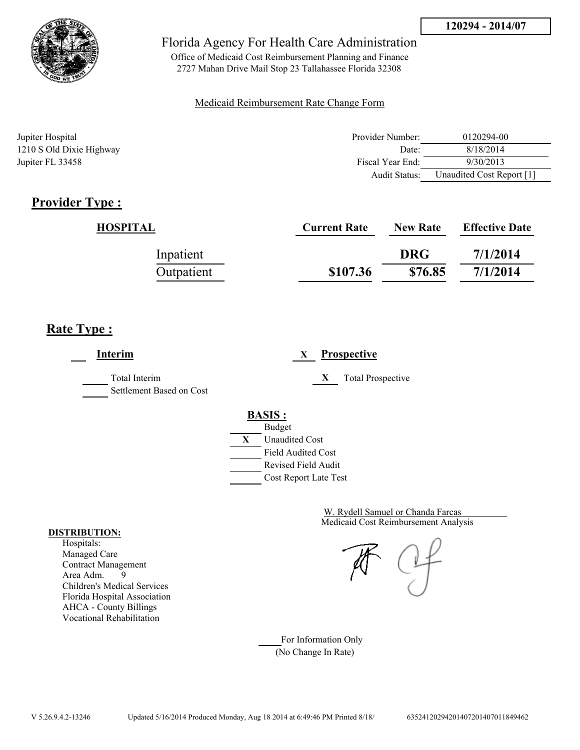

Office of Medicaid Cost Reimbursement Planning and Finance 2727 Mahan Drive Mail Stop 23 Tallahassee Florida 32308

### Medicaid Reimbursement Rate Change Form

| Jupiter Hospital         | Provider Number: | 0120294-00                |
|--------------------------|------------------|---------------------------|
| 1210 S Old Dixie Highway | Date:            | 8/18/2014                 |
| Jupiter FL 33458         | Fiscal Year End: | 9/30/2013                 |
|                          | Audit Status:    | Unaudited Cost Report [1] |

## **Provider Type :**

| <b>HOSPITAL</b> | <b>Current Rate</b> | <b>New Rate</b> | <b>Effective Date</b> |
|-----------------|---------------------|-----------------|-----------------------|
| Inpatient       |                     | <b>DRG</b>      | 7/1/2014              |
| Outpatient      | \$107.36            | \$76.85         | 7/1/2014              |

## **Rate Type :**

**Interim X Prospective** Total Interim **X** Total Prospective Settlement Based on Cost **BASIS :** Budget **X** Unaudited Cost Field Audited Cost Revised Field Audit Cost Report Late Test

> Medicaid Cost Reimbursement Analysis W. Rydell Samuel or Chanda Farcas

For Information Only (No Change In Rate)

#### **DISTRIBUTION:**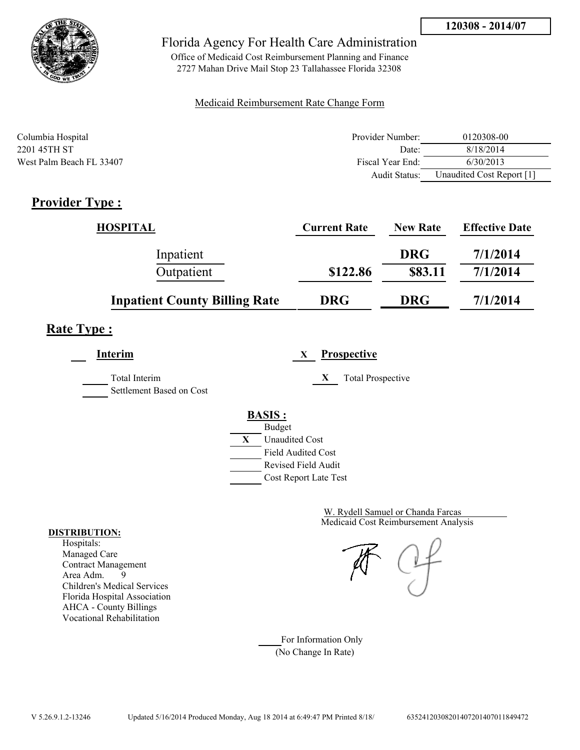

Office of Medicaid Cost Reimbursement Planning and Finance 2727 Mahan Drive Mail Stop 23 Tallahassee Florida 32308

#### Medicaid Reimbursement Rate Change Form

| Columbia Hospital        | Provider Number:     | 0120308-00                |
|--------------------------|----------------------|---------------------------|
| 2201 45TH ST             | Date:                | 8/18/2014                 |
| West Palm Beach FL 33407 | Fiscal Year End:     | 6/30/2013                 |
|                          | <b>Audit Status:</b> | Unaudited Cost Report [1] |

## **Provider Type :**

| <b>HOSPITAL</b>                      | <b>Current Rate</b> | <b>New Rate</b> | <b>Effective Date</b> |
|--------------------------------------|---------------------|-----------------|-----------------------|
| Inpatient                            |                     | <b>DRG</b>      | 7/1/2014              |
| Outpatient                           | \$122.86            | \$83.11         | 7/1/2014              |
| <b>Inpatient County Billing Rate</b> | <b>DRG</b>          | <b>DRG</b>      | 7/1/2014              |

## **Rate Type :**

**Interim X Prospective**

Total Interim **X** Total Prospective Settlement Based on Cost

> **BASIS :** Budget **X** Unaudited Cost Field Audited Cost

Revised Field Audit

Cost Report Late Test

Medicaid Cost Reimbursement Analysis W. Rydell Samuel or Chanda Farcas

For Information Only (No Change In Rate)

#### **DISTRIBUTION:**

Hospitals: Managed Care Contract Management Area Adm. 9 Children's Medical Services Florida Hospital Association AHCA - County Billings Vocational Rehabilitation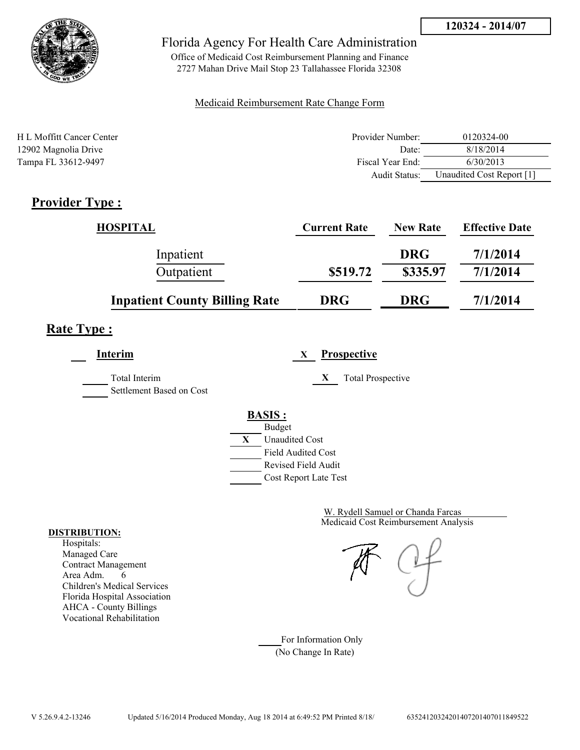



Office of Medicaid Cost Reimbursement Planning and Finance 2727 Mahan Drive Mail Stop 23 Tallahassee Florida 32308

#### Medicaid Reimbursement Rate Change Form

| H L Moffitt Cancer Center | Provider Number: | 0120324-00                |
|---------------------------|------------------|---------------------------|
| 12902 Magnolia Drive      | Date:            | 8/18/2014                 |
| Tampa FL 33612-9497       | Fiscal Year End: | 6/30/2013                 |
|                           | Audit Status:    | Unaudited Cost Report [1] |

### **Provider Type :**

| <b>HOSPITAL</b>                      | <b>Current Rate</b> | <b>New Rate</b> | <b>Effective Date</b> |
|--------------------------------------|---------------------|-----------------|-----------------------|
| Inpatient                            |                     | <b>DRG</b>      | 7/1/2014              |
| Outpatient                           | \$519.72            | \$335.97        | 7/1/2014              |
| <b>Inpatient County Billing Rate</b> | <b>DRG</b>          | <b>DRG</b>      | 7/1/2014              |

## **Rate Type :**

**Interim X Prospective**

Total Interim **X** Total Prospective

Settlement Based on Cost

# **BASIS :**



Medicaid Cost Reimbursement Analysis W. Rydell Samuel or Chanda Farcas

For Information Only (No Change In Rate)

#### **DISTRIBUTION:**

Hospitals: Managed Care Contract Management Area Adm. 6 Children's Medical Services Florida Hospital Association AHCA - County Billings Vocational Rehabilitation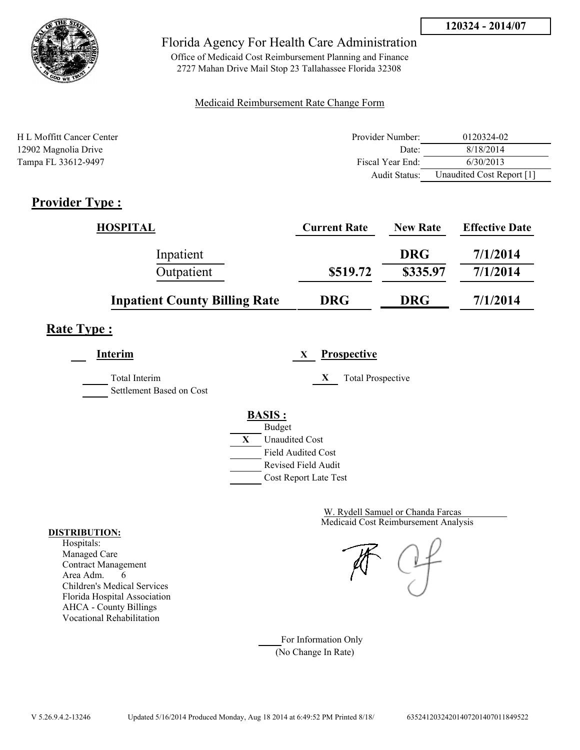



Office of Medicaid Cost Reimbursement Planning and Finance 2727 Mahan Drive Mail Stop 23 Tallahassee Florida 32308

#### Medicaid Reimbursement Rate Change Form

| H L Moffitt Cancer Center | Provider Number: | 0120324-02                |
|---------------------------|------------------|---------------------------|
| 12902 Magnolia Drive      | Date:            | 8/18/2014                 |
| Tampa FL 33612-9497       | Fiscal Year End: | 6/30/2013                 |
|                           | Audit Status:    | Unaudited Cost Report [1] |

## **Provider Type :**

| <b>HOSPITAL</b>                      | <b>Current Rate</b> | <b>New Rate</b> | <b>Effective Date</b> |
|--------------------------------------|---------------------|-----------------|-----------------------|
| Inpatient                            |                     | <b>DRG</b>      | 7/1/2014              |
| Outpatient                           | \$519.72            | \$335.97        | 7/1/2014              |
| <b>Inpatient County Billing Rate</b> | <b>DRG</b>          | <b>DRG</b>      | 7/1/2014              |

## **Rate Type :**

**Interim X Prospective**

Total Interim **X** Total Prospective Settlement Based on Cost



Medicaid Cost Reimbursement Analysis W. Rydell Samuel or Chanda Farcas

For Information Only (No Change In Rate)

#### **DISTRIBUTION:**

Hospitals: Managed Care Contract Management Area Adm. 6 Children's Medical Services Florida Hospital Association AHCA - County Billings Vocational Rehabilitation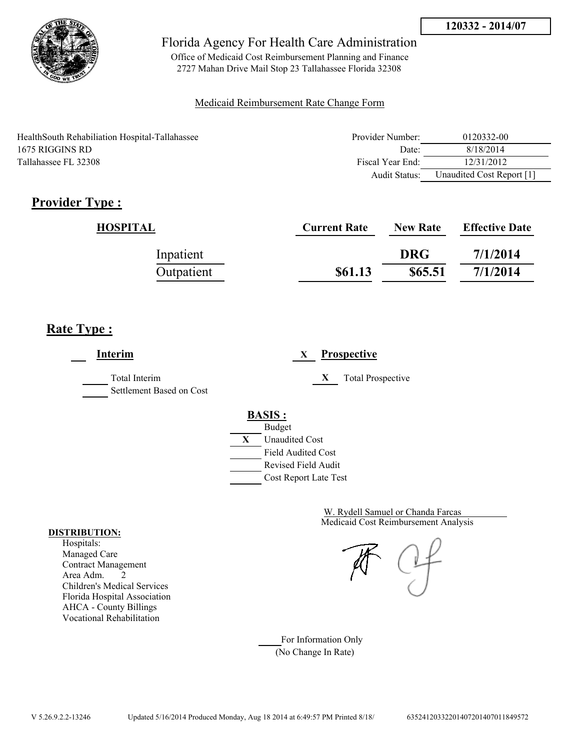

Office of Medicaid Cost Reimbursement Planning and Finance 2727 Mahan Drive Mail Stop 23 Tallahassee Florida 32308

#### Medicaid Reimbursement Rate Change Form

HealthSouth Rehabiliation Hospital-Tallahassee 1675 RIGGINS RD Tallahassee FL 32308

| Provider Number: | 0120332-00                |
|------------------|---------------------------|
| Date             | 8/18/2014                 |
| Fiscal Year End: | 12/31/2012                |
| Audit Status:    | Unaudited Cost Report [1] |

# **Provider Type :**

| HOSPITAL   | <b>Current Rate</b> | <b>New Rate</b> | <b>Effective Date</b> |
|------------|---------------------|-----------------|-----------------------|
| Inpatient  |                     | <b>DRG</b>      | 7/1/2014              |
| Outpatient | \$61.13             | \$65.51         | 7/1/2014              |

## **Rate Type :**

**Interim X Prospective** Total Interim **X** Total Prospective Settlement Based on Cost **BASIS :** Budget **X** Unaudited Cost Field Audited Cost Revised Field Audit Cost Report Late Test

> Medicaid Cost Reimbursement Analysis W. Rydell Samuel or Chanda Farcas

For Information Only (No Change In Rate)

#### **DISTRIBUTION:**

Hospitals: Managed Care Contract Management Area Adm. 2 Children's Medical Services Florida Hospital Association AHCA - County Billings Vocational Rehabilitation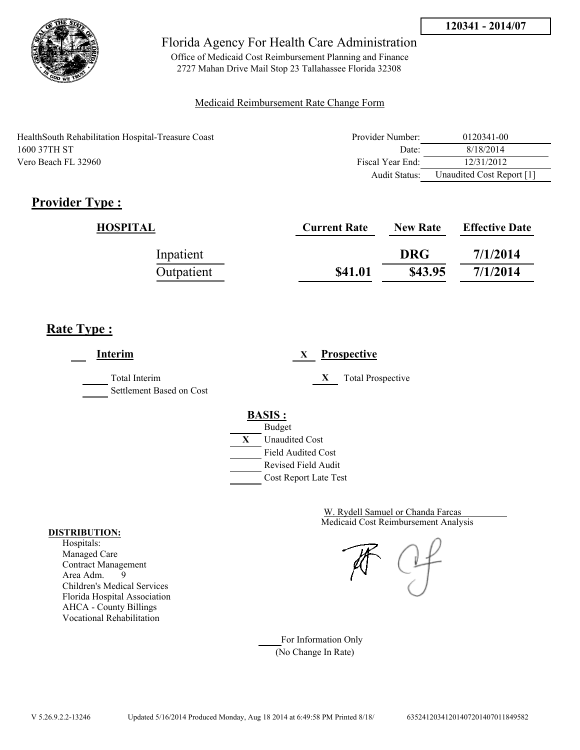

Office of Medicaid Cost Reimbursement Planning and Finance 2727 Mahan Drive Mail Stop 23 Tallahassee Florida 32308

#### Medicaid Reimbursement Rate Change Form

| HealthSouth Rehabilitation Hospital-Treasure Coast | Provider Number: | 0120341-00                |
|----------------------------------------------------|------------------|---------------------------|
| 1600 37TH ST                                       | Date:            | 8/18/2014                 |
| Vero Beach FL 32960                                | Fiscal Year End: | 12/31/2012                |
|                                                    | Audit Status:    | Unaudited Cost Report [1] |

# **Provider Type :**

| HOSPITAL   | <b>Current Rate</b> | <b>New Rate</b> | <b>Effective Date</b> |
|------------|---------------------|-----------------|-----------------------|
| Inpatient  |                     | <b>DRG</b>      | 7/1/2014              |
| Outpatient | \$41.01             | \$43.95         | 7/1/2014              |

## **Rate Type :**

**Interim X Prospective** Total Interim **X** Total Prospective Settlement Based on Cost **BASIS :** Budget **X** Unaudited Cost Field Audited Cost Revised Field Audit Cost Report Late Test

> Medicaid Cost Reimbursement Analysis W. Rydell Samuel or Chanda Farcas

For Information Only (No Change In Rate)

#### **DISTRIBUTION:**

Hospitals: Managed Care Contract Management Area Adm. 9 Children's Medical Services Florida Hospital Association AHCA - County Billings Vocational Rehabilitation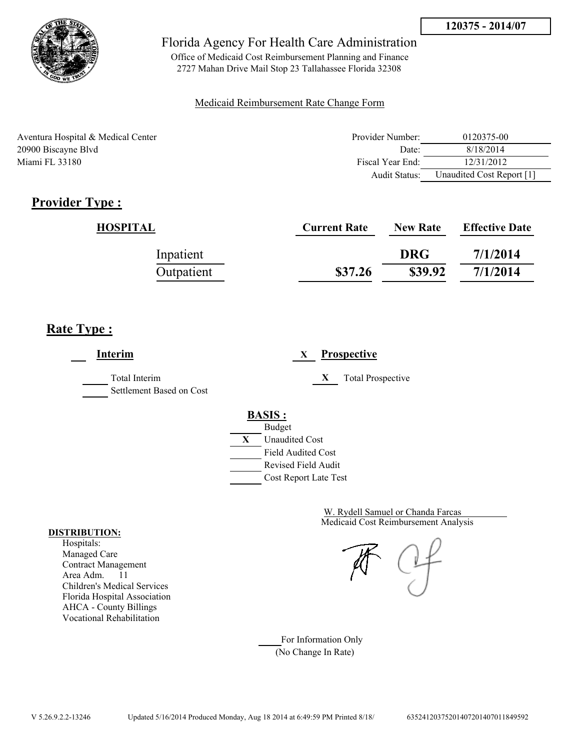

Office of Medicaid Cost Reimbursement Planning and Finance 2727 Mahan Drive Mail Stop 23 Tallahassee Florida 32308

#### Medicaid Reimbursement Rate Change Form

| Aventura Hospital & Medical Center | Provider Number: | 0120375-00                |
|------------------------------------|------------------|---------------------------|
| 20900 Biscayne Blvd                | Date:            | 8/18/2014                 |
| Miami FL 33180                     | Fiscal Year End: | 12/31/2012                |
|                                    | Audit Status:    | Unaudited Cost Report [1] |

# **Provider Type :**

| HOSPITAL   | <b>Current Rate</b> | <b>New Rate</b> | <b>Effective Date</b> |
|------------|---------------------|-----------------|-----------------------|
| Inpatient  |                     | <b>DRG</b>      | 7/1/2014              |
| Outpatient | \$37.26             | \$39.92         | 7/1/2014              |

## **Rate Type :**

**Interim X Prospective** Total Interim **X** Total Prospective Settlement Based on Cost **BASIS :** Budget **X** Unaudited Cost Field Audited Cost Revised Field Audit Cost Report Late Test

> Medicaid Cost Reimbursement Analysis W. Rydell Samuel or Chanda Farcas

For Information Only (No Change In Rate)

#### **DISTRIBUTION:**

Hospitals: Managed Care Contract Management Area Adm. 11 Children's Medical Services Florida Hospital Association AHCA - County Billings Vocational Rehabilitation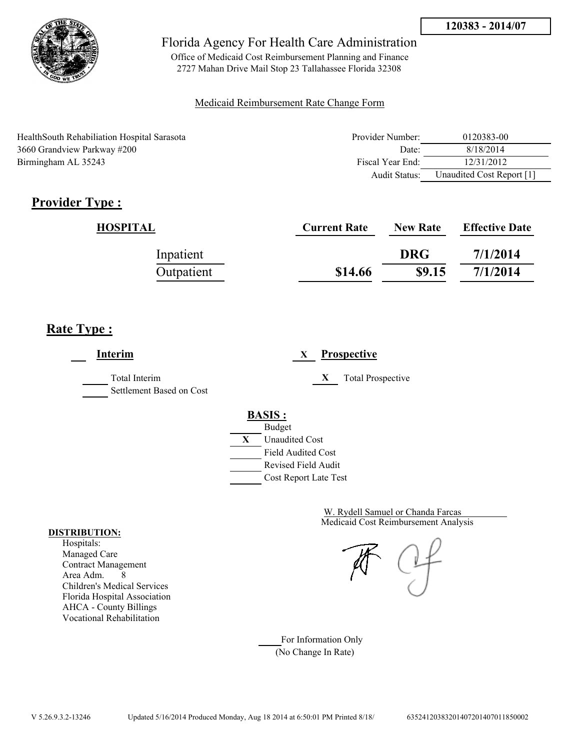

Office of Medicaid Cost Reimbursement Planning and Finance 2727 Mahan Drive Mail Stop 23 Tallahassee Florida 32308

#### Medicaid Reimbursement Rate Change Form

| Health South Rehabiliation Hospital Sarasota | Provider Number: | 0120383-00                |
|----------------------------------------------|------------------|---------------------------|
| 3660 Grandview Parkway #200                  | Date:            | 8/18/2014                 |
| Birmingham AL 35243                          | Fiscal Year End: | 12/31/2012                |
|                                              | Audit Status:    | Unaudited Cost Report [1] |

# **Provider Type :**

| HOSPITAL   | <b>Current Rate</b> | <b>New Rate</b> | <b>Effective Date</b> |
|------------|---------------------|-----------------|-----------------------|
| Inpatient  |                     | <b>DRG</b>      | 7/1/2014              |
| Outpatient | \$14.66             | \$9.15          | 7/1/2014              |

# **Rate Type :**

| Interim                                   | <b>Prospective</b><br>X       |
|-------------------------------------------|-------------------------------|
| Total Interim<br>Settlement Based on Cost | X<br><b>Total Prospective</b> |
|                                           | <b>BASIS:</b>                 |
|                                           | <b>Budget</b>                 |
|                                           | X<br><b>Unaudited Cost</b>    |
|                                           | <b>Field Audited Cost</b>     |
|                                           | Revised Field Audit           |
|                                           | Cost Report Late Test         |

Medicaid Cost Reimbursement Analysis W. Rydell Samuel or Chanda Farcas

For Information Only (No Change In Rate)

#### **DISTRIBUTION:**

Hospitals: Managed Care Contract Management Area Adm. 8 Children's Medical Services Florida Hospital Association AHCA - County Billings Vocational Rehabilitation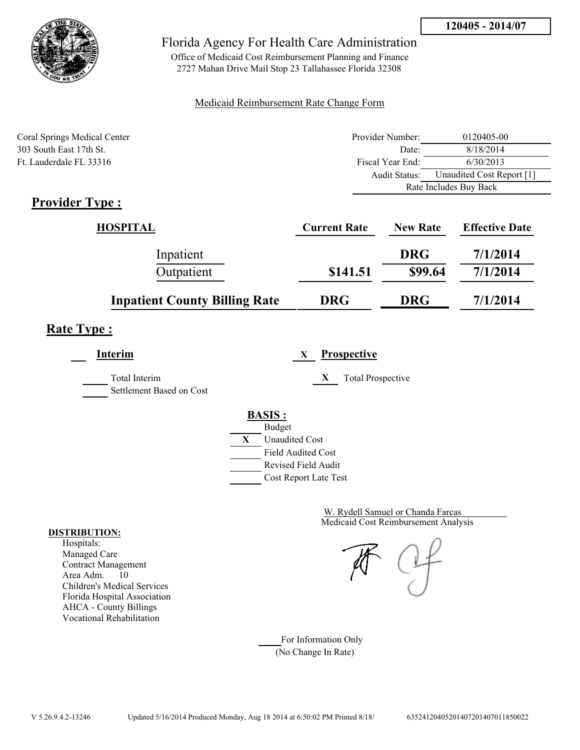



Office of Medicaid Cost Reimbursement Planning and Finance 2727 Mahan Drive Mail Stop 23 Tallahassee Florida 32308

#### Medicaid Reimbursement Rate Change Form

| Coral Springs Medical Center | Provider Number: | 0120405-00                |  |
|------------------------------|------------------|---------------------------|--|
| 303 South East 17th St.      | Date:            | 8/18/2014                 |  |
| Ft. Lauderdale FL 33316      | Fiscal Year End: | 6/30/2013                 |  |
|                              | Audit Status:    | Unaudited Cost Report [1] |  |
|                              |                  | Rate Includes Buy Back    |  |

## **Provider Type :**

| HOSPITAL                             | <b>Current Rate</b> | <b>New Rate</b> | <b>Effective Date</b> |
|--------------------------------------|---------------------|-----------------|-----------------------|
| Inpatient                            |                     | <b>DRG</b>      | 7/1/2014              |
| Outpatient                           | \$141.51            | \$99.64         | 7/1/2014              |
| <b>Inpatient County Billing Rate</b> | <b>DRG</b>          | <b>DRG</b>      | 7/1/2014              |

## **Rate Type :**

**Interim X Prospective**

Total Interim **X** Total Prospective

Settlement Based on Cost

# **BASIS :**



Medicaid Cost Reimbursement Analysis W. Rydell Samuel or Chanda Farcas

For Information Only (No Change In Rate)

#### **DISTRIBUTION:**

Hospitals: Managed Care Contract Management Area Adm. 10 Children's Medical Services Florida Hospital Association AHCA - County Billings Vocational Rehabilitation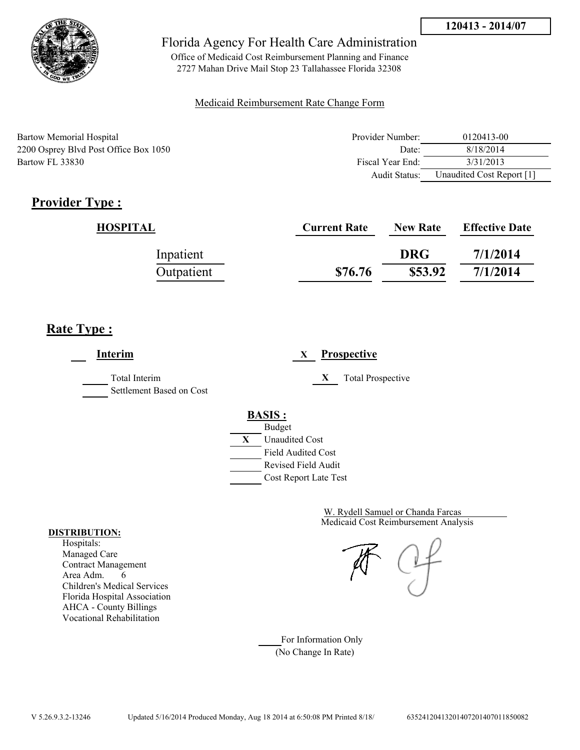

Office of Medicaid Cost Reimbursement Planning and Finance 2727 Mahan Drive Mail Stop 23 Tallahassee Florida 32308

#### Medicaid Reimbursement Rate Change Form

| Bartow Memorial Hospital              | Provider Number: | 0120413-00                |
|---------------------------------------|------------------|---------------------------|
| 2200 Osprey Blvd Post Office Box 1050 | Date:            | 8/18/2014                 |
| Bartow FL 33830                       | Fiscal Year End: | 3/31/2013                 |
|                                       | Audit Status:    | Unaudited Cost Report [1] |

# **Provider Type :**

| HOSPITAL   | <b>Current Rate</b> | <b>New Rate</b> | <b>Effective Date</b> |
|------------|---------------------|-----------------|-----------------------|
| Inpatient  |                     | <b>DRG</b>      | 7/1/2014              |
| Outpatient | \$76.76             | \$53.92         | 7/1/2014              |

# **Rate Type :**

**Interim X Prospective** Total Interim **X** Total Prospective Settlement Based on Cost **BASIS :** Budget **X** Unaudited Cost Field Audited Cost Revised Field Audit Cost Report Late Test

> Medicaid Cost Reimbursement Analysis W. Rydell Samuel or Chanda Farcas

For Information Only (No Change In Rate)

#### **DISTRIBUTION:**

Hospitals: Managed Care Contract Management Area Adm. 6 Children's Medical Services Florida Hospital Association AHCA - County Billings Vocational Rehabilitation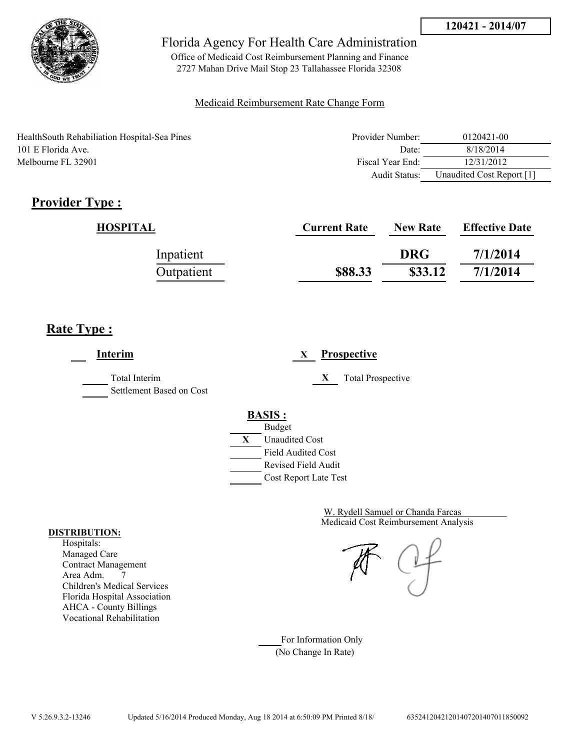

Office of Medicaid Cost Reimbursement Planning and Finance 2727 Mahan Drive Mail Stop 23 Tallahassee Florida 32308

#### Medicaid Reimbursement Rate Change Form

HealthSouth Rehabiliation Hospital-Sea Pines 101 E Florida Ave. Melbourne FL 32901

| Provider Number: | 0120421-00                |
|------------------|---------------------------|
| Date:            | 8/18/2014                 |
| Fiscal Year End: | 12/31/2012                |
| Audit Status:    | Unaudited Cost Report [1] |

# **Provider Type :**

| HOSPITAL   | <b>Current Rate</b> | <b>New Rate</b> | <b>Effective Date</b> |
|------------|---------------------|-----------------|-----------------------|
| Inpatient  |                     | <b>DRG</b>      | 7/1/2014              |
| Outpatient | \$88.33             | \$33.12         | 7/1/2014              |

# **Rate Type :**

**Interim X Prospective** Total Interim **X** Total Prospective Settlement Based on Cost **BASIS :** Budget **X** Unaudited Cost Field Audited Cost Revised Field Audit Cost Report Late Test

> Medicaid Cost Reimbursement Analysis W. Rydell Samuel or Chanda Farcas

For Information Only (No Change In Rate)

#### **DISTRIBUTION:**

Hospitals: Managed Care Contract Management Area Adm. 7 Children's Medical Services Florida Hospital Association AHCA - County Billings Vocational Rehabilitation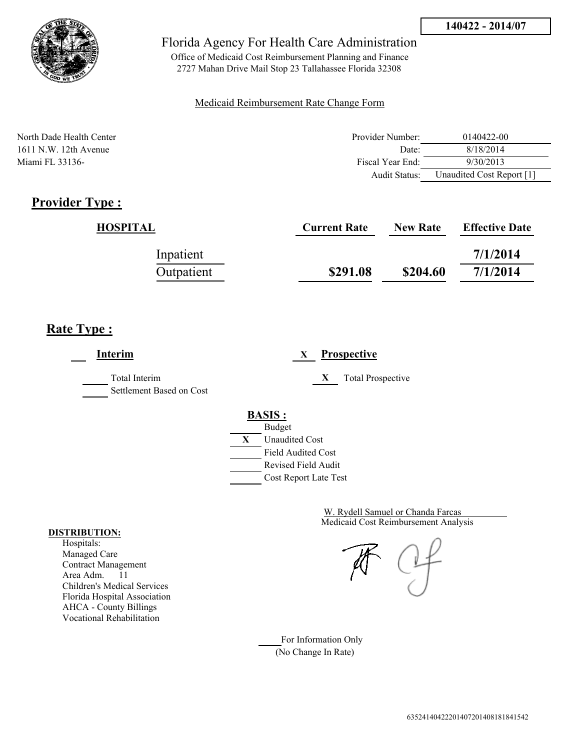

Office of Medicaid Cost Reimbursement Planning and Finance 2727 Mahan Drive Mail Stop 23 Tallahassee Florida 32308

#### Medicaid Reimbursement Rate Change Form

North Dade Health Center **Provider Number:** 0140422-00 1611 N.W. 12th Avenue 2018/2014 1611 N.W. 12th Avenue 2018/2014 Miami FL 33136- 9/30/2013<br>
Fiscal Year End: 9/30/2013 Audit Status: Unaudited Cost Report [1]

## **Provider Type :**

| HOSPITAL   | <b>Current Rate</b> | <b>New Rate</b> | <b>Effective Date</b> |
|------------|---------------------|-----------------|-----------------------|
| Inpatient  |                     |                 | 7/1/2014              |
| Outpatient | \$291.08            | \$204.60        | 7/1/2014              |

## **Rate Type :**

**Interim X Prospective** Total Interim **X** Total Prospective Settlement Based on Cost **BASIS :** Budget **X** Unaudited Cost Field Audited Cost Revised Field Audit Cost Report Late Test

> Medicaid Cost Reimbursement Analysis W. Rydell Samuel or Chanda Farcas

For Information Only (No Change In Rate)

#### **DISTRIBUTION:**

Hospitals: Managed Care Contract Management Area Adm. 11 Children's Medical Services Florida Hospital Association AHCA - County Billings Vocational Rehabilitation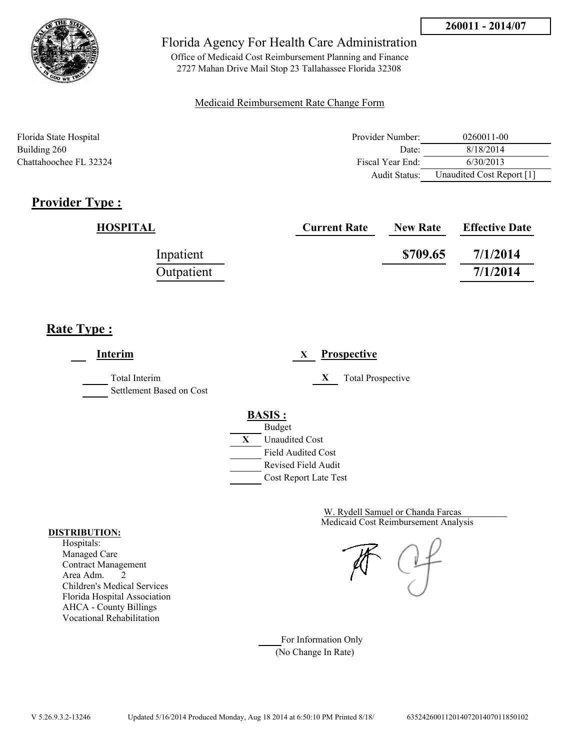

Office of Medicaid Cost Reimbursement Planning and Finance 2727 Mahan Drive Mail Stop 23 Tallahassee Florida 32308

#### Medicaid Reimbursement Rate Change Form

| Florida State Hospital | Provider Number: | 0260011-00                |
|------------------------|------------------|---------------------------|
| Building 260           | Date:            | 8/18/2014                 |
| Chattahoochee FL 32324 | Fiscal Year End: | 6/30/2013                 |
|                        | Audit Status:    | Unaudited Cost Report [1] |

# **Provider Type :**

| <b>HOSPITAL</b> | <b>Current Rate</b> | <b>New Rate</b> | <b>Effective Date</b> |
|-----------------|---------------------|-----------------|-----------------------|
| Inpatient       |                     | \$709.65        | 7/1/2014              |
| Outpatient      |                     |                 | 7/1/2014              |

## **Rate Type :**

**Interim X Prospective** Total Interim **X** Total Prospective Settlement Based on Cost **BASIS :** Budget **X** Unaudited Cost Field Audited Cost Revised Field Audit Cost Report Late Test

> Medicaid Cost Reimbursement Analysis W. Rydell Samuel or Chanda Farcas

For Information Only (No Change In Rate)

#### **DISTRIBUTION:**

Hospitals: Managed Care Contract Management Area Adm. 2 Children's Medical Services Florida Hospital Association AHCA - County Billings Vocational Rehabilitation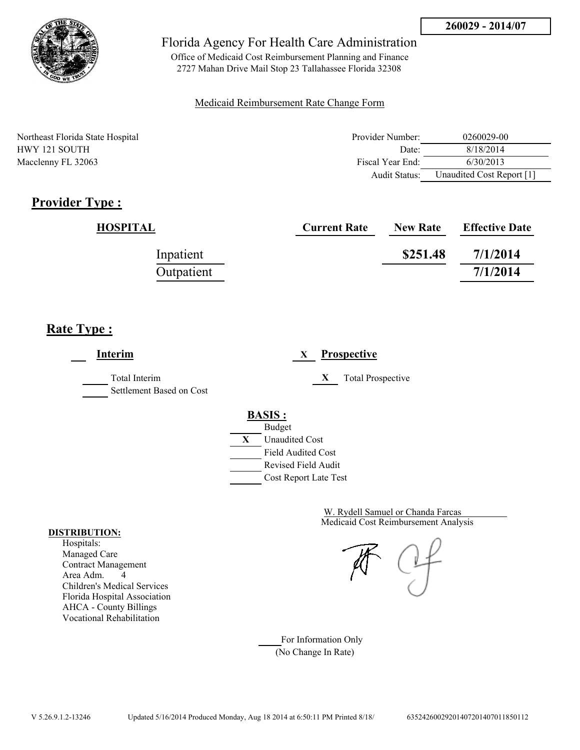

Office of Medicaid Cost Reimbursement Planning and Finance 2727 Mahan Drive Mail Stop 23 Tallahassee Florida 32308

#### Medicaid Reimbursement Rate Change Form

| Northeast Florida State Hospital | Provider Number:     | 0260029-00                |
|----------------------------------|----------------------|---------------------------|
| HWY 121 SOUTH                    | Date:                | 8/18/2014                 |
| Macclenny FL 32063               | Fiscal Year End:     | 6/30/2013                 |
|                                  | <b>Audit Status:</b> | Unaudited Cost Report [1] |

# **Provider Type :**

| <b>HOSPITAL</b> | <b>Current Rate</b> | <b>New Rate</b> | <b>Effective Date</b> |
|-----------------|---------------------|-----------------|-----------------------|
| Inpatient       |                     | \$251.48        | 7/1/2014              |
| Outpatient      |                     |                 | 7/1/2014              |

## **Rate Type :**

| Interim                                   | <b>Prospective</b><br>X                                                                                                                   |
|-------------------------------------------|-------------------------------------------------------------------------------------------------------------------------------------------|
| Total Interim<br>Settlement Based on Cost | <b>Total Prospective</b><br>X                                                                                                             |
|                                           | <b>BASIS:</b><br><b>Budget</b><br>X<br><b>Unaudited Cost</b><br><b>Field Audited Cost</b><br>Revised Field Audit<br>Cost Report Late Test |

Medicaid Cost Reimbursement Analysis W. Rydell Samuel or Chanda Farcas

For Information Only (No Change In Rate)

#### **DISTRIBUTION:**

Hospitals: Managed Care Contract Management Area Adm. 4 Children's Medical Services Florida Hospital Association AHCA - County Billings Vocational Rehabilitation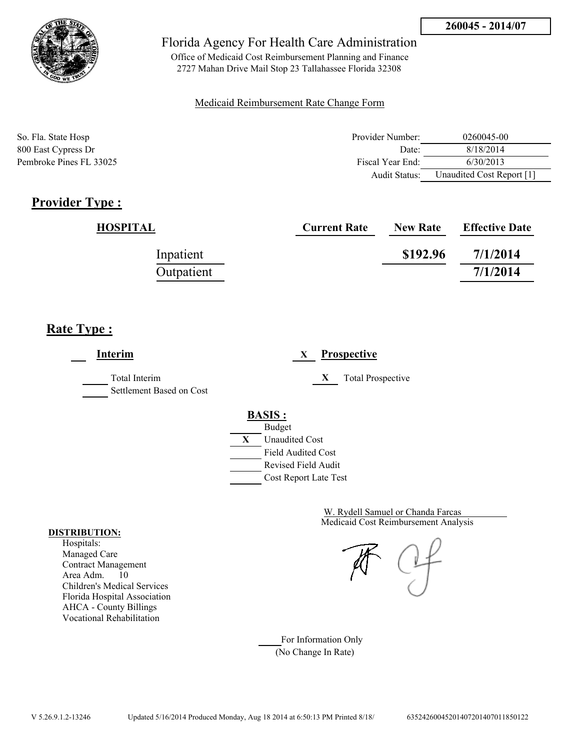

Office of Medicaid Cost Reimbursement Planning and Finance 2727 Mahan Drive Mail Stop 23 Tallahassee Florida 32308

#### Medicaid Reimbursement Rate Change Form

| So. Fla. State Hosp     | Provider Number: | 0260045-00                |
|-------------------------|------------------|---------------------------|
| 800 East Cypress Dr     | Date:            | 8/18/2014                 |
| Pembroke Pines FL 33025 | Fiscal Year End: | 6/30/2013                 |
|                         | Audit Status:    | Unaudited Cost Report [1] |

# **Provider Type :**

| <b>HOSPITAL</b> | <b>Current Rate</b> | <b>New Rate</b> | <b>Effective Date</b> |
|-----------------|---------------------|-----------------|-----------------------|
| Inpatient       |                     | \$192.96        | 7/1/2014              |
| Outpatient      |                     |                 | 7/1/2014              |

## **Rate Type :**

| Interim                                   | <b>Prospective</b><br>X       |
|-------------------------------------------|-------------------------------|
| Total Interim<br>Settlement Based on Cost | <b>Total Prospective</b><br>X |
|                                           | <b>BASIS:</b>                 |
|                                           | <b>Budget</b>                 |
|                                           | X<br><b>Unaudited Cost</b>    |
|                                           | <b>Field Audited Cost</b>     |
|                                           | Revised Field Audit           |
|                                           | Cost Report Late Test         |
|                                           |                               |

Medicaid Cost Reimbursement Analysis W. Rydell Samuel or Chanda Farcas

For Information Only (No Change In Rate)

#### **DISTRIBUTION:**

Hospitals: Managed Care Contract Management Area Adm. 10 Children's Medical Services Florida Hospital Association AHCA - County Billings Vocational Rehabilitation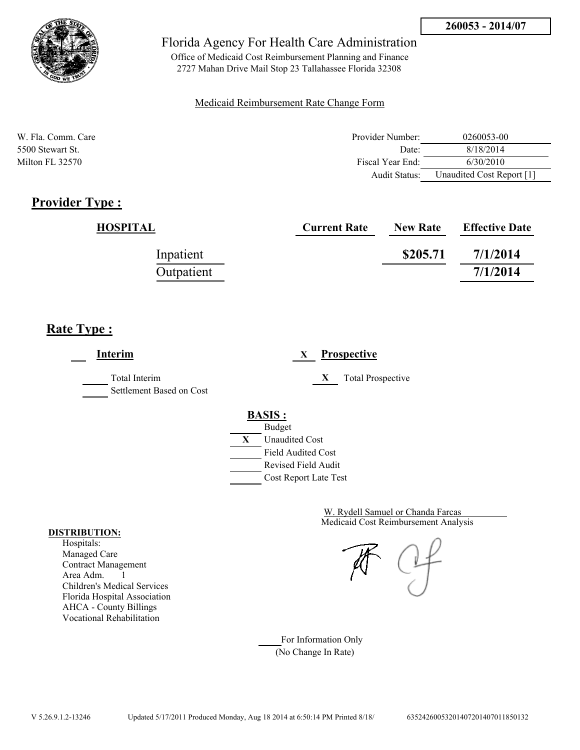

Office of Medicaid Cost Reimbursement Planning and Finance 2727 Mahan Drive Mail Stop 23 Tallahassee Florida 32308

#### Medicaid Reimbursement Rate Change Form

| W. Fla. Comm. Care | Provider Number:     | 0260053-00                |
|--------------------|----------------------|---------------------------|
| 5500 Stewart St.   | Date:                | 8/18/2014                 |
| Milton FL 32570    | Fiscal Year End:     | 6/30/2010                 |
|                    | <b>Audit Status:</b> | Unaudited Cost Report [1] |

# **Provider Type :**

| <b>HOSPITAL</b> | <b>Current Rate</b> | <b>New Rate</b> | <b>Effective Date</b> |
|-----------------|---------------------|-----------------|-----------------------|
| Inpatient       |                     | \$205.71        | 7/1/2014              |
| Outpatient      |                     |                 | 7/1/2014              |

## **Rate Type :**

| <b>Interim</b>                            | <b>Prospective</b><br>X       |
|-------------------------------------------|-------------------------------|
| Total Interim<br>Settlement Based on Cost | <b>Total Prospective</b><br>X |
|                                           | <b>BASIS:</b>                 |
|                                           | <b>Budget</b>                 |
|                                           | X<br><b>Unaudited Cost</b>    |
|                                           | <b>Field Audited Cost</b>     |
|                                           | Revised Field Audit           |
|                                           | Cost Report Late Test         |

Medicaid Cost Reimbursement Analysis W. Rydell Samuel or Chanda Farcas

For Information Only (No Change In Rate)

#### **DISTRIBUTION:**

Hospitals: Managed Care Contract Management Area Adm. 1 Children's Medical Services Florida Hospital Association AHCA - County Billings Vocational Rehabilitation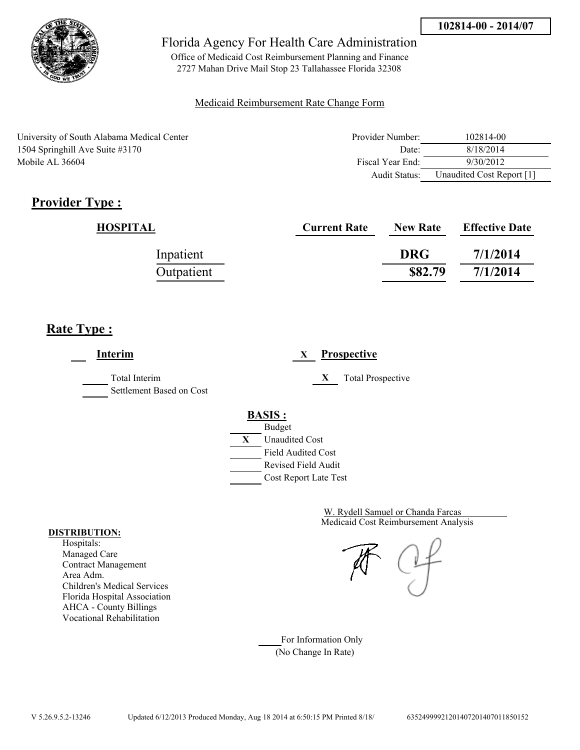

Office of Medicaid Cost Reimbursement Planning and Finance 2727 Mahan Drive Mail Stop 23 Tallahassee Florida 32308

#### Medicaid Reimbursement Rate Change Form

| University of South Alabama Medical Center | Provider Number:     | 102814-00                 |
|--------------------------------------------|----------------------|---------------------------|
| 1504 Springhill Ave Suite #3170            | Date:                | 8/18/2014                 |
| Mobile AL 36604                            | Fiscal Year End:     | 9/30/2012                 |
|                                            | <b>Audit Status:</b> | Unaudited Cost Report [1] |

# **Provider Type :**

| <b>HOSPITAL</b> | <b>Current Rate</b> | <b>New Rate</b> | <b>Effective Date</b> |
|-----------------|---------------------|-----------------|-----------------------|
| Inpatient       |                     | <b>DRG</b>      | 7/1/2014              |
| Outpatient      |                     | \$82.79         | 7/1/2014              |

## **Rate Type :**

| <b>Interim</b>                            | Prospective<br>X                                                                          |
|-------------------------------------------|-------------------------------------------------------------------------------------------|
| Total Interim<br>Settlement Based on Cost | <b>Total Prospective</b><br>X                                                             |
|                                           | <b>BASIS:</b><br><b>Budget</b><br>X<br><b>Unaudited Cost</b><br><b>Field Audited Cost</b> |
|                                           | <b>Revised Field Audit</b><br>Cost Report Late Test                                       |

Medicaid Cost Reimbursement Analysis W. Rydell Samuel or Chanda Farcas

For Information Only (No Change In Rate)

#### **DISTRIBUTION:**

Hospitals: Managed Care Contract Management Area Adm. Children's Medical Services Florida Hospital Association AHCA - County Billings Vocational Rehabilitation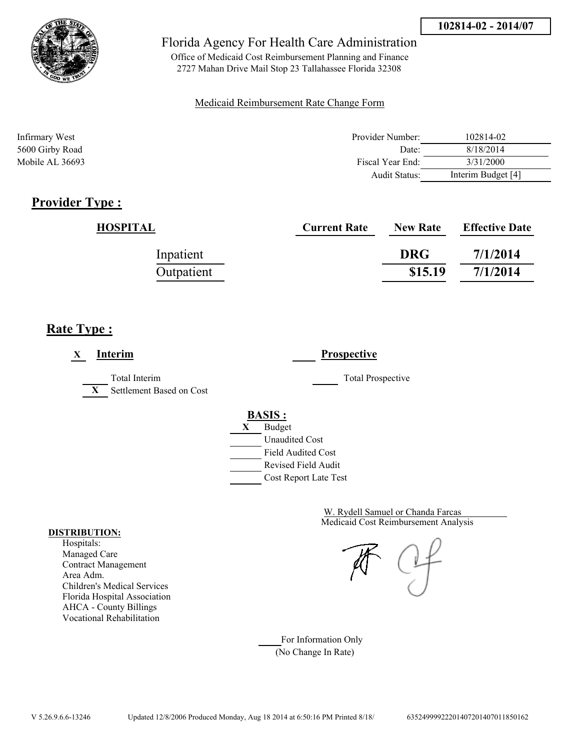

Office of Medicaid Cost Reimbursement Planning and Finance 2727 Mahan Drive Mail Stop 23 Tallahassee Florida 32308

#### Medicaid Reimbursement Rate Change Form

| Infirmary West  | Provider Number:     | 102814-02          |
|-----------------|----------------------|--------------------|
| 5600 Girby Road | Date:                | 8/18/2014          |
| Mobile AL 36693 | Fiscal Year End:     | 3/31/2000          |
|                 | <b>Audit Status:</b> | Interim Budget [4] |

# **Provider Type :**

| <b>HOSPITAL</b> | <b>Current Rate</b> | <b>New Rate</b> | <b>Effective Date</b> |
|-----------------|---------------------|-----------------|-----------------------|
| Inpatient       |                     | <b>DRG</b>      | 7/1/2014              |
| Outpatient      |                     | \$15.19         | 7/1/2014              |

# **Rate Type :**

| Interim<br>X                                              | <b>Prospective</b>                                                                                                                        |
|-----------------------------------------------------------|-------------------------------------------------------------------------------------------------------------------------------------------|
| Total Interim<br>Settlement Based on Cost<br>$\mathbf{X}$ | <b>Total Prospective</b>                                                                                                                  |
|                                                           | <b>BASIS:</b><br><b>Budget</b><br>X<br><b>Unaudited Cost</b><br><b>Field Audited Cost</b><br>Revised Field Audit<br>Cost Report Late Test |

Medicaid Cost Reimbursement Analysis W. Rydell Samuel or Chanda Farcas

For Information Only (No Change In Rate)

#### **DISTRIBUTION:**

Hospitals: Managed Care Contract Management Area Adm. Children's Medical Services Florida Hospital Association AHCA - County Billings Vocational Rehabilitation